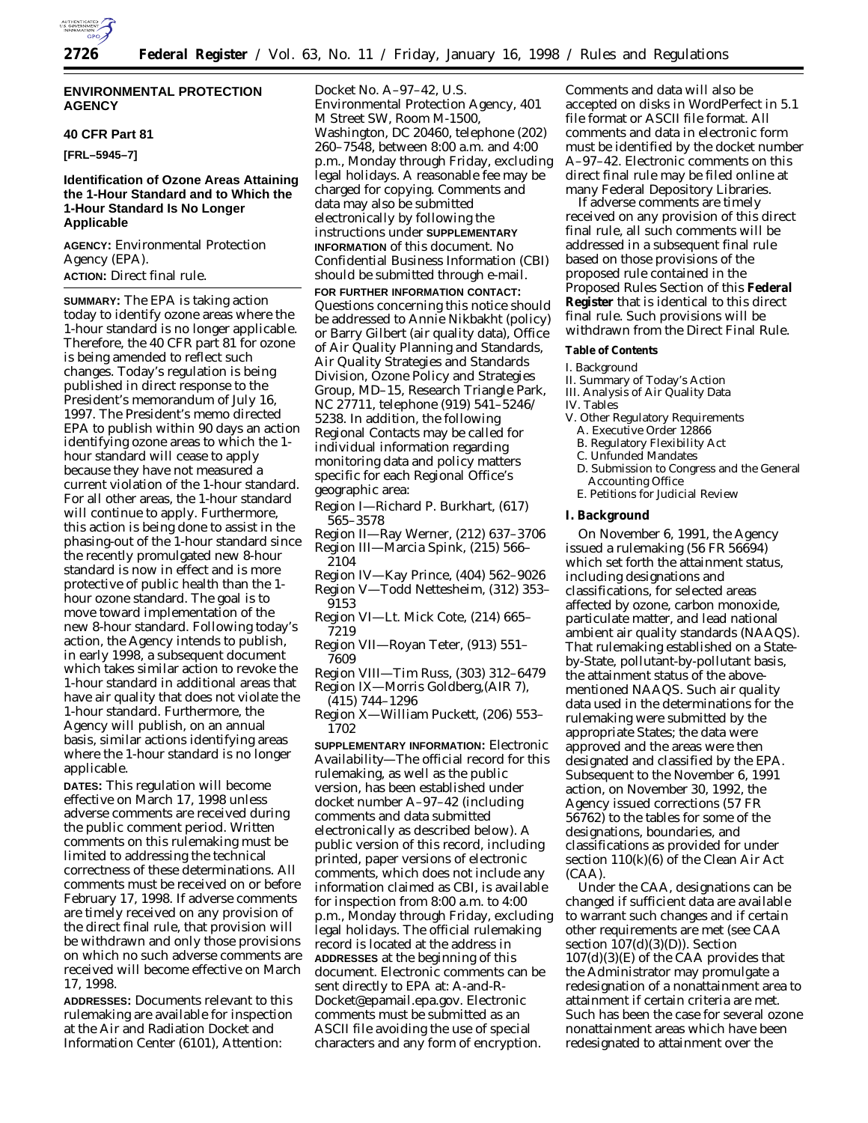

#### **ENVIRONMENTAL PROTECTION AGENCY**

#### **40 CFR Part 81**

**[FRL–5945–7]**

#### **Identification of Ozone Areas Attaining the 1-Hour Standard and to Which the 1-Hour Standard Is No Longer Applicable**

**AGENCY:** Environmental Protection Agency (EPA).

#### **ACTION:** Direct final rule.

**SUMMARY:** The EPA is taking action today to identify ozone areas where the 1-hour standard is no longer applicable. Therefore, the 40 CFR part 81 for ozone is being amended to reflect such changes. Today's regulation is being published in direct response to the President's memorandum of July 16, 1997. The President's memo directed EPA to publish within 90 days an action identifying ozone areas to which the 1 hour standard will cease to apply because they have not measured a current violation of the 1-hour standard. For all other areas, the 1-hour standard will continue to apply. Furthermore, this action is being done to assist in the phasing-out of the 1-hour standard since the recently promulgated new 8-hour standard is now in effect and is more protective of public health than the 1 hour ozone standard. The goal is to move toward implementation of the new 8-hour standard. Following today's action, the Agency intends to publish, in early 1998, a subsequent document which takes similar action to revoke the 1-hour standard in additional areas that have air quality that does not violate the 1-hour standard. Furthermore, the Agency will publish, on an annual basis, similar actions identifying areas where the 1-hour standard is no longer applicable.

**DATES:** This regulation will become effective on March 17, 1998 unless adverse comments are received during the public comment period. Written comments on this rulemaking must be limited to addressing the technical correctness of these determinations. All comments must be received on or before February 17, 1998. If adverse comments are timely received on any provision of the direct final rule, that provision will be withdrawn and only those provisions on which no such adverse comments are received will become effective on March 17, 1998.

**ADDRESSES:** Documents relevant to this rulemaking are available for inspection at the Air and Radiation Docket and Information Center (6101), Attention:

Docket No. A–97–42, U.S. Environmental Protection Agency, 401 M Street SW, Room M-1500, Washington, DC 20460, telephone (202) 260–7548, between 8:00 a.m. and 4:00 p.m., Monday through Friday, excluding legal holidays. A reasonable fee may be charged for copying. Comments and data may also be submitted electronically by following the instructions under **SUPPLEMENTARY INFORMATION** of this document. No Confidential Business Information (CBI) should be submitted through e-mail. **FOR FURTHER INFORMATION CONTACT:** Questions concerning this notice should be addressed to Annie Nikbakht (policy) or Barry Gilbert (air quality data), Office of Air Quality Planning and Standards, Air Quality Strategies and Standards Division, Ozone Policy and Strategies Group, MD–15, Research Triangle Park, NC 27711, telephone (919) 541–5246/ 5238. In addition, the following Regional Contacts may be called for individual information regarding monitoring data and policy matters specific for each Regional Office's geographic area:

- Region I—Richard P. Burkhart, (617) 565–3578
- Region II—Ray Werner, (212) 637–3706 Region III—Marcia Spink, (215) 566– 2104
- Region IV—Kay Prince, (404) 562–9026 Region V—Todd Nettesheim, (312) 353–
- 9153 Region VI—Lt. Mick Cote, (214) 665– 7219
- Region VII—Royan Teter, (913) 551– 7609
- Region VIII—Tim Russ, (303) 312–6479 Region IX—Morris Goldberg,(AIR 7),
- (415) 744–1296 Region X—William Puckett, (206) 553– 1702

**SUPPLEMENTARY INFORMATION:** *Electronic Availability*—The official record for this rulemaking, as well as the public version, has been established under docket number A–97–42 (including comments and data submitted electronically as described below). A public version of this record, including printed, paper versions of electronic comments, which does not include any information claimed as CBI, is available for inspection from 8:00 a.m. to 4:00 p.m., Monday through Friday, excluding legal holidays. The official rulemaking record is located at the address in **ADDRESSES** at the beginning of this document. Electronic comments can be sent directly to EPA at: A-and-R-Docket@epamail.epa.gov. Electronic comments must be submitted as an ASCII file avoiding the use of special characters and any form of encryption.

Comments and data will also be accepted on disks in WordPerfect in 5.1 file format or ASCII file format. All comments and data in electronic form must be identified by the docket number A–97–42. Electronic comments on this direct final rule may be filed online at many Federal Depository Libraries.

If adverse comments are timely received on any provision of this direct final rule, all such comments will be addressed in a subsequent final rule based on those provisions of the proposed rule contained in the Proposed Rules Section of this **Federal Register** that is identical to this direct final rule. Such provisions will be withdrawn from the Direct Final Rule.

### **Table of Contents**

## I. Background

II. Summary of Today's Action

- III. Analysis of Air Quality Data
- IV. Tables
- V. Other Regulatory Requirements
- A. Executive Order 12866
- B. Regulatory Flexibility Act
- C. Unfunded Mandates
- D. Submission to Congress and the General Accounting Office
- E. Petitions for Judicial Review

#### **I. Background**

On November 6, 1991, the Agency issued a rulemaking (56 FR 56694) which set forth the attainment status, including designations and classifications, for selected areas affected by ozone, carbon monoxide, particulate matter, and lead national ambient air quality standards (NAAQS). That rulemaking established on a Stateby-State, pollutant-by-pollutant basis, the attainment status of the abovementioned NAAQS. Such air quality data used in the determinations for the rulemaking were submitted by the appropriate States; the data were approved and the areas were then designated and classified by the EPA. Subsequent to the November 6, 1991 action, on November 30, 1992, the Agency issued corrections (57 FR 56762) to the tables for some of the designations, boundaries, and classifications as provided for under section 110(k)(6) of the Clean Air Act (CAA).

Under the CAA, designations can be changed if sufficient data are available to warrant such changes and if certain other requirements are met (see CAA section  $107(d)(3)(D)$ ). Section 107(d)(3)(E) of the CAA provides that the Administrator may promulgate a redesignation of a nonattainment area to attainment if certain criteria are met. Such has been the case for several ozone nonattainment areas which have been redesignated to attainment over the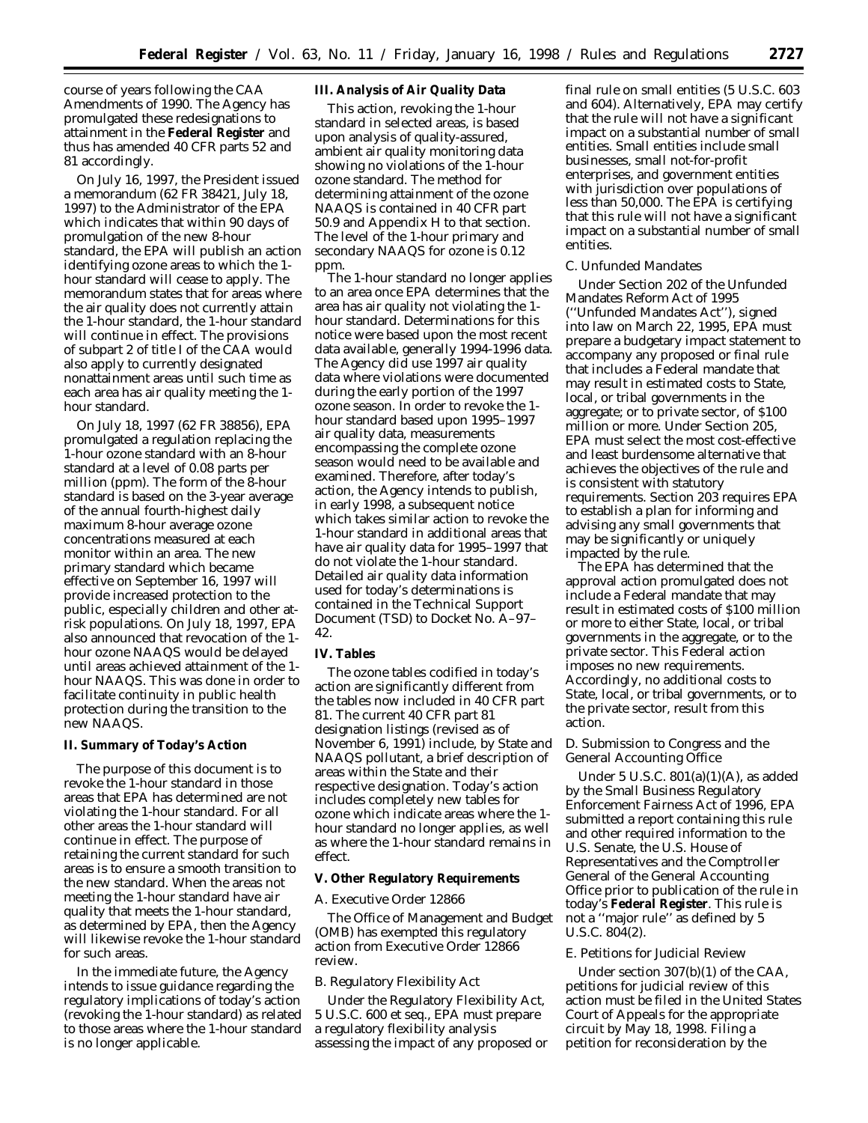course of years following the CAA Amendments of 1990. The Agency has promulgated these redesignations to attainment in the **Federal Register** and thus has amended 40 CFR parts 52 and 81 accordingly.

On July 16, 1997, the President issued a memorandum (62 FR 38421, July 18, 1997) to the Administrator of the EPA which indicates that within 90 days of promulgation of the new 8-hour standard, the EPA will publish an action identifying ozone areas to which the 1 hour standard will cease to apply. The memorandum states that for areas where the air quality does not currently attain the 1-hour standard, the 1-hour standard will continue in effect. The provisions of subpart 2 of title I of the CAA would also apply to currently designated nonattainment areas until such time as each area has air quality meeting the 1 hour standard.

On July 18, 1997 (62 FR 38856), EPA promulgated a regulation replacing the 1-hour ozone standard with an 8-hour standard at a level of 0.08 parts per million (ppm). The form of the 8-hour standard is based on the 3-year average of the annual fourth-highest daily maximum 8-hour average ozone concentrations measured at each monitor within an area. The new primary standard which became effective on September 16, 1997 will provide increased protection to the public, especially children and other atrisk populations. On July 18, 1997, EPA also announced that revocation of the 1 hour ozone NAAQS would be delayed until areas achieved attainment of the 1 hour NAAQS. This was done in order to facilitate continuity in public health protection during the transition to the new NAAQS.

#### **II. Summary of Today's Action**

The purpose of this document is to revoke the 1-hour standard in those areas that EPA has determined are not violating the 1-hour standard. For all other areas the 1-hour standard will continue in effect. The purpose of retaining the current standard for such areas is to ensure a smooth transition to the new standard. When the areas not meeting the 1-hour standard have air quality that meets the 1-hour standard, as determined by EPA, then the Agency will likewise revoke the 1-hour standard for such areas.

In the immediate future, the Agency intends to issue guidance regarding the regulatory implications of today's action (revoking the 1-hour standard) as related to those areas where the 1-hour standard is no longer applicable.

#### **III. Analysis of Air Quality Data**

This action, revoking the 1-hour standard in selected areas, is based upon analysis of quality-assured, ambient air quality monitoring data showing no violations of the 1-hour ozone standard. The method for determining attainment of the ozone NAAQS is contained in 40 CFR part 50.9 and Appendix H to that section. The level of the 1-hour primary and secondary NAAQS for ozone is 0.12 ppm.

The 1-hour standard no longer applies to an area once EPA determines that the area has air quality not violating the 1 hour standard. Determinations for this notice were based upon the most recent data available, generally 1994-1996 data. The Agency did use 1997 air quality data where violations were documented during the early portion of the 1997 ozone season. In order to revoke the 1 hour standard based upon 1995–1997 air quality data, measurements encompassing the complete ozone season would need to be available and examined. Therefore, after today's action, the Agency intends to publish, in early 1998, a subsequent notice which takes similar action to revoke the 1-hour standard in additional areas that have air quality data for 1995–1997 that do not violate the 1-hour standard. Detailed air quality data information used for today's determinations is contained in the Technical Support Document (TSD) to Docket No. A–97– 42.

#### **IV. Tables**

The ozone tables codified in today's action are significantly different from the tables now included in 40 CFR part 81. The current 40 CFR part 81 designation listings (revised as of November 6, 1991) include, by State and NAAQS pollutant, a brief description of areas within the State and their respective designation. Today's action includes completely new tables for ozone which indicate areas where the 1 hour standard no longer applies, as well as where the 1-hour standard remains in effect.

#### **V. Other Regulatory Requirements**

#### *A. Executive Order 12866*

The Office of Management and Budget (OMB) has exempted this regulatory action from Executive Order 12866 review.

#### *B. Regulatory Flexibility Act*

Under the Regulatory Flexibility Act, 5 U.S.C. 600 *et seq.*, EPA must prepare a regulatory flexibility analysis assessing the impact of any proposed or final rule on small entities (5 U.S.C. 603 and 604). Alternatively, EPA may certify that the rule will not have a significant impact on a substantial number of small entities. Small entities include small businesses, small not-for-profit enterprises, and government entities with jurisdiction over populations of less than 50,000. The EPA is certifying that this rule will not have a significant impact on a substantial number of small entities.

#### *C. Unfunded Mandates*

Under Section 202 of the Unfunded Mandates Reform Act of 1995 (''Unfunded Mandates Act''), signed into law on March 22, 1995, EPA must prepare a budgetary impact statement to accompany any proposed or final rule that includes a Federal mandate that may result in estimated costs to State, local, or tribal governments in the aggregate; or to private sector, of \$100 million or more. Under Section 205, EPA must select the most cost-effective and least burdensome alternative that achieves the objectives of the rule and is consistent with statutory requirements. Section 203 requires EPA to establish a plan for informing and advising any small governments that may be significantly or uniquely impacted by the rule.

The EPA has determined that the approval action promulgated does not include a Federal mandate that may result in estimated costs of \$100 million or more to either State, local, or tribal governments in the aggregate, or to the private sector. This Federal action imposes no new requirements. Accordingly, no additional costs to State, local, or tribal governments, or to the private sector, result from this action.

#### *D. Submission to Congress and the General Accounting Office*

Under 5 U.S.C. 801(a)(1)(A), as added by the Small Business Regulatory Enforcement Fairness Act of 1996, EPA submitted a report containing this rule and other required information to the U.S. Senate, the U.S. House of Representatives and the Comptroller General of the General Accounting Office prior to publication of the rule in today's **Federal Register**. This rule is not a ''major rule'' as defined by 5 U.S.C. 804(2).

#### *E. Petitions for Judicial Review*

Under section 307(b)(1) of the CAA, petitions for judicial review of this action must be filed in the United States Court of Appeals for the appropriate circuit by May 18, 1998. Filing a petition for reconsideration by the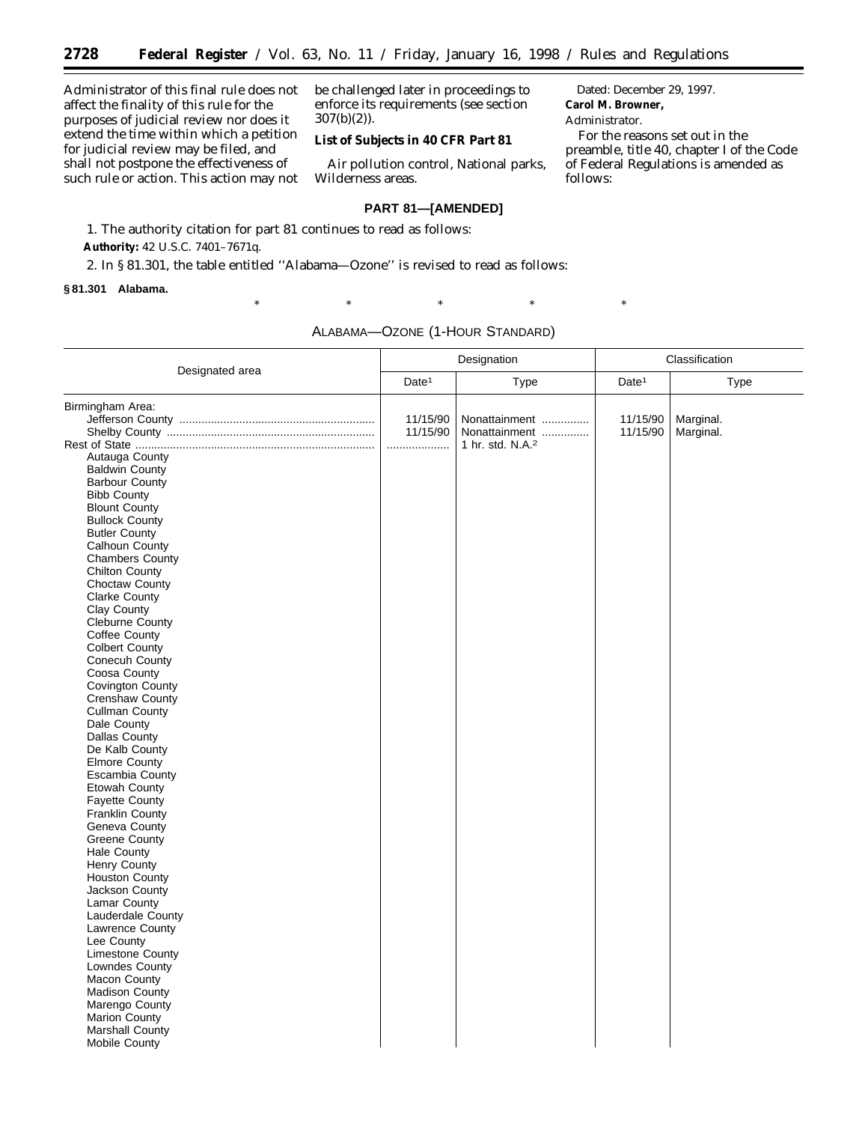Administrator of this final rule does not affect the finality of this rule for the purposes of judicial review nor does it extend the time within which a petition for judicial review may be filed, and shall not postpone the effectiveness of such rule or action. This action may not be challenged later in proceedings to enforce its requirements (see section 307(b)(2)).

# **List of Subjects in 40 CFR Part 81**

Air pollution control, National parks, Wilderness areas.

#### **PART 81—[AMENDED]**

1. The authority citation for part 81 continues to read as follows: **Authority:** 42 U.S.C. 7401–7671q.

2. In § 81.301, the table entitled ''Alabama—Ozone'' is revised to read as follows:

### **§ 81.301 Alabama.**

Dated: December 29, 1997. **Carol M. Browner,**

#### *Administrator.*

For the reasons set out in the preamble, title 40, chapter I of the Code of Federal Regulations is amended as follows:

ALABAMA—OZONE (1-HOUR STANDARD)

 $*$  \*  $*$  \*  $*$  \*  $*$ 

|                                                                                                                                                                                                                                                                                                                                                                                                                                                                                                                                                                                                                               | Designation       |                                               | Classification    |           |
|-------------------------------------------------------------------------------------------------------------------------------------------------------------------------------------------------------------------------------------------------------------------------------------------------------------------------------------------------------------------------------------------------------------------------------------------------------------------------------------------------------------------------------------------------------------------------------------------------------------------------------|-------------------|-----------------------------------------------|-------------------|-----------|
| Designated area                                                                                                                                                                                                                                                                                                                                                                                                                                                                                                                                                                                                               | Date <sup>1</sup> | Type                                          | Date <sup>1</sup> | Type      |
| Birmingham Area:                                                                                                                                                                                                                                                                                                                                                                                                                                                                                                                                                                                                              | 11/15/90          | Nonattainment                                 | 11/15/90          | Marginal. |
| Autauga County<br>Baldwin County<br><b>Barbour County</b><br><b>Bibb County</b><br><b>Blount County</b><br><b>Bullock County</b><br><b>Butler County</b><br>Calhoun County<br><b>Chambers County</b><br><b>Chilton County</b><br>Choctaw County<br><b>Clarke County</b><br>Clay County<br><b>Cleburne County</b><br>Coffee County<br><b>Colbert County</b><br>Conecuh County<br>Coosa County<br><b>Covington County</b><br>Crenshaw County<br><b>Cullman County</b><br>Dale County<br><b>Dallas County</b><br>De Kalb County<br><b>Elmore County</b><br>Escambia County<br>Etowah County<br>Fayette County<br>Franklin County | 11/15/90<br>.     | Nonattainment<br>1 hr. std. N.A. <sup>2</sup> | 11/15/90          | Marginal. |
| Geneva County<br><b>Greene County</b><br><b>Hale County</b><br><b>Henry County</b><br><b>Houston County</b><br>Jackson County<br>Lamar County<br>Lauderdale County<br>Lawrence County<br>Lee County<br>Limestone County<br>Lowndes County<br><b>Macon County</b><br><b>Madison County</b><br>Marengo County<br>Marion County<br>Marshall County<br><b>Mobile County</b>                                                                                                                                                                                                                                                       |                   |                                               |                   |           |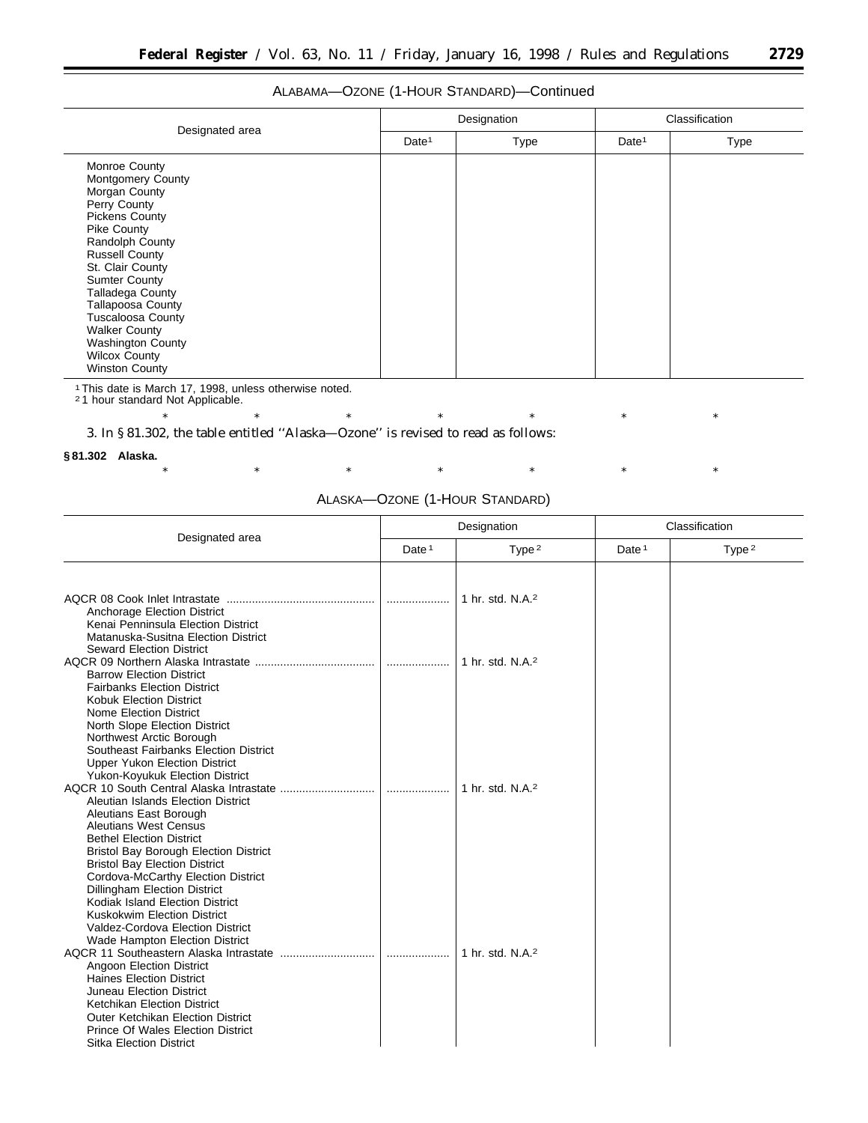# ALABAMA—OZONE (1-HOUR STANDARD)—Continued

| Designated area                                                                                                                                                                                                                                                                                                                                                                                    | Designation       |      | Classification    |      |
|----------------------------------------------------------------------------------------------------------------------------------------------------------------------------------------------------------------------------------------------------------------------------------------------------------------------------------------------------------------------------------------------------|-------------------|------|-------------------|------|
|                                                                                                                                                                                                                                                                                                                                                                                                    | Date <sup>1</sup> | Type | Date <sup>1</sup> | Type |
| Monroe County<br><b>Montgomery County</b><br>Morgan County<br>Perry County<br><b>Pickens County</b><br>Pike County<br>Randolph County<br><b>Russell County</b><br>St. Clair County<br><b>Sumter County</b><br><b>Talladega County</b><br><b>Tallapoosa County</b><br><b>Tuscaloosa County</b><br><b>Walker County</b><br><b>Washington County</b><br><b>Wilcox County</b><br><b>Winston County</b> |                   |      |                   |      |

1This date is March 17, 1998, unless otherwise noted. 2 1 hour standard Not Applicable.

\* \* \* \* \* \* \* \* \* \* \*

3. In § 81.302, the table entitled ''Alaska—Ozone'' is revised to read as follows:

#### **§ 81.302 Alaska.**

| Alaska—Ozone (1-Hour Standard) |  |  |
|--------------------------------|--|--|
|--------------------------------|--|--|

|                                                                                                                                                                                                                                                                                                                                                                                                                                                                                                        | Designation       |                              | Classification    |                   |
|--------------------------------------------------------------------------------------------------------------------------------------------------------------------------------------------------------------------------------------------------------------------------------------------------------------------------------------------------------------------------------------------------------------------------------------------------------------------------------------------------------|-------------------|------------------------------|-------------------|-------------------|
| Designated area                                                                                                                                                                                                                                                                                                                                                                                                                                                                                        | Date <sup>1</sup> | Type $2$                     | Date <sup>1</sup> | Type <sup>2</sup> |
| Anchorage Election District<br>Kenai Penninsula Election District                                                                                                                                                                                                                                                                                                                                                                                                                                      |                   | 1 hr. std. N.A. <sup>2</sup> |                   |                   |
| Matanuska-Susitna Election District<br><b>Seward Election District</b><br><b>Barrow Election District</b><br><b>Fairbanks Election District</b><br>Kobuk Election District                                                                                                                                                                                                                                                                                                                             |                   | 1 hr. std. N.A. <sup>2</sup> |                   |                   |
| <b>Nome Election District</b><br>North Slope Election District<br>Northwest Arctic Borough<br>Southeast Fairbanks Election District<br><b>Upper Yukon Election District</b><br>Yukon-Koyukuk Election District<br>Aleutian Islands Election District<br>Aleutians East Borough<br><b>Aleutians West Census</b><br><b>Bethel Election District</b><br><b>Bristol Bay Borough Election District</b>                                                                                                      |                   | 1 hr. std. N.A. <sup>2</sup> |                   |                   |
| <b>Bristol Bay Election District</b><br>Cordova-McCarthy Election District<br>Dillingham Election District<br>Kodiak Island Election District<br>Kuskokwim Election District<br>Valdez-Cordova Election District<br>Wade Hampton Election District<br>Angoon Election District<br><b>Haines Election District</b><br><b>Juneau Election District</b><br>Ketchikan Election District<br><b>Outer Ketchikan Election District</b><br>Prince Of Wales Election District<br><b>Sitka Election District</b> |                   | 1 hr. std. N.A. <sup>2</sup> |                   |                   |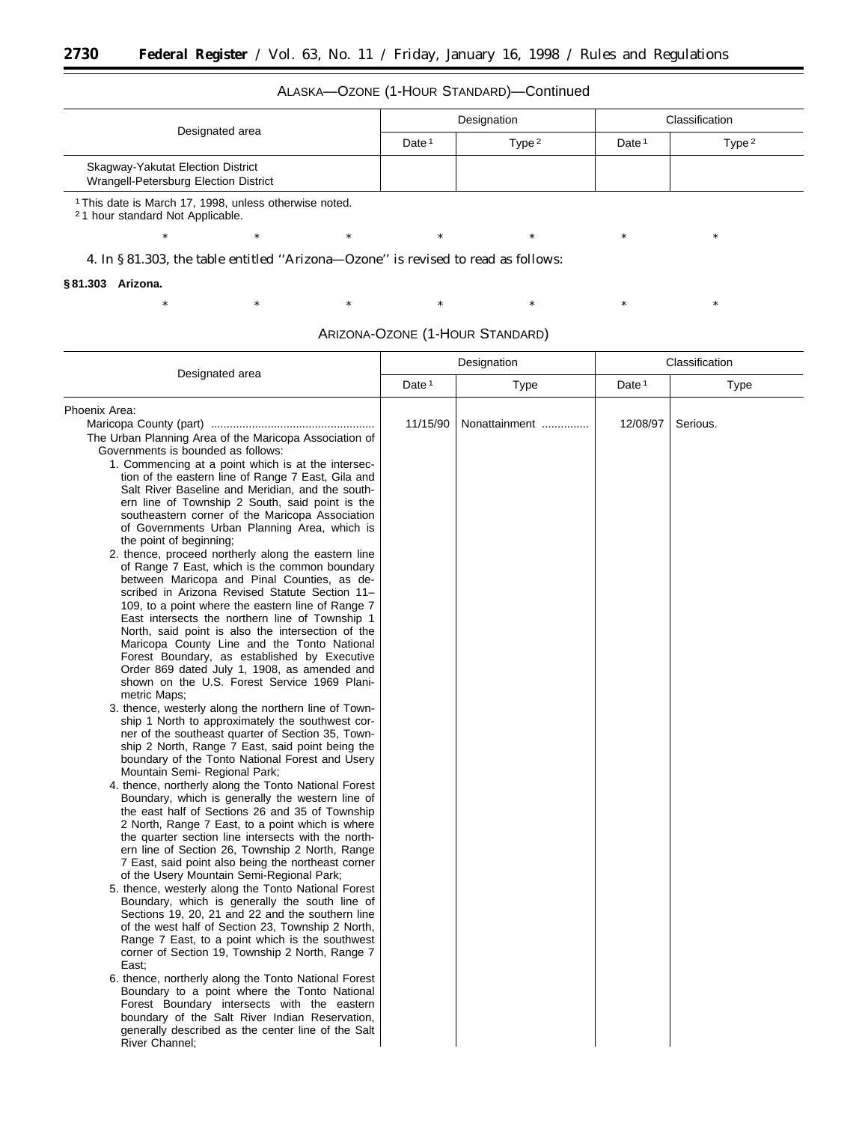ALASKA—OZONE (1-HOUR STANDARD)—Continued

| Designated area                                                                                                   | Designation       |          | Classification    |          |
|-------------------------------------------------------------------------------------------------------------------|-------------------|----------|-------------------|----------|
|                                                                                                                   | Date <sup>1</sup> | Type $2$ | Date <sup>1</sup> | Type $2$ |
| Skagway-Yakutat Election District<br>Wrangell-Petersburg Election District                                        |                   |          |                   |          |
| <sup>1</sup> This date is March 17, 1998, unless otherwise noted.<br><sup>2</sup> 1 hour standard Not Applicable. |                   |          |                   |          |
| $^{\ast}$<br>×                                                                                                    |                   | *        |                   | ×        |

4. In § 81.303, the table entitled ''Arizona—Ozone'' is revised to read as follows:

#### **§ 81.303 Arizona.**

۳

ARIZONA-OZONE (1-HOUR STANDARD)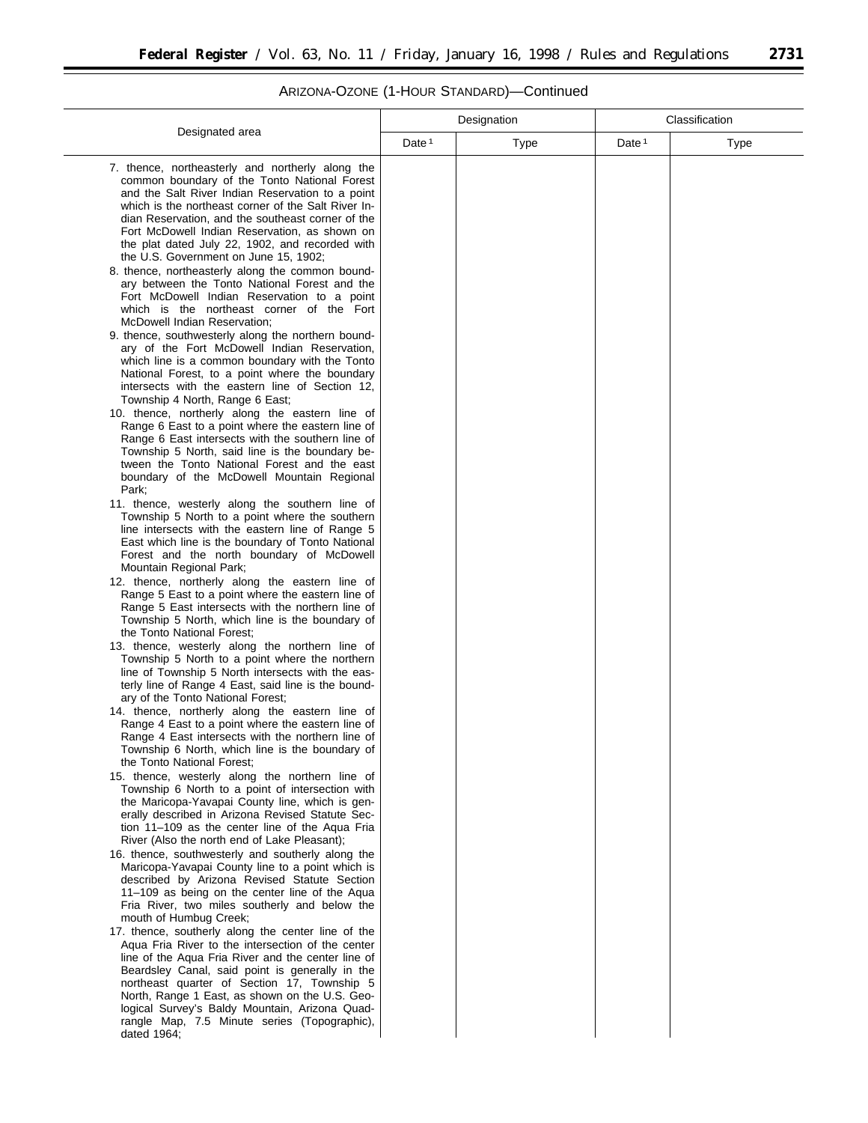# ARIZONA-OZONE (1-HOUR STANDARD)—Continued

|                                                                                                                                                                                                                                                                                                                                                                                                                                                                                                                                                                                                                                                                                                                                                                                                                                                                                                                                                                                                                                                                                                                                                                                                                                                                                                                                                                                                                                                                                                                                                                                                                                                                                                                                                                                                                                                                                                                                                                                                                                                                                                                                                                                                                                                                                                                                                                                                                                                                                                                                                                                                                                                                                                                                                                                                                                                                                                                                                                                                                                                                                                                                                                                                                                                                                                                                                            | Designation       |             | Classification    |      |
|------------------------------------------------------------------------------------------------------------------------------------------------------------------------------------------------------------------------------------------------------------------------------------------------------------------------------------------------------------------------------------------------------------------------------------------------------------------------------------------------------------------------------------------------------------------------------------------------------------------------------------------------------------------------------------------------------------------------------------------------------------------------------------------------------------------------------------------------------------------------------------------------------------------------------------------------------------------------------------------------------------------------------------------------------------------------------------------------------------------------------------------------------------------------------------------------------------------------------------------------------------------------------------------------------------------------------------------------------------------------------------------------------------------------------------------------------------------------------------------------------------------------------------------------------------------------------------------------------------------------------------------------------------------------------------------------------------------------------------------------------------------------------------------------------------------------------------------------------------------------------------------------------------------------------------------------------------------------------------------------------------------------------------------------------------------------------------------------------------------------------------------------------------------------------------------------------------------------------------------------------------------------------------------------------------------------------------------------------------------------------------------------------------------------------------------------------------------------------------------------------------------------------------------------------------------------------------------------------------------------------------------------------------------------------------------------------------------------------------------------------------------------------------------------------------------------------------------------------------------------------------------------------------------------------------------------------------------------------------------------------------------------------------------------------------------------------------------------------------------------------------------------------------------------------------------------------------------------------------------------------------------------------------------------------------------------------------------------------------|-------------------|-------------|-------------------|------|
| Designated area                                                                                                                                                                                                                                                                                                                                                                                                                                                                                                                                                                                                                                                                                                                                                                                                                                                                                                                                                                                                                                                                                                                                                                                                                                                                                                                                                                                                                                                                                                                                                                                                                                                                                                                                                                                                                                                                                                                                                                                                                                                                                                                                                                                                                                                                                                                                                                                                                                                                                                                                                                                                                                                                                                                                                                                                                                                                                                                                                                                                                                                                                                                                                                                                                                                                                                                                            | Date <sup>1</sup> | <b>Type</b> | Date <sup>1</sup> | Type |
| 7. thence, northeasterly and northerly along the<br>common boundary of the Tonto National Forest<br>and the Salt River Indian Reservation to a point<br>which is the northeast corner of the Salt River In-<br>dian Reservation, and the southeast corner of the<br>Fort McDowell Indian Reservation, as shown on<br>the plat dated July 22, 1902, and recorded with<br>the U.S. Government on June 15, 1902;<br>8. thence, northeasterly along the common bound-<br>ary between the Tonto National Forest and the<br>Fort McDowell Indian Reservation to a point<br>which is the northeast corner of the Fort<br>McDowell Indian Reservation;<br>9. thence, southwesterly along the northern bound-<br>ary of the Fort McDowell Indian Reservation,<br>which line is a common boundary with the Tonto<br>National Forest, to a point where the boundary<br>intersects with the eastern line of Section 12,<br>Township 4 North, Range 6 East;<br>10. thence, northerly along the eastern line of<br>Range 6 East to a point where the eastern line of<br>Range 6 East intersects with the southern line of<br>Township 5 North, said line is the boundary be-<br>tween the Tonto National Forest and the east<br>boundary of the McDowell Mountain Regional<br>Park:<br>11. thence, westerly along the southern line of<br>Township 5 North to a point where the southern<br>line intersects with the eastern line of Range 5<br>East which line is the boundary of Tonto National<br>Forest and the north boundary of McDowell<br>Mountain Regional Park;<br>12. thence, northerly along the eastern line of<br>Range 5 East to a point where the eastern line of<br>Range 5 East intersects with the northern line of<br>Township 5 North, which line is the boundary of<br>the Tonto National Forest;<br>13. thence, westerly along the northern line of<br>Township 5 North to a point where the northern<br>line of Township 5 North intersects with the eas-<br>terly line of Range 4 East, said line is the bound-<br>ary of the Tonto National Forest;<br>14. thence, northerly along the eastern line of<br>Range 4 East to a point where the eastern line of<br>Range 4 East intersects with the northern line of<br>Township 6 North, which line is the boundary of<br>the Tonto National Forest;<br>15. thence, westerly along the northern line of<br>Township 6 North to a point of intersection with<br>the Maricopa-Yavapai County line, which is gen-<br>erally described in Arizona Revised Statute Sec-<br>tion 11–109 as the center line of the Aqua Fria<br>River (Also the north end of Lake Pleasant);<br>16. thence, southwesterly and southerly along the<br>Maricopa-Yavapai County line to a point which is<br>described by Arizona Revised Statute Section<br>11–109 as being on the center line of the Aqua<br>Fria River, two miles southerly and below the<br>mouth of Humbug Creek;<br>17. thence, southerly along the center line of the<br>Aqua Fria River to the intersection of the center<br>line of the Aqua Fria River and the center line of<br>Beardsley Canal, said point is generally in the<br>northeast quarter of Section 17, Township 5<br>North, Range 1 East, as shown on the U.S. Geo-<br>logical Survey's Baldy Mountain, Arizona Quad-<br>rangle Map, 7.5 Minute series (Topographic),<br>dated 1964; |                   |             |                   |      |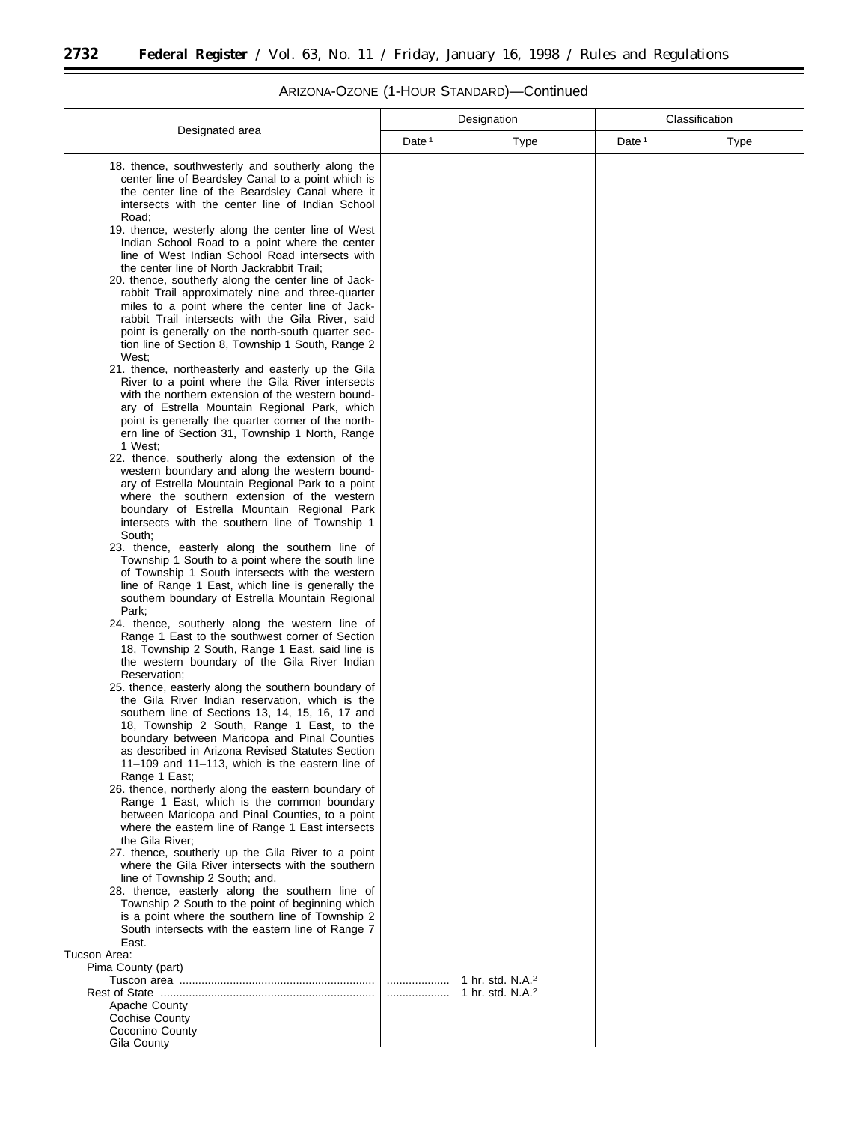$\equiv$ 

 $\overline{\phantom{a}}$ 

# ARIZONA-OZONE (1-HOUR STANDARD)—Continued

٠

|                                                                                                                                                                                                                                                                                                                                                                                                                                                                                                                                                                                                               | Designation       |                                                              | Classification    |      |
|---------------------------------------------------------------------------------------------------------------------------------------------------------------------------------------------------------------------------------------------------------------------------------------------------------------------------------------------------------------------------------------------------------------------------------------------------------------------------------------------------------------------------------------------------------------------------------------------------------------|-------------------|--------------------------------------------------------------|-------------------|------|
| Designated area                                                                                                                                                                                                                                                                                                                                                                                                                                                                                                                                                                                               | Date <sup>1</sup> | Type                                                         | Date <sup>1</sup> | Type |
| 18. thence, southwesterly and southerly along the<br>center line of Beardsley Canal to a point which is<br>the center line of the Beardsley Canal where it<br>intersects with the center line of Indian School                                                                                                                                                                                                                                                                                                                                                                                                |                   |                                                              |                   |      |
| Road:<br>19. thence, westerly along the center line of West<br>Indian School Road to a point where the center<br>line of West Indian School Road intersects with<br>the center line of North Jackrabbit Trail;<br>20. thence, southerly along the center line of Jack-<br>rabbit Trail approximately nine and three-quarter<br>miles to a point where the center line of Jack-<br>rabbit Trail intersects with the Gila River, said<br>point is generally on the north-south quarter sec-<br>tion line of Section 8, Township 1 South, Range 2<br>West;<br>21. thence, northeasterly and easterly up the Gila |                   |                                                              |                   |      |
| River to a point where the Gila River intersects<br>with the northern extension of the western bound-<br>ary of Estrella Mountain Regional Park, which<br>point is generally the quarter corner of the north-<br>ern line of Section 31, Township 1 North, Range<br>1 West;                                                                                                                                                                                                                                                                                                                                   |                   |                                                              |                   |      |
| 22. thence, southerly along the extension of the<br>western boundary and along the western bound-<br>ary of Estrella Mountain Regional Park to a point<br>where the southern extension of the western<br>boundary of Estrella Mountain Regional Park<br>intersects with the southern line of Township 1<br>South;                                                                                                                                                                                                                                                                                             |                   |                                                              |                   |      |
| 23. thence, easterly along the southern line of<br>Township 1 South to a point where the south line<br>of Township 1 South intersects with the western<br>line of Range 1 East, which line is generally the<br>southern boundary of Estrella Mountain Regional<br>Park;                                                                                                                                                                                                                                                                                                                                       |                   |                                                              |                   |      |
| 24. thence, southerly along the western line of<br>Range 1 East to the southwest corner of Section<br>18, Township 2 South, Range 1 East, said line is<br>the western boundary of the Gila River Indian<br>Reservation;                                                                                                                                                                                                                                                                                                                                                                                       |                   |                                                              |                   |      |
| 25. thence, easterly along the southern boundary of<br>the Gila River Indian reservation, which is the<br>southern line of Sections 13, 14, 15, 16, 17 and<br>18, Township 2 South, Range 1 East, to the<br>boundary between Maricopa and Pinal Counties<br>as described in Arizona Revised Statutes Section<br>$11-109$ and $11-113$ , which is the eastern line of<br>Range 1 East;                                                                                                                                                                                                                         |                   |                                                              |                   |      |
| 26. thence, northerly along the eastern boundary of<br>Range 1 East, which is the common boundary<br>between Maricopa and Pinal Counties, to a point<br>where the eastern line of Range 1 East intersects<br>the Gila River;<br>27. thence, southerly up the Gila River to a point                                                                                                                                                                                                                                                                                                                            |                   |                                                              |                   |      |
| where the Gila River intersects with the southern<br>line of Township 2 South; and.<br>28. thence, easterly along the southern line of<br>Township 2 South to the point of beginning which<br>is a point where the southern line of Township 2<br>South intersects with the eastern line of Range 7<br>East.                                                                                                                                                                                                                                                                                                  |                   |                                                              |                   |      |
| Tucson Area:<br>Pima County (part)<br>Apache County<br><b>Cochise County</b><br>Coconino County<br>Gila County                                                                                                                                                                                                                                                                                                                                                                                                                                                                                                |                   | 1 hr. std. N.A. <sup>2</sup><br>1 hr. std. N.A. <sup>2</sup> |                   |      |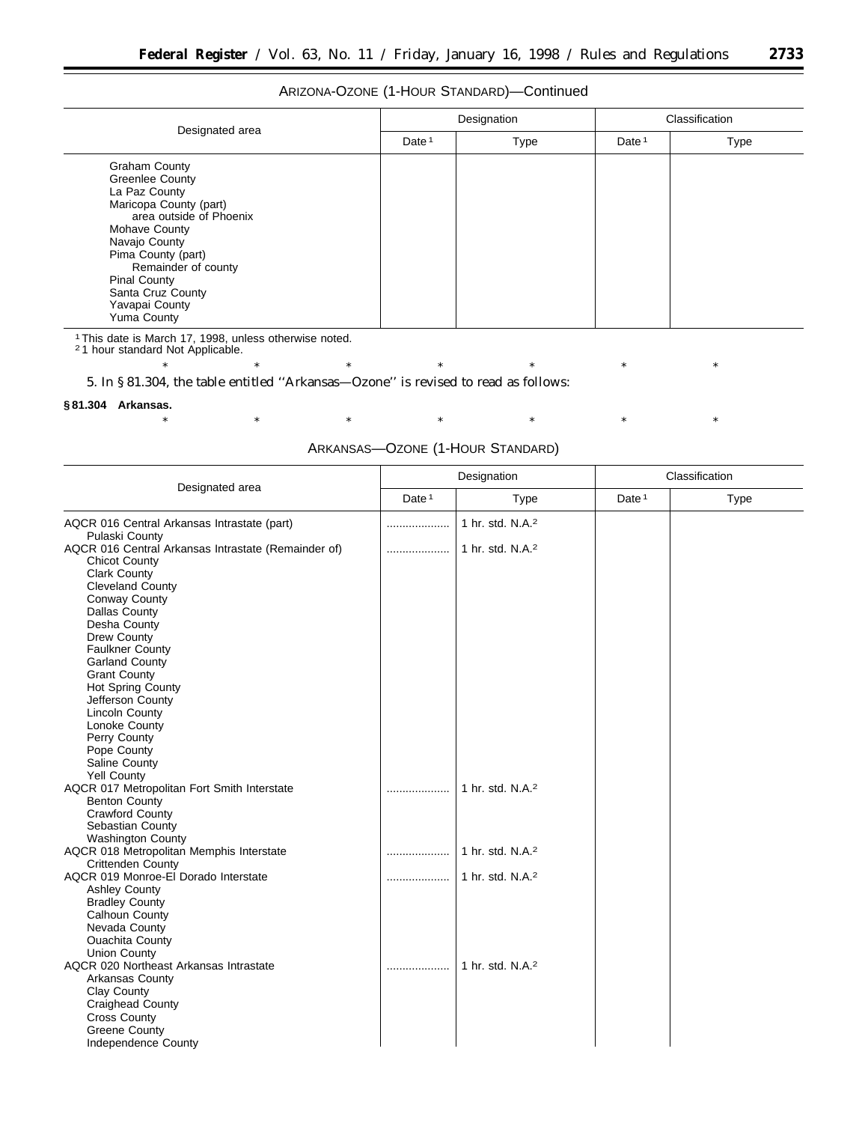e<br>B

# ARIZONA-OZONE (1-HOUR STANDARD)—Continued

|                                                                                                                                                                                                                                                                                         | Designation       |             | Classification |      |
|-----------------------------------------------------------------------------------------------------------------------------------------------------------------------------------------------------------------------------------------------------------------------------------------|-------------------|-------------|----------------|------|
| Designated area                                                                                                                                                                                                                                                                         | Date <sup>1</sup> | <b>Type</b> | Date $1$       | Type |
| <b>Graham County</b><br><b>Greenlee County</b><br>La Paz County<br>Maricopa County (part)<br>area outside of Phoenix<br><b>Mohave County</b><br>Navajo County<br>Pima County (part)<br>Remainder of county<br><b>Pinal County</b><br>Santa Cruz County<br>Yavapai County<br>Yuma County |                   |             |                |      |

1This date is March 17, 1998, unless otherwise noted. 2 1 hour standard Not Applicable.

\* \* \* \* \* \* \* \* \* \* \*

5. In § 81.304, the table entitled ''Arkansas—Ozone'' is revised to read as follows:

### **§ 81.304 Arkansas.**

\* \* \* \* \* \* \* \* \* \* \* ARKANSAS—OZONE (1-HOUR STANDARD)

|                                                     | Designation |                              | Classification |             |
|-----------------------------------------------------|-------------|------------------------------|----------------|-------------|
| Designated area                                     | Date $1$    | Type                         | Date $1$       | <b>Type</b> |
| AQCR 016 Central Arkansas Intrastate (part)         |             | 1 hr. std. N.A. <sup>2</sup> |                |             |
| Pulaski County                                      |             |                              |                |             |
| AQCR 016 Central Arkansas Intrastate (Remainder of) | .           | 1 hr. std. N.A. <sup>2</sup> |                |             |
| <b>Chicot County</b>                                |             |                              |                |             |
| Clark County                                        |             |                              |                |             |
| Cleveland County                                    |             |                              |                |             |
| Conway County                                       |             |                              |                |             |
| Dallas County                                       |             |                              |                |             |
| Desha County<br>Drew County                         |             |                              |                |             |
| <b>Faulkner County</b>                              |             |                              |                |             |
| <b>Garland County</b>                               |             |                              |                |             |
| <b>Grant County</b>                                 |             |                              |                |             |
| <b>Hot Spring County</b>                            |             |                              |                |             |
| Jefferson County                                    |             |                              |                |             |
| Lincoln County                                      |             |                              |                |             |
| Lonoke County                                       |             |                              |                |             |
| Perry County                                        |             |                              |                |             |
| Pope County                                         |             |                              |                |             |
| Saline County                                       |             |                              |                |             |
| <b>Yell County</b>                                  |             |                              |                |             |
| AQCR 017 Metropolitan Fort Smith Interstate         |             | 1 hr. std. N.A. <sup>2</sup> |                |             |
| <b>Benton County</b>                                |             |                              |                |             |
| <b>Crawford County</b>                              |             |                              |                |             |
| Sebastian County                                    |             |                              |                |             |
| <b>Washington County</b>                            |             |                              |                |             |
| AQCR 018 Metropolitan Memphis Interstate            |             | 1 hr. std. N.A. <sup>2</sup> |                |             |
| <b>Crittenden County</b>                            |             |                              |                |             |
| AQCR 019 Monroe-El Dorado Interstate                | .           | 1 hr. std. N.A. <sup>2</sup> |                |             |
| <b>Ashley County</b>                                |             |                              |                |             |
| <b>Bradley County</b>                               |             |                              |                |             |
| Calhoun County                                      |             |                              |                |             |
| Nevada County                                       |             |                              |                |             |
| <b>Ouachita County</b>                              |             |                              |                |             |
| Union County                                        |             |                              |                |             |
| AQCR 020 Northeast Arkansas Intrastate              |             | 1 hr. std. $N.A.^2$          |                |             |
| Arkansas County                                     |             |                              |                |             |
| Clay County                                         |             |                              |                |             |
| <b>Craighead County</b>                             |             |                              |                |             |
| <b>Cross County</b>                                 |             |                              |                |             |
| <b>Greene County</b>                                |             |                              |                |             |
| <b>Independence County</b>                          |             |                              |                |             |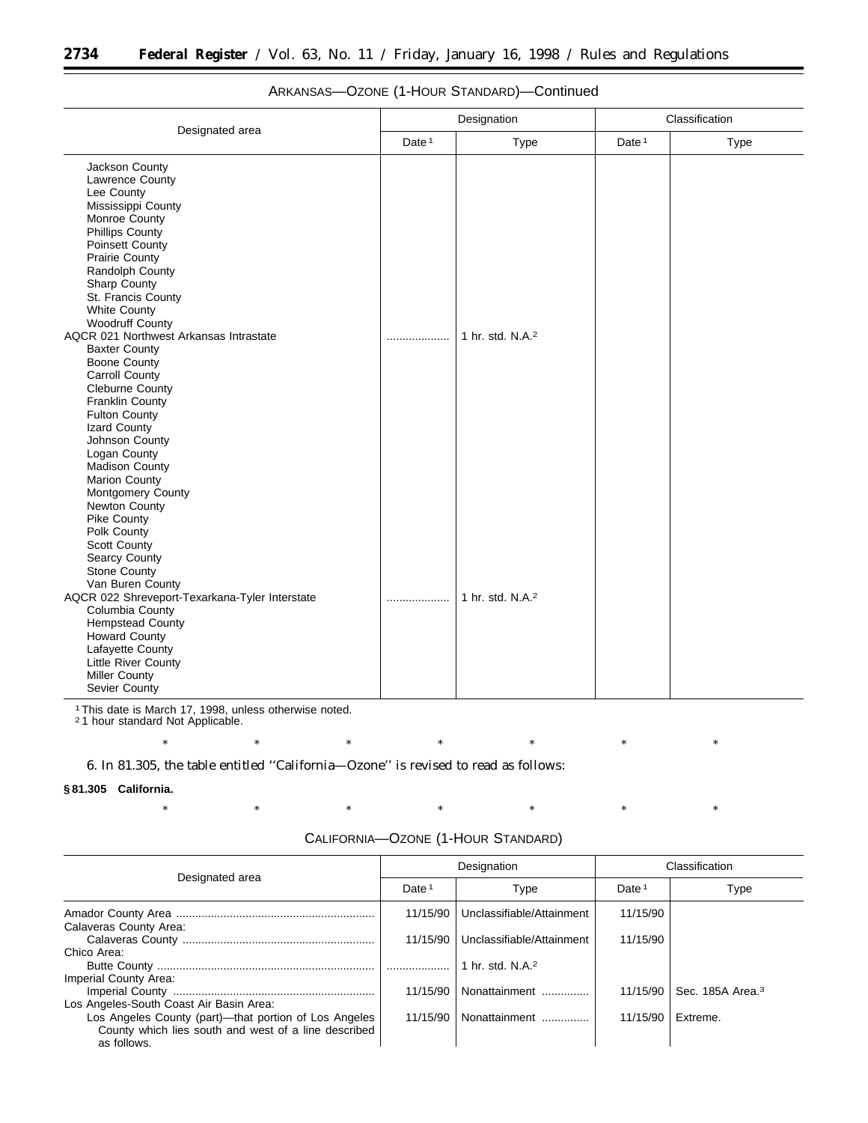|                                                                                                                                                                                                                                                                                                                                                                                                                                                                                                                                                                                                        |          | Designation                  | Classification |             |
|--------------------------------------------------------------------------------------------------------------------------------------------------------------------------------------------------------------------------------------------------------------------------------------------------------------------------------------------------------------------------------------------------------------------------------------------------------------------------------------------------------------------------------------------------------------------------------------------------------|----------|------------------------------|----------------|-------------|
| Designated area                                                                                                                                                                                                                                                                                                                                                                                                                                                                                                                                                                                        | Date $1$ | Type                         | Date $1$       | <b>Type</b> |
| Jackson County<br>Lawrence County<br>Lee County<br>Mississippi County<br>Monroe County<br><b>Phillips County</b><br>Poinsett County<br><b>Prairie County</b><br>Randolph County<br>Sharp County<br>St. Francis County<br><b>White County</b><br><b>Woodruff County</b><br>AQCR 021 Northwest Arkansas Intrastate<br><b>Baxter County</b><br><b>Boone County</b><br><b>Carroll County</b><br><b>Cleburne County</b><br><b>Franklin County</b><br><b>Fulton County</b><br>Izard County<br>Johnson County<br>Logan County<br><b>Madison County</b><br>Marion County<br>Montgomery County<br>Newton County | .        | 1 hr. std. N.A. <sup>2</sup> |                |             |
| Pike County<br>Polk County<br>Scott County<br>Searcy County<br><b>Stone County</b><br>Van Buren County<br>AQCR 022 Shreveport-Texarkana-Tyler Interstate<br>Columbia County<br><b>Hempstead County</b><br><b>Howard County</b><br>Lafayette County<br>Little River County<br><b>Miller County</b><br>Sevier County                                                                                                                                                                                                                                                                                     |          | 1 hr. std. N.A. <sup>2</sup> |                |             |

# ARKANSAS—OZONE (1-HOUR STANDARD)—Continued

1This date is March 17, 1998, unless otherwise noted.

2 1 hour standard Not Applicable.

\* \* \* \* \* \* \* \* \* \* \*

6. In 81.305, the table entitled ''California—Ozone'' is revised to read as follows:

#### **§ 81.305 California.**

| Designated area                                                                                                              | Designation       |                              | Classification    |                              |  |
|------------------------------------------------------------------------------------------------------------------------------|-------------------|------------------------------|-------------------|------------------------------|--|
|                                                                                                                              | Date <sup>1</sup> | Type                         | Date <sup>1</sup> | Type                         |  |
| Calaveras County Area:                                                                                                       | 11/15/90          | Unclassifiable/Attainment    | 11/15/90          |                              |  |
|                                                                                                                              | 11/15/90          | Unclassifiable/Attainment    | 11/15/90          |                              |  |
| Chico Area:                                                                                                                  |                   |                              |                   |                              |  |
|                                                                                                                              |                   | 1 hr. std. N.A. <sup>2</sup> |                   |                              |  |
| Imperial County Area:                                                                                                        |                   |                              |                   |                              |  |
|                                                                                                                              | 11/15/90          | Nonattainment                | 11/15/90          | Sec. 185A Area. <sup>3</sup> |  |
| Los Angeles-South Coast Air Basin Area:                                                                                      |                   |                              |                   |                              |  |
| Los Angeles County (part)—that portion of Los Angeles<br>County which lies south and west of a line described<br>as follows. | 11/15/90          | Nonattainment                | 11/15/90          | Extreme.                     |  |

#### CALIFORNIA—OZONE (1-HOUR STANDARD)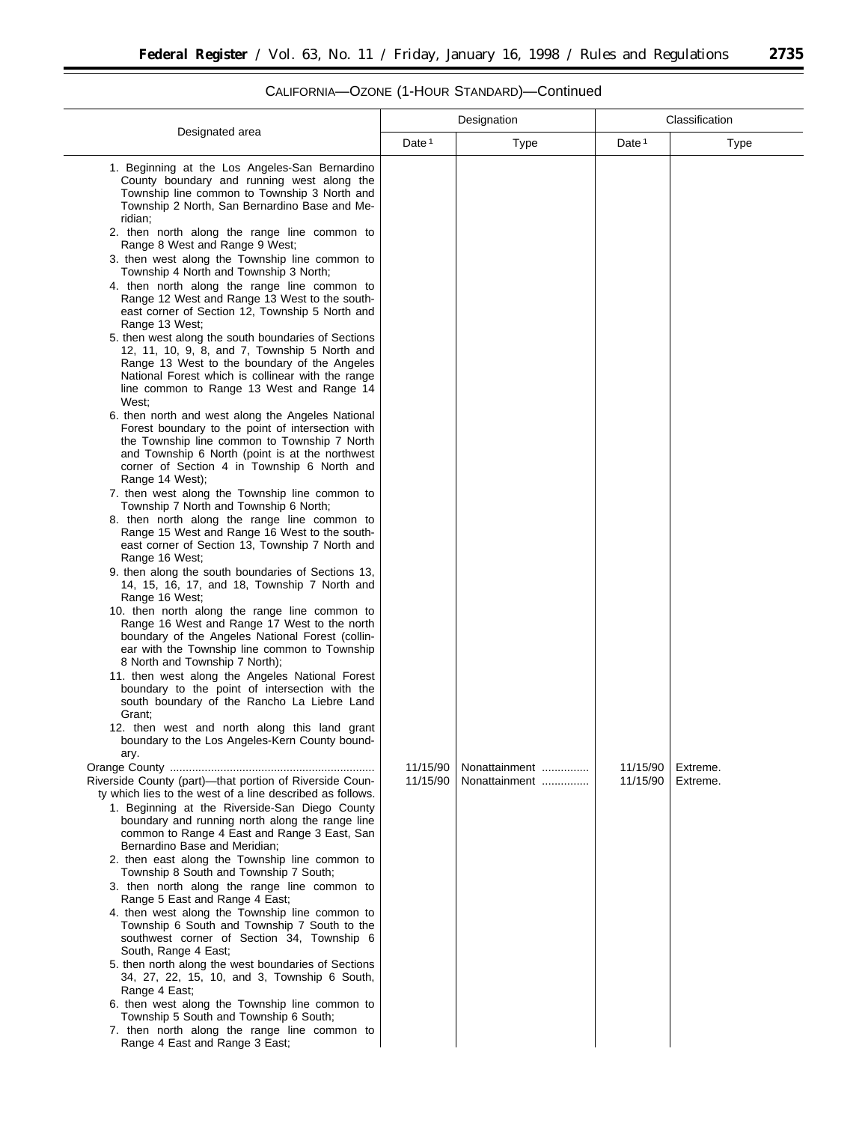|                                                                                                                                                                                                                                                                                                                                                                                                                                                                                                                                                                                                                                                                                                                                                                                                                                                                                                                                                                                                                                                                                                                                                                                                                                                                                                                                                                                                                                                                                                                                                                                                                                                                                                                                                                                                                                                                                                                | Designation          |                                | Classification       |                      |  |
|----------------------------------------------------------------------------------------------------------------------------------------------------------------------------------------------------------------------------------------------------------------------------------------------------------------------------------------------------------------------------------------------------------------------------------------------------------------------------------------------------------------------------------------------------------------------------------------------------------------------------------------------------------------------------------------------------------------------------------------------------------------------------------------------------------------------------------------------------------------------------------------------------------------------------------------------------------------------------------------------------------------------------------------------------------------------------------------------------------------------------------------------------------------------------------------------------------------------------------------------------------------------------------------------------------------------------------------------------------------------------------------------------------------------------------------------------------------------------------------------------------------------------------------------------------------------------------------------------------------------------------------------------------------------------------------------------------------------------------------------------------------------------------------------------------------------------------------------------------------------------------------------------------------|----------------------|--------------------------------|----------------------|----------------------|--|
| Designated area                                                                                                                                                                                                                                                                                                                                                                                                                                                                                                                                                                                                                                                                                                                                                                                                                                                                                                                                                                                                                                                                                                                                                                                                                                                                                                                                                                                                                                                                                                                                                                                                                                                                                                                                                                                                                                                                                                | Date <sup>1</sup>    | Type                           | Date <sup>1</sup>    | Type                 |  |
| 1. Beginning at the Los Angeles-San Bernardino<br>County boundary and running west along the<br>Township line common to Township 3 North and<br>Township 2 North, San Bernardino Base and Me-<br>ridian;<br>2. then north along the range line common to<br>Range 8 West and Range 9 West;<br>3. then west along the Township line common to<br>Township 4 North and Township 3 North;<br>4. then north along the range line common to<br>Range 12 West and Range 13 West to the south-<br>east corner of Section 12, Township 5 North and<br>Range 13 West;<br>5. then west along the south boundaries of Sections<br>12, 11, 10, 9, 8, and 7, Township 5 North and<br>Range 13 West to the boundary of the Angeles<br>National Forest which is collinear with the range<br>line common to Range 13 West and Range 14<br>West;<br>6. then north and west along the Angeles National<br>Forest boundary to the point of intersection with<br>the Township line common to Township 7 North<br>and Township 6 North (point is at the northwest<br>corner of Section 4 in Township 6 North and<br>Range 14 West);<br>7. then west along the Township line common to<br>Township 7 North and Township 6 North;<br>8. then north along the range line common to<br>Range 15 West and Range 16 West to the south-<br>east corner of Section 13, Township 7 North and<br>Range 16 West;<br>9. then along the south boundaries of Sections 13,<br>14, 15, 16, 17, and 18, Township 7 North and<br>Range 16 West;<br>10. then north along the range line common to<br>Range 16 West and Range 17 West to the north<br>boundary of the Angeles National Forest (collin-<br>ear with the Township line common to Township<br>8 North and Township 7 North);<br>11. then west along the Angeles National Forest<br>boundary to the point of intersection with the<br>south boundary of the Rancho La Liebre Land<br>Grant; |                      |                                |                      |                      |  |
| 12. then west and north along this land grant<br>boundary to the Los Angeles-Kern County bound-<br>ary.<br>Riverside County (part)-that portion of Riverside Coun-<br>ty which lies to the west of a line described as follows.<br>1. Beginning at the Riverside-San Diego County<br>boundary and running north along the range line<br>common to Range 4 East and Range 3 East, San<br>Bernardino Base and Meridian:<br>2. then east along the Township line common to<br>Township 8 South and Township 7 South;<br>3. then north along the range line common to<br>Range 5 East and Range 4 East;<br>4. then west along the Township line common to<br>Township 6 South and Township 7 South to the<br>southwest corner of Section 34, Township 6<br>South, Range 4 East;<br>5. then north along the west boundaries of Sections<br>34, 27, 22, 15, 10, and 3, Township 6 South,<br>Range 4 East;<br>6. then west along the Township line common to<br>Township 5 South and Township 6 South;<br>7. then north along the range line common to<br>Range 4 East and Range 3 East;                                                                                                                                                                                                                                                                                                                                                                                                                                                                                                                                                                                                                                                                                                                                                                                                                              | 11/15/90<br>11/15/90 | Nonattainment<br>Nonattainment | 11/15/90<br>11/15/90 | Extreme.<br>Extreme. |  |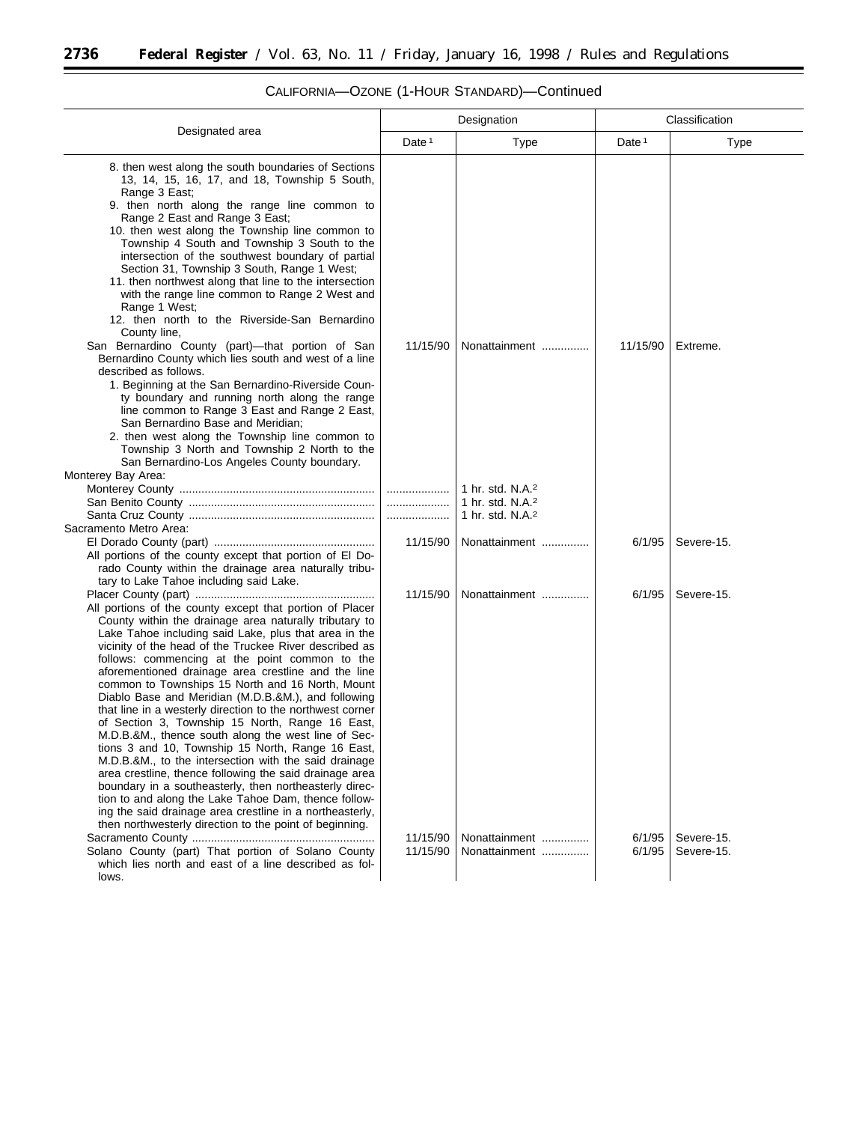$\equiv$ 

|                                                                                                                                                                                                                                                                                                                                                                                                                                                                                                                                                                                                                                                                                                                                                                                                                                                                                                                                                                                                                                                    |                      | Designation                                                                                  |                   | Classification           |  |
|----------------------------------------------------------------------------------------------------------------------------------------------------------------------------------------------------------------------------------------------------------------------------------------------------------------------------------------------------------------------------------------------------------------------------------------------------------------------------------------------------------------------------------------------------------------------------------------------------------------------------------------------------------------------------------------------------------------------------------------------------------------------------------------------------------------------------------------------------------------------------------------------------------------------------------------------------------------------------------------------------------------------------------------------------|----------------------|----------------------------------------------------------------------------------------------|-------------------|--------------------------|--|
| Designated area                                                                                                                                                                                                                                                                                                                                                                                                                                                                                                                                                                                                                                                                                                                                                                                                                                                                                                                                                                                                                                    | Date <sup>1</sup>    | <b>Type</b>                                                                                  | Date <sup>1</sup> | Type                     |  |
| 8. then west along the south boundaries of Sections<br>13, 14, 15, 16, 17, and 18, Township 5 South,<br>Range 3 East;<br>9. then north along the range line common to<br>Range 2 East and Range 3 East;<br>10. then west along the Township line common to<br>Township 4 South and Township 3 South to the<br>intersection of the southwest boundary of partial<br>Section 31, Township 3 South, Range 1 West;<br>11. then northwest along that line to the intersection<br>with the range line common to Range 2 West and<br>Range 1 West;<br>12. then north to the Riverside-San Bernardino<br>County line,                                                                                                                                                                                                                                                                                                                                                                                                                                      |                      |                                                                                              |                   |                          |  |
| San Bernardino County (part)-that portion of San<br>Bernardino County which lies south and west of a line<br>described as follows.<br>1. Beginning at the San Bernardino-Riverside Coun-<br>ty boundary and running north along the range<br>line common to Range 3 East and Range 2 East,<br>San Bernardino Base and Meridian;<br>2. then west along the Township line common to<br>Township 3 North and Township 2 North to the<br>San Bernardino-Los Angeles County boundary.                                                                                                                                                                                                                                                                                                                                                                                                                                                                                                                                                                   | 11/15/90             | Nonattainment                                                                                | 11/15/90          | Extreme.                 |  |
| Monterey Bay Area:                                                                                                                                                                                                                                                                                                                                                                                                                                                                                                                                                                                                                                                                                                                                                                                                                                                                                                                                                                                                                                 | .<br>.               | 1 hr. std. N.A. <sup>2</sup><br>1 hr. std. N.A. <sup>2</sup><br>1 hr. std. N.A. <sup>2</sup> |                   |                          |  |
| Sacramento Metro Area:<br>All portions of the county except that portion of El Do-<br>rado County within the drainage area naturally tribu-<br>tary to Lake Tahoe including said Lake.                                                                                                                                                                                                                                                                                                                                                                                                                                                                                                                                                                                                                                                                                                                                                                                                                                                             | 11/15/90             | Nonattainment                                                                                | 6/1/95            | Severe-15.               |  |
| All portions of the county except that portion of Placer<br>County within the drainage area naturally tributary to<br>Lake Tahoe including said Lake, plus that area in the<br>vicinity of the head of the Truckee River described as<br>follows: commencing at the point common to the<br>aforementioned drainage area crestline and the line<br>common to Townships 15 North and 16 North, Mount<br>Diablo Base and Meridian (M.D.B.&M.), and following<br>that line in a westerly direction to the northwest corner<br>of Section 3, Township 15 North, Range 16 East,<br>M.D.B.&M., thence south along the west line of Sec-<br>tions 3 and 10, Township 15 North, Range 16 East,<br>M.D.B.&M., to the intersection with the said drainage<br>area crestline, thence following the said drainage area<br>boundary in a southeasterly, then northeasterly direc-<br>tion to and along the Lake Tahoe Dam, thence follow-<br>ing the said drainage area crestline in a northeasterly,<br>then northwesterly direction to the point of beginning. | 11/15/90             | Nonattainment                                                                                | 6/1/95            | Severe-15.               |  |
| Solano County (part) That portion of Solano County<br>which lies north and east of a line described as fol-<br>lows.                                                                                                                                                                                                                                                                                                                                                                                                                                                                                                                                                                                                                                                                                                                                                                                                                                                                                                                               | 11/15/90<br>11/15/90 | Nonattainment<br>Nonattainment                                                               | 6/1/95<br>6/1/95  | Severe-15.<br>Severe-15. |  |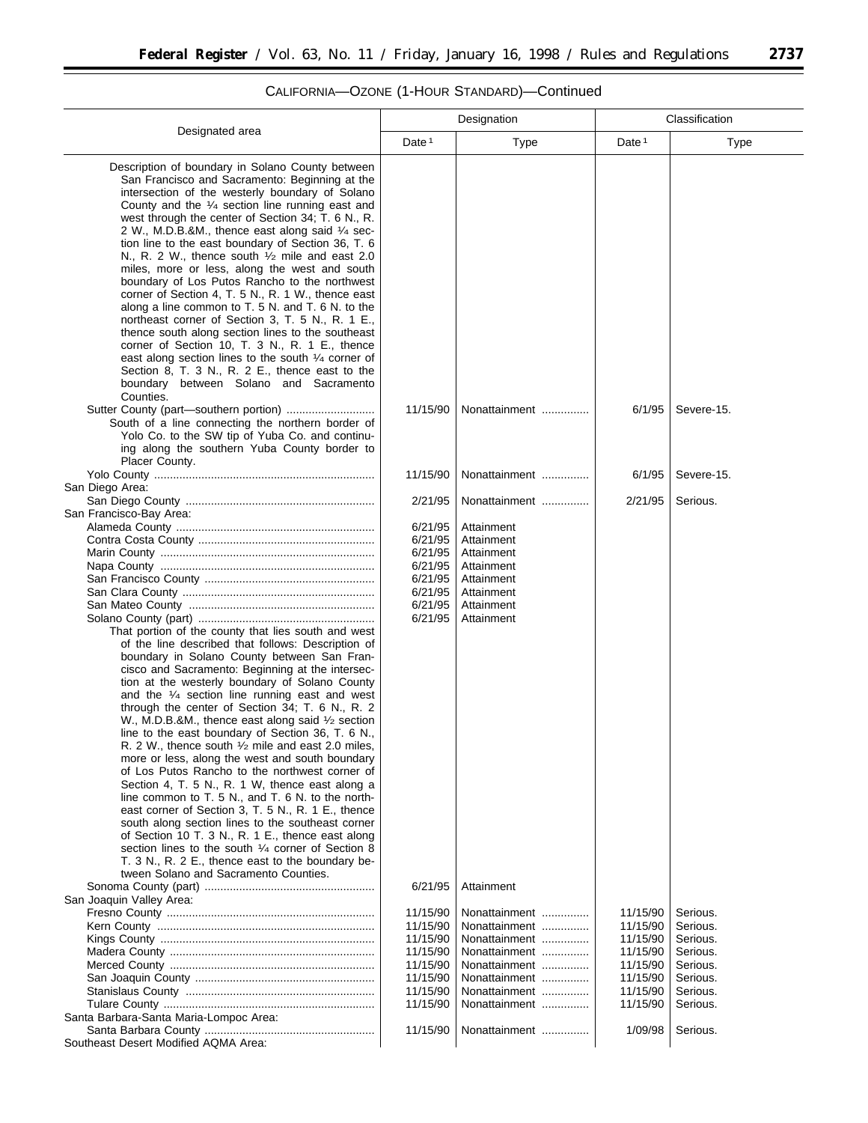#### Designated area Designation **Classification** Date 1 Type 1 Date 1 Type Description of boundary in Solano County between San Francisco and Sacramento: Beginning at the intersection of the westerly boundary of Solano County and the 1⁄4 section line running east and west through the center of Section 34; T. 6 N., R. 2 W., M.D.B.&M., thence east along said 1⁄4 section line to the east boundary of Section 36, T. 6 N., R. 2 W., thence south 1⁄2 mile and east 2.0 miles, more or less, along the west and south boundary of Los Putos Rancho to the northwest corner of Section 4, T. 5 N., R. 1 W., thence east along a line common to T. 5 N. and T. 6 N. to the northeast corner of Section 3, T. 5 N., R. 1 E., thence south along section lines to the southeast corner of Section 10, T. 3 N., R. 1 E., thence east along section lines to the south 1/4 corner of Section 8, T. 3 N., R. 2 E., thence east to the boundary between Solano and Sacramento Counties. Sutter County (part—southern portion) ............................ 11/15/90 Nonattainment ............... 6/1/95 Severe-15. South of a line connecting the northern border of Yolo Co. to the SW tip of Yuba Co. and continuing along the southern Yuba County border to Placer County. Yolo County ...................................................................... 11/15/90 Nonattainment ............... 6/1/95 Severe-15. San Diego Area: San Diego County ............................................................ 2/21/95 Nonattainment ............... 2/21/95 Serious. San Francisco-Bay Area: Alameda County ............................................................... 6/21/95 Attainment Contra Costa County ........................................................ 6/21/95 Attainment Marin County .................................................................... 6/21/95 Attainment Napa County .................................................................... 6/21/95 Attainment San Francisco County ...................................................... 6/21/95 Attainment San Clara County ............................................................. 6/21/95 Attainment San Mateo County ........................................................... 6/21/95 Attainment Solano County (part) ........................................................ 6/21/95 Attainment That portion of the county that lies south and west of the line described that follows: Description of boundary in Solano County between San Francisco and Sacramento: Beginning at the intersection at the westerly boundary of Solano County and the 1⁄4 section line running east and west through the center of Section 34; T. 6 N., R. 2 W., M.D.B.&M., thence east along said 1/2 section line to the east boundary of Section 36, T. 6 N., R. 2 W., thence south  $\frac{1}{2}$  mile and east 2.0 miles more or less, along the west and south boundary of Los Putos Rancho to the northwest corner of Section 4, T. 5 N., R. 1 W, thence east along a line common to T. 5 N., and T. 6 N. to the northeast corner of Section 3, T. 5 N., R. 1 E., thence south along section lines to the southeast corner of Section 10 T. 3 N., R. 1 E., thence east along section lines to the south 1/4 corner of Section 8 T. 3 N., R. 2 E., thence east to the boundary between Solano and Sacramento Counties. Sonoma County (part) ...................................................... 6/21/95 Attainment San Joaquin Valley Area: Fresno County .................................................................. 11/15/90 Nonattainment ............... 11/15/90 Serious. Kern County ..................................................................... 11/15/90 Nonattainment ............... 11/15/90 Serious. Kings County .................................................................... 11/15/90 Nonattainment ............... 11/15/90 Serious. Madera County ................................................................. 11/15/90 Nonattainment ............... 11/15/90 Serious. Merced County ................................................................. 11/15/90 Nonattainment ............... 11/15/90 Serious. San Joaquin County ......................................................... 11/15/90 Nonattainment ............... 11/15/90 Serious. Stanislaus County ............................................................ 11/15/90 Nonattainment ............... 11/15/90 Serious. Tulare County ................................................................... 11/15/90 Nonattainment ............... 11/15/90 Serious. Santa Barbara-Santa Maria-Lompoc Area: Santa Barbara County ...................................................... 11/15/90 Nonattainment ............... 1/09/98 Serious. Southeast Desert Modified AQMA Area: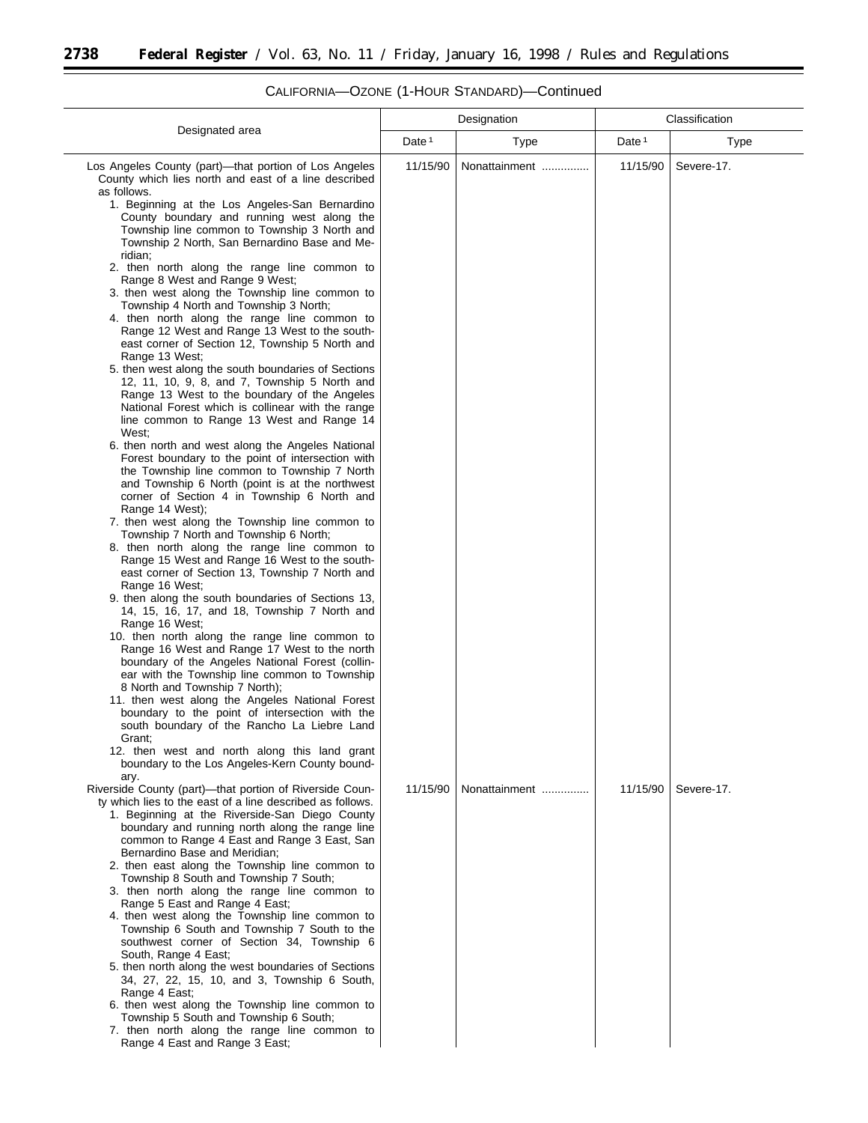$\equiv$ 

|                                                                                                                                                                                                                                                                                                                                                                                                                                                                                                                                                                                                                                                                                                                                                                                                                                                                                                                                                                                                                                                                                                                                                                                                                                                                                                                                                                                                                                                                                                                                                                                                                                                                                                                                                                                                                                                                                                                                                                                                                                                                   | Designation       |               | Classification    |            |
|-------------------------------------------------------------------------------------------------------------------------------------------------------------------------------------------------------------------------------------------------------------------------------------------------------------------------------------------------------------------------------------------------------------------------------------------------------------------------------------------------------------------------------------------------------------------------------------------------------------------------------------------------------------------------------------------------------------------------------------------------------------------------------------------------------------------------------------------------------------------------------------------------------------------------------------------------------------------------------------------------------------------------------------------------------------------------------------------------------------------------------------------------------------------------------------------------------------------------------------------------------------------------------------------------------------------------------------------------------------------------------------------------------------------------------------------------------------------------------------------------------------------------------------------------------------------------------------------------------------------------------------------------------------------------------------------------------------------------------------------------------------------------------------------------------------------------------------------------------------------------------------------------------------------------------------------------------------------------------------------------------------------------------------------------------------------|-------------------|---------------|-------------------|------------|
|                                                                                                                                                                                                                                                                                                                                                                                                                                                                                                                                                                                                                                                                                                                                                                                                                                                                                                                                                                                                                                                                                                                                                                                                                                                                                                                                                                                                                                                                                                                                                                                                                                                                                                                                                                                                                                                                                                                                                                                                                                                                   | Date <sup>1</sup> | <b>Type</b>   | Date <sup>1</sup> | Type       |
| Designated area<br>Los Angeles County (part)-that portion of Los Angeles<br>County which lies north and east of a line described<br>as follows.<br>1. Beginning at the Los Angeles-San Bernardino<br>County boundary and running west along the<br>Township line common to Township 3 North and<br>Township 2 North, San Bernardino Base and Me-<br>ridian;<br>2. then north along the range line common to<br>Range 8 West and Range 9 West;<br>3. then west along the Township line common to<br>Township 4 North and Township 3 North;<br>4. then north along the range line common to<br>Range 12 West and Range 13 West to the south-<br>east corner of Section 12, Township 5 North and<br>Range 13 West;<br>5. then west along the south boundaries of Sections<br>12, 11, 10, 9, 8, and 7, Township 5 North and<br>Range 13 West to the boundary of the Angeles<br>National Forest which is collinear with the range<br>line common to Range 13 West and Range 14<br>West:<br>6. then north and west along the Angeles National<br>Forest boundary to the point of intersection with<br>the Township line common to Township 7 North<br>and Township 6 North (point is at the northwest<br>corner of Section 4 in Township 6 North and<br>Range 14 West);<br>7. then west along the Township line common to<br>Township 7 North and Township 6 North;<br>8. then north along the range line common to<br>Range 15 West and Range 16 West to the south-<br>east corner of Section 13, Township 7 North and<br>Range 16 West;<br>9. then along the south boundaries of Sections 13,<br>14, 15, 16, 17, and 18, Township 7 North and<br>Range 16 West;<br>10. then north along the range line common to<br>Range 16 West and Range 17 West to the north<br>boundary of the Angeles National Forest (collin-<br>ear with the Township line common to Township<br>8 North and Township 7 North);<br>11. then west along the Angeles National Forest<br>boundary to the point of intersection with the<br>south boundary of the Rancho La Liebre Land<br>Grant; | 11/15/90          | Nonattainment | 11/15/90          | Severe-17. |
| 12. then west and north along this land grant<br>boundary to the Los Angeles-Kern County bound-<br>ary.<br>Riverside County (part)-that portion of Riverside Coun-                                                                                                                                                                                                                                                                                                                                                                                                                                                                                                                                                                                                                                                                                                                                                                                                                                                                                                                                                                                                                                                                                                                                                                                                                                                                                                                                                                                                                                                                                                                                                                                                                                                                                                                                                                                                                                                                                                | 11/15/90          | Nonattainment | 11/15/90          | Severe-17. |
| ty which lies to the east of a line described as follows.<br>1. Beginning at the Riverside-San Diego County<br>boundary and running north along the range line<br>common to Range 4 East and Range 3 East, San<br>Bernardino Base and Meridian;<br>2. then east along the Township line common to<br>Township 8 South and Township 7 South;<br>3. then north along the range line common to<br>Range 5 East and Range 4 East;<br>4. then west along the Township line common to<br>Township 6 South and Township 7 South to the<br>southwest corner of Section 34, Township 6<br>South, Range 4 East;<br>5. then north along the west boundaries of Sections<br>34, 27, 22, 15, 10, and 3, Township 6 South,<br>Range 4 East;<br>6. then west along the Township line common to<br>Township 5 South and Township 6 South;<br>7. then north along the range line common to<br>Range 4 East and Range 3 East;                                                                                                                                                                                                                                                                                                                                                                                                                                                                                                                                                                                                                                                                                                                                                                                                                                                                                                                                                                                                                                                                                                                                                       |                   |               |                   |            |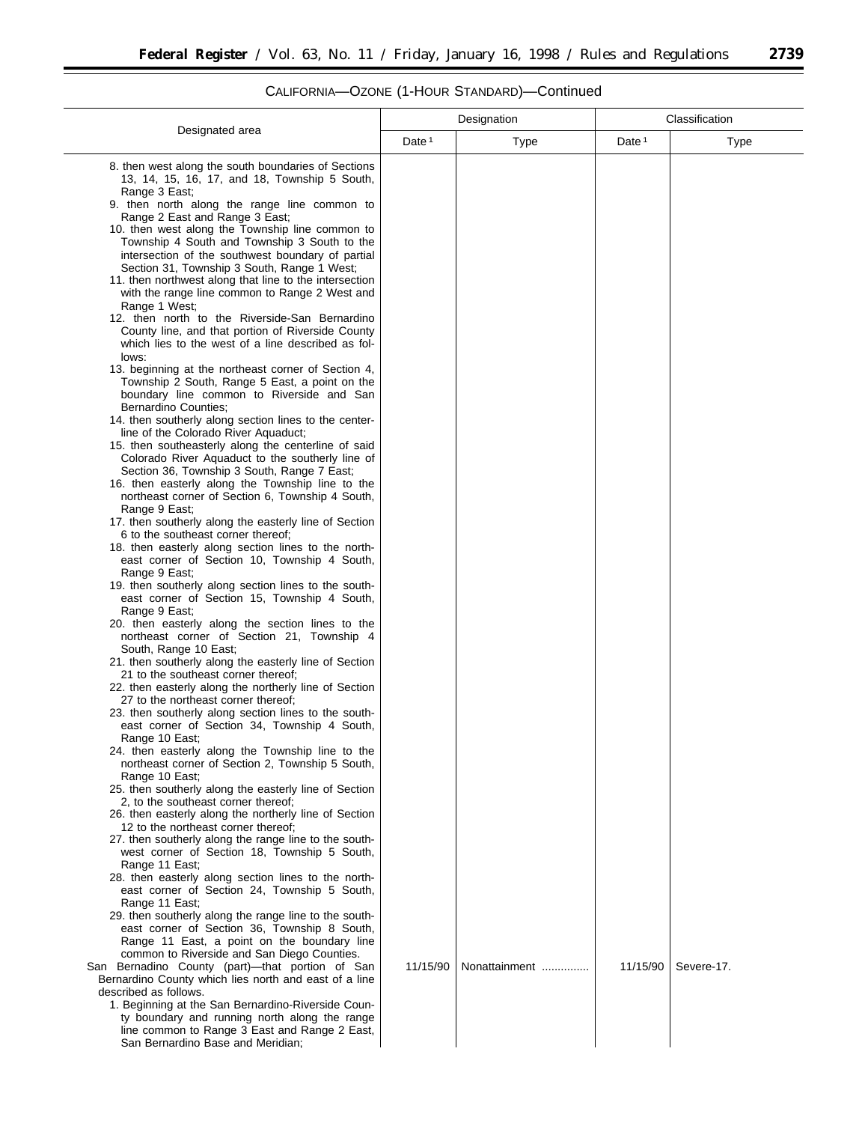۰

|                                                                                                                         |          | Designation   | Classification    |            |
|-------------------------------------------------------------------------------------------------------------------------|----------|---------------|-------------------|------------|
| Designated area                                                                                                         | Date $1$ | Type          | Date <sup>1</sup> | Type       |
| 8. then west along the south boundaries of Sections<br>13, 14, 15, 16, 17, and 18, Township 5 South,                    |          |               |                   |            |
| Range 3 East;<br>9. then north along the range line common to                                                           |          |               |                   |            |
| Range 2 East and Range 3 East;<br>10. then west along the Township line common to                                       |          |               |                   |            |
| Township 4 South and Township 3 South to the<br>intersection of the southwest boundary of partial                       |          |               |                   |            |
| Section 31, Township 3 South, Range 1 West;<br>11. then northwest along that line to the intersection                   |          |               |                   |            |
| with the range line common to Range 2 West and<br>Range 1 West;                                                         |          |               |                   |            |
| 12. then north to the Riverside-San Bernardino                                                                          |          |               |                   |            |
| County line, and that portion of Riverside County<br>which lies to the west of a line described as fol-<br>lows:        |          |               |                   |            |
| 13. beginning at the northeast corner of Section 4,<br>Township 2 South, Range 5 East, a point on the                   |          |               |                   |            |
| boundary line common to Riverside and San                                                                               |          |               |                   |            |
| Bernardino Counties;<br>14. then southerly along section lines to the center-                                           |          |               |                   |            |
| line of the Colorado River Aquaduct;<br>15. then southeasterly along the centerline of said                             |          |               |                   |            |
| Colorado River Aquaduct to the southerly line of<br>Section 36, Township 3 South, Range 7 East;                         |          |               |                   |            |
| 16. then easterly along the Township line to the<br>northeast corner of Section 6, Township 4 South,                    |          |               |                   |            |
| Range 9 East;                                                                                                           |          |               |                   |            |
| 17. then southerly along the easterly line of Section<br>6 to the southeast corner thereof;                             |          |               |                   |            |
| 18. then easterly along section lines to the north-<br>east corner of Section 10, Township 4 South,<br>Range 9 East;    |          |               |                   |            |
| 19. then southerly along section lines to the south-<br>east corner of Section 15, Township 4 South,<br>Range 9 East;   |          |               |                   |            |
| 20. then easterly along the section lines to the<br>northeast corner of Section 21, Township 4<br>South, Range 10 East; |          |               |                   |            |
| 21. then southerly along the easterly line of Section<br>21 to the southeast corner thereof;                            |          |               |                   |            |
| 22. then easterly along the northerly line of Section<br>27 to the northeast corner thereof;                            |          |               |                   |            |
| 23. then southerly along section lines to the south-                                                                    |          |               |                   |            |
| east corner of Section 34, Township 4 South,<br>Range 10 East;                                                          |          |               |                   |            |
| 24. then easterly along the Township line to the<br>northeast corner of Section 2, Township 5 South,                    |          |               |                   |            |
| Range 10 East;<br>25. then southerly along the easterly line of Section                                                 |          |               |                   |            |
| 2, to the southeast corner thereof;<br>26. then easterly along the northerly line of Section                            |          |               |                   |            |
| 12 to the northeast corner thereof;                                                                                     |          |               |                   |            |
| 27. then southerly along the range line to the south-<br>west corner of Section 18, Township 5 South,                   |          |               |                   |            |
| Range 11 East;<br>28. then easterly along section lines to the north-                                                   |          |               |                   |            |
| east corner of Section 24, Township 5 South,<br>Range 11 East;                                                          |          |               |                   |            |
| 29. then southerly along the range line to the south-<br>east corner of Section 36, Township 8 South,                   |          |               |                   |            |
| Range 11 East, a point on the boundary line                                                                             |          |               |                   |            |
| common to Riverside and San Diego Counties.<br>San Bernadino County (part)-that portion of San                          | 11/15/90 | Nonattainment | 11/15/90          | Severe-17. |
| Bernardino County which lies north and east of a line<br>described as follows.                                          |          |               |                   |            |
| 1. Beginning at the San Bernardino-Riverside Coun-<br>ty boundary and running north along the range                     |          |               |                   |            |
| line common to Range 3 East and Range 2 East,<br>San Bernardino Base and Meridian;                                      |          |               |                   |            |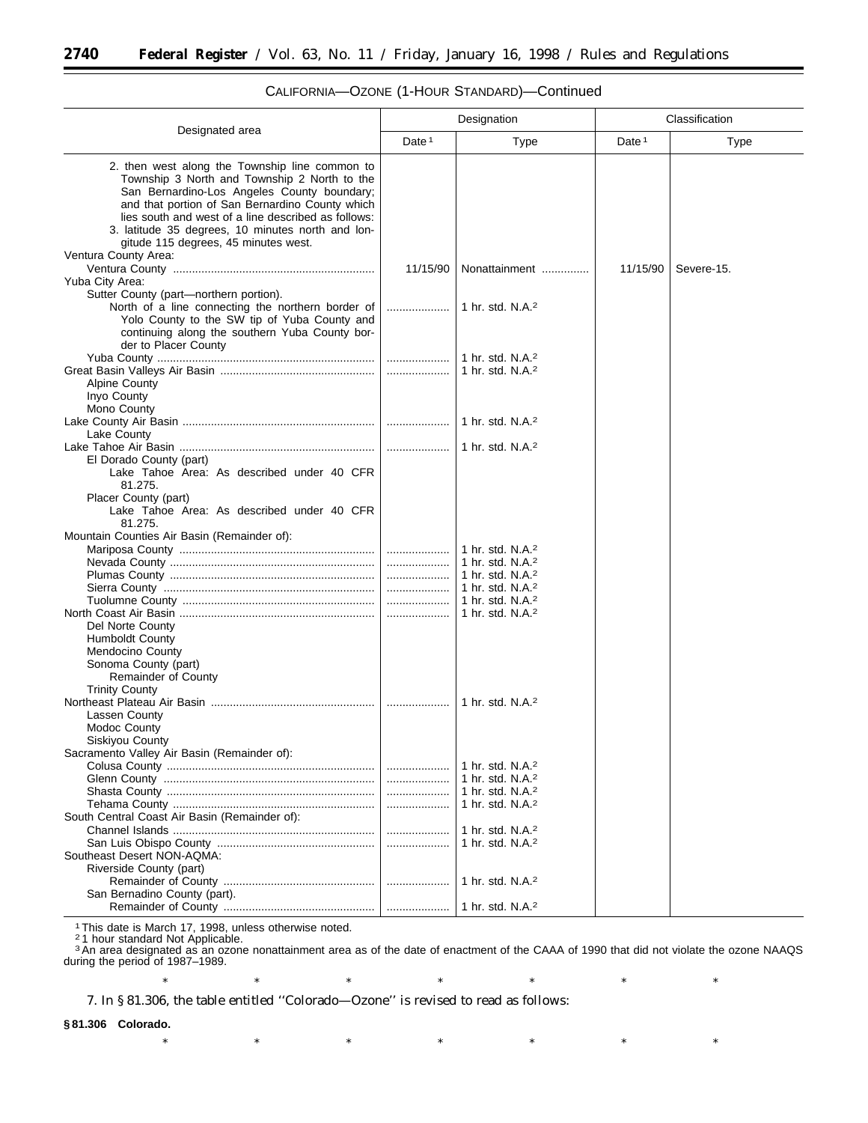|                                                                                                                                                                                                                                                                                                                                                                              | Designation       |                                                              | Classification    |             |
|------------------------------------------------------------------------------------------------------------------------------------------------------------------------------------------------------------------------------------------------------------------------------------------------------------------------------------------------------------------------------|-------------------|--------------------------------------------------------------|-------------------|-------------|
| Designated area                                                                                                                                                                                                                                                                                                                                                              | Date <sup>1</sup> | Type                                                         | Date <sup>1</sup> | <b>Type</b> |
| 2. then west along the Township line common to<br>Township 3 North and Township 2 North to the<br>San Bernardino-Los Angeles County boundary;<br>and that portion of San Bernardino County which<br>lies south and west of a line described as follows:<br>3. latitude 35 degrees, 10 minutes north and lon-<br>gitude 115 degrees, 45 minutes west.<br>Ventura County Area: |                   |                                                              |                   |             |
|                                                                                                                                                                                                                                                                                                                                                                              | 11/15/90          | Nonattainment                                                | 11/15/90          | Severe-15.  |
| Yuba City Area:                                                                                                                                                                                                                                                                                                                                                              |                   |                                                              |                   |             |
| Sutter County (part-northern portion).<br>North of a line connecting the northern border of<br>Yolo County to the SW tip of Yuba County and<br>continuing along the southern Yuba County bor-<br>der to Placer County                                                                                                                                                        | .                 | 1 hr. std. $N.A.^2$                                          |                   |             |
|                                                                                                                                                                                                                                                                                                                                                                              |                   | 1 hr. std. N.A. <sup>2</sup>                                 |                   |             |
| <b>Alpine County</b><br>Inyo County<br>Mono County                                                                                                                                                                                                                                                                                                                           |                   | 1 hr. std. N.A. <sup>2</sup>                                 |                   |             |
|                                                                                                                                                                                                                                                                                                                                                                              |                   | 1 hr. std. $N.A.^2$                                          |                   |             |
| Lake County                                                                                                                                                                                                                                                                                                                                                                  |                   |                                                              |                   |             |
| El Dorado County (part)                                                                                                                                                                                                                                                                                                                                                      |                   | 1 hr. std. N.A. <sup>2</sup>                                 |                   |             |
| Lake Tahoe Area: As described under 40 CFR<br>81.275.<br>Placer County (part)<br>Lake Tahoe Area: As described under 40 CFR                                                                                                                                                                                                                                                  |                   |                                                              |                   |             |
| 81.275.                                                                                                                                                                                                                                                                                                                                                                      |                   |                                                              |                   |             |
| Mountain Counties Air Basin (Remainder of):                                                                                                                                                                                                                                                                                                                                  |                   |                                                              |                   |             |
|                                                                                                                                                                                                                                                                                                                                                                              |                   |                                                              |                   |             |
| Del Norte County<br><b>Humboldt County</b><br><b>Mendocino County</b><br>Sonoma County (part)<br>Remainder of County                                                                                                                                                                                                                                                         |                   |                                                              |                   |             |
| <b>Trinity County</b>                                                                                                                                                                                                                                                                                                                                                        |                   |                                                              |                   |             |
| Lassen County<br><b>Modoc County</b><br>Siskiyou County                                                                                                                                                                                                                                                                                                                      |                   | 1 hr. std. $N.A.^2$                                          |                   |             |
| Sacramento Valley Air Basin (Remainder of):                                                                                                                                                                                                                                                                                                                                  |                   |                                                              |                   |             |
|                                                                                                                                                                                                                                                                                                                                                                              |                   | 1 hr. std. N.A. <sup>2</sup><br>1 hr. std. N.A. <sup>2</sup> |                   |             |
|                                                                                                                                                                                                                                                                                                                                                                              | l                 | 1 hr. std. N.A. <sup>2</sup>                                 |                   |             |
|                                                                                                                                                                                                                                                                                                                                                                              | .                 | 1 hr. std. N.A. <sup>2</sup>                                 |                   |             |
| South Central Coast Air Basin (Remainder of):                                                                                                                                                                                                                                                                                                                                |                   |                                                              |                   |             |
|                                                                                                                                                                                                                                                                                                                                                                              | .                 | 1 hr. std. N.A. <sup>2</sup><br>1 hr. std. N.A. <sup>2</sup> |                   |             |
| Southeast Desert NON-AQMA:                                                                                                                                                                                                                                                                                                                                                   |                   |                                                              |                   |             |
| Riverside County (part)                                                                                                                                                                                                                                                                                                                                                      |                   |                                                              |                   |             |
|                                                                                                                                                                                                                                                                                                                                                                              |                   | 1 hr. std. N.A. <sup>2</sup>                                 |                   |             |
| San Bernadino County (part).                                                                                                                                                                                                                                                                                                                                                 |                   | 1 hr. std. N.A. <sup>2</sup>                                 |                   |             |

# CALIFORNIA—OZONE (1-HOUR STANDARD)—Continued

1This date is March 17, 1998, unless otherwise noted.

2 1 hour standard Not Applicable.

<sup>3</sup>An area designated as an ozone nonattainment area as of the date of enactment of the CAAA of 1990 that did not violate the ozone NAAQS during the period of 1987–1989.

\* \* \* \* \* \* \* \* \* \* \*

7. In § 81.306, the table entitled ''Colorado—Ozone'' is revised to read as follows:

#### **§ 81.306 Colorado.**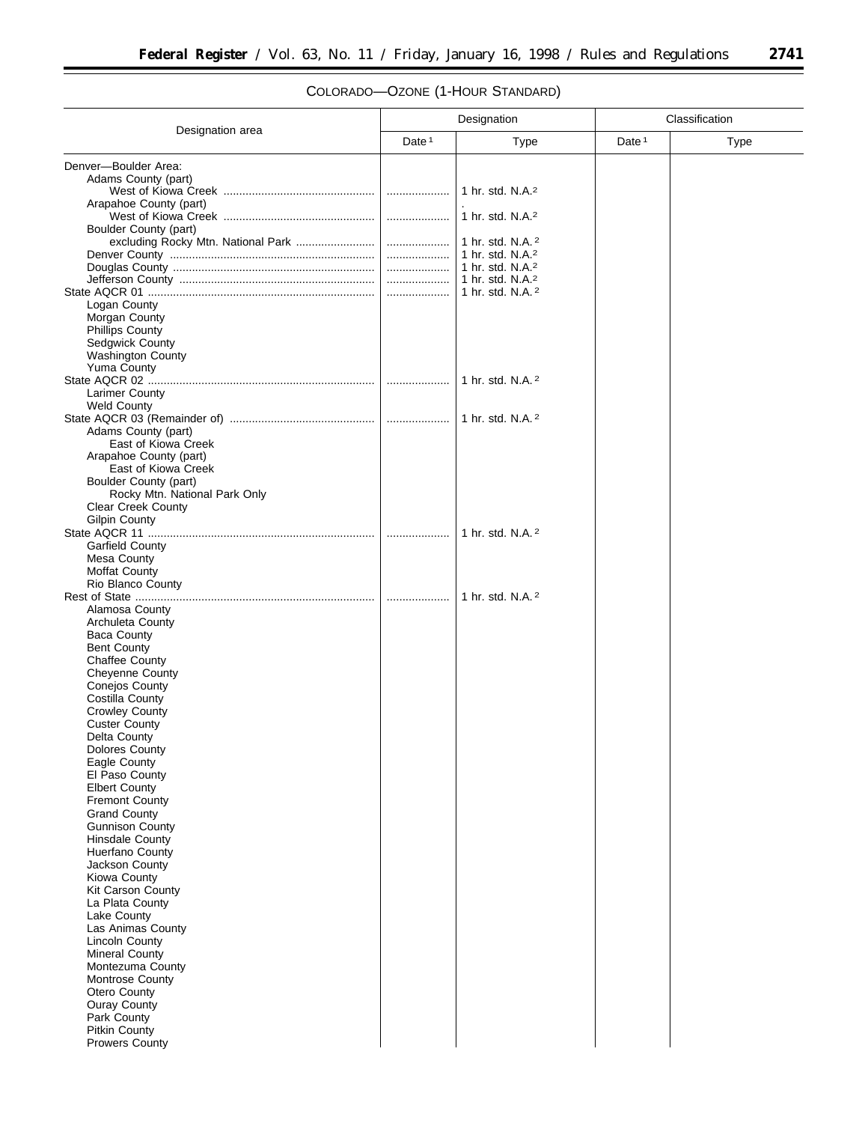# COLORADO—OZONE (1-HOUR STANDARD)

| Designation                                                |                   |                                                     | Classification    |             |  |
|------------------------------------------------------------|-------------------|-----------------------------------------------------|-------------------|-------------|--|
| Designation area                                           | Date <sup>1</sup> | <b>Type</b>                                         | Date <sup>1</sup> | <b>Type</b> |  |
| Denver-Boulder Area:                                       |                   |                                                     |                   |             |  |
| Adams County (part)                                        |                   |                                                     |                   |             |  |
|                                                            |                   | 1 hr. std. N.A. <sup>2</sup>                        |                   |             |  |
| Arapahoe County (part)                                     |                   | 1 hr. std. N.A. <sup>2</sup>                        |                   |             |  |
| Boulder County (part)                                      |                   |                                                     |                   |             |  |
|                                                            |                   | 1 hr. std. N.A. <sup>2</sup>                        |                   |             |  |
|                                                            |                   | 1 hr. std. N.A. <sup>2</sup><br>1 hr. std. N.A. $2$ |                   |             |  |
|                                                            |                   | 1 hr. std. N.A. <sup>2</sup>                        |                   |             |  |
|                                                            |                   | 1 hr. std. N.A. 2                                   |                   |             |  |
| Logan County                                               |                   |                                                     |                   |             |  |
| Morgan County<br><b>Phillips County</b>                    |                   |                                                     |                   |             |  |
| Sedgwick County                                            |                   |                                                     |                   |             |  |
| <b>Washington County</b>                                   |                   |                                                     |                   |             |  |
| <b>Yuma County</b>                                         |                   |                                                     |                   |             |  |
| <b>Larimer County</b>                                      |                   | 1 hr. std. N.A. 2                                   |                   |             |  |
| <b>Weld County</b>                                         |                   |                                                     |                   |             |  |
|                                                            |                   | 1 hr. std. N.A. $^2$                                |                   |             |  |
| Adams County (part)<br>East of Kiowa Creek                 |                   |                                                     |                   |             |  |
| Arapahoe County (part)                                     |                   |                                                     |                   |             |  |
| East of Kiowa Creek                                        |                   |                                                     |                   |             |  |
| Boulder County (part)                                      |                   |                                                     |                   |             |  |
| Rocky Mtn. National Park Only<br><b>Clear Creek County</b> |                   |                                                     |                   |             |  |
| <b>Gilpin County</b>                                       |                   |                                                     |                   |             |  |
|                                                            | .                 | 1 hr. std. N.A. 2                                   |                   |             |  |
| Garfield County                                            |                   |                                                     |                   |             |  |
| Mesa County<br><b>Moffat County</b>                        |                   |                                                     |                   |             |  |
| Rio Blanco County                                          |                   |                                                     |                   |             |  |
|                                                            |                   | 1 hr. std. N.A. 2                                   |                   |             |  |
| Alamosa County<br>Archuleta County                         |                   |                                                     |                   |             |  |
| <b>Baca County</b>                                         |                   |                                                     |                   |             |  |
| <b>Bent County</b>                                         |                   |                                                     |                   |             |  |
| <b>Chaffee County</b>                                      |                   |                                                     |                   |             |  |
| <b>Cheyenne County</b><br><b>Conejos County</b>            |                   |                                                     |                   |             |  |
| Costilla County                                            |                   |                                                     |                   |             |  |
| <b>Crowley County</b>                                      |                   |                                                     |                   |             |  |
| <b>Custer County</b>                                       |                   |                                                     |                   |             |  |
| Delta County<br>Dolores County                             |                   |                                                     |                   |             |  |
| Eagle County                                               |                   |                                                     |                   |             |  |
| El Paso County                                             |                   |                                                     |                   |             |  |
| <b>Elbert County</b><br><b>Fremont County</b>              |                   |                                                     |                   |             |  |
| <b>Grand County</b>                                        |                   |                                                     |                   |             |  |
| <b>Gunnison County</b>                                     |                   |                                                     |                   |             |  |
| <b>Hinsdale County</b>                                     |                   |                                                     |                   |             |  |
| Huerfano County<br>Jackson County                          |                   |                                                     |                   |             |  |
| Kiowa County                                               |                   |                                                     |                   |             |  |
| <b>Kit Carson County</b>                                   |                   |                                                     |                   |             |  |
| La Plata County<br>Lake County                             |                   |                                                     |                   |             |  |
| Las Animas County                                          |                   |                                                     |                   |             |  |
| <b>Lincoln County</b>                                      |                   |                                                     |                   |             |  |
| <b>Mineral County</b>                                      |                   |                                                     |                   |             |  |
| Montezuma County<br>Montrose County                        |                   |                                                     |                   |             |  |
| Otero County                                               |                   |                                                     |                   |             |  |
| Ouray County                                               |                   |                                                     |                   |             |  |
| Park County                                                |                   |                                                     |                   |             |  |
| <b>Pitkin County</b><br><b>Prowers County</b>              |                   |                                                     |                   |             |  |
|                                                            |                   |                                                     |                   |             |  |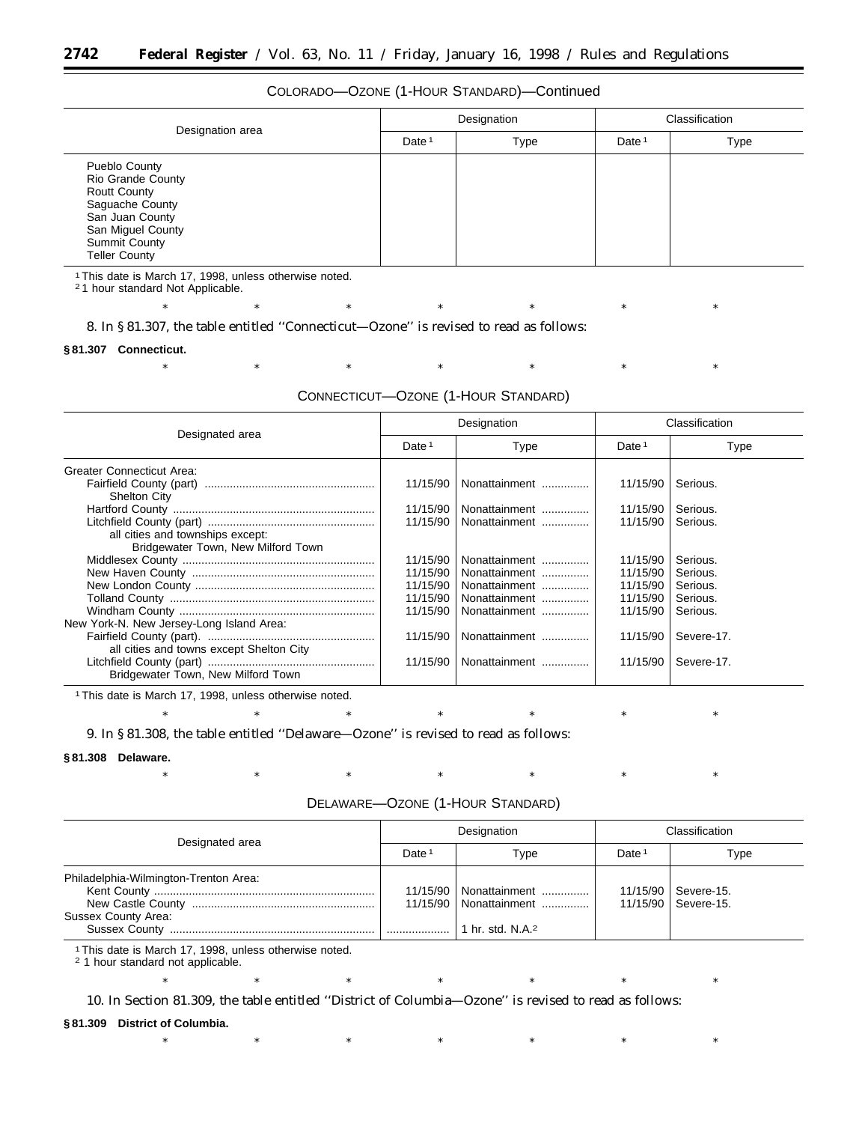# COLORADO—OZONE (1-HOUR STANDARD)—Continued

| Designation area                                                                                                                                                            |                   | Designation |                   | Classification |
|-----------------------------------------------------------------------------------------------------------------------------------------------------------------------------|-------------------|-------------|-------------------|----------------|
|                                                                                                                                                                             | Date <sup>1</sup> | <b>Type</b> | Date <sup>1</sup> | Type           |
| Pueblo County<br><b>Rio Grande County</b><br><b>Routt County</b><br>Saguache County<br>San Juan County<br>San Miguel County<br><b>Summit County</b><br><b>Teller County</b> |                   |             |                   |                |

1This date is March 17, 1998, unless otherwise noted.

2 1 hour standard Not Applicable.

\* \* \* \* \* \* \* \* \* \* \* 8. In § 81.307, the table entitled ''Connecticut—Ozone'' is revised to read as follows:

#### **§ 81.307 Connecticut.**

\* \* \* \* \* \* \* \* \* \* \*

#### CONNECTICUT—OZONE (1-HOUR STANDARD)

| Designated area                                                        | Designation       |               | Classification    |             |
|------------------------------------------------------------------------|-------------------|---------------|-------------------|-------------|
|                                                                        | Date <sup>1</sup> | Type          | Date <sup>1</sup> | <b>Type</b> |
| Greater Connecticut Area:                                              |                   |               |                   |             |
| <b>Shelton City</b>                                                    | 11/15/90          | Nonattainment | 11/15/90          | Serious.    |
|                                                                        | 11/15/90          | Nonattainment | 11/15/90          | Serious.    |
| all cities and townships except:<br>Bridgewater Town, New Milford Town | 11/15/90          | Nonattainment | 11/15/90          | Serious.    |
|                                                                        | 11/15/90          | Nonattainment | 11/15/90          | Serious.    |
|                                                                        | 11/15/90          | Nonattainment | 11/15/90          | Serious.    |
|                                                                        | 11/15/90          | Nonattainment | 11/15/90          | Serious.    |
|                                                                        | 11/15/90          | Nonattainment | 11/15/90          | Serious.    |
|                                                                        | 11/15/90          | Nonattainment | 11/15/90          | Serious.    |
| New York-N. New Jersey-Long Island Area:                               |                   |               |                   |             |
| all cities and towns except Shelton City                               | 11/15/90          | Nonattainment | 11/15/90          | Severe-17.  |
| Bridgewater Town, New Milford Town                                     | 11/15/90          | Nonattainment | 11/15/90          | Severe-17.  |

1This date is March 17, 1998, unless otherwise noted.

9. In § 81.308, the table entitled ''Delaware—Ozone'' is revised to read as follows:

#### **§ 81.308 Delaware.**

#### DELAWARE—OZONE (1-HOUR STANDARD)

\* \* \* \* \* \* \* \* \* \* \*

\* \* \* \* \* \* \* \* \* \* \*

|                                                              | Designation       |                                                      | Classification    |                                                |
|--------------------------------------------------------------|-------------------|------------------------------------------------------|-------------------|------------------------------------------------|
| Designated area                                              | Date <sup>1</sup> | Type                                                 | Date <sup>1</sup> | Type                                           |
| Philadelphia-Wilmington-Trenton Area:<br>Sussex County Area: |                   | 11/15/90   Nonattainment<br>11/15/90   Nonattainment |                   | 11/15/90   Severe-15.<br>11/15/90   Severe-15. |

\* \* \* \* \* \* \* \* \* \* \*

1This date is March 17, 1998, unless otherwise noted.

2 1 hour standard not applicable.

10. In Section 81.309, the table entitled ''District of Columbia—Ozone'' is revised to read as follows:

#### **§ 81.309 District of Columbia.**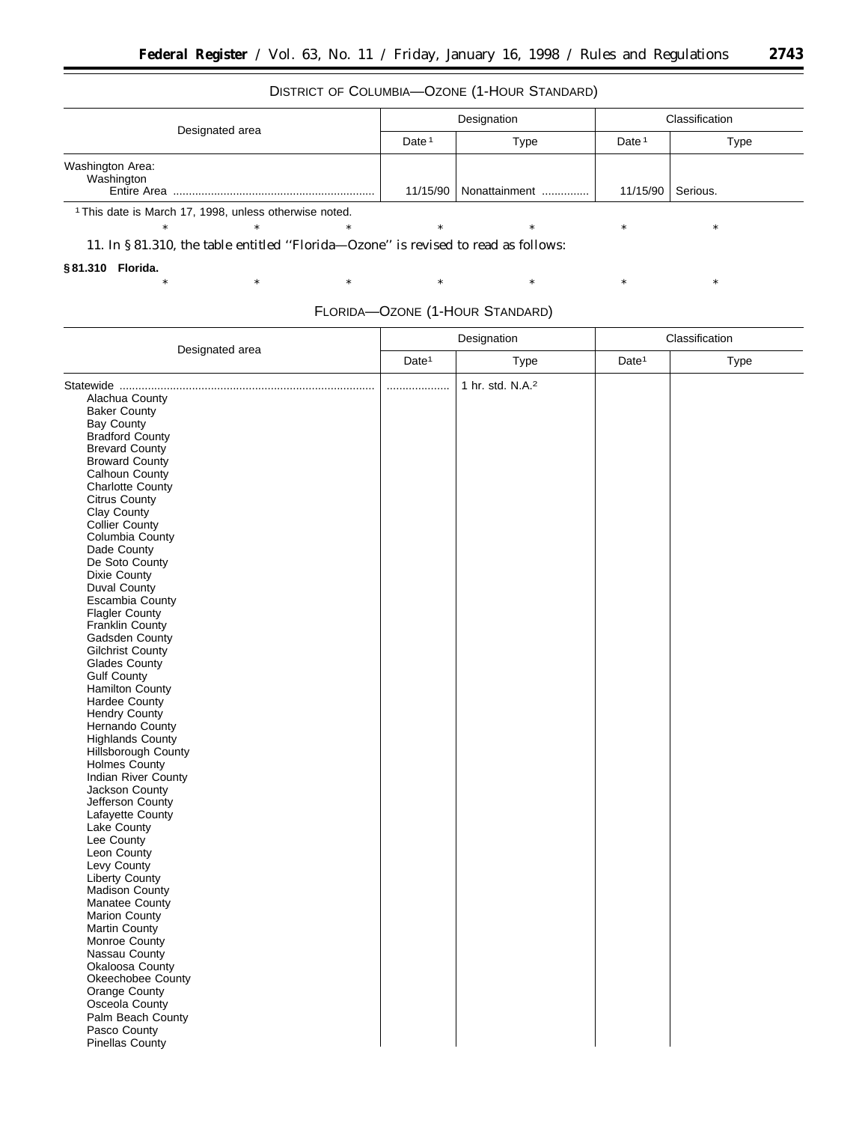t

### DISTRICT OF COLUMBIA—OZONE (1-HOUR STANDARD)

| Designated area                                       | Designation       |                          | Classification    |          |
|-------------------------------------------------------|-------------------|--------------------------|-------------------|----------|
|                                                       | Date <sup>1</sup> | Type                     | Date <sup>1</sup> | Type     |
| Washington Area:<br>Washington<br>Entire Area         |                   | 11/15/90   Nonattainment | 11/15/90          | Serious. |
| 1 This dota is March 17, 1000, unless athorning poted |                   |                          |                   |          |

\* \* \* \* \* \* \* \* \* \* \*

1This date is March 17, 1998, unless otherwise noted.

11. In § 81.310, the table entitled ''Florida—Ozone'' is revised to read as follows:

**§ 81.310 Florida.**

\* \* \* \* \* \* \* \* \* \* \*

|                            | Designation       |                              | Classification    |      |
|----------------------------|-------------------|------------------------------|-------------------|------|
| Designated area            | Date <sup>1</sup> | Type                         | Date <sup>1</sup> | Type |
|                            |                   | 1 hr. std. N.A. <sup>2</sup> |                   |      |
| Alachua County             |                   |                              |                   |      |
| <b>Baker County</b>        |                   |                              |                   |      |
| <b>Bay County</b>          |                   |                              |                   |      |
| <b>Bradford County</b>     |                   |                              |                   |      |
| <b>Brevard County</b>      |                   |                              |                   |      |
|                            |                   |                              |                   |      |
| <b>Broward County</b>      |                   |                              |                   |      |
| Calhoun County             |                   |                              |                   |      |
| <b>Charlotte County</b>    |                   |                              |                   |      |
| <b>Citrus County</b>       |                   |                              |                   |      |
| Clay County                |                   |                              |                   |      |
| <b>Collier County</b>      |                   |                              |                   |      |
| Columbia County            |                   |                              |                   |      |
| Dade County                |                   |                              |                   |      |
| De Soto County             |                   |                              |                   |      |
| Dixie County               |                   |                              |                   |      |
| <b>Duval County</b>        |                   |                              |                   |      |
| Escambia County            |                   |                              |                   |      |
| <b>Flagler County</b>      |                   |                              |                   |      |
| Franklin County            |                   |                              |                   |      |
| Gadsden County             |                   |                              |                   |      |
| <b>Gilchrist County</b>    |                   |                              |                   |      |
| Glades County              |                   |                              |                   |      |
| <b>Gulf County</b>         |                   |                              |                   |      |
| <b>Hamilton County</b>     |                   |                              |                   |      |
| Hardee County              |                   |                              |                   |      |
| Hendry County              |                   |                              |                   |      |
| Hernando County            |                   |                              |                   |      |
| <b>Highlands County</b>    |                   |                              |                   |      |
| Hillsborough County        |                   |                              |                   |      |
| <b>Holmes County</b>       |                   |                              |                   |      |
| <b>Indian River County</b> |                   |                              |                   |      |
| Jackson County             |                   |                              |                   |      |
| Jefferson County           |                   |                              |                   |      |
| Lafayette County           |                   |                              |                   |      |
| Lake County                |                   |                              |                   |      |
| Lee County                 |                   |                              |                   |      |
| Leon County                |                   |                              |                   |      |
| Levy County                |                   |                              |                   |      |
| Liberty County             |                   |                              |                   |      |
| Madison County             |                   |                              |                   |      |
| Manatee County             |                   |                              |                   |      |
| <b>Marion County</b>       |                   |                              |                   |      |
| <b>Martin County</b>       |                   |                              |                   |      |
| Monroe County              |                   |                              |                   |      |
|                            |                   |                              |                   |      |
| Nassau County              |                   |                              |                   |      |
| Okaloosa County            |                   |                              |                   |      |
| Okeechobee County          |                   |                              |                   |      |
| Orange County              |                   |                              |                   |      |
| Osceola County             |                   |                              |                   |      |
| Palm Beach County          |                   |                              |                   |      |
| Pasco County               |                   |                              |                   |      |
| <b>Pinellas County</b>     |                   |                              |                   |      |
|                            |                   |                              |                   |      |

### FLORIDA—OZONE (1-HOUR STANDARD)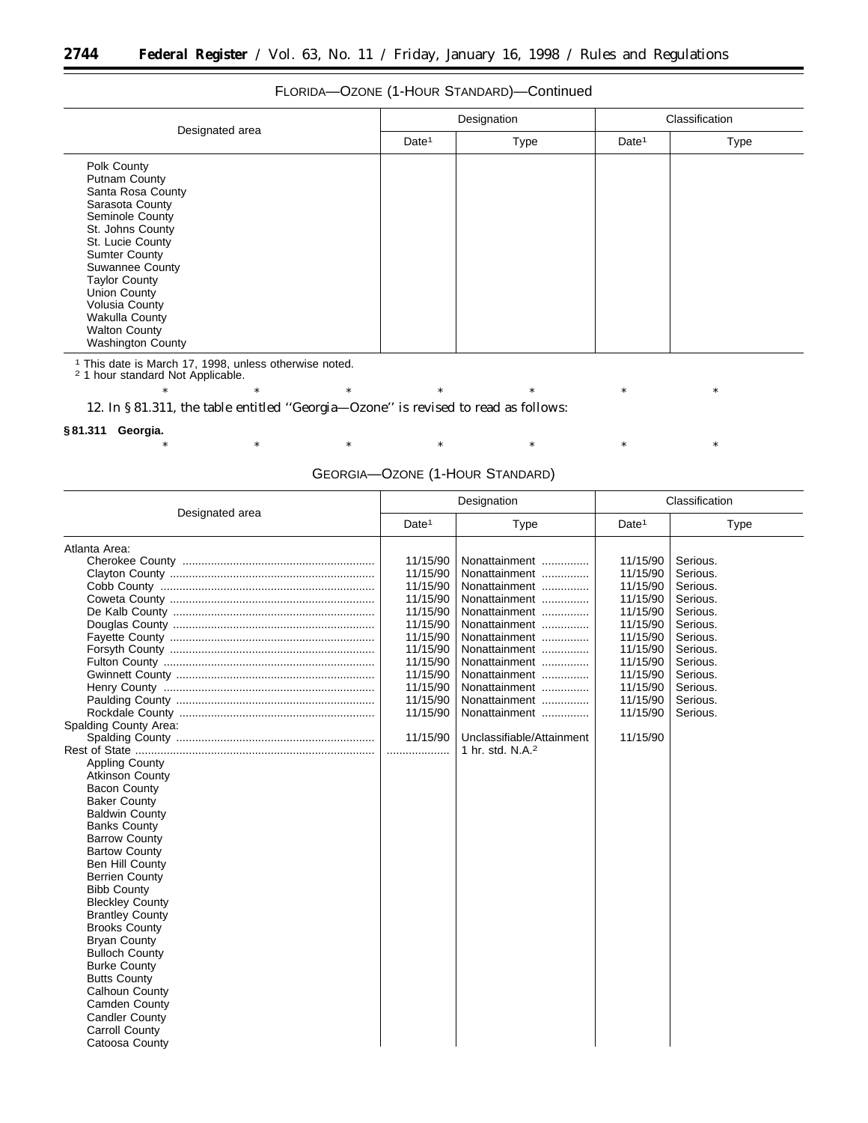# FLORIDA—OZONE (1-HOUR STANDARD)—Continued

| Designated area                                                                                                                                                                                                                                                                                                                 | Designation       |             | Classification    |      |
|---------------------------------------------------------------------------------------------------------------------------------------------------------------------------------------------------------------------------------------------------------------------------------------------------------------------------------|-------------------|-------------|-------------------|------|
|                                                                                                                                                                                                                                                                                                                                 | Date <sup>1</sup> | <b>Type</b> | Date <sup>1</sup> | Type |
| Polk County<br><b>Putnam County</b><br>Santa Rosa County<br>Sarasota County<br>Seminole County<br>St. Johns County<br>St. Lucie County<br><b>Sumter County</b><br><b>Suwannee County</b><br><b>Taylor County</b><br><b>Union County</b><br>Volusia County<br>Wakulla County<br><b>Walton County</b><br><b>Washington County</b> |                   |             |                   |      |

<sup>1</sup> This date is March 17, 1998, unless otherwise noted. <sup>2</sup> 1 hour standard Not Applicable.

12. In § 81.311, the table entitled ''Georgia—Ozone'' is revised to read as follows:

#### **§ 81.311 Georgia.**

### GEORGIA—OZONE (1-HOUR STANDARD)

\* \* \* \* \* \* \* \* \* \* \*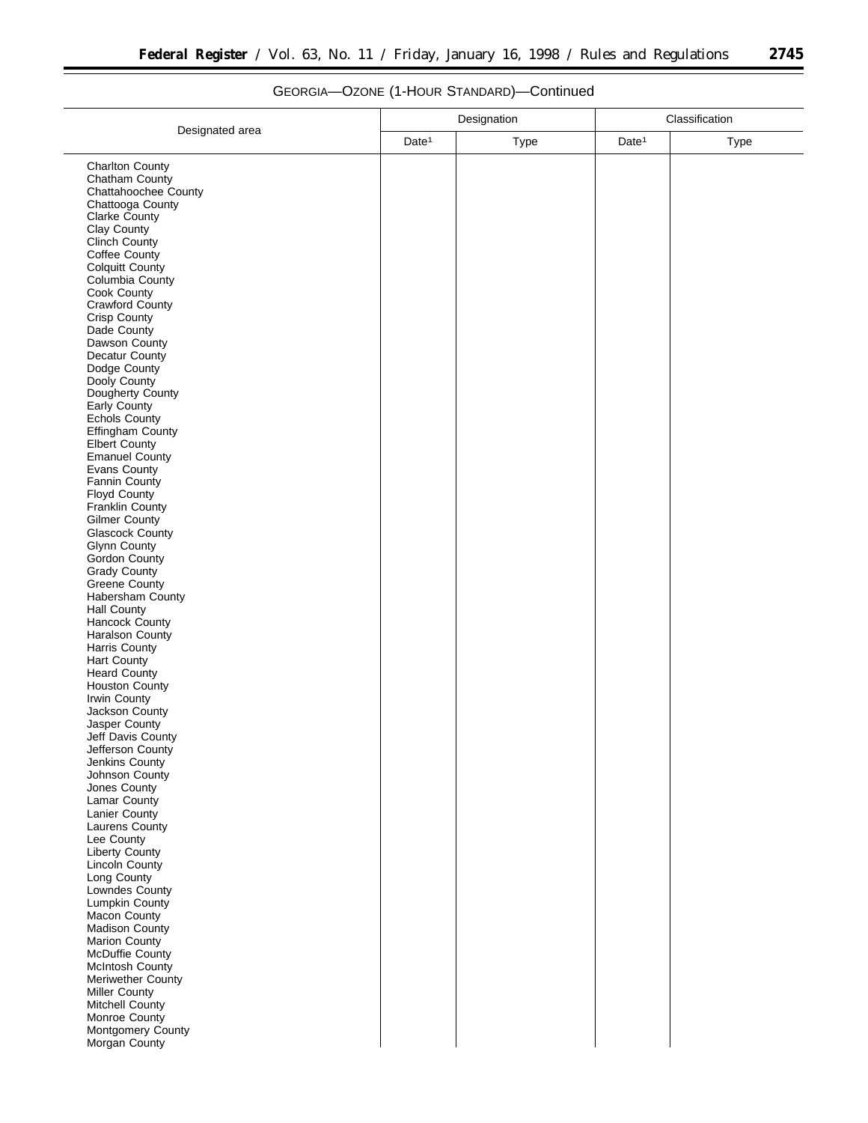=

| Date <sup>1</sup><br>Date <sup>1</sup><br>Type<br><b>Type</b><br><b>Charlton County</b><br>Chatham County<br>Chattahoochee County<br>Chattooga County<br>Clarke County<br>Clay County<br>Clinch County<br>Coffee County<br><b>Colquitt County</b><br>Columbia County<br>Cook County<br>Crawford County<br><b>Crisp County</b><br>Dade County<br>Dawson County<br>Decatur County<br>Dodge County<br>Dooly County<br>Dougherty County<br>Early County<br><b>Echols County</b><br>Effingham County<br><b>Elbert County</b><br><b>Emanuel County</b><br><b>Evans County</b><br>Fannin County<br>Floyd County<br>Franklin County<br><b>Gilmer County</b><br><b>Glascock County</b><br><b>Glynn County</b><br><b>Gordon County</b><br><b>Grady County</b><br><b>Greene County</b><br>Habersham County<br><b>Hall County</b><br>Hancock County<br>Haralson County<br>Harris County<br><b>Hart County</b><br><b>Heard County</b><br><b>Houston County</b><br>Irwin County<br>Jackson County<br>Jasper County<br>Jeff Davis County<br>Jefferson County<br>Jenkins County<br>Johnson County<br>Jones County<br>Lamar County<br>Lanier County<br>Laurens County<br>Lee County<br><b>Liberty County</b><br>Lincoln County<br>Long County<br>Lowndes County<br>Lumpkin County<br>Macon County<br>Madison County<br>Marion County<br>McDuffie County<br><b>McIntosh County</b><br>Meriwether County<br><b>Miller County</b><br>Mitchell County<br>Monroe County<br>Montgomery County<br>Morgan County |                 | Designation |  | Classification |  |
|-----------------------------------------------------------------------------------------------------------------------------------------------------------------------------------------------------------------------------------------------------------------------------------------------------------------------------------------------------------------------------------------------------------------------------------------------------------------------------------------------------------------------------------------------------------------------------------------------------------------------------------------------------------------------------------------------------------------------------------------------------------------------------------------------------------------------------------------------------------------------------------------------------------------------------------------------------------------------------------------------------------------------------------------------------------------------------------------------------------------------------------------------------------------------------------------------------------------------------------------------------------------------------------------------------------------------------------------------------------------------------------------------------------------------------------------------------------------------------------------|-----------------|-------------|--|----------------|--|
|                                                                                                                                                                                                                                                                                                                                                                                                                                                                                                                                                                                                                                                                                                                                                                                                                                                                                                                                                                                                                                                                                                                                                                                                                                                                                                                                                                                                                                                                                         | Designated area |             |  |                |  |
|                                                                                                                                                                                                                                                                                                                                                                                                                                                                                                                                                                                                                                                                                                                                                                                                                                                                                                                                                                                                                                                                                                                                                                                                                                                                                                                                                                                                                                                                                         |                 |             |  |                |  |
|                                                                                                                                                                                                                                                                                                                                                                                                                                                                                                                                                                                                                                                                                                                                                                                                                                                                                                                                                                                                                                                                                                                                                                                                                                                                                                                                                                                                                                                                                         |                 |             |  |                |  |
|                                                                                                                                                                                                                                                                                                                                                                                                                                                                                                                                                                                                                                                                                                                                                                                                                                                                                                                                                                                                                                                                                                                                                                                                                                                                                                                                                                                                                                                                                         |                 |             |  |                |  |
|                                                                                                                                                                                                                                                                                                                                                                                                                                                                                                                                                                                                                                                                                                                                                                                                                                                                                                                                                                                                                                                                                                                                                                                                                                                                                                                                                                                                                                                                                         |                 |             |  |                |  |
|                                                                                                                                                                                                                                                                                                                                                                                                                                                                                                                                                                                                                                                                                                                                                                                                                                                                                                                                                                                                                                                                                                                                                                                                                                                                                                                                                                                                                                                                                         |                 |             |  |                |  |
|                                                                                                                                                                                                                                                                                                                                                                                                                                                                                                                                                                                                                                                                                                                                                                                                                                                                                                                                                                                                                                                                                                                                                                                                                                                                                                                                                                                                                                                                                         |                 |             |  |                |  |
|                                                                                                                                                                                                                                                                                                                                                                                                                                                                                                                                                                                                                                                                                                                                                                                                                                                                                                                                                                                                                                                                                                                                                                                                                                                                                                                                                                                                                                                                                         |                 |             |  |                |  |
|                                                                                                                                                                                                                                                                                                                                                                                                                                                                                                                                                                                                                                                                                                                                                                                                                                                                                                                                                                                                                                                                                                                                                                                                                                                                                                                                                                                                                                                                                         |                 |             |  |                |  |
|                                                                                                                                                                                                                                                                                                                                                                                                                                                                                                                                                                                                                                                                                                                                                                                                                                                                                                                                                                                                                                                                                                                                                                                                                                                                                                                                                                                                                                                                                         |                 |             |  |                |  |
|                                                                                                                                                                                                                                                                                                                                                                                                                                                                                                                                                                                                                                                                                                                                                                                                                                                                                                                                                                                                                                                                                                                                                                                                                                                                                                                                                                                                                                                                                         |                 |             |  |                |  |
|                                                                                                                                                                                                                                                                                                                                                                                                                                                                                                                                                                                                                                                                                                                                                                                                                                                                                                                                                                                                                                                                                                                                                                                                                                                                                                                                                                                                                                                                                         |                 |             |  |                |  |
|                                                                                                                                                                                                                                                                                                                                                                                                                                                                                                                                                                                                                                                                                                                                                                                                                                                                                                                                                                                                                                                                                                                                                                                                                                                                                                                                                                                                                                                                                         |                 |             |  |                |  |
|                                                                                                                                                                                                                                                                                                                                                                                                                                                                                                                                                                                                                                                                                                                                                                                                                                                                                                                                                                                                                                                                                                                                                                                                                                                                                                                                                                                                                                                                                         |                 |             |  |                |  |
|                                                                                                                                                                                                                                                                                                                                                                                                                                                                                                                                                                                                                                                                                                                                                                                                                                                                                                                                                                                                                                                                                                                                                                                                                                                                                                                                                                                                                                                                                         |                 |             |  |                |  |
|                                                                                                                                                                                                                                                                                                                                                                                                                                                                                                                                                                                                                                                                                                                                                                                                                                                                                                                                                                                                                                                                                                                                                                                                                                                                                                                                                                                                                                                                                         |                 |             |  |                |  |
|                                                                                                                                                                                                                                                                                                                                                                                                                                                                                                                                                                                                                                                                                                                                                                                                                                                                                                                                                                                                                                                                                                                                                                                                                                                                                                                                                                                                                                                                                         |                 |             |  |                |  |
|                                                                                                                                                                                                                                                                                                                                                                                                                                                                                                                                                                                                                                                                                                                                                                                                                                                                                                                                                                                                                                                                                                                                                                                                                                                                                                                                                                                                                                                                                         |                 |             |  |                |  |
|                                                                                                                                                                                                                                                                                                                                                                                                                                                                                                                                                                                                                                                                                                                                                                                                                                                                                                                                                                                                                                                                                                                                                                                                                                                                                                                                                                                                                                                                                         |                 |             |  |                |  |
|                                                                                                                                                                                                                                                                                                                                                                                                                                                                                                                                                                                                                                                                                                                                                                                                                                                                                                                                                                                                                                                                                                                                                                                                                                                                                                                                                                                                                                                                                         |                 |             |  |                |  |
|                                                                                                                                                                                                                                                                                                                                                                                                                                                                                                                                                                                                                                                                                                                                                                                                                                                                                                                                                                                                                                                                                                                                                                                                                                                                                                                                                                                                                                                                                         |                 |             |  |                |  |
|                                                                                                                                                                                                                                                                                                                                                                                                                                                                                                                                                                                                                                                                                                                                                                                                                                                                                                                                                                                                                                                                                                                                                                                                                                                                                                                                                                                                                                                                                         |                 |             |  |                |  |
|                                                                                                                                                                                                                                                                                                                                                                                                                                                                                                                                                                                                                                                                                                                                                                                                                                                                                                                                                                                                                                                                                                                                                                                                                                                                                                                                                                                                                                                                                         |                 |             |  |                |  |
|                                                                                                                                                                                                                                                                                                                                                                                                                                                                                                                                                                                                                                                                                                                                                                                                                                                                                                                                                                                                                                                                                                                                                                                                                                                                                                                                                                                                                                                                                         |                 |             |  |                |  |
|                                                                                                                                                                                                                                                                                                                                                                                                                                                                                                                                                                                                                                                                                                                                                                                                                                                                                                                                                                                                                                                                                                                                                                                                                                                                                                                                                                                                                                                                                         |                 |             |  |                |  |
|                                                                                                                                                                                                                                                                                                                                                                                                                                                                                                                                                                                                                                                                                                                                                                                                                                                                                                                                                                                                                                                                                                                                                                                                                                                                                                                                                                                                                                                                                         |                 |             |  |                |  |
|                                                                                                                                                                                                                                                                                                                                                                                                                                                                                                                                                                                                                                                                                                                                                                                                                                                                                                                                                                                                                                                                                                                                                                                                                                                                                                                                                                                                                                                                                         |                 |             |  |                |  |
|                                                                                                                                                                                                                                                                                                                                                                                                                                                                                                                                                                                                                                                                                                                                                                                                                                                                                                                                                                                                                                                                                                                                                                                                                                                                                                                                                                                                                                                                                         |                 |             |  |                |  |
|                                                                                                                                                                                                                                                                                                                                                                                                                                                                                                                                                                                                                                                                                                                                                                                                                                                                                                                                                                                                                                                                                                                                                                                                                                                                                                                                                                                                                                                                                         |                 |             |  |                |  |
|                                                                                                                                                                                                                                                                                                                                                                                                                                                                                                                                                                                                                                                                                                                                                                                                                                                                                                                                                                                                                                                                                                                                                                                                                                                                                                                                                                                                                                                                                         |                 |             |  |                |  |
|                                                                                                                                                                                                                                                                                                                                                                                                                                                                                                                                                                                                                                                                                                                                                                                                                                                                                                                                                                                                                                                                                                                                                                                                                                                                                                                                                                                                                                                                                         |                 |             |  |                |  |
|                                                                                                                                                                                                                                                                                                                                                                                                                                                                                                                                                                                                                                                                                                                                                                                                                                                                                                                                                                                                                                                                                                                                                                                                                                                                                                                                                                                                                                                                                         |                 |             |  |                |  |
|                                                                                                                                                                                                                                                                                                                                                                                                                                                                                                                                                                                                                                                                                                                                                                                                                                                                                                                                                                                                                                                                                                                                                                                                                                                                                                                                                                                                                                                                                         |                 |             |  |                |  |
|                                                                                                                                                                                                                                                                                                                                                                                                                                                                                                                                                                                                                                                                                                                                                                                                                                                                                                                                                                                                                                                                                                                                                                                                                                                                                                                                                                                                                                                                                         |                 |             |  |                |  |
|                                                                                                                                                                                                                                                                                                                                                                                                                                                                                                                                                                                                                                                                                                                                                                                                                                                                                                                                                                                                                                                                                                                                                                                                                                                                                                                                                                                                                                                                                         |                 |             |  |                |  |
|                                                                                                                                                                                                                                                                                                                                                                                                                                                                                                                                                                                                                                                                                                                                                                                                                                                                                                                                                                                                                                                                                                                                                                                                                                                                                                                                                                                                                                                                                         |                 |             |  |                |  |
|                                                                                                                                                                                                                                                                                                                                                                                                                                                                                                                                                                                                                                                                                                                                                                                                                                                                                                                                                                                                                                                                                                                                                                                                                                                                                                                                                                                                                                                                                         |                 |             |  |                |  |
|                                                                                                                                                                                                                                                                                                                                                                                                                                                                                                                                                                                                                                                                                                                                                                                                                                                                                                                                                                                                                                                                                                                                                                                                                                                                                                                                                                                                                                                                                         |                 |             |  |                |  |
|                                                                                                                                                                                                                                                                                                                                                                                                                                                                                                                                                                                                                                                                                                                                                                                                                                                                                                                                                                                                                                                                                                                                                                                                                                                                                                                                                                                                                                                                                         |                 |             |  |                |  |
|                                                                                                                                                                                                                                                                                                                                                                                                                                                                                                                                                                                                                                                                                                                                                                                                                                                                                                                                                                                                                                                                                                                                                                                                                                                                                                                                                                                                                                                                                         |                 |             |  |                |  |
|                                                                                                                                                                                                                                                                                                                                                                                                                                                                                                                                                                                                                                                                                                                                                                                                                                                                                                                                                                                                                                                                                                                                                                                                                                                                                                                                                                                                                                                                                         |                 |             |  |                |  |
|                                                                                                                                                                                                                                                                                                                                                                                                                                                                                                                                                                                                                                                                                                                                                                                                                                                                                                                                                                                                                                                                                                                                                                                                                                                                                                                                                                                                                                                                                         |                 |             |  |                |  |
|                                                                                                                                                                                                                                                                                                                                                                                                                                                                                                                                                                                                                                                                                                                                                                                                                                                                                                                                                                                                                                                                                                                                                                                                                                                                                                                                                                                                                                                                                         |                 |             |  |                |  |
|                                                                                                                                                                                                                                                                                                                                                                                                                                                                                                                                                                                                                                                                                                                                                                                                                                                                                                                                                                                                                                                                                                                                                                                                                                                                                                                                                                                                                                                                                         |                 |             |  |                |  |
|                                                                                                                                                                                                                                                                                                                                                                                                                                                                                                                                                                                                                                                                                                                                                                                                                                                                                                                                                                                                                                                                                                                                                                                                                                                                                                                                                                                                                                                                                         |                 |             |  |                |  |
|                                                                                                                                                                                                                                                                                                                                                                                                                                                                                                                                                                                                                                                                                                                                                                                                                                                                                                                                                                                                                                                                                                                                                                                                                                                                                                                                                                                                                                                                                         |                 |             |  |                |  |
|                                                                                                                                                                                                                                                                                                                                                                                                                                                                                                                                                                                                                                                                                                                                                                                                                                                                                                                                                                                                                                                                                                                                                                                                                                                                                                                                                                                                                                                                                         |                 |             |  |                |  |
|                                                                                                                                                                                                                                                                                                                                                                                                                                                                                                                                                                                                                                                                                                                                                                                                                                                                                                                                                                                                                                                                                                                                                                                                                                                                                                                                                                                                                                                                                         |                 |             |  |                |  |
|                                                                                                                                                                                                                                                                                                                                                                                                                                                                                                                                                                                                                                                                                                                                                                                                                                                                                                                                                                                                                                                                                                                                                                                                                                                                                                                                                                                                                                                                                         |                 |             |  |                |  |
|                                                                                                                                                                                                                                                                                                                                                                                                                                                                                                                                                                                                                                                                                                                                                                                                                                                                                                                                                                                                                                                                                                                                                                                                                                                                                                                                                                                                                                                                                         |                 |             |  |                |  |
|                                                                                                                                                                                                                                                                                                                                                                                                                                                                                                                                                                                                                                                                                                                                                                                                                                                                                                                                                                                                                                                                                                                                                                                                                                                                                                                                                                                                                                                                                         |                 |             |  |                |  |
|                                                                                                                                                                                                                                                                                                                                                                                                                                                                                                                                                                                                                                                                                                                                                                                                                                                                                                                                                                                                                                                                                                                                                                                                                                                                                                                                                                                                                                                                                         |                 |             |  |                |  |
|                                                                                                                                                                                                                                                                                                                                                                                                                                                                                                                                                                                                                                                                                                                                                                                                                                                                                                                                                                                                                                                                                                                                                                                                                                                                                                                                                                                                                                                                                         |                 |             |  |                |  |
|                                                                                                                                                                                                                                                                                                                                                                                                                                                                                                                                                                                                                                                                                                                                                                                                                                                                                                                                                                                                                                                                                                                                                                                                                                                                                                                                                                                                                                                                                         |                 |             |  |                |  |
|                                                                                                                                                                                                                                                                                                                                                                                                                                                                                                                                                                                                                                                                                                                                                                                                                                                                                                                                                                                                                                                                                                                                                                                                                                                                                                                                                                                                                                                                                         |                 |             |  |                |  |
|                                                                                                                                                                                                                                                                                                                                                                                                                                                                                                                                                                                                                                                                                                                                                                                                                                                                                                                                                                                                                                                                                                                                                                                                                                                                                                                                                                                                                                                                                         |                 |             |  |                |  |
|                                                                                                                                                                                                                                                                                                                                                                                                                                                                                                                                                                                                                                                                                                                                                                                                                                                                                                                                                                                                                                                                                                                                                                                                                                                                                                                                                                                                                                                                                         |                 |             |  |                |  |

# GEORGIA—OZONE (1-HOUR STANDARD)—Continued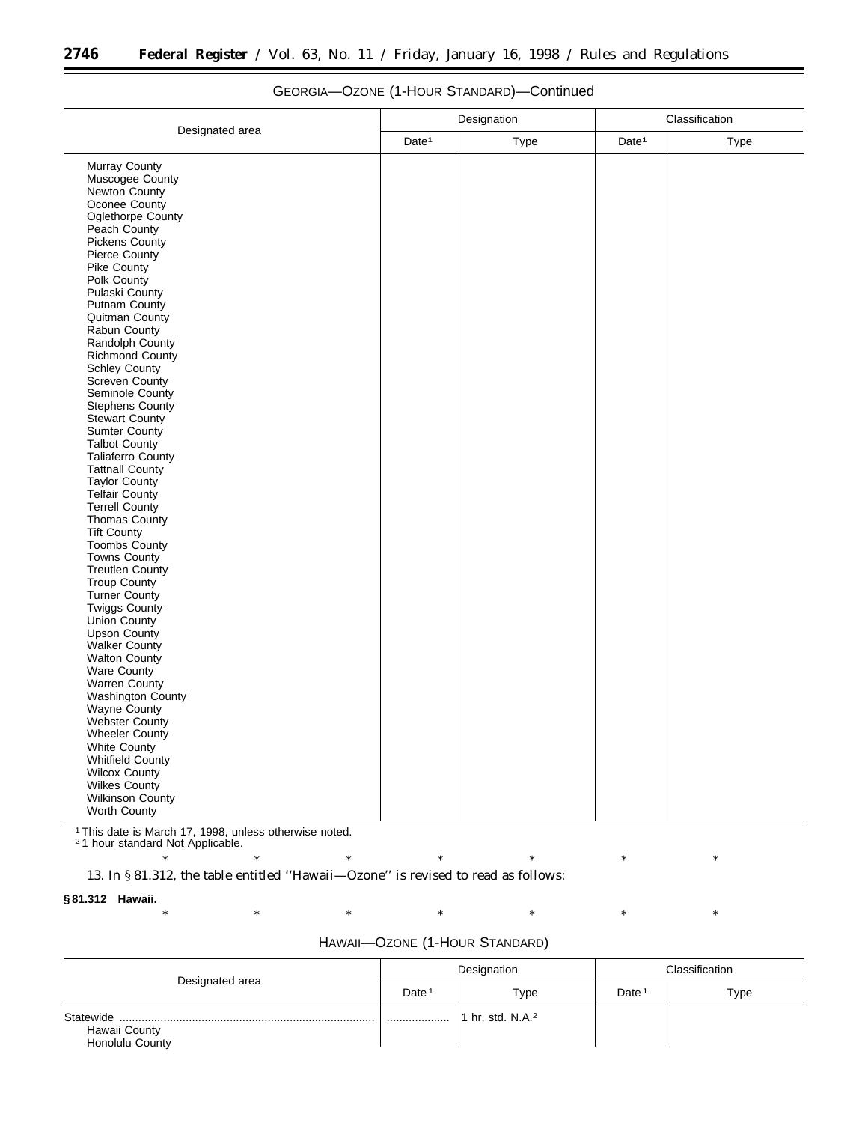|                         |                   | Designation | Classification    |      |  |
|-------------------------|-------------------|-------------|-------------------|------|--|
| Designated area         | Date <sup>1</sup> | Type        | Date <sup>1</sup> | Type |  |
| Murray County           |                   |             |                   |      |  |
| Muscogee County         |                   |             |                   |      |  |
| Newton County           |                   |             |                   |      |  |
| Oconee County           |                   |             |                   |      |  |
| Oglethorpe County       |                   |             |                   |      |  |
| Peach County            |                   |             |                   |      |  |
| <b>Pickens County</b>   |                   |             |                   |      |  |
| Pierce County           |                   |             |                   |      |  |
| Pike County             |                   |             |                   |      |  |
| Polk County             |                   |             |                   |      |  |
| Pulaski County          |                   |             |                   |      |  |
| Putnam County           |                   |             |                   |      |  |
| Quitman County          |                   |             |                   |      |  |
| Rabun County            |                   |             |                   |      |  |
| Randolph County         |                   |             |                   |      |  |
| <b>Richmond County</b>  |                   |             |                   |      |  |
| <b>Schley County</b>    |                   |             |                   |      |  |
| Screven County          |                   |             |                   |      |  |
| Seminole County         |                   |             |                   |      |  |
| <b>Stephens County</b>  |                   |             |                   |      |  |
| <b>Stewart County</b>   |                   |             |                   |      |  |
| Sumter County           |                   |             |                   |      |  |
| Talbot County           |                   |             |                   |      |  |
| Taliaferro County       |                   |             |                   |      |  |
| <b>Tattnall County</b>  |                   |             |                   |      |  |
| <b>Taylor County</b>    |                   |             |                   |      |  |
| Telfair County          |                   |             |                   |      |  |
| Terrell County          |                   |             |                   |      |  |
|                         |                   |             |                   |      |  |
| <b>Thomas County</b>    |                   |             |                   |      |  |
| <b>Tift County</b>      |                   |             |                   |      |  |
| Toombs County           |                   |             |                   |      |  |
| <b>Towns County</b>     |                   |             |                   |      |  |
| <b>Treutlen County</b>  |                   |             |                   |      |  |
| <b>Troup County</b>     |                   |             |                   |      |  |
| <b>Turner County</b>    |                   |             |                   |      |  |
| Twiggs County           |                   |             |                   |      |  |
| <b>Union County</b>     |                   |             |                   |      |  |
| Upson County            |                   |             |                   |      |  |
| <b>Walker County</b>    |                   |             |                   |      |  |
| <b>Walton County</b>    |                   |             |                   |      |  |
| Ware County             |                   |             |                   |      |  |
| Warren County           |                   |             |                   |      |  |
| Washington County       |                   |             |                   |      |  |
| Wayne County            |                   |             |                   |      |  |
| Webster County          |                   |             |                   |      |  |
| Wheeler County          |                   |             |                   |      |  |
| <b>White County</b>     |                   |             |                   |      |  |
| <b>Whitfield County</b> |                   |             |                   |      |  |
| <b>Wilcox County</b>    |                   |             |                   |      |  |
| Wilkes County           |                   |             |                   |      |  |
| Wilkinson County        |                   |             |                   |      |  |
| <b>Worth County</b>     |                   |             |                   |      |  |

# GEORGIA—OZONE (1-HOUR STANDARD)—Continued

1This date is March 17, 1998, unless otherwise noted.

2 1 hour standard Not Applicable.

\* \* \* \* \* \* \* \* \* \* \* 13. In § 81.312, the table entitled ''Hawaii—Ozone'' is revised to read as follows:

#### **§ 81.312 Hawaii.**

| $^{\ast}$ |  |                                |  |  |
|-----------|--|--------------------------------|--|--|
|           |  |                                |  |  |
|           |  |                                |  |  |
|           |  | HAWAII-OZONE (1-HOUR STANDARD) |  |  |
|           |  |                                |  |  |

| Designated area                  | Designation       |                            | Classification    |      |
|----------------------------------|-------------------|----------------------------|-------------------|------|
|                                  | Date <sup>1</sup> | Type                       | Date <sup>1</sup> | Type |
| Hawaii County<br>Honolulu County |                   | hr. std. N.A. <sup>2</sup> |                   |      |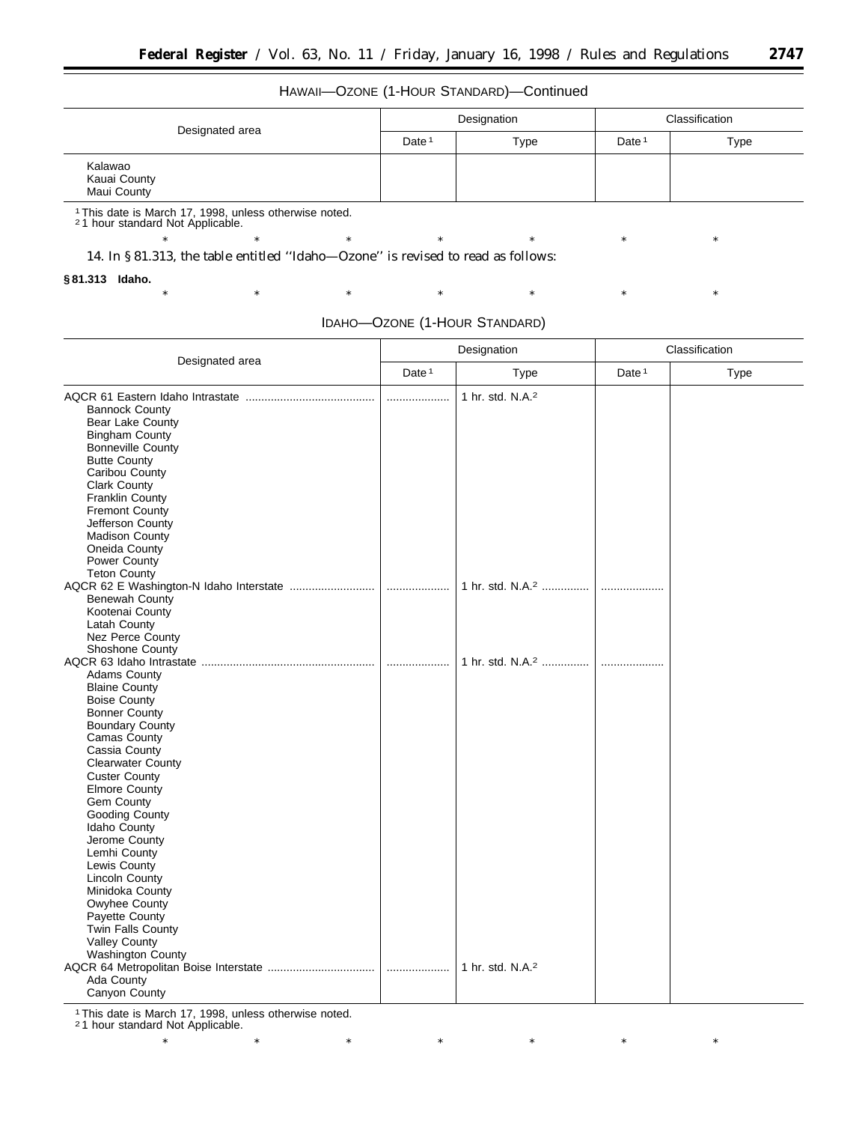### HAWAII—OZONE (1-HOUR STANDARD)—Continued

| Designated area                        | Designation       |      | Classification    |      |
|----------------------------------------|-------------------|------|-------------------|------|
|                                        | Date <sup>1</sup> | Type | Date <sup>1</sup> | Type |
| Kalawao<br>Kauai County<br>Maui County |                   |      |                   |      |

1This date is March 17, 1998, unless otherwise noted. 2 1 hour standard Not Applicable.

14. In § 81.313, the table entitled ''Idaho—Ozone'' is revised to read as follows:

#### **§ 81.313 Idaho.**

| IDAHO-OZONE (1-HOUR STANDARD) |  |
|-------------------------------|--|
|                               |  |

\* \* \* \* \* \* \* \* \* \* \*

\* \* \* \* \* \* \* \* \* \* \*

|                                                                                                                                                                                                                                                                                                                                                                                                                                                                                          |                   | Designation                  | Classification    |      |  |
|------------------------------------------------------------------------------------------------------------------------------------------------------------------------------------------------------------------------------------------------------------------------------------------------------------------------------------------------------------------------------------------------------------------------------------------------------------------------------------------|-------------------|------------------------------|-------------------|------|--|
| Designated area                                                                                                                                                                                                                                                                                                                                                                                                                                                                          | Date <sup>1</sup> | Type                         | Date <sup>1</sup> | Type |  |
| <b>Bannock County</b><br>Bear Lake County<br><b>Bingham County</b><br><b>Bonneville County</b><br><b>Butte County</b><br>Caribou County<br><b>Clark County</b><br>Franklin County<br><b>Fremont County</b><br>Jefferson County<br><b>Madison County</b><br>Oneida County<br>Power County                                                                                                                                                                                                 | .                 | 1 hr. std. N.A. <sup>2</sup> |                   |      |  |
| Teton County<br>Benewah County<br>Kootenai County<br>Latah County<br>Nez Perce County                                                                                                                                                                                                                                                                                                                                                                                                    |                   | 1 hr. std. N.A. <sup>2</sup> | .                 |      |  |
| <b>Shoshone County</b><br><b>Adams County</b><br><b>Blaine County</b><br><b>Boise County</b><br><b>Bonner County</b><br><b>Boundary County</b><br>Camas County<br>Cassia County<br><b>Clearwater County</b><br><b>Custer County</b><br><b>Elmore County</b><br>Gem County<br>Gooding County<br>Idaho County<br>Jerome County<br>Lemhi County<br>Lewis County<br><b>Lincoln County</b><br>Minidoka County<br>Owyhee County<br>Payette County<br>Twin Falls County<br><b>Valley County</b> | .                 | 1 hr. std. N.A. <sup>2</sup> | .                 |      |  |
| Washington County<br>Ada County<br>Canyon County                                                                                                                                                                                                                                                                                                                                                                                                                                         |                   | 1 hr. std. N.A. <sup>2</sup> |                   |      |  |

1This date is March 17, 1998, unless otherwise noted.

2 1 hour standard Not Applicable.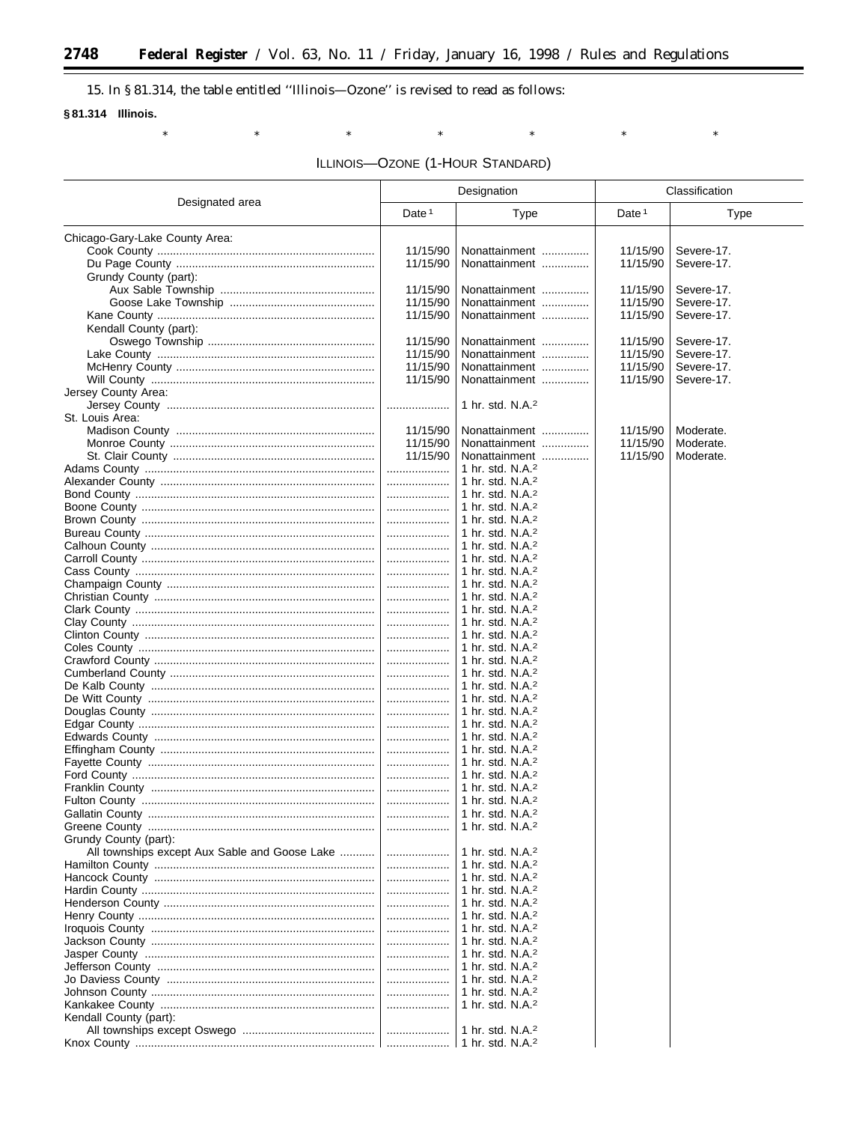# 15. In §81.314, the table entitled "Illinois-Ozone" is revised to read as follows:

 $\ast$ 

 $\ast$ 

### §81.314 Illinois.

 $\ast$ 

۳

ILLINOIS-OZONE (1-HOUR STANDARD)

 $\ast$ 

 $\ast$ 

 $\ast$ 

 $\ast$ 

|                                               | Designation       |                                                              | Classification    |             |
|-----------------------------------------------|-------------------|--------------------------------------------------------------|-------------------|-------------|
| Designated area                               | Date <sup>1</sup> | Type                                                         | Date <sup>1</sup> | <b>Type</b> |
| Chicago-Gary-Lake County Area:                |                   |                                                              |                   |             |
|                                               | 11/15/90          | Nonattainment                                                | 11/15/90          | Severe-17.  |
|                                               | 11/15/90          | Nonattainment                                                | 11/15/90          | Severe-17.  |
| Grundy County (part):                         |                   |                                                              |                   |             |
|                                               | 11/15/90          | Nonattainment                                                | 11/15/90          | Severe-17.  |
|                                               | 11/15/90          | Nonattainment                                                | 11/15/90          | Severe-17.  |
|                                               | 11/15/90          | Nonattainment                                                | 11/15/90          | Severe-17.  |
| Kendall County (part):                        |                   |                                                              |                   |             |
|                                               | 11/15/90          | Nonattainment                                                | 11/15/90          | Severe-17.  |
|                                               | 11/15/90          | Nonattainment                                                | 11/15/90          | Severe-17.  |
|                                               | 11/15/90          | Nonattainment                                                | 11/15/90          | Severe-17.  |
|                                               | 11/15/90          | Nonattainment                                                | 11/15/90          | Severe-17.  |
| Jersey County Area:                           |                   |                                                              |                   |             |
|                                               |                   | 1 hr. std. N.A. <sup>2</sup>                                 |                   |             |
| St. Louis Area:                               |                   |                                                              |                   |             |
|                                               | 11/15/90          | Nonattainment                                                | 11/15/90          | Moderate.   |
|                                               | 11/15/90          | Nonattainment                                                | 11/15/90          | Moderate.   |
|                                               | 11/15/90          | Nonattainment                                                | 11/15/90          | Moderate.   |
|                                               | .                 | 1 hr. std. N.A. <sup>2</sup>                                 |                   |             |
|                                               | .                 | 1 hr. std. N.A. <sup>2</sup>                                 |                   |             |
|                                               | .                 | 1 hr. std. N.A. <sup>2</sup>                                 |                   |             |
|                                               | .                 | 1 hr. std. N.A. <sup>2</sup>                                 |                   |             |
|                                               | .                 | 1 hr. std. N.A. <sup>2</sup>                                 |                   |             |
|                                               | .                 | 1 hr. std. N.A. <sup>2</sup>                                 |                   |             |
|                                               | .                 | 1 hr. std. N.A. <sup>2</sup><br>1 hr. std. N.A. <sup>2</sup> |                   |             |
|                                               | .                 | 1 hr. std. N.A. <sup>2</sup>                                 |                   |             |
|                                               | .<br>.            | 1 hr. std. N.A. <sup>2</sup>                                 |                   |             |
|                                               | .                 | 1 hr. std. N.A. <sup>2</sup>                                 |                   |             |
|                                               | .                 | 1 hr. std. $N.A.^2$                                          |                   |             |
|                                               |                   | 1 hr. std. N.A. <sup>2</sup>                                 |                   |             |
|                                               | .                 | 1 hr. std. $N.A.^2$                                          |                   |             |
|                                               |                   | 1 hr. std. N.A. <sup>2</sup>                                 |                   |             |
|                                               | .                 | 1 hr. std. $N.A.^2$                                          |                   |             |
|                                               |                   | 1 hr. std. N.A. <sup>2</sup>                                 |                   |             |
|                                               | .                 | 1 hr. std. $N.A.^2$                                          |                   |             |
|                                               |                   | 1 hr. std. N.A. <sup>2</sup>                                 |                   |             |
|                                               | .                 | 1 hr. std. $N.A.^2$                                          |                   |             |
|                                               |                   | 1 hr. std. N.A. <sup>2</sup>                                 |                   |             |
|                                               | .                 | 1 hr. std. $N.A.^2$                                          |                   |             |
|                                               |                   | 1 hr. std. N.A. <sup>2</sup>                                 |                   |             |
|                                               | .                 | 1 hr. std. N.A. <sup>2</sup>                                 |                   |             |
|                                               | .                 | 1 hr. std. N.A. <sup>2</sup>                                 |                   |             |
|                                               |                   | 1 hr. std. N.A. <sup>2</sup>                                 |                   |             |
| Gallatin County                               |                   | 1 hr. std. $N.A.^2$<br>1 hr. std. $N.A.^2$                   |                   |             |
|                                               |                   |                                                              |                   |             |
| Grundy County (part):                         |                   | 1 hr. std. N.A. <sup>2</sup>                                 |                   |             |
| All townships except Aux Sable and Goose Lake | .                 | 1 hr. std. N.A. <sup>2</sup>                                 |                   |             |
|                                               |                   | 1 hr. std. N.A. <sup>2</sup>                                 |                   |             |
|                                               |                   | 1 hr. std. N.A. <sup>2</sup>                                 |                   |             |
|                                               |                   | 1 hr. std. N.A. <sup>2</sup>                                 |                   |             |
|                                               |                   | 1 hr. std. N.A. <sup>2</sup>                                 |                   |             |
|                                               |                   | 1 hr. std. N.A. <sup>2</sup>                                 |                   |             |
|                                               |                   | 1 hr. std. N.A. <sup>2</sup>                                 |                   |             |
|                                               |                   | 1 hr. std. N.A. <sup>2</sup>                                 |                   |             |
|                                               |                   | 1 hr. std. N.A. <sup>2</sup>                                 |                   |             |
|                                               |                   | 1 hr. std. N.A. <sup>2</sup>                                 |                   |             |
|                                               |                   | 1 hr. std. N.A. <sup>2</sup>                                 |                   |             |
|                                               |                   | 1 hr. std. N.A. <sup>2</sup>                                 |                   |             |
|                                               |                   | 1 hr. std. N.A. <sup>2</sup>                                 |                   |             |
| Kendall County (part):                        |                   |                                                              |                   |             |
|                                               |                   | 1 hr. std. N.A. <sup>2</sup>                                 |                   |             |
|                                               |                   |                                                              |                   |             |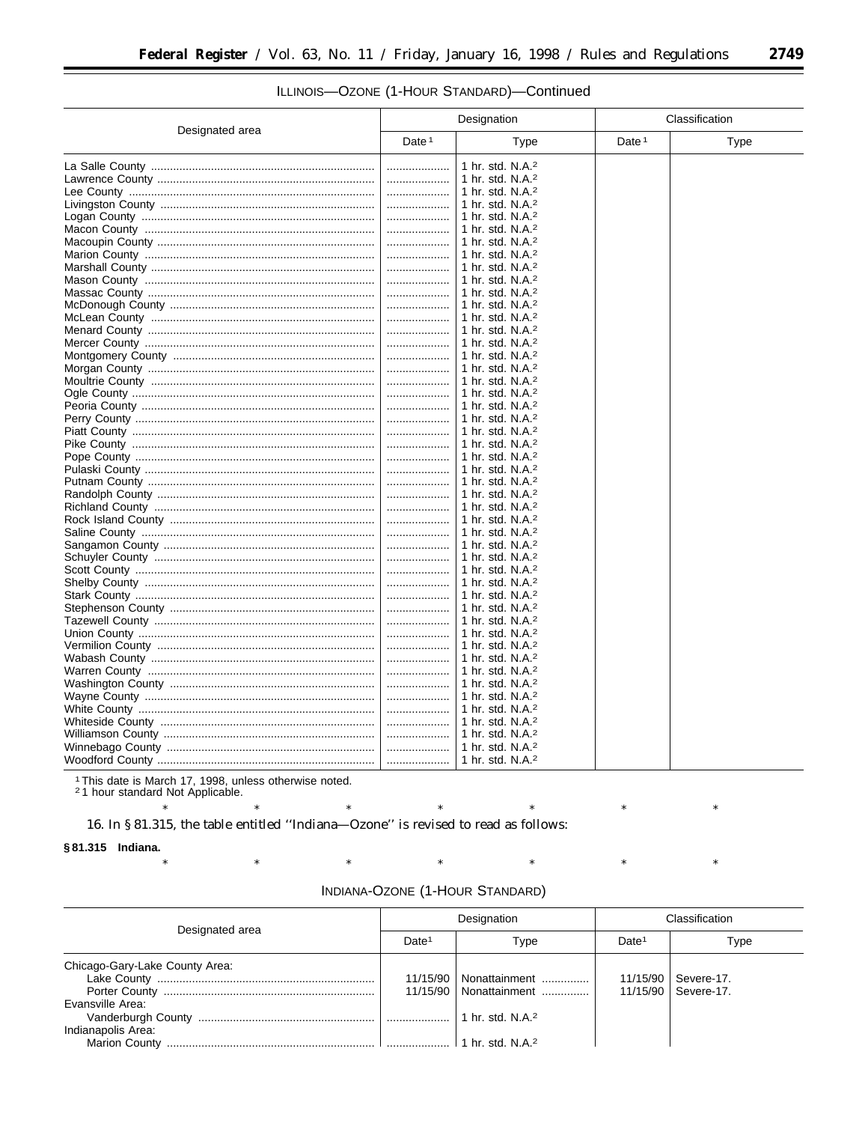#### Designation Classification Designated area Date<sup>1</sup> Type Date<sup>1</sup> Type 1 hr. std. N.A.<sup>2</sup> . . . . . . . . . . . . . . . . . . . . 1 hr. std. N.A.<sup>2</sup> 1 hr. std. N.A.<sup>2</sup> 1 hr. std. N.A.<sup>2</sup> .................. 1 hr. std. N.A.<sup>2</sup> .................. 1 hr. std. N.A.<sup>2</sup> . . . . . . . . . . . . . . . . . . . . ................... 1 hr. std. N.A.<sup>2</sup> 1 hr. std. N.A.<sup>2</sup> 1 hr. std. N.A.<sup>2</sup> 1 hr. std. N.A.<sup>2</sup> 1 hr. std. N.A.<sup>2</sup> 1 hr. std. N.A.<sup>2</sup> 1 hr. std. N.A.<sup>2</sup> 1 hr. std. N.A.<sup>2</sup> . . . . . . . . . . . . . . . . . . . . 1 hr. std. N.A.<sup>2</sup> 1 hr. std. N.A.<sup>2</sup> 1 hr. std. N.A.<sup>2</sup> . . . . . . . . . . . . . . . . . . . . 1 hr. std. N.A.<sup>2</sup> 1 hr. std. N.A.<sup>2</sup> 1 hr. std. N.A.<sup>2</sup> .................. 1 hr. std. N.A.<sup>2</sup> . . . . . . . . . . . . . . . . . . . . 1 hr. std. N.A.<sup>2</sup> 1 hr. std. N.A.<sup>2</sup> . . . . . . . . . . . . . . . . . . . . 1 hr. std. N.A.<sup>2</sup> 1 hr. std. N.A.<sup>2</sup> . . . . . . . . . . . . . . . . . . . . 1 hr. std. N.A.<sup>2</sup> 1 hr. std. N.A.<sup>2</sup> 1 hr. std. N.A.<sup>2</sup> . . . . . . . . . . . . . . . . . . . 1 hr. std. N.A.<sup>2</sup> . . . . . . . . . . . . . . . . . . . . 1 hr. std. N.A.<sup>2</sup> 1 hr. std. N.A.<sup>2</sup> 1 hr. std. N.A.<sup>2</sup> 1 hr. std. N.A.<sup>2</sup> 1 hr. std. N.A.<sup>2</sup> . . . . . . . . . . . . . . . . . . . . 1 hr. std. N.A.<sup>2</sup> 1 hr std NA2 1 hr. std. N.A.<sup>2</sup> 1 hr. std. N.A.<sup>2</sup> 1 hr. std. N.A.<sup>2</sup> 1 hr. std. N.A.<sup>2</sup> 1 hr. std. N.A.<sup>2</sup> 1 hr. std. N.A.<sup>2</sup> 1 hr. std. N.A.<sup>2</sup> 1 hr std NA2 1 hr. std. N.A.<sup>2</sup> . . . . . . . . . . . . . . . . . . . . 1 hr. std. N.A.<sup>2</sup> 1 hr. std. N.A.<sup>2</sup> 1 hr. std. N.A.<sup>2</sup> . . . . . . . . . . . . . . . . . . . .

## ILLINOIS-OZONE (1-HOUR STANDARD)-Continued

<sup>1</sup> This date is March 17, 1998, unless otherwise noted.

<sup>2</sup>1 hour standard Not Applicable.

16. In §81.315, the table entitled "Indiana-Ozone" is revised to read as follows:

§81.315 Indiana.

| Indiana-Ozone (1-Hour Standard) |  |  |  |
|---------------------------------|--|--|--|
|---------------------------------|--|--|--|

| Designated area                        | Designation       |                                           | Classification    |                                                |
|----------------------------------------|-------------------|-------------------------------------------|-------------------|------------------------------------------------|
|                                        | Date <sup>1</sup> | Type                                      | Date <sup>1</sup> | Type                                           |
| Chicago-Gary-Lake County Area:         | 11/15/90          | Nonattainment<br>11/15/90   Nonattainment |                   | 11/15/90   Severe-17.<br>11/15/90   Severe-17. |
| Evansville Area:<br>Indianapolis Area: |                   | 1 hr. std. N.A. <sup>2</sup>              |                   |                                                |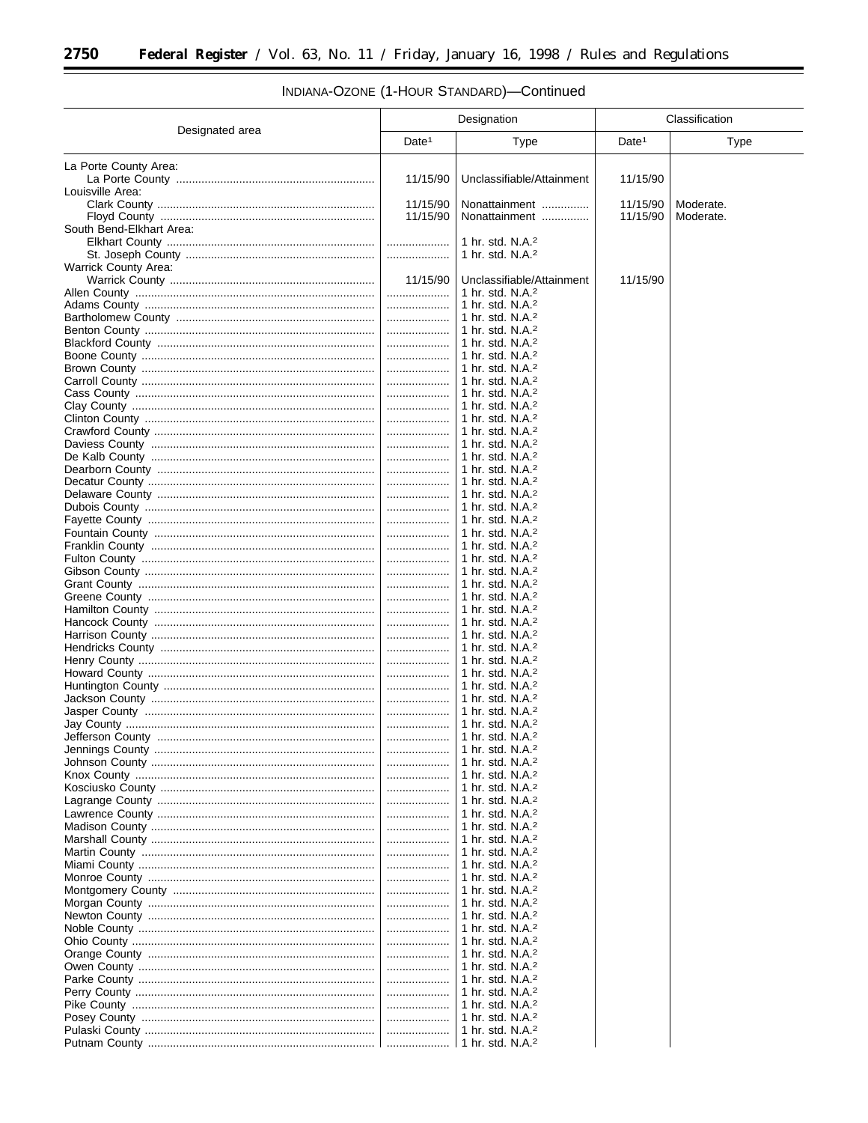-

|                             |                   | Designation                                                  |                   | Classification |
|-----------------------------|-------------------|--------------------------------------------------------------|-------------------|----------------|
| Designated area             | Date <sup>1</sup> | Type                                                         | Date <sup>1</sup> | <b>Type</b>    |
| La Porte County Area:       |                   |                                                              |                   |                |
|                             | 11/15/90          | Unclassifiable/Attainment                                    | 11/15/90          |                |
| Louisville Area:            |                   |                                                              |                   |                |
|                             | 11/15/90          | Nonattainment                                                | 11/15/90          | Moderate.      |
|                             | 11/15/90          | Nonattainment                                                | 11/15/90          | Moderate.      |
| South Bend-Elkhart Area:    |                   |                                                              |                   |                |
|                             | .                 | 1 hr. std. $N.A.^2$                                          |                   |                |
|                             |                   | 1 hr. std. $N.A.2$                                           |                   |                |
| <b>Warrick County Area:</b> |                   |                                                              |                   |                |
|                             | 11/15/90          | Unclassifiable/Attainment                                    | 11/15/90          |                |
|                             | .                 | 1 hr. std. N.A. <sup>2</sup>                                 |                   |                |
|                             |                   | 1 hr. std. N.A. <sup>2</sup>                                 |                   |                |
|                             | .                 | 1 hr. std. N.A. <sup>2</sup>                                 |                   |                |
|                             | .                 | 1 hr. std. N.A. <sup>2</sup>                                 |                   |                |
|                             | .                 | 1 hr. std. N.A. <sup>2</sup>                                 |                   |                |
|                             | .                 | 1 hr. std. N.A. <sup>2</sup>                                 |                   |                |
|                             | .                 | 1 hr. std. N.A. <sup>2</sup>                                 |                   |                |
|                             | .                 | 1 hr. std. N.A. <sup>2</sup>                                 |                   |                |
|                             |                   | 1 hr. std. $N.A.^2$                                          |                   |                |
|                             | .                 | 1 hr. std. $N.A.^2$                                          |                   |                |
|                             |                   | 1 hr. std. N.A. <sup>2</sup>                                 |                   |                |
|                             |                   | 1 hr. std. N.A. <sup>2</sup>                                 |                   |                |
|                             | .                 | 1 hr. std. $N.A.^2$                                          |                   |                |
|                             |                   | 1 hr. std. N.A. <sup>2</sup>                                 |                   |                |
|                             |                   | 1 hr. std. N.A. <sup>2</sup>                                 |                   |                |
|                             |                   | 1 hr. std. N.A. <sup>2</sup>                                 |                   |                |
|                             |                   | 1 hr. std. N.A. <sup>2</sup>                                 |                   |                |
|                             |                   | 1 hr. std. N.A. <sup>2</sup>                                 |                   |                |
|                             | .                 | 1 hr. std. N.A. <sup>2</sup>                                 |                   |                |
|                             |                   | 1 hr. std. N.A. <sup>2</sup>                                 |                   |                |
|                             | .                 | 1 hr. std. N.A. <sup>2</sup>                                 |                   |                |
|                             |                   | 1 hr. std. N.A. <sup>2</sup>                                 |                   |                |
|                             |                   | 1 hr. std. N.A. <sup>2</sup>                                 |                   |                |
|                             |                   | 1 hr. std. N.A. <sup>2</sup>                                 |                   |                |
|                             | .                 | 1 hr. std. N.A. <sup>2</sup><br>1 hr. std. N.A. <sup>2</sup> |                   |                |
|                             |                   | 1 hr. std. $N.A.^2$                                          |                   |                |
|                             | .                 | 1 hr. std. N.A. <sup>2</sup>                                 |                   |                |
|                             |                   | 1 hr. std. N.A. <sup>2</sup>                                 |                   |                |
|                             | .                 | 1 hr. std. N.A. <sup>2</sup>                                 |                   |                |
|                             | .                 | 1 hr. std. N.A. <sup>2</sup>                                 |                   |                |
|                             |                   | 1 hr. std. N.A. <sup>2</sup>                                 |                   |                |
|                             | .                 | 1 hr. std. N.A. <sup>2</sup>                                 |                   |                |
|                             |                   | 1 hr. std. N.A. <sup>2</sup>                                 |                   |                |
|                             |                   | 1 hr. std. $N.A.^2$                                          |                   |                |
|                             |                   | 1 hr. std. $N.A.^2$                                          |                   |                |
|                             |                   | 1 hr. std. N.A. $2$                                          |                   |                |
|                             |                   | 1 hr. std. N.A. <sup>2</sup>                                 |                   |                |
|                             |                   | 1 hr. std. N.A. <sup>2</sup>                                 |                   |                |
|                             |                   | 1 hr. std. N.A. $2$                                          |                   |                |
|                             |                   | 1 hr. std. N.A. <sup>2</sup>                                 |                   |                |
|                             |                   | 1 hr. std. N.A. $2$                                          |                   |                |
|                             |                   | 1 hr. std. N.A. <sup>2</sup>                                 |                   |                |
|                             |                   | 1 hr. std. N.A. <sup>2</sup>                                 |                   |                |
|                             |                   | 1 hr. std. N.A. <sup>2</sup>                                 |                   |                |
|                             |                   | 1 hr. std. N.A. $2$                                          |                   |                |
|                             |                   | 1 hr. std. N.A. <sup>2</sup>                                 |                   |                |
|                             |                   | 1 hr. std. N.A. $2$                                          |                   |                |
|                             |                   | 1 hr. std. N.A. <sup>2</sup>                                 |                   |                |
|                             |                   | 1 hr. std. N.A. $2$                                          |                   |                |
|                             |                   | 1 hr. std. N.A. $2$                                          |                   |                |
|                             | .                 | 1 hr. std. N.A. <sup>2</sup>                                 |                   |                |
|                             |                   | 1 hr. std. N.A. <sup>2</sup>                                 |                   |                |
|                             |                   | 1 hr. std. N.A. $2$                                          |                   |                |
|                             |                   | 1 hr. std. N.A. <sup>2</sup>                                 |                   |                |
|                             |                   | 1 hr. std. N.A. $2$                                          |                   |                |
|                             |                   | 1 hr. std. N.A. <sup>2</sup>                                 |                   |                |
|                             |                   | 1 hr. std. N.A. <sup>2</sup>                                 |                   |                |
|                             |                   | 1 hr. std. N.A. <sup>2</sup>                                 |                   |                |
|                             |                   |                                                              |                   |                |

# INDIANA-OZONE (1-HOUR STANDARD)-Continued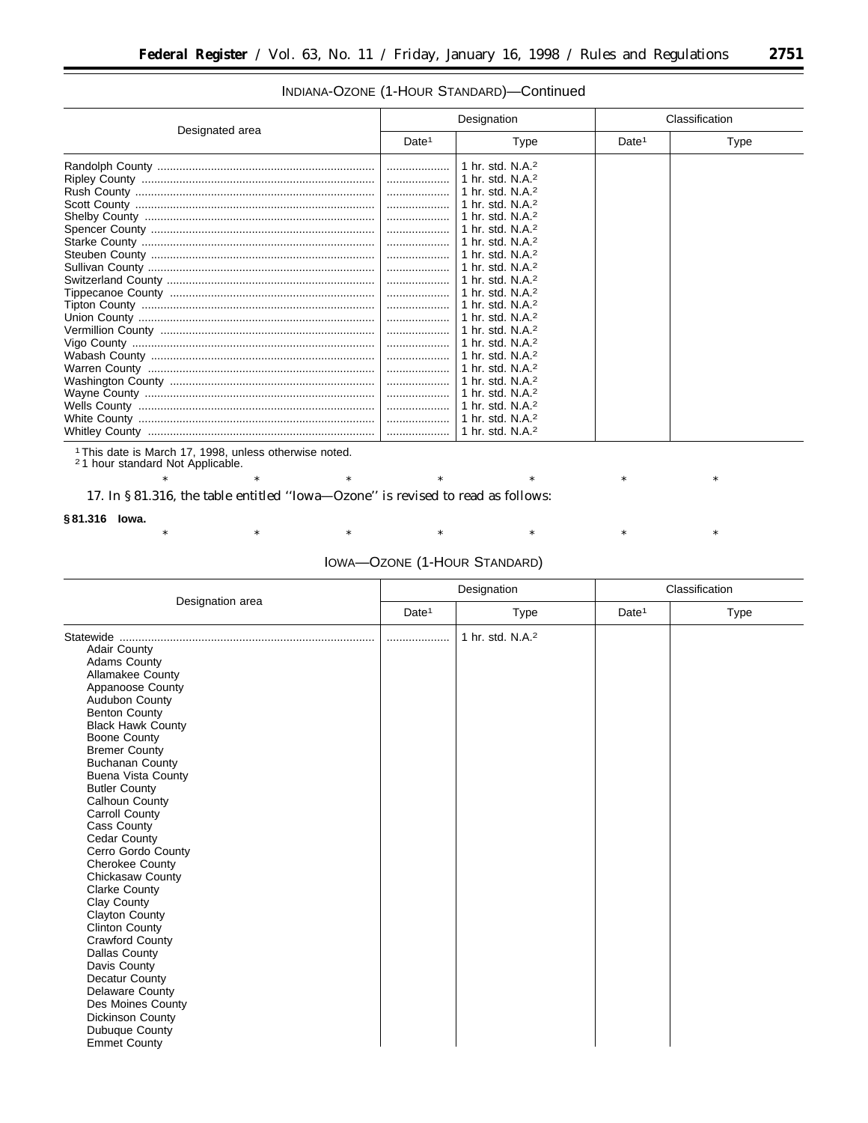### INDIANA-OZONE (1-HOUR STANDARD)—Continued

|                 | Designation       |                                                                                                                                                                                                                                                                                                                                                                                     | Classification    |      |
|-----------------|-------------------|-------------------------------------------------------------------------------------------------------------------------------------------------------------------------------------------------------------------------------------------------------------------------------------------------------------------------------------------------------------------------------------|-------------------|------|
| Designated area | Date <sup>1</sup> | Type                                                                                                                                                                                                                                                                                                                                                                                | Date <sup>1</sup> | Type |
|                 |                   | 1 hr. std. N.A. $2$<br>1 hr. std. N.A. <sup>2</sup><br>1 hr. std. N.A. <sup>2</sup><br>1 hr. std. N.A. <sup>2</sup><br>1 hr. std. N.A. <sup>2</sup><br>1 hr. std. N.A. <sup>2</sup><br>1 hr. std. N.A. <sup>2</sup><br>1 hr. std. N.A. <sup>2</sup><br>1 hr. std. N.A. <sup>2</sup><br>1 hr. std. N.A. <sup>2</sup><br>1 hr. std. N.A. <sup>2</sup><br>1 hr. std. N.A. <sup>2</sup> |                   |      |
|                 | .                 | 1 hr. std. $N.A.^2$<br>$\pm$ 1 hr. std. N.A. <sup>2</sup><br>1 hr. std. N.A. <sup>2</sup><br>1 hr. std. N.A. <sup>2</sup><br>1 hr. std. N.A. $2$<br>1 hr. std. N.A. <sup>2</sup><br>1 hr. std. N.A. <sup>2</sup><br>1 hr. std. $N.A.^2$<br>1 hr. std. N.A. <sup>2</sup>                                                                                                             |                   |      |

1This date is March 17, 1998, unless otherwise noted. 2 1 hour standard Not Applicable.

17. In § 81.316, the table entitled ''Iowa—Ozone'' is revised to read as follows:

#### **§ 81.316 Iowa.**

\* \* \* \* \* \* \* \* \* \* \*

# IOWA—OZONE (1-HOUR STANDARD)

|                                                                                                                                                                                                                                                                                                                                                                                                                                                                                                                                                                                                                                                                                                                                                   | Designation       |                              | Classification    |      |
|---------------------------------------------------------------------------------------------------------------------------------------------------------------------------------------------------------------------------------------------------------------------------------------------------------------------------------------------------------------------------------------------------------------------------------------------------------------------------------------------------------------------------------------------------------------------------------------------------------------------------------------------------------------------------------------------------------------------------------------------------|-------------------|------------------------------|-------------------|------|
| Designation area                                                                                                                                                                                                                                                                                                                                                                                                                                                                                                                                                                                                                                                                                                                                  | Date <sup>1</sup> | <b>Type</b>                  | Date <sup>1</sup> | Type |
| Statewide<br><b>Adair County</b><br><b>Adams County</b><br>Allamakee County<br>Appanoose County<br>Audubon County<br><b>Benton County</b><br><b>Black Hawk County</b><br><b>Boone County</b><br><b>Bremer County</b><br><b>Buchanan County</b><br><b>Buena Vista County</b><br><b>Butler County</b><br>Calhoun County<br><b>Carroll County</b><br>Cass County<br><b>Cedar County</b><br>Cerro Gordo County<br>Cherokee County<br>Chickasaw County<br><b>Clarke County</b><br>Clay County<br><b>Clayton County</b><br><b>Clinton County</b><br><b>Crawford County</b><br><b>Dallas County</b><br>Davis County<br>Decatur County<br><b>Delaware County</b><br>Des Moines County<br><b>Dickinson County</b><br>Dubuque County<br><b>Emmet County</b> |                   | 1 hr. std. N.A. <sup>2</sup> |                   |      |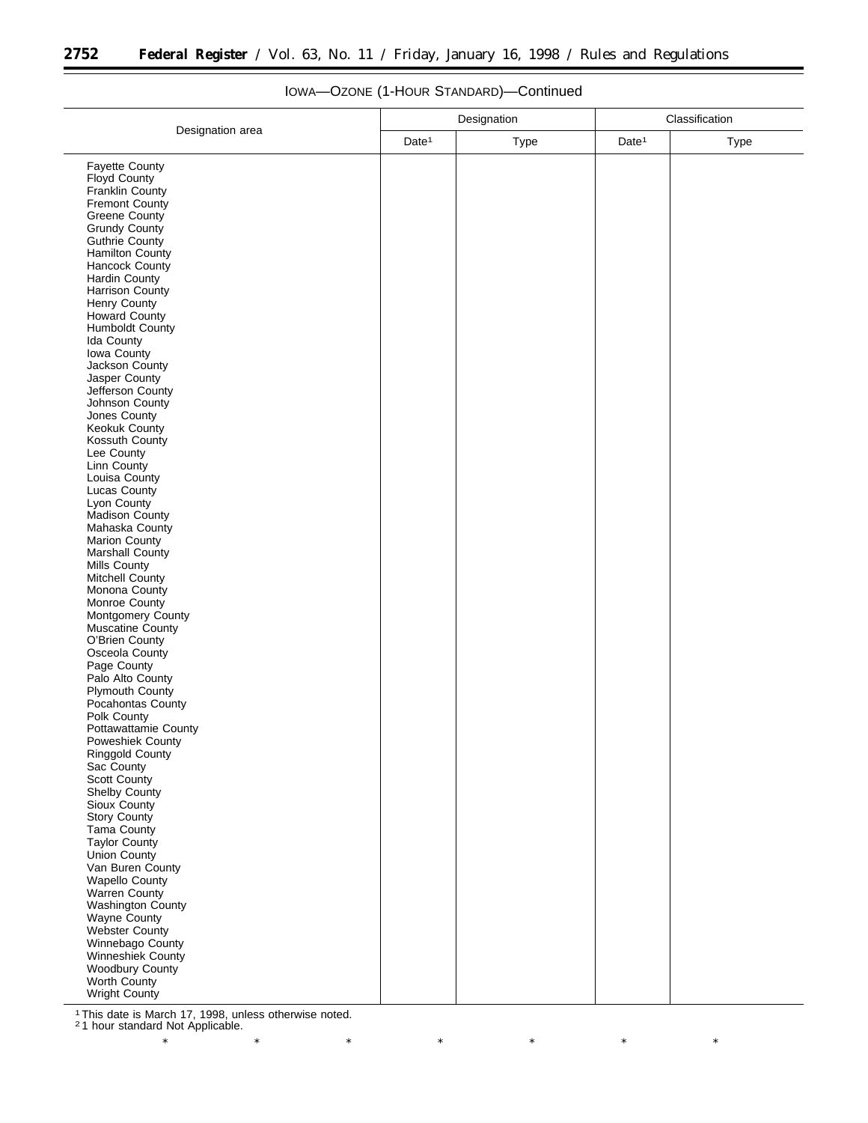|                                         | Designation       |      | Classification    |             |
|-----------------------------------------|-------------------|------|-------------------|-------------|
| Designation area                        | Date <sup>1</sup> | Type | Date <sup>1</sup> | <b>Type</b> |
| <b>Fayette County</b>                   |                   |      |                   |             |
| Floyd County                            |                   |      |                   |             |
| Franklin County                         |                   |      |                   |             |
| Fremont County                          |                   |      |                   |             |
| <b>Greene County</b>                    |                   |      |                   |             |
| <b>Grundy County</b>                    |                   |      |                   |             |
| Guthrie County                          |                   |      |                   |             |
| <b>Hamilton County</b>                  |                   |      |                   |             |
| <b>Hancock County</b>                   |                   |      |                   |             |
| Hardin County<br><b>Harrison County</b> |                   |      |                   |             |
| Henry County                            |                   |      |                   |             |
| <b>Howard County</b>                    |                   |      |                   |             |
| Humboldt County                         |                   |      |                   |             |
| Ida County                              |                   |      |                   |             |
| Iowa County                             |                   |      |                   |             |
| Jackson County                          |                   |      |                   |             |
| Jasper County                           |                   |      |                   |             |
| Jefferson County                        |                   |      |                   |             |
| Johnson County                          |                   |      |                   |             |
| Jones County                            |                   |      |                   |             |
| <b>Keokuk County</b>                    |                   |      |                   |             |
| Kossuth County                          |                   |      |                   |             |
| Lee County                              |                   |      |                   |             |
| Linn County<br>Louisa County            |                   |      |                   |             |
| Lucas County                            |                   |      |                   |             |
| Lyon County                             |                   |      |                   |             |
| Madison County                          |                   |      |                   |             |
| Mahaska County                          |                   |      |                   |             |
| <b>Marion County</b>                    |                   |      |                   |             |
| Marshall County                         |                   |      |                   |             |
| <b>Mills County</b>                     |                   |      |                   |             |
| Mitchell County                         |                   |      |                   |             |
| Monona County                           |                   |      |                   |             |
| Monroe County                           |                   |      |                   |             |
| Montgomery County                       |                   |      |                   |             |
| Muscatine County<br>O'Brien County      |                   |      |                   |             |
| Osceola County                          |                   |      |                   |             |
| Page County                             |                   |      |                   |             |
| Palo Alto County                        |                   |      |                   |             |
| Plymouth County                         |                   |      |                   |             |
| Pocahontas County                       |                   |      |                   |             |
| Polk County                             |                   |      |                   |             |
| Pottawattamie County                    |                   |      |                   |             |
| <b>Poweshiek County</b>                 |                   |      |                   |             |
| <b>Ringgold County</b>                  |                   |      |                   |             |
| Sac County                              |                   |      |                   |             |
| Scott County                            |                   |      |                   |             |
| Shelby County<br>Sioux County           |                   |      |                   |             |
| Story County                            |                   |      |                   |             |
| Tama County                             |                   |      |                   |             |
| Taylor County                           |                   |      |                   |             |
| Union County                            |                   |      |                   |             |
| Van Buren County                        |                   |      |                   |             |
| <b>Wapello County</b>                   |                   |      |                   |             |
| Warren County                           |                   |      |                   |             |
| Washington County                       |                   |      |                   |             |
| Wayne County                            |                   |      |                   |             |
| Webster County                          |                   |      |                   |             |
| Winnebago County                        |                   |      |                   |             |
| Winneshiek County<br>Woodbury County    |                   |      |                   |             |
| Worth County                            |                   |      |                   |             |
| <b>Wright County</b>                    |                   |      |                   |             |
|                                         |                   |      |                   |             |

# IOWA—OZONE (1-HOUR STANDARD)—Continued

1This date is March 17, 1998, unless otherwise noted. 2 1 hour standard Not Applicable.

-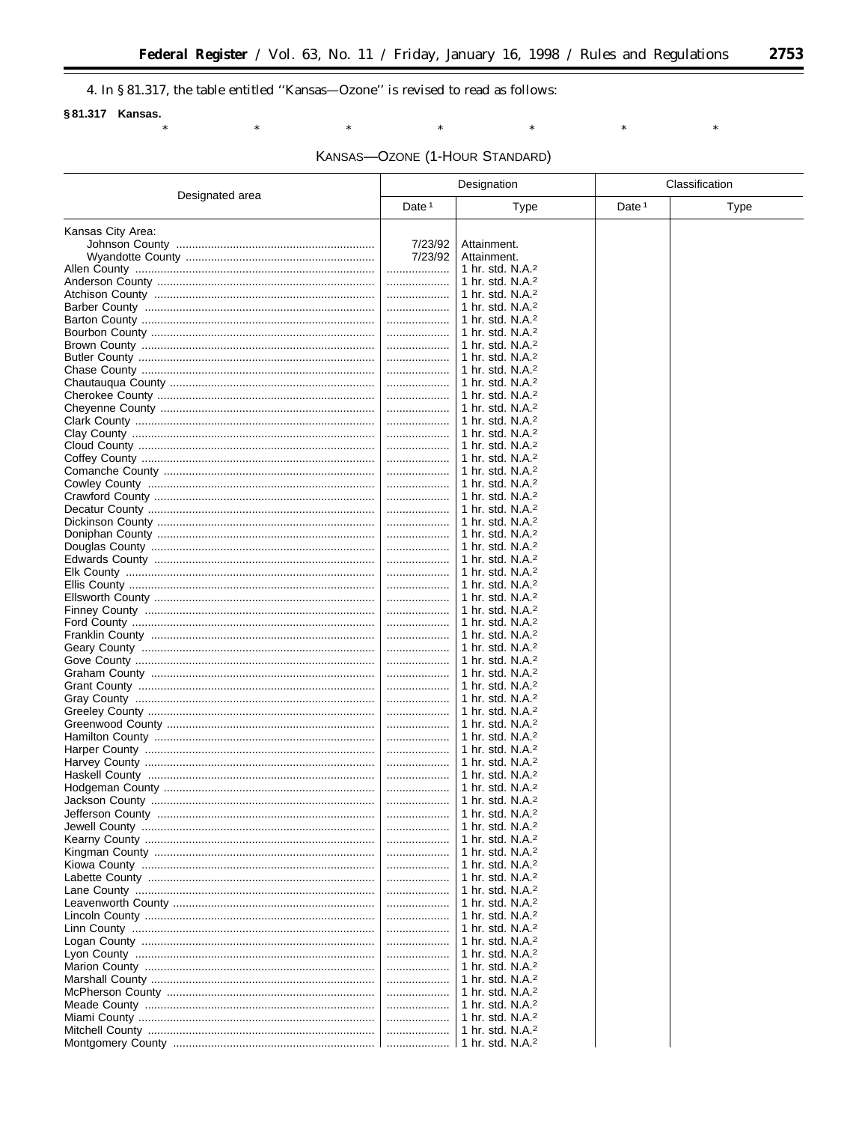$\ast$ 

 $\ast$ 

 $\equiv$ 

 $\ast$ 

4. In §81.317, the table entitled "Kansas—Ozone" is revised to read as follows:

 $\ast$ 

 $\ast$ 

### §81.317 Kansas.

KANSAS-OZONE (1-HOUR STANDARD)

 $^{\ast}$ 

|                   | Designation       |                                                              | Classification    |             |
|-------------------|-------------------|--------------------------------------------------------------|-------------------|-------------|
| Designated area   | Date <sup>1</sup> | <b>Type</b>                                                  | Date <sup>1</sup> | <b>Type</b> |
| Kansas City Area: |                   |                                                              |                   |             |
|                   | 7/23/92           | Attainment.                                                  |                   |             |
|                   | 7/23/92           | Attainment.                                                  |                   |             |
|                   | .                 | 1 hr. std. $N.A.^2$                                          |                   |             |
|                   |                   | 1 hr. std. N.A. <sup>2</sup>                                 |                   |             |
|                   |                   | 1 hr. std. $N.A.^2$                                          |                   |             |
|                   |                   | 1 hr. std. N.A. $2$<br>1 hr. std. N.A. $2$                   |                   |             |
|                   |                   | 1 hr. std. N.A. $2$                                          |                   |             |
|                   | .                 | 1 hr. std. N.A. $2$                                          |                   |             |
|                   |                   | 1 hr. std. N.A. $2$                                          |                   |             |
|                   |                   | 1 hr. std. N.A. <sup>2</sup>                                 |                   |             |
|                   | .                 | 1 hr. std. N.A. <sup>2</sup>                                 |                   |             |
|                   |                   | 1 hr. std. N.A. $2$                                          |                   |             |
|                   | .                 | 1 hr. std. $N.A.^2$<br>1 hr. std. N.A. <sup>2</sup>          |                   |             |
|                   |                   | 1 hr. std. $N.A.^2$                                          |                   |             |
|                   |                   | 1 hr. std. $N.A.^2$                                          |                   |             |
|                   | .                 | 1 hr. std. N.A. <sup>2</sup>                                 |                   |             |
|                   |                   | 1 hr. std. N.A. <sup>2</sup>                                 |                   |             |
|                   | .                 | 1 hr. std. N.A. <sup>2</sup>                                 |                   |             |
|                   | .                 | 1 hr. std. $N.A.^2$                                          |                   |             |
|                   | .                 | 1 hr. std. $N.A.^2$<br>1 hr. std. N.A. <sup>2</sup>          |                   |             |
|                   | .                 | 1 hr. std. N.A. $2$                                          |                   |             |
|                   |                   | 1 hr. std. N.A. $2$                                          |                   |             |
|                   |                   | 1 hr. std. $N.A.^2$                                          |                   |             |
|                   | .                 | 1 hr. std. N.A. $2$                                          |                   |             |
|                   |                   | 1 hr. std. N.A. $2$                                          |                   |             |
|                   |                   | 1 hr. std. N.A. <sup>2</sup>                                 |                   |             |
|                   | .                 | 1 hr. std. N.A. <sup>2</sup>                                 |                   |             |
|                   |                   | 1 hr. std. N.A. <sup>2</sup><br>1 hr. std. N.A. $2$          |                   |             |
|                   |                   | 1 hr. std. N.A. $2$                                          |                   |             |
|                   |                   | 1 hr. std. N.A. $2$                                          |                   |             |
|                   |                   | 1 hr. std. N.A. <sup>2</sup>                                 |                   |             |
|                   |                   | 1 hr. std. N.A. $2$                                          |                   |             |
|                   |                   | 1 hr. std. N.A. $2$                                          |                   |             |
|                   |                   | 1 hr. std. N.A. $2$                                          |                   |             |
|                   |                   | 1 hr. std. N.A. <sup>2</sup><br>1 hr. std. N.A. <sup>2</sup> |                   |             |
|                   |                   | 1 hr. std. N.A. $2$                                          |                   |             |
|                   |                   | 1 hr. std. N.A. $2$                                          |                   |             |
|                   |                   | ∣ 1 hr. std. N.A. <sup>2</sup>                               |                   |             |
|                   |                   | 1 hr. std. N.A. $2$                                          |                   |             |
|                   |                   | $\vert$ 1 hr. std. N.A. <sup>2</sup>                         |                   |             |
|                   |                   | 1 hr. std. $N.A.^2$                                          |                   |             |
|                   |                   | 1 hr. std. N.A. <sup>2</sup><br>1 hr. std. N.A. <sup>2</sup> |                   |             |
|                   |                   | $\vert$ 1 hr. std. N.A. <sup>2</sup>                         |                   |             |
|                   |                   | $\vert$ 1 hr. std. N.A. <sup>2</sup>                         |                   |             |
|                   |                   | $\vert$ 1 hr. std. N.A. <sup>2</sup>                         |                   |             |
|                   |                   | 1 hr. std. N.A. <sup>2</sup>                                 |                   |             |
|                   |                   | 1 hr. std. N.A. <sup>2</sup>                                 |                   |             |
|                   |                   | 1 hr. std. N.A. <sup>2</sup>                                 |                   |             |
|                   |                   | 1 hr. std. N.A. <sup>2</sup><br>1 hr. std. N.A. $2$          |                   |             |
|                   |                   | 1 hr. std. N.A. <sup>2</sup>                                 |                   |             |
|                   |                   | 1 hr. std. N.A. $2$                                          |                   |             |
|                   |                   | 1 hr. std. N.A. <sup>2</sup>                                 |                   |             |
|                   |                   | 1 hr. std. N.A. $2$                                          |                   |             |
|                   |                   | 1 hr. std. N.A. <sup>2</sup>                                 |                   |             |
|                   |                   | 1 hr. std. N.A. <sup>2</sup>                                 |                   |             |
|                   |                   | 1 hr. std. N.A. <sup>2</sup>                                 |                   |             |
|                   |                   | $\vert$ 1 hr. std. N.A. <sup>2</sup>                         |                   |             |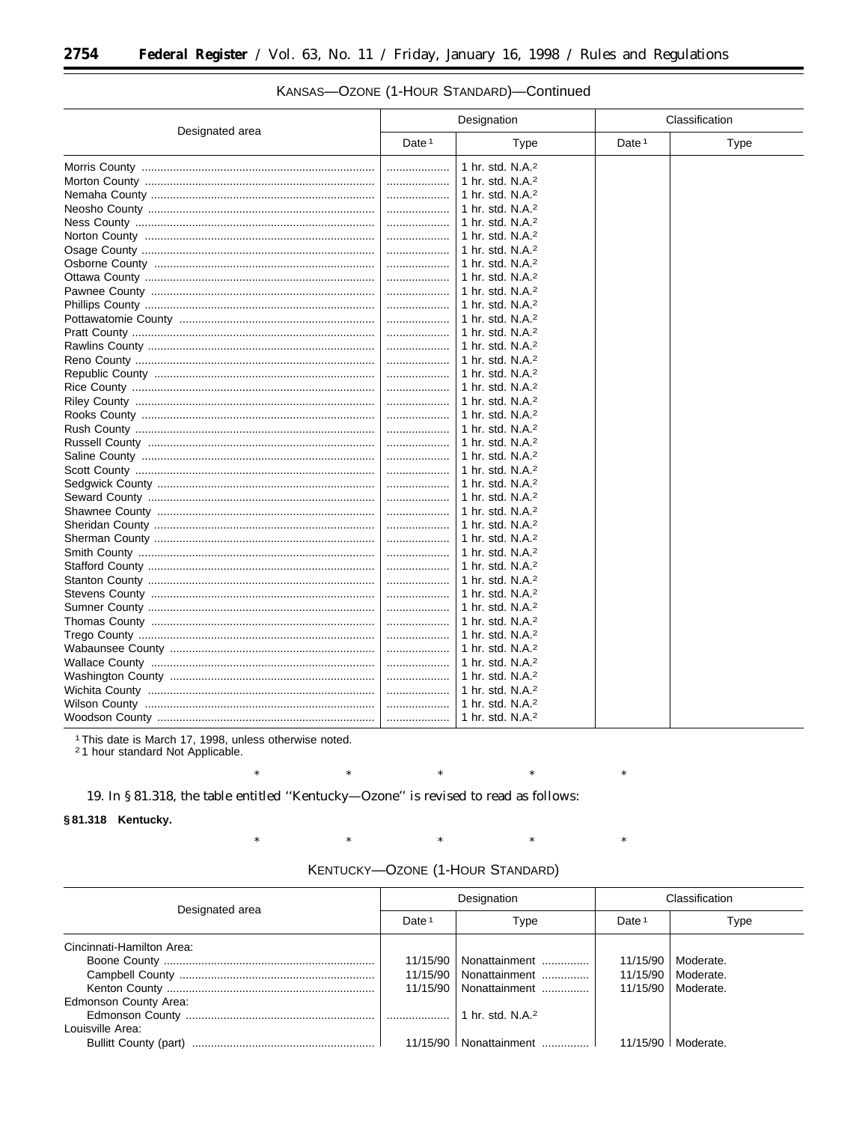|                 | Designation       |                                      | Classification    |      |
|-----------------|-------------------|--------------------------------------|-------------------|------|
| Designated area | Date <sup>1</sup> | Type                                 | Date <sup>1</sup> | Type |
|                 |                   | 1 hr. std. N.A. <sup>2</sup>         |                   |      |
|                 |                   | 1 hr. std. N.A. <sup>2</sup>         |                   |      |
|                 |                   | 1 hr. std. N.A. <sup>2</sup>         |                   |      |
|                 |                   | 1 hr. std. N.A. <sup>2</sup>         |                   |      |
|                 |                   | 1 hr. std. N.A. <sup>2</sup>         |                   |      |
|                 |                   | 1 hr. std. N.A. <sup>2</sup>         |                   |      |
|                 |                   | 1 hr. std. N.A. $2$                  |                   |      |
|                 |                   | ∣ 1 hr. std. N.A. <sup>2</sup>       |                   |      |
|                 | .                 | $\vert$ 1 hr. std. N.A. <sup>2</sup> |                   |      |
|                 |                   | 1 hr. std. N.A. <sup>2</sup>         |                   |      |
|                 |                   | 1 hr. std. N.A. <sup>2</sup>         |                   |      |
|                 | .                 | 1 hr. std. N.A. <sup>2</sup>         |                   |      |
|                 | .                 | ∣ 1 hr. std. N.A. <sup>2</sup>       |                   |      |
|                 |                   | $\pm$ 1 hr. std. N.A. <sup>2</sup>   |                   |      |
|                 |                   | 1 hr. std. N.A. $2$                  |                   |      |
|                 |                   | $\vert$ 1 hr. std. N.A. <sup>2</sup> |                   |      |
|                 | .                 | 1 hr. std. N.A. <sup>2</sup>         |                   |      |
|                 |                   | 1 hr. std. N.A. <sup>2</sup>         |                   |      |
|                 | .                 | 1 hr. std. N.A. <sup>2</sup>         |                   |      |
|                 | .                 | 1 hr. std. N.A. <sup>2</sup>         |                   |      |
|                 |                   | $\vert$ 1 hr. std. N.A. <sup>2</sup> |                   |      |
|                 |                   | 1 hr. std. N.A. $2$                  |                   |      |
|                 |                   | ∣ 1 hr. std. N.A. <sup>2</sup>       |                   |      |
|                 |                   | 1 hr. std. N.A. <sup>2</sup>         |                   |      |
|                 |                   | 1 hr. std. N.A. <sup>2</sup>         |                   |      |
|                 |                   | 1 hr. std. N.A. <sup>2</sup>         |                   |      |
|                 |                   | 1 hr. std. N.A. <sup>2</sup>         |                   |      |
|                 | .                 | 1 hr. std. N.A. <sup>2</sup>         |                   |      |
|                 |                   | $\perp$ 1 hr. std. N.A. <sup>2</sup> |                   |      |
|                 |                   | ∣ 1 hr. std. N.A. <sup>2</sup>       |                   |      |
|                 | .                 | ∣ 1 hr. std. N.A. <sup>2</sup>       |                   |      |
|                 |                   | ∣ 1 hr. std. N.A. <sup>2</sup>       |                   |      |
|                 |                   | 1 hr. std. N.A. <sup>2</sup>         |                   |      |
|                 |                   | 1 hr. std. N.A. <sup>2</sup>         |                   |      |
|                 |                   | 1 hr. std. N.A. <sup>2</sup>         |                   |      |
|                 |                   | $\pm$ 1 hr. std. N.A. <sup>2</sup>   |                   |      |
|                 |                   | 1 hr. std. N.A. <sup>2</sup>         |                   |      |
|                 |                   | $\vert$ 1 hr. std. N.A. <sup>2</sup> |                   |      |
|                 |                   | $\vert$ 1 hr. std. N.A. <sup>2</sup> |                   |      |
|                 |                   | 1 hr. std. N.A. <sup>2</sup>         |                   |      |
|                 | .                 | 1 hr. std. N.A. <sup>2</sup>         |                   |      |

# KANSAS-OZONE (1-HOUR STANDARD)-Continued

<sup>1</sup> This date is March 17, 1998, unless otherwise noted.

 $^{\ast}$ 

 $\ast$ 

<sup>2</sup>1 hour standard Not Applicable.

19. In §81.318, the table entitled "Kentucky-Ozone" is revised to read as follows:

 $\ast$ 

 $\ast$ 

§81.318 Kentucky.

KENTUCKY-OZONE (1-HOUR STANDARD)

 $\ast$ 

 $\ast$ 

 $\ast$ 

 $\ast$ 

 $\ast$ 

 $\ast$ 

| Designated area           |                   | Designation                  | Classification    |           |
|---------------------------|-------------------|------------------------------|-------------------|-----------|
|                           | Date <sup>1</sup> | Type                         | Date <sup>1</sup> | Type      |
| Cincinnati-Hamilton Area: |                   |                              |                   |           |
|                           | 11/15/90          | Nonattainment                | 11/15/90          | Moderate. |
|                           | 11/15/90          | Nonattainment                | 11/15/90          | Moderate. |
|                           | 11/15/90          | Nonattainment                | 11/15/90          | Moderate. |
| Edmonson County Area:     |                   |                              |                   |           |
|                           |                   | 1 hr. std. N.A. <sup>2</sup> |                   |           |
| Louisville Area:          |                   |                              |                   |           |
|                           |                   | 11/15/90   Nonattainment     | 11/15/90          | Moderate. |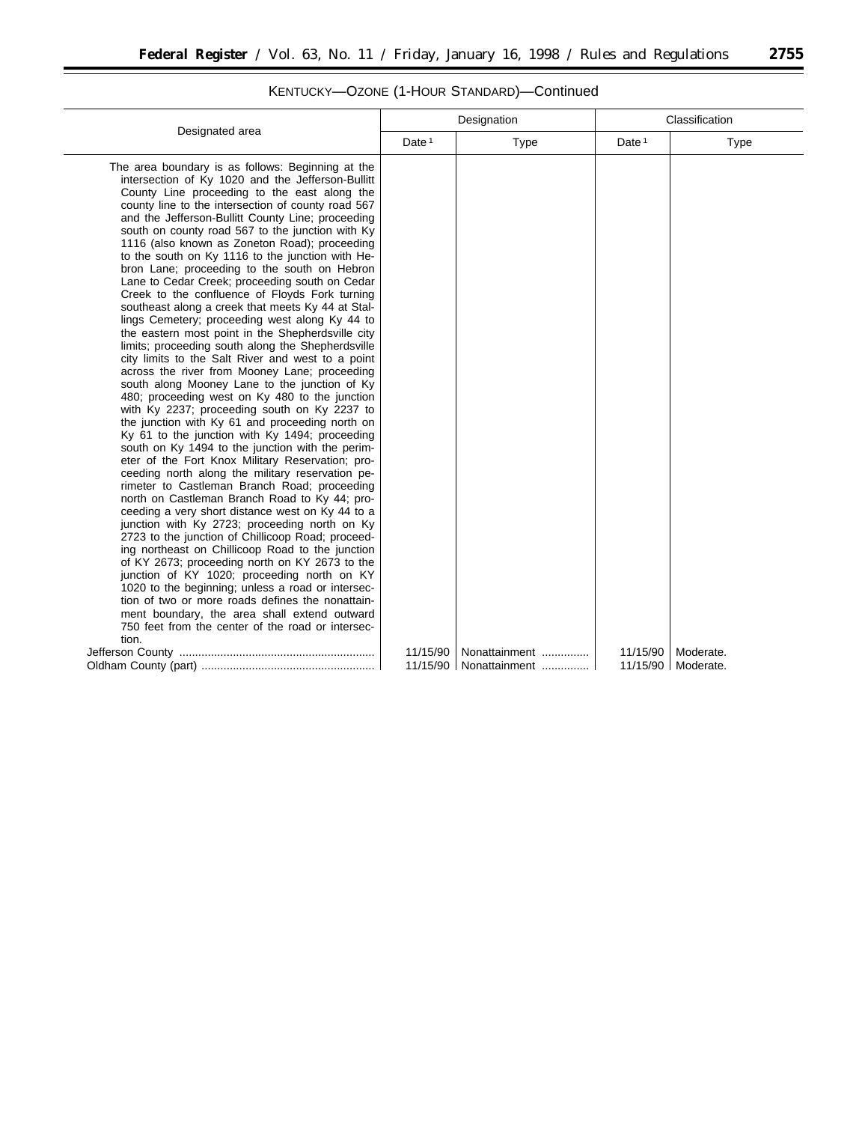|                                                                                                       |                   | Designation   | Classification    |           |  |
|-------------------------------------------------------------------------------------------------------|-------------------|---------------|-------------------|-----------|--|
| Designated area                                                                                       | Date <sup>1</sup> | Type          | Date <sup>1</sup> | Type      |  |
| The area boundary is as follows: Beginning at the                                                     |                   |               |                   |           |  |
| intersection of Ky 1020 and the Jefferson-Bullitt                                                     |                   |               |                   |           |  |
| County Line proceeding to the east along the                                                          |                   |               |                   |           |  |
| county line to the intersection of county road 567                                                    |                   |               |                   |           |  |
| and the Jefferson-Bullitt County Line; proceeding                                                     |                   |               |                   |           |  |
| south on county road 567 to the junction with Ky                                                      |                   |               |                   |           |  |
| 1116 (also known as Zoneton Road); proceeding                                                         |                   |               |                   |           |  |
| to the south on Ky 1116 to the junction with He-<br>bron Lane; proceeding to the south on Hebron      |                   |               |                   |           |  |
| Lane to Cedar Creek; proceeding south on Cedar                                                        |                   |               |                   |           |  |
| Creek to the confluence of Floyds Fork turning                                                        |                   |               |                   |           |  |
| southeast along a creek that meets Ky 44 at Stal-                                                     |                   |               |                   |           |  |
| lings Cemetery; proceeding west along Ky 44 to                                                        |                   |               |                   |           |  |
| the eastern most point in the Shepherdsville city                                                     |                   |               |                   |           |  |
| limits; proceeding south along the Shepherdsville                                                     |                   |               |                   |           |  |
| city limits to the Salt River and west to a point                                                     |                   |               |                   |           |  |
| across the river from Mooney Lane; proceeding                                                         |                   |               |                   |           |  |
| south along Mooney Lane to the junction of Ky                                                         |                   |               |                   |           |  |
| 480; proceeding west on Ky 480 to the junction                                                        |                   |               |                   |           |  |
| with Ky 2237; proceeding south on Ky 2237 to                                                          |                   |               |                   |           |  |
| the junction with Ky 61 and proceeding north on                                                       |                   |               |                   |           |  |
| Ky 61 to the junction with Ky 1494; proceeding                                                        |                   |               |                   |           |  |
| south on Ky 1494 to the junction with the perim-                                                      |                   |               |                   |           |  |
| eter of the Fort Knox Military Reservation; pro-                                                      |                   |               |                   |           |  |
| ceeding north along the military reservation pe-                                                      |                   |               |                   |           |  |
| rimeter to Castleman Branch Road; proceeding                                                          |                   |               |                   |           |  |
| north on Castleman Branch Road to Ky 44; pro-                                                         |                   |               |                   |           |  |
| ceeding a very short distance west on Ky 44 to a                                                      |                   |               |                   |           |  |
| junction with Ky 2723; proceeding north on Ky                                                         |                   |               |                   |           |  |
| 2723 to the junction of Chillicoop Road; proceed-<br>ing northeast on Chillicoop Road to the junction |                   |               |                   |           |  |
| of KY 2673; proceeding north on KY 2673 to the                                                        |                   |               |                   |           |  |
| junction of KY 1020; proceeding north on KY                                                           |                   |               |                   |           |  |
| 1020 to the beginning; unless a road or intersec-                                                     |                   |               |                   |           |  |
| tion of two or more roads defines the nonattain-                                                      |                   |               |                   |           |  |
| ment boundary, the area shall extend outward                                                          |                   |               |                   |           |  |
| 750 feet from the center of the road or intersec-                                                     |                   |               |                   |           |  |
| tion.                                                                                                 |                   |               |                   |           |  |
|                                                                                                       | 11/15/90          | Nonattainment | 11/15/90          | Moderate. |  |
|                                                                                                       | 11/15/90          | Nonattainment | 11/15/90          | Moderate. |  |

# KENTUCKY—OZONE (1-HOUR STANDARD)—Continued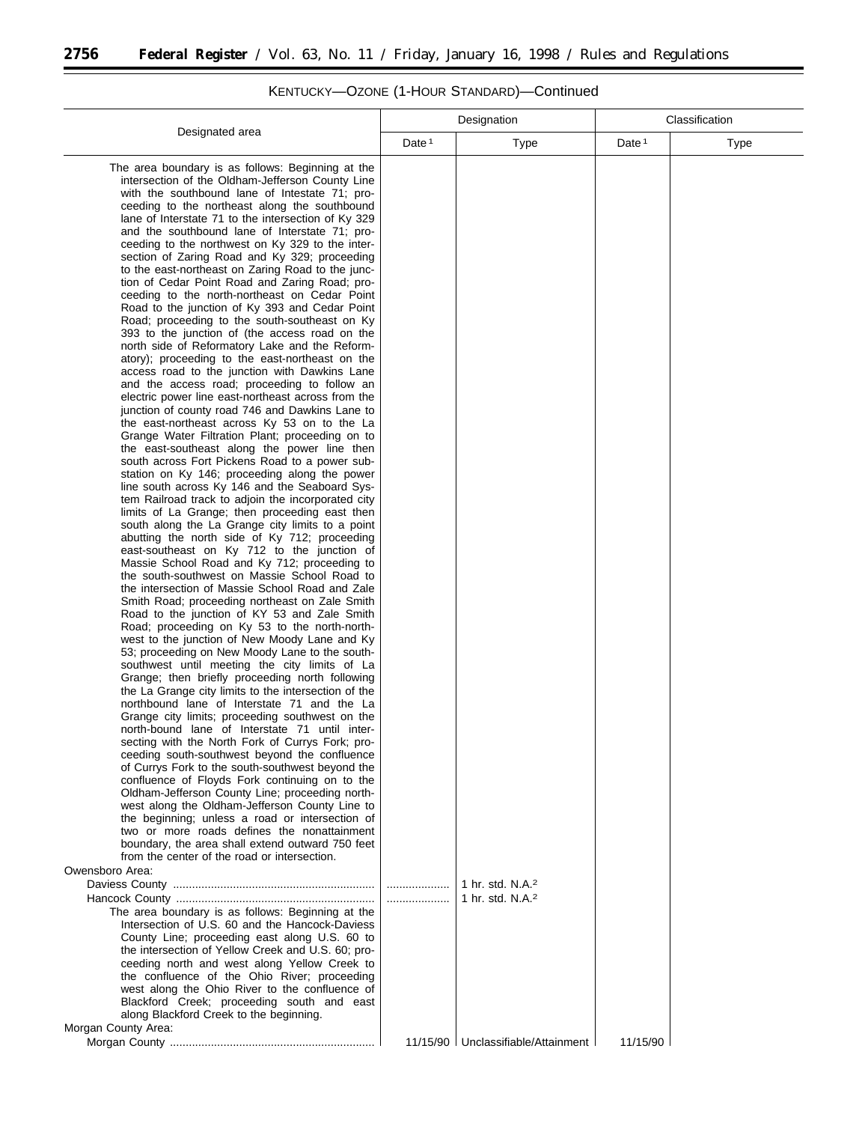۳

 $\overline{a}$ 

L

|                                                                                                   |                   | Designation                          |                   | Classification |
|---------------------------------------------------------------------------------------------------|-------------------|--------------------------------------|-------------------|----------------|
| Designated area                                                                                   | Date <sup>1</sup> |                                      | Date <sup>1</sup> |                |
|                                                                                                   |                   | Type                                 |                   | Type           |
| The area boundary is as follows: Beginning at the                                                 |                   |                                      |                   |                |
| intersection of the Oldham-Jefferson County Line                                                  |                   |                                      |                   |                |
| with the southbound lane of Intestate 71; pro-                                                    |                   |                                      |                   |                |
| ceeding to the northeast along the southbound                                                     |                   |                                      |                   |                |
| lane of Interstate 71 to the intersection of Ky 329                                               |                   |                                      |                   |                |
| and the southbound lane of Interstate 71; pro-                                                    |                   |                                      |                   |                |
| ceeding to the northwest on Ky 329 to the inter-                                                  |                   |                                      |                   |                |
| section of Zaring Road and Ky 329; proceeding                                                     |                   |                                      |                   |                |
| to the east-northeast on Zaring Road to the junc-                                                 |                   |                                      |                   |                |
| tion of Cedar Point Road and Zaring Road; pro-                                                    |                   |                                      |                   |                |
| ceeding to the north-northeast on Cedar Point                                                     |                   |                                      |                   |                |
| Road to the junction of Ky 393 and Cedar Point                                                    |                   |                                      |                   |                |
| Road; proceeding to the south-southeast on Ky                                                     |                   |                                      |                   |                |
| 393 to the junction of (the access road on the                                                    |                   |                                      |                   |                |
| north side of Reformatory Lake and the Reform-                                                    |                   |                                      |                   |                |
| atory); proceeding to the east-northeast on the                                                   |                   |                                      |                   |                |
| access road to the junction with Dawkins Lane                                                     |                   |                                      |                   |                |
| and the access road; proceeding to follow an                                                      |                   |                                      |                   |                |
| electric power line east-northeast across from the                                                |                   |                                      |                   |                |
| junction of county road 746 and Dawkins Lane to                                                   |                   |                                      |                   |                |
| the east-northeast across Ky 53 on to the La                                                      |                   |                                      |                   |                |
| Grange Water Filtration Plant; proceeding on to                                                   |                   |                                      |                   |                |
| the east-southeast along the power line then                                                      |                   |                                      |                   |                |
| south across Fort Pickens Road to a power sub-                                                    |                   |                                      |                   |                |
| station on Ky 146; proceeding along the power                                                     |                   |                                      |                   |                |
| line south across Ky 146 and the Seaboard Sys-                                                    |                   |                                      |                   |                |
| tem Railroad track to adjoin the incorporated city                                                |                   |                                      |                   |                |
| limits of La Grange; then proceeding east then                                                    |                   |                                      |                   |                |
| south along the La Grange city limits to a point<br>abutting the north side of Ky 712; proceeding |                   |                                      |                   |                |
| east-southeast on Ky 712 to the junction of                                                       |                   |                                      |                   |                |
| Massie School Road and Ky 712; proceeding to                                                      |                   |                                      |                   |                |
| the south-southwest on Massie School Road to                                                      |                   |                                      |                   |                |
| the intersection of Massie School Road and Zale                                                   |                   |                                      |                   |                |
| Smith Road; proceeding northeast on Zale Smith                                                    |                   |                                      |                   |                |
| Road to the junction of KY 53 and Zale Smith                                                      |                   |                                      |                   |                |
| Road; proceeding on Ky 53 to the north-north-                                                     |                   |                                      |                   |                |
| west to the junction of New Moody Lane and Ky                                                     |                   |                                      |                   |                |
| 53; proceeding on New Moody Lane to the south-                                                    |                   |                                      |                   |                |
| southwest until meeting the city limits of La                                                     |                   |                                      |                   |                |
| Grange; then briefly proceeding north following                                                   |                   |                                      |                   |                |
| the La Grange city limits to the intersection of the                                              |                   |                                      |                   |                |
| northbound lane of Interstate 71 and the La                                                       |                   |                                      |                   |                |
| Grange city limits; proceeding southwest on the                                                   |                   |                                      |                   |                |
| north-bound lane of Interstate 71 until inter-                                                    |                   |                                      |                   |                |
| secting with the North Fork of Currys Fork; pro-                                                  |                   |                                      |                   |                |
| ceeding south-southwest beyond the confluence                                                     |                   |                                      |                   |                |
| of Currys Fork to the south-southwest beyond the                                                  |                   |                                      |                   |                |
| confluence of Floyds Fork continuing on to the                                                    |                   |                                      |                   |                |
| Oldham-Jefferson County Line; proceeding north-                                                   |                   |                                      |                   |                |
| west along the Oldham-Jefferson County Line to                                                    |                   |                                      |                   |                |
| the beginning; unless a road or intersection of                                                   |                   |                                      |                   |                |
| two or more roads defines the nonattainment                                                       |                   |                                      |                   |                |
| boundary, the area shall extend outward 750 feet                                                  |                   |                                      |                   |                |
| from the center of the road or intersection.                                                      |                   |                                      |                   |                |
| Owensboro Area:                                                                                   |                   |                                      |                   |                |
|                                                                                                   |                   | 1 hr. std. N.A. <sup>2</sup>         |                   |                |
|                                                                                                   |                   | 1 hr. std. N.A. <sup>2</sup>         |                   |                |
| The area boundary is as follows: Beginning at the                                                 |                   |                                      |                   |                |
| Intersection of U.S. 60 and the Hancock-Daviess                                                   |                   |                                      |                   |                |
| County Line; proceeding east along U.S. 60 to                                                     |                   |                                      |                   |                |
| the intersection of Yellow Creek and U.S. 60; pro-                                                |                   |                                      |                   |                |
| ceeding north and west along Yellow Creek to                                                      |                   |                                      |                   |                |
| the confluence of the Ohio River; proceeding                                                      |                   |                                      |                   |                |
| west along the Ohio River to the confluence of                                                    |                   |                                      |                   |                |
| Blackford Creek; proceeding south and east                                                        |                   |                                      |                   |                |
| along Blackford Creek to the beginning.                                                           |                   |                                      |                   |                |
| Morgan County Area:                                                                               |                   |                                      |                   |                |
|                                                                                                   |                   | 11/15/90   Unclassifiable/Attainment | 11/15/90          |                |

# KENTUCKY—OZONE (1-HOUR STANDARD)—Continued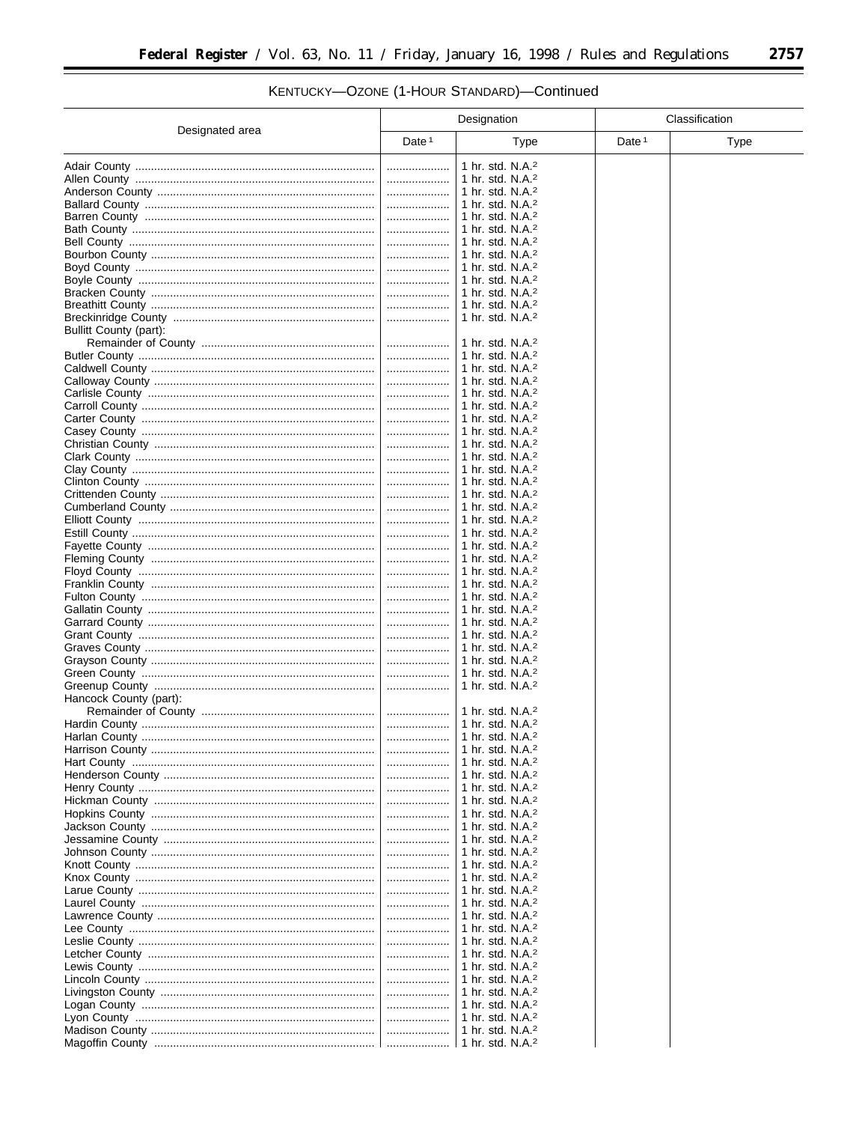$\equiv$ 

# KENTUCKY-OZONE (1-HOUR STANDARD)-Continued

|                        |          | Designation                                                  |                   | Classification |
|------------------------|----------|--------------------------------------------------------------|-------------------|----------------|
| Designated area        | Date $1$ | Type                                                         | Date <sup>1</sup> | <b>Type</b>    |
|                        |          | 1 hr. std. N.A. <sup>2</sup>                                 |                   |                |
|                        |          | 1 hr. std. N.A. <sup>2</sup>                                 |                   |                |
|                        |          | 1 hr. std. N.A. <sup>2</sup>                                 |                   |                |
|                        |          | 1 hr. std. $N.A.^2$                                          |                   |                |
|                        |          | 1 hr. std. N.A. $2$                                          |                   |                |
|                        |          | 1 hr. std. N.A. <sup>2</sup>                                 |                   |                |
|                        |          | 1 hr. std. N.A. <sup>2</sup>                                 |                   |                |
|                        | .        | 1 hr. std. $N.A.^2$                                          |                   |                |
|                        |          | 1 hr. std. N.A. <sup>2</sup>                                 |                   |                |
|                        |          | 1 hr. std. $N.A.^2$                                          |                   |                |
|                        |          | 1 hr. std. N.A. $2$                                          |                   |                |
|                        |          | 1 hr. std. N.A. <sup>2</sup>                                 |                   |                |
|                        |          | 1 hr. std. N.A. <sup>2</sup>                                 |                   |                |
| Bullitt County (part): | .        | 1 hr. std. N.A. <sup>2</sup>                                 |                   |                |
|                        |          | 1 hr. std. $N.A.^2$                                          |                   |                |
|                        |          | 1 hr. std. N.A. $2$                                          |                   |                |
|                        | .        | 1 hr. std. N.A. <sup>2</sup>                                 |                   |                |
|                        |          | 1 hr. std. N.A. $2$                                          |                   |                |
|                        |          | 1 hr. std. N.A. <sup>2</sup>                                 |                   |                |
|                        |          | 1 hr. std. N.A. <sup>2</sup>                                 |                   |                |
|                        |          | 1 hr. std. N.A. <sup>2</sup>                                 |                   |                |
|                        | .        | 1 hr. std. $N.A.^2$                                          |                   |                |
|                        |          | 1 hr. std. N.A. <sup>2</sup>                                 |                   |                |
|                        | .        | 1 hr. std. N.A. <sup>2</sup>                                 |                   |                |
|                        | .        | 1 hr. std. N.A. <sup>2</sup>                                 |                   |                |
|                        | .        | 1 hr. std. N.A. <sup>2</sup>                                 |                   |                |
|                        | .        | 1 hr. std. N.A. <sup>2</sup>                                 |                   |                |
|                        |          | 1 hr. std. N.A. <sup>2</sup>                                 |                   |                |
|                        | .        | 1 hr. std. N.A. <sup>2</sup><br>1 hr. std. N.A. <sup>2</sup> |                   |                |
|                        |          | 1 hr. std. N.A. <sup>2</sup>                                 |                   |                |
|                        | .        | 1 hr. std. N.A. <sup>2</sup>                                 |                   |                |
|                        |          | 1 hr. std. N.A. <sup>2</sup>                                 |                   |                |
|                        | .        | 1 hr. std. N.A. <sup>2</sup>                                 |                   |                |
|                        |          | 1 hr. std. N.A. <sup>2</sup>                                 |                   |                |
|                        | .        | 1 hr. std. N.A. <sup>2</sup>                                 |                   |                |
|                        |          | 1 hr. std. N.A. <sup>2</sup>                                 |                   |                |
|                        | .        | 1 hr. std. N.A. <sup>2</sup>                                 |                   |                |
|                        |          | 1 hr. std. $N.A.^2$                                          |                   |                |
|                        |          | 1 hr. std. $N.A.^2$                                          |                   |                |
|                        | .        | 1 hr. std. N.A. <sup>2</sup>                                 |                   |                |
| Hancock County (part): |          |                                                              |                   |                |
|                        | .        | 1 hr. std. N.A. $2$                                          |                   |                |
|                        |          | 1 hr. std. N.A. <sup>2</sup><br>1 hr. std. N.A. <sup>2</sup> |                   |                |
|                        | .        | 1 hr. std. N.A. <sup>2</sup>                                 |                   |                |
|                        |          | 1 hr. std. N.A. <sup>2</sup>                                 |                   |                |
|                        | .        | 1 hr. std. N.A. <sup>2</sup>                                 |                   |                |
|                        | .        | 1 hr. std. N.A. $2$                                          |                   |                |
|                        |          | 1 hr. std. N.A. <sup>2</sup>                                 |                   |                |
|                        |          | 1 hr. std. N.A. $2$                                          |                   |                |
|                        | .        | 1 hr. std. N.A. $2$                                          |                   |                |
|                        |          | 1 hr. std. N.A. $2$                                          |                   |                |
|                        |          | 1 hr. std. N.A. $2$                                          |                   |                |
|                        | .        | 1 hr. std. N.A. <sup>2</sup>                                 |                   |                |
|                        | .        | 1 hr. std. N.A. <sup>2</sup>                                 |                   |                |
|                        | .        | 1 hr. std. N.A. $2$                                          |                   |                |
|                        |          | 1 hr. std. N.A. <sup>2</sup>                                 |                   |                |
|                        | .        | 1 hr. std. N.A. $2$                                          |                   |                |
|                        | .        | 1 hr. std. N.A. <sup>2</sup><br>1 hr. std. N.A. $2$          |                   |                |
|                        |          | 1 hr. std. N.A. <sup>2</sup>                                 |                   |                |
|                        |          | 1 hr. std. N.A. $2$                                          |                   |                |
|                        | .        | 1 hr. std. N.A. $2$                                          |                   |                |
|                        |          | 1 hr. std. N.A. $2$                                          |                   |                |
|                        | .        | 1 hr. std. N.A. $2$                                          |                   |                |
|                        |          | 1 hr. std. N.A. <sup>2</sup>                                 |                   |                |
|                        |          | 1 hr. std. N.A. <sup>2</sup>                                 |                   |                |
|                        |          | 1 hr. std. N.A. <sup>2</sup>                                 |                   |                |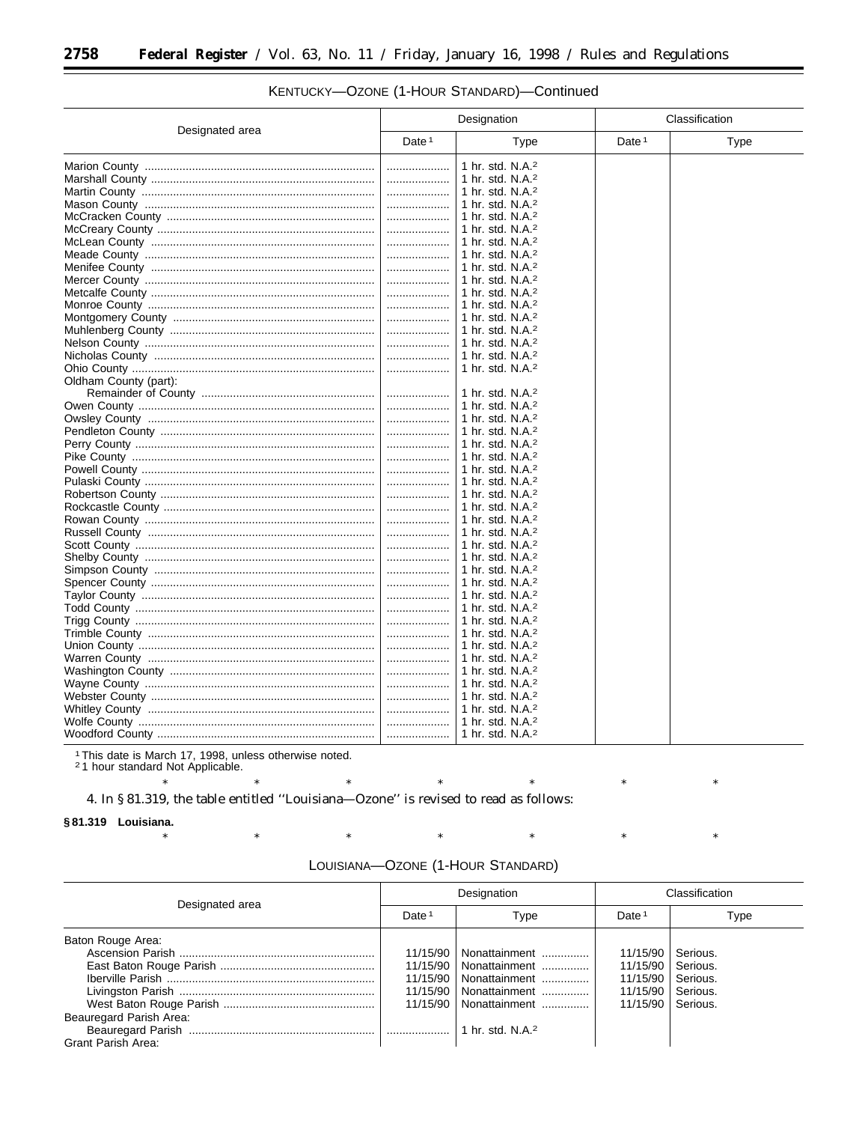۳

|                       | Designation |                                      | Classification |             |
|-----------------------|-------------|--------------------------------------|----------------|-------------|
| Designated area       | Date $1$    | Type                                 | Date $1$       | <b>Type</b> |
|                       | .           | 1 hr. std. N.A. <sup>2</sup>         |                |             |
|                       |             | 1 hr. std. N.A. <sup>2</sup>         |                |             |
|                       |             | 1 hr. std. N.A. <sup>2</sup>         |                |             |
|                       |             | 1 hr. std. N.A. <sup>2</sup>         |                |             |
|                       |             | 1 hr. std. N.A. <sup>2</sup>         |                |             |
|                       |             | 1 hr. std. N.A. $2$                  |                |             |
|                       |             | 1 hr. std. $N.A.^2$                  |                |             |
|                       | .           | 1 hr. std. N.A. <sup>2</sup>         |                |             |
|                       |             | 1 hr. std. N.A. <sup>2</sup>         |                |             |
|                       | .           | $\vert$ 1 hr. std. N.A. <sup>2</sup> |                |             |
|                       |             | 1 hr. std. N.A. $2$                  |                |             |
|                       |             | 1 hr. std. N.A. <sup>2</sup>         |                |             |
|                       |             | 1 hr. std. N.A. <sup>2</sup>         |                |             |
|                       |             | 1 hr. std. N.A. <sup>2</sup>         |                |             |
|                       |             | 1 hr. std. N.A. <sup>2</sup>         |                |             |
|                       |             | 1 hr. std. N.A. <sup>2</sup>         |                |             |
|                       |             | 1 hr. std. N.A. <sup>2</sup>         |                |             |
| Oldham County (part): |             |                                      |                |             |
|                       |             | 1 hr. std. N.A. <sup>2</sup>         |                |             |
|                       |             | 1 hr. std. N.A. <sup>2</sup>         |                |             |
|                       |             | 1 hr. std. N.A. $2$                  |                |             |
|                       |             | 1 hr. std. N.A. <sup>2</sup>         |                |             |
|                       |             | 1 hr. std. N.A. <sup>2</sup>         |                |             |
|                       |             | 1 hr. std. N.A. <sup>2</sup>         |                |             |
|                       |             | 1 hr. std. N.A. $2$                  |                |             |
|                       |             | 1 hr. std. N.A. <sup>2</sup>         |                |             |
|                       |             | 1 hr. std. N.A. <sup>2</sup>         |                |             |
|                       |             | 1 hr. std. N.A. <sup>2</sup>         |                |             |
|                       |             | 1 hr. std. N.A. <sup>2</sup>         |                |             |
|                       |             | 1 hr. std. N.A. <sup>2</sup>         |                |             |
|                       |             | 1 hr. std. N.A. <sup>2</sup>         |                |             |
|                       |             | 1 hr. std. N.A. <sup>2</sup>         |                |             |
|                       |             | 1 hr. std. N.A. <sup>2</sup>         |                |             |
|                       |             | 1 hr. std. N.A. <sup>2</sup>         |                |             |
|                       |             | 1 hr. std. N.A. <sup>2</sup>         |                |             |
|                       | .           | 1 hr. std. N.A. <sup>2</sup>         |                |             |
|                       | .           | 1 hr. std. N.A. <sup>2</sup>         |                |             |
|                       |             | 1 hr. std. N.A. $2$                  |                |             |
|                       | .           | 1 hr. std. N.A. $2$                  |                |             |
|                       |             | 1 hr. std. N.A. <sup>2</sup>         |                |             |
|                       |             |                                      |                |             |
|                       |             | 1 hr. std. N.A. <sup>2</sup>         |                |             |
|                       |             | 1 hr. std. N.A. <sup>2</sup>         |                |             |
|                       |             | 1 hr. std. N.A. <sup>2</sup>         |                |             |
|                       |             | 1 hr. std. N.A. <sup>2</sup>         |                |             |
|                       |             | $\vert$ 1 hr. std. N.A. <sup>2</sup> |                |             |
|                       |             | 1 hr. std. N.A. <sup>2</sup>         |                |             |

## KENTUCKY-OZONE (1-HOUR STANDARD)-Continued

<sup>1</sup>This date is March 17, 1998, unless otherwise noted.<br><sup>2</sup>1 hour standard Not Applicable.

 $\ast$ 

 $\ast$ 

 $\ast$ 

 $\ast$ 

 $\ast$ 4. In §81.319, the table entitled "Louisiana-Ozone" is revised to read as follows:

 $\ast$ 

§81.319 Louisiana.

| LOUISIANA-OZONE (1-HOUR STANDARD) |  |
|-----------------------------------|--|
|-----------------------------------|--|

 $\ast$ 

 $\ast$ 

 $\ast$ 

|                                              |                      | Designation                                                                                                                               | Classification                                           |                                                          |
|----------------------------------------------|----------------------|-------------------------------------------------------------------------------------------------------------------------------------------|----------------------------------------------------------|----------------------------------------------------------|
| Designated area                              | Date <sup>1</sup>    | Type                                                                                                                                      | Date <sup>1</sup>                                        | Type                                                     |
| Baton Rouge Area:<br>Beauregard Parish Area: | 11/15/90<br>11/15/90 | Nonattainment<br>11/15/90   Nonattainment<br>Nonattainment<br>11/15/90   Nonattainment<br>11/15/90   Nonattainment<br>1 hr. std. N.A. $2$ | 11/15/90<br>11/15/90<br>11/15/90<br>11/15/90<br>11/15/90 | Serious.<br>Serious.<br>Serious.<br>Serious.<br>Serious. |
| Grant Parish Area:                           |                      |                                                                                                                                           |                                                          |                                                          |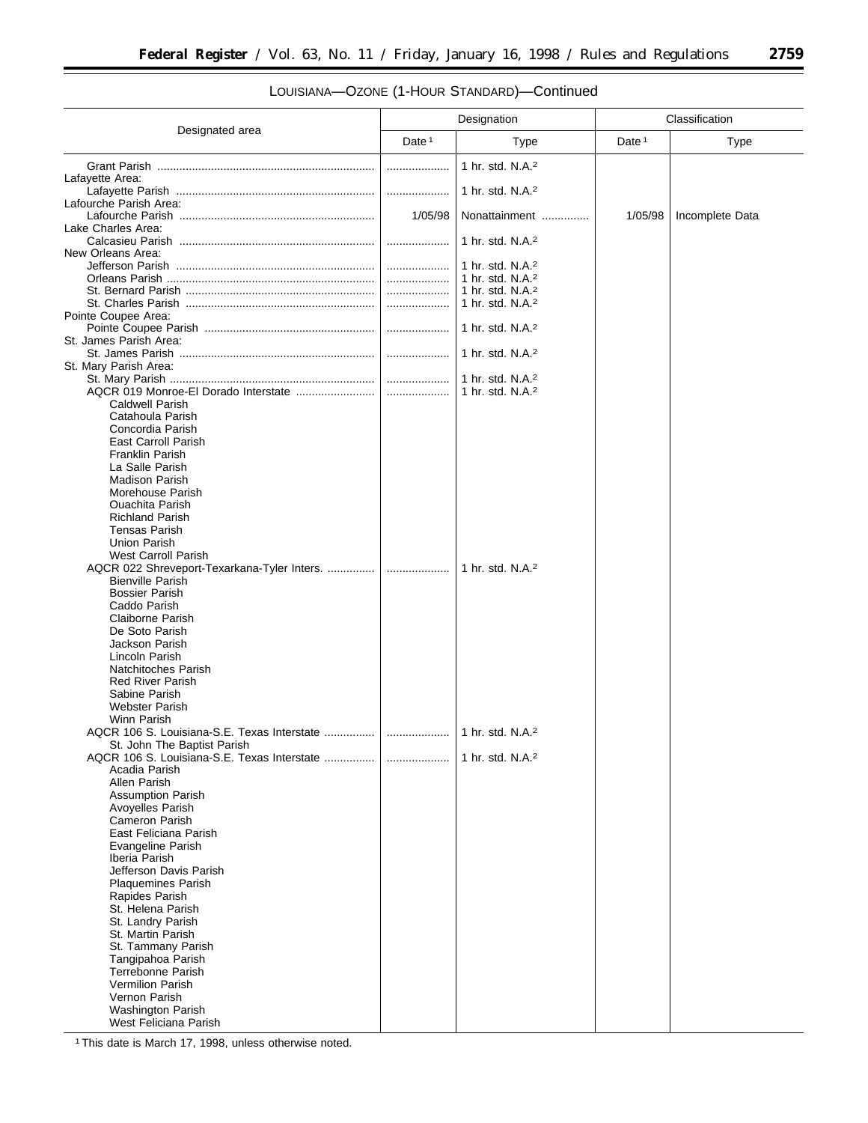۰

# LOUISIANA—OZONE (1-HOUR STANDARD)—Continued

|                                                                            | Designation |                                                              | Classification    |                 |
|----------------------------------------------------------------------------|-------------|--------------------------------------------------------------|-------------------|-----------------|
| Designated area                                                            | Date $1$    | Type                                                         | Date <sup>1</sup> | <b>Type</b>     |
|                                                                            |             | 1 hr. std. N.A. <sup>2</sup>                                 |                   |                 |
| Lafayette Area:                                                            |             | 1 hr. std. N.A. <sup>2</sup>                                 |                   |                 |
| Lafourche Parish Area:                                                     |             |                                                              |                   |                 |
| Lake Charles Area:                                                         | 1/05/98     | Nonattainment                                                | 1/05/98           | Incomplete Data |
| New Orleans Area:                                                          | .           | 1 hr. std. N.A. <sup>2</sup>                                 |                   |                 |
|                                                                            | .           | 1 hr. std. N.A. <sup>2</sup>                                 |                   |                 |
|                                                                            |             | 1 hr. std. N.A. <sup>2</sup><br>1 hr. std. N.A. <sup>2</sup> |                   |                 |
|                                                                            |             | 1 hr. std. N.A. <sup>2</sup>                                 |                   |                 |
| Pointe Coupee Area:                                                        |             | 1 hr. std. N.A. <sup>2</sup>                                 |                   |                 |
| St. James Parish Area:                                                     |             |                                                              |                   |                 |
| St. Mary Parish Area:                                                      |             | 1 hr. std. N.A. <sup>2</sup>                                 |                   |                 |
|                                                                            |             | 1 hr. std. N.A. <sup>2</sup>                                 |                   |                 |
| <b>Caldwell Parish</b>                                                     |             | 1 hr. std. $N.A.^2$                                          |                   |                 |
| Catahoula Parish                                                           |             |                                                              |                   |                 |
| Concordia Parish<br><b>East Carroll Parish</b>                             |             |                                                              |                   |                 |
| <b>Franklin Parish</b>                                                     |             |                                                              |                   |                 |
| La Salle Parish<br><b>Madison Parish</b>                                   |             |                                                              |                   |                 |
| Morehouse Parish<br><b>Ouachita Parish</b>                                 |             |                                                              |                   |                 |
| <b>Richland Parish</b>                                                     |             |                                                              |                   |                 |
| <b>Tensas Parish</b><br>Union Parish                                       |             |                                                              |                   |                 |
| West Carroll Parish                                                        |             |                                                              |                   |                 |
| AQCR 022 Shreveport-Texarkana-Tyler Inters.<br><b>Bienville Parish</b>     | .           | 1 hr. std. N.A. <sup>2</sup>                                 |                   |                 |
| <b>Bossier Parish</b>                                                      |             |                                                              |                   |                 |
| Caddo Parish<br>Claiborne Parish                                           |             |                                                              |                   |                 |
| De Soto Parish                                                             |             |                                                              |                   |                 |
| Jackson Parish<br>Lincoln Parish                                           |             |                                                              |                   |                 |
| Natchitoches Parish                                                        |             |                                                              |                   |                 |
| <b>Red River Parish</b><br>Sabine Parish                                   |             |                                                              |                   |                 |
| <b>Webster Parish</b>                                                      |             |                                                              |                   |                 |
| Winn Parish                                                                |             |                                                              |                   |                 |
| St. John The Baptist Parish<br>AQCR 106 S. Louisiana-S.E. Texas Interstate |             | 1 hr. std. N.A. <sup>2</sup>                                 |                   |                 |
| Acadia Parish                                                              |             |                                                              |                   |                 |
| Allen Parish<br><b>Assumption Parish</b>                                   |             |                                                              |                   |                 |
| Avoyelles Parish                                                           |             |                                                              |                   |                 |
| Cameron Parish<br>East Feliciana Parish                                    |             |                                                              |                   |                 |
| Evangeline Parish                                                          |             |                                                              |                   |                 |
| Iberia Parish<br>Jefferson Davis Parish                                    |             |                                                              |                   |                 |
| <b>Plaquemines Parish</b>                                                  |             |                                                              |                   |                 |
| Rapides Parish<br>St. Helena Parish                                        |             |                                                              |                   |                 |
| St. Landry Parish                                                          |             |                                                              |                   |                 |
| St. Martin Parish<br>St. Tammany Parish                                    |             |                                                              |                   |                 |
| Tangipahoa Parish                                                          |             |                                                              |                   |                 |
| Terrebonne Parish<br><b>Vermilion Parish</b>                               |             |                                                              |                   |                 |
| Vernon Parish                                                              |             |                                                              |                   |                 |
| <b>Washington Parish</b><br>West Feliciana Parish                          |             |                                                              |                   |                 |

1This date is March 17, 1998, unless otherwise noted.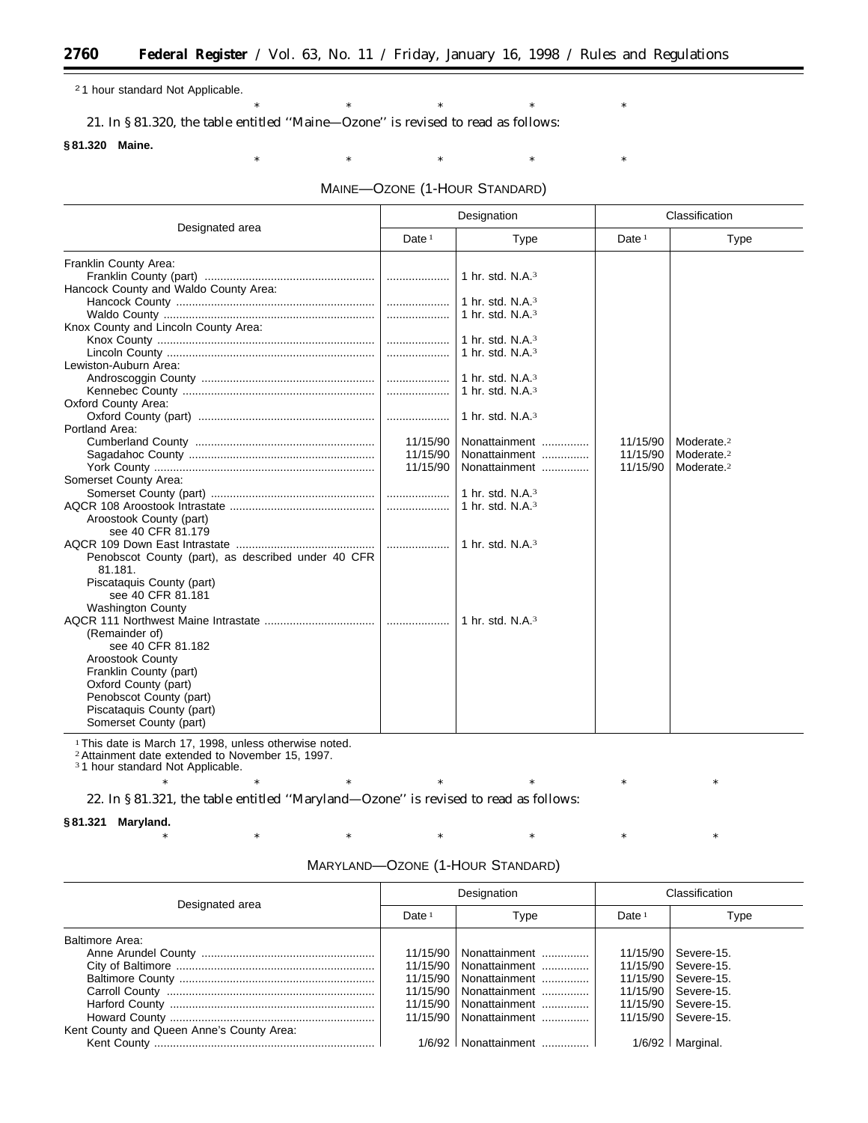2 1 hour standard Not Applicable.

21. In § 81.320, the table entitled ''Maine—Ozone'' is revised to read as follows:

#### **§ 81.320 Maine.**

۳

MAINE—OZONE (1-HOUR STANDARD)

 $*$  \*  $*$  \*  $*$  \*  $*$ 

\* \* \* \* \* \* \* \* \*

| Designated area                                    | Designation |                     | Classification |                        |
|----------------------------------------------------|-------------|---------------------|----------------|------------------------|
|                                                    | Date $1$    | <b>Type</b>         | Date $1$       | Type                   |
| Franklin County Area:                              |             |                     |                |                        |
|                                                    |             | 1 hr. std. $N.A.^3$ |                |                        |
| Hancock County and Waldo County Area:              |             |                     |                |                        |
|                                                    |             | 1 hr. std. $N.A.3$  |                |                        |
|                                                    |             | 1 hr. std. $N.A.^3$ |                |                        |
| Knox County and Lincoln County Area:               |             |                     |                |                        |
|                                                    |             | 1 hr. std. $N.A.3$  |                |                        |
|                                                    |             | 1 hr. std. $N.A.3$  |                |                        |
| Lewiston-Auburn Area:                              |             |                     |                |                        |
|                                                    |             | 1 hr. std. $N.A.3$  |                |                        |
|                                                    |             | 1 hr. std. $N.A.^3$ |                |                        |
| Oxford County Area:                                |             |                     |                |                        |
|                                                    |             | 1 hr. std. $N.A.3$  |                |                        |
| Portland Area:                                     |             |                     |                |                        |
|                                                    | 11/15/90    | Nonattainment       | 11/15/90       | Moderate. <sup>2</sup> |
|                                                    | 11/15/90    | Nonattainment       | 11/15/90       | Moderate. <sup>2</sup> |
|                                                    | 11/15/90    | Nonattainment       | 11/15/90       | Moderate. <sup>2</sup> |
| Somerset County Area:                              |             |                     |                |                        |
|                                                    |             | 1 hr. std. $N.A.^3$ |                |                        |
|                                                    |             | 1 hr. std. $N.A.^3$ |                |                        |
| Aroostook County (part)                            |             |                     |                |                        |
| see 40 CFR 81.179                                  |             |                     |                |                        |
|                                                    |             | 1 hr. std. N.A. $3$ |                |                        |
| Penobscot County (part), as described under 40 CFR |             |                     |                |                        |
| 81.181.                                            |             |                     |                |                        |
| Piscataquis County (part)                          |             |                     |                |                        |
| see 40 CFR 81.181                                  |             |                     |                |                        |
| <b>Washington County</b>                           |             |                     |                |                        |
|                                                    |             | 1 hr. std. $N.A.^3$ |                |                        |
| (Remainder of)                                     |             |                     |                |                        |
| see 40 CFR 81.182                                  |             |                     |                |                        |
| <b>Aroostook County</b>                            |             |                     |                |                        |
| Franklin County (part)                             |             |                     |                |                        |
| Oxford County (part)                               |             |                     |                |                        |
| Penobscot County (part)                            |             |                     |                |                        |
| Piscataquis County (part)                          |             |                     |                |                        |
| Somerset County (part)                             |             |                     |                |                        |

<sup>1</sup> This date is March 17, 1998, unless otherwise noted.

2Attainment date extended to November 15, 1997. 3 1 hour standard Not Applicable.

22. In § 81.321, the table entitled ''Maryland—Ozone'' is revised to read as follows:

**§ 81.321 Maryland.**

\* \* \* \* \* \* \* \* \* \* \*

| Designated area                           |          | Designation              | Classification |                       |
|-------------------------------------------|----------|--------------------------|----------------|-----------------------|
|                                           | Date $1$ | Type                     | Date $1$       | Type                  |
| Baltimore Area:                           |          |                          |                |                       |
|                                           | 11/15/90 | Nonattainment            | 11/15/90       | Severe-15.            |
|                                           | 11/15/90 | Nonattainment            |                | 11/15/90   Severe-15. |
|                                           | 11/15/90 | Nonattainment            | 11/15/90       | Severe-15.            |
|                                           | 11/15/90 | Nonattainment            | 11/15/90       | Severe-15.            |
|                                           |          | 11/15/90   Nonattainment |                | 11/15/90   Severe-15. |
|                                           | 11/15/90 | Nonattainment            |                | 11/15/90   Severe-15. |
| Kent County and Queen Anne's County Area: |          |                          |                |                       |
|                                           |          | $1/6/92$   Nonattainment |                | $1/6/92$   Marginal.  |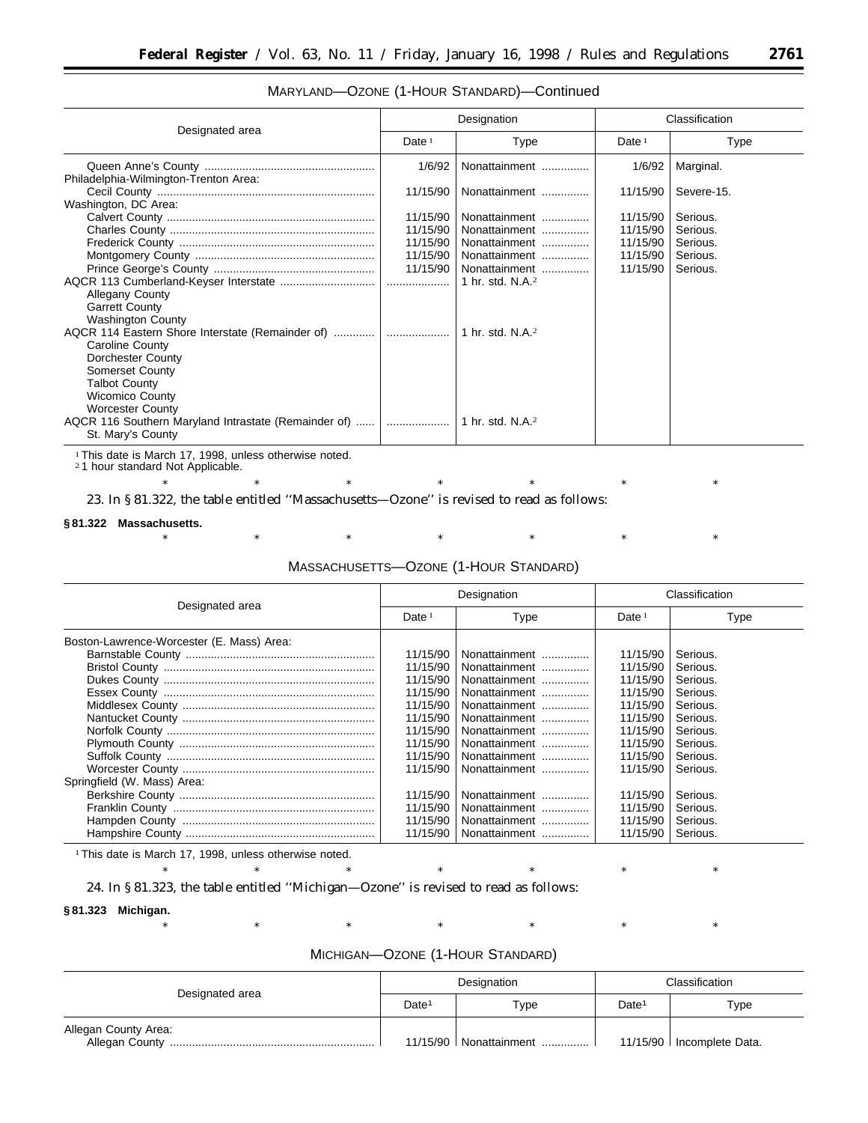## MARYLAND—OZONE (1-HOUR STANDARD)—Continued

| Designated area                                                           | Designation |                     | Classification |                      |
|---------------------------------------------------------------------------|-------------|---------------------|----------------|----------------------|
|                                                                           | Date $1$    | Type                | Date $1$       | Type                 |
| Philadelphia-Wilmington-Trenton Area:                                     | 1/6/92      | Nonattainment       | 1/6/92         | Marginal.            |
|                                                                           | 11/15/90    | Nonattainment       | 11/15/90       | Severe-15.           |
| Washington, DC Area:                                                      | 11/15/90    | Nonattainment       | 11/15/90       |                      |
|                                                                           | 11/15/90    | Nonattainment       | 11/15/90       | Serious.<br>Serious. |
|                                                                           | 11/15/90    | Nonattainment       | 11/15/90       | Serious.             |
|                                                                           | 11/15/90    | Nonattainment       | 11/15/90       | Serious.             |
|                                                                           | 11/15/90    | Nonattainment       | 11/15/90       | Serious.             |
|                                                                           |             | 1 hr. std. $N.A.^2$ |                |                      |
| <b>Allegany County</b>                                                    |             |                     |                |                      |
| <b>Garrett County</b>                                                     |             |                     |                |                      |
| <b>Washington County</b>                                                  |             |                     |                |                      |
| Caroline County                                                           |             | 1 hr. std. $N.A.^2$ |                |                      |
| Dorchester County                                                         |             |                     |                |                      |
| <b>Somerset County</b>                                                    |             |                     |                |                      |
| <b>Talbot County</b>                                                      |             |                     |                |                      |
| <b>Wicomico County</b>                                                    |             |                     |                |                      |
| <b>Worcester County</b>                                                   |             |                     |                |                      |
| AQCR 116 Southern Maryland Intrastate (Remainder of)<br>St. Mary's County | .           | 1 hr. std. $N.A.^2$ |                |                      |

<sup>1</sup> This date is March 17, 1998, unless otherwise noted.

<sup>2</sup>1 hour standard Not Applicable.

23. In § 81.322, the table entitled ''Massachusetts—Ozone'' is revised to read as follows:

#### **§ 81.322 Massachusetts.**

MASSACHUSETTS—OZONE (1-HOUR STANDARD)

\* \* \* \* \* \* \* \* \* \* \*

\* \* \* \* \* \* \* \* \* \* \*

| Designated area                                                          | Designation                                                                                                                      |                                                                                                                                                                                         | Classification                                                                                                                   |                                                                                                                                  |
|--------------------------------------------------------------------------|----------------------------------------------------------------------------------------------------------------------------------|-----------------------------------------------------------------------------------------------------------------------------------------------------------------------------------------|----------------------------------------------------------------------------------------------------------------------------------|----------------------------------------------------------------------------------------------------------------------------------|
|                                                                          | Date $1$                                                                                                                         | Type                                                                                                                                                                                    | Date $1$                                                                                                                         | Type                                                                                                                             |
| Boston-Lawrence-Worcester (E. Mass) Area:<br>Springfield (W. Mass) Area: | 11/15/90<br>11/15/90<br>11/15/90<br>11/15/90<br>11/15/90<br>11/15/90<br>11/15/90<br>11/15/90<br>11/15/90<br>11/15/90<br>11/15/90 | Nonattainment<br>Nonattainment<br>Nonattainment<br>Nonattainment<br>Nonattainment<br>Nonattainment<br>Nonattainment<br>Nonattainment<br>Nonattainment<br>Nonattainment<br>Nonattainment | 11/15/90<br>11/15/90<br>11/15/90<br>11/15/90<br>11/15/90<br>11/15/90<br>11/15/90<br>11/15/90<br>11/15/90<br>11/15/90<br>11/15/90 | Serious.<br>Serious.<br>Serious.<br>Serious.<br>Serious.<br>Serious.<br>Serious.<br>Serious.<br>Serious.<br>Serious.<br>Serious. |
|                                                                          | 11/15/90<br>11/15/90<br>11/15/90                                                                                                 | Nonattainment<br>Nonattainment<br>Nonattainment                                                                                                                                         | 11/15/90<br>11/15/90<br>11/15/90                                                                                                 | Serious.<br>Serious.<br>Serious.                                                                                                 |

<sup>1</sup> This date is March 17, 1998, unless otherwise noted.

24. In § 81.323, the table entitled ''Michigan—Ozone'' is revised to read as follows:

#### **§ 81.323 Michigan.**

| Designated area      | Designation       |                          | Classification    |                             |
|----------------------|-------------------|--------------------------|-------------------|-----------------------------|
|                      | Date <sup>1</sup> | Type                     | Date <sup>1</sup> | Type                        |
| Allegan County Area: |                   | 11/15/90   Nonattainment |                   | 11/15/90   Incomplete Data. |

# MICHIGAN—OZONE (1-HOUR STANDARD)

\* \* \* \* \* \* \* \* \* \* \*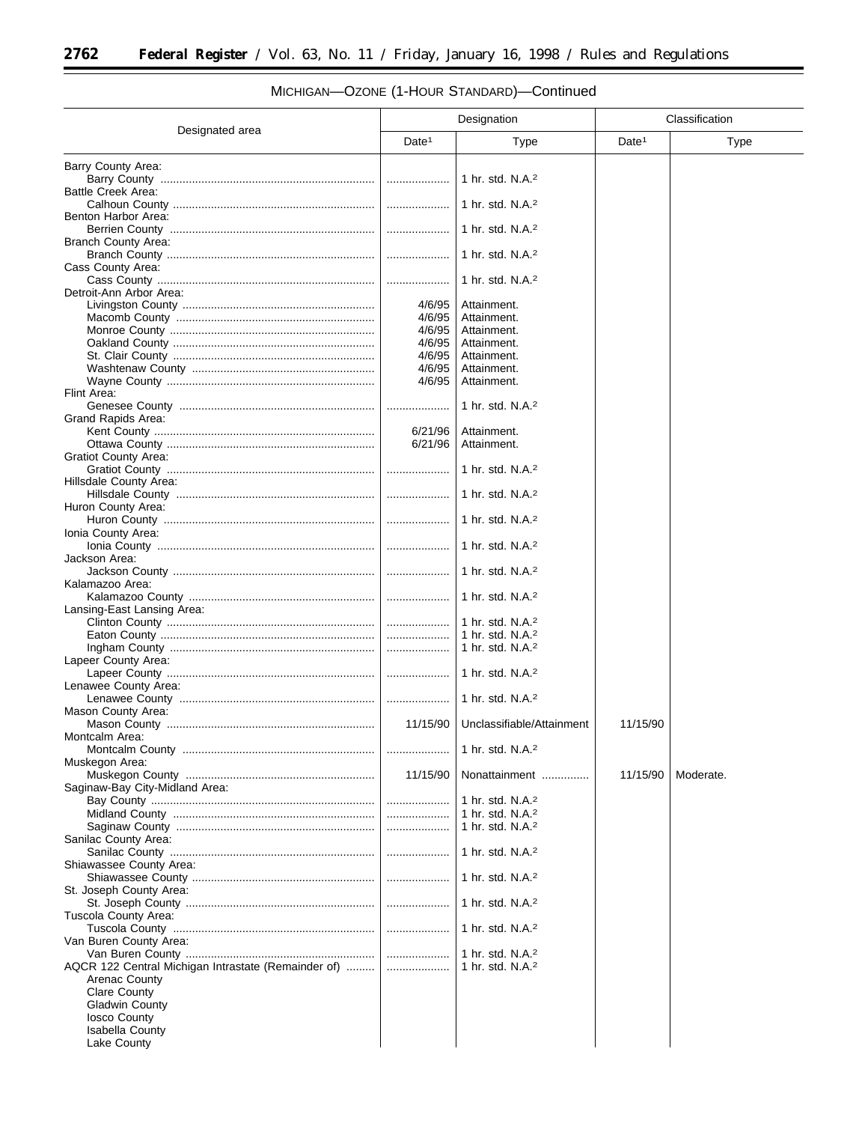#### Designated area Designation **Classification** Date<sup>1</sup> | Type | Date<sup>1</sup> | Type Barry County Area: Barry County .................................................................... .................... 1 hr. std. N.A.2 Battle Creek Area: Calhoun County ................................................................ .................... 1 hr. std. N.A.2 Benton Harbor Area: Berrien County ................................................................. .................... 1 hr. std. N.A.2 Branch County Area: Branch County .................................................................. .................... 1 hr. std. N.A.2 Cass County Area: Cass County ..................................................................... .................... 1 hr. std. N.A.2 Detroit-Ann Arbor Area: Livingston County ............................................................. 4/6/95 Attainment. Macomb County ............................................................... 4/6/95 Attainment. Monroe County ................................................................. 4/6/95 Attainment. Oakland County ................................................................ 4/6/95 Attainment. St. Clair County ................................................................ 4/6/95 Attainment. Washtenaw County .......................................................... 4/6/95 Attainment. Wayne County .................................................................. 4/6/95 Attainment. Flint Area: Genesee County .............................................................. .................... 1 hr. std. N.A.2 Grand Rapids Area: Kent County ...................................................................... 6/21/96 Attainment. Ottawa County .................................................................. 6/21/96 Attainment. Gratiot County Area: Gratiot County .................................................................. .................... 1 hr. std. N.A.2 Hillsdale County Area: Hillsdale County ............................................................... .................... 1 hr. std. N.A.2 Huron County Area: Huron County ................................................................... .................... 1 hr. std. N.A.2 Ionia County Area: Ionia County ..................................................................... .................... 1 hr. std. N.A.2 Jackson Area: Jackson County ................................................................ .................... 1 hr. std. N.A.2 Kalamazoo Area: Kalamazoo County ........................................................... .................... 1 hr. std. N.A.2 Lansing-East Lansing Area: Clinton County .................................................................. .................... 1 hr. std. N.A.2 Eaton County .................................................................... .................... 1 hr. std. N.A.2 Ingham County ................................................................. .................... 1 hr. std. N.A.2 Lapeer County Area: Lapeer County .................................................................. .................... 1 hr. std. N.A.2 Lenawee County Area: Lenawee County .............................................................. .................... 1 hr. std. N.A.2 Mason County Area: Mason County .................................................................. 11/15/90 Unclassifiable/Attainment 11/15/90 Montcalm Area: Montcalm County ............................................................. .................... 1 hr. std. N.A.2 Muskegon Area: Muskegon County ............................................................ 11/15/90 Nonattainment ............... 11/15/90 Moderate. Saginaw-Bay City-Midland Area: Bay County ....................................................................... .................... 1 hr. std. N.A.2 Midland County ................................................................ .................... 1 hr. std. N.A.2 Saginaw County ............................................................... .................... 1 hr. std. N.A.2 Sanilac County Area: Sanilac County ................................................................. .................... 1 hr. std. N.A.2 Shiawassee County Area: Shiawassee County .......................................................... .................... 1 hr. std. N.A.2 St. Joseph County Area: St. Joseph County ............................................................ .................... 1 hr. std. N.A.2 Tuscola County Area: Tuscola County ................................................................ .................... 1 hr. std. N.A.2 Van Buren County Area: Van Buren County ............................................................ .................... 1 hr. std. N.A.2 AQCR 122 Central Michigan Intrastate (Remainder of) ......... .................... 1 hr. std. N.A.2 Arenac County Clare County Gladwin County Iosco County Isabella County Lake County

## MICHIGAN—OZONE (1-HOUR STANDARD)—Continued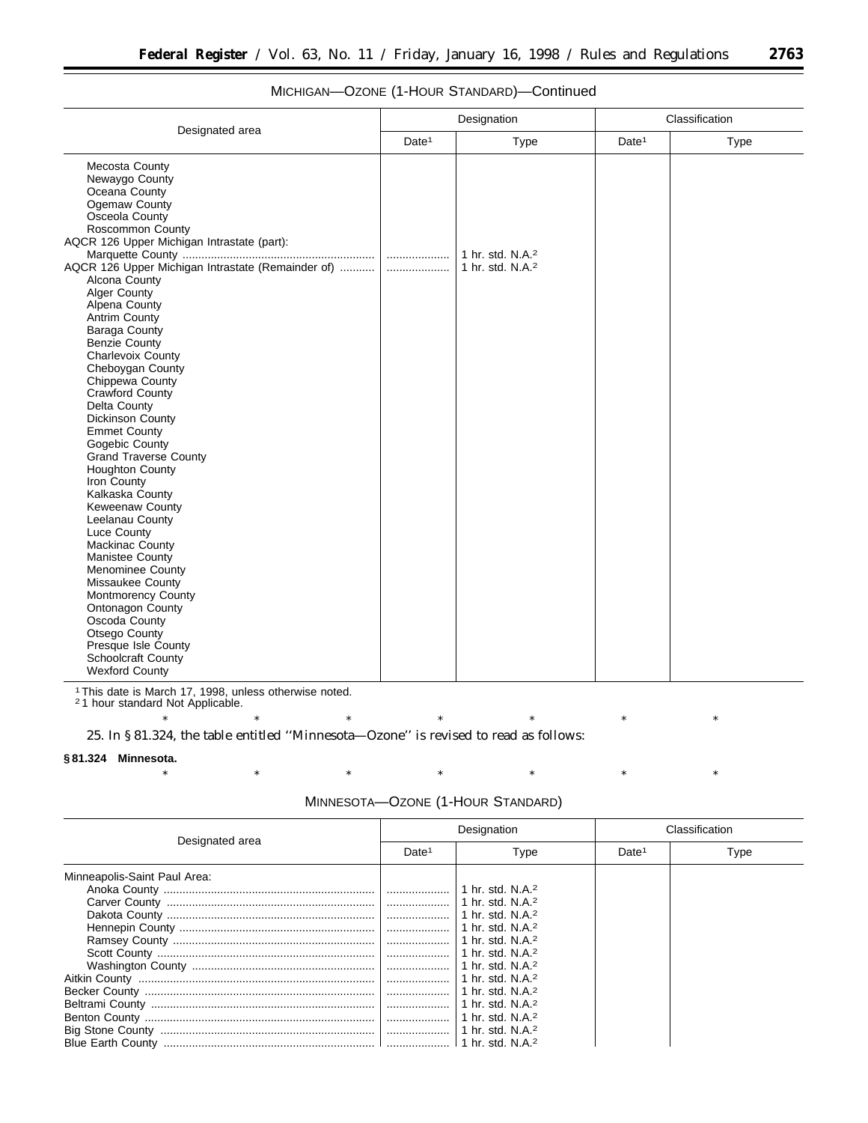|                                                                                                                                                                                                                                                                                                                                                                                                                                                                                                                                                                                                                                                                                                                                                                             |                   | Designation                                                  | Classification    |      |
|-----------------------------------------------------------------------------------------------------------------------------------------------------------------------------------------------------------------------------------------------------------------------------------------------------------------------------------------------------------------------------------------------------------------------------------------------------------------------------------------------------------------------------------------------------------------------------------------------------------------------------------------------------------------------------------------------------------------------------------------------------------------------------|-------------------|--------------------------------------------------------------|-------------------|------|
| Designated area                                                                                                                                                                                                                                                                                                                                                                                                                                                                                                                                                                                                                                                                                                                                                             | Date <sup>1</sup> | Type                                                         | Date <sup>1</sup> | Type |
| Mecosta County<br>Newaygo County<br>Oceana County<br>Ogemaw County<br>Osceola County<br>Roscommon County<br>AQCR 126 Upper Michigan Intrastate (part):<br>AQCR 126 Upper Michigan Intrastate (Remainder of)<br>Alcona County<br>Alger County<br>Alpena County<br><b>Antrim County</b><br>Baraga County<br><b>Benzie County</b><br>Charlevoix County<br>Cheboygan County<br>Chippewa County<br>Crawford County<br>Delta County<br>Dickinson County<br><b>Emmet County</b><br>Gogebic County<br><b>Grand Traverse County</b><br><b>Houghton County</b><br>Iron County<br>Kalkaska County<br><b>Keweenaw County</b><br>Leelanau County<br>Luce County<br><b>Mackinac County</b><br>Manistee County<br><b>Menominee County</b><br>Missaukee County<br><b>Montmorency County</b> | .                 | 1 hr. std. N.A. <sup>2</sup><br>1 hr. std. N.A. <sup>2</sup> |                   |      |
| Ontonagon County<br>Oscoda County<br>Otsego County<br>Presque Isle County<br>Schoolcraft County<br><b>Wexford County</b>                                                                                                                                                                                                                                                                                                                                                                                                                                                                                                                                                                                                                                                    |                   |                                                              |                   |      |

## MICHIGAN—OZONE (1-HOUR STANDARD)—Continued

1This date is March 17, 1998, unless otherwise noted. 2 1 hour standard Not Applicable.

\* \* \* \* \* \* \* \* \* \* \* 25. In § 81.324, the table entitled ''Minnesota—Ozone'' is revised to read as follows:

Beltrami County ....................................................................... .................... 1 hr. std. N.A.2 Benton County ......................................................................... .................... 1 hr. std. N.A.2

Blue Earth County ................................................................... .................... 1 hr. std. N.A.2

Big Stone County .................................................................... .................... 1 hr. std. N.A.2

#### **§ 81.324 Minnesota.**

|                              |                   | MINNESOTA—OZONE (1-HOUR STANDARD) |                   |                |
|------------------------------|-------------------|-----------------------------------|-------------------|----------------|
| Designated area              | Designation       |                                   |                   | Classification |
|                              | Date <sup>1</sup> | Type                              | Date <sup>1</sup> | Type           |
| Minneapolis-Saint Paul Area: |                   |                                   |                   |                |
|                              |                   | 1 hr. std. $N.A.^2$               |                   |                |
|                              |                   | 1 hr. std. N.A. $2$               |                   |                |
|                              | .                 | 1 hr. std. N.A. $2$               |                   |                |
|                              |                   | 1 hr. std. N.A. $2$               |                   |                |
|                              |                   | 1 hr. std. N.A. $2$               |                   |                |
|                              | .                 | 1 hr. std. N.A. $2$               |                   |                |
|                              |                   | 1 hr. std. N.A. $2$               |                   |                |
|                              |                   | 1 hr. std. N.A. <sup>2</sup>      |                   |                |
|                              |                   | 1 hr. std. N.A. <sup>2</sup>      |                   |                |
|                              |                   |                                   |                   |                |

#### MINNESOTA—OZONE (1-HOUR STANDARD)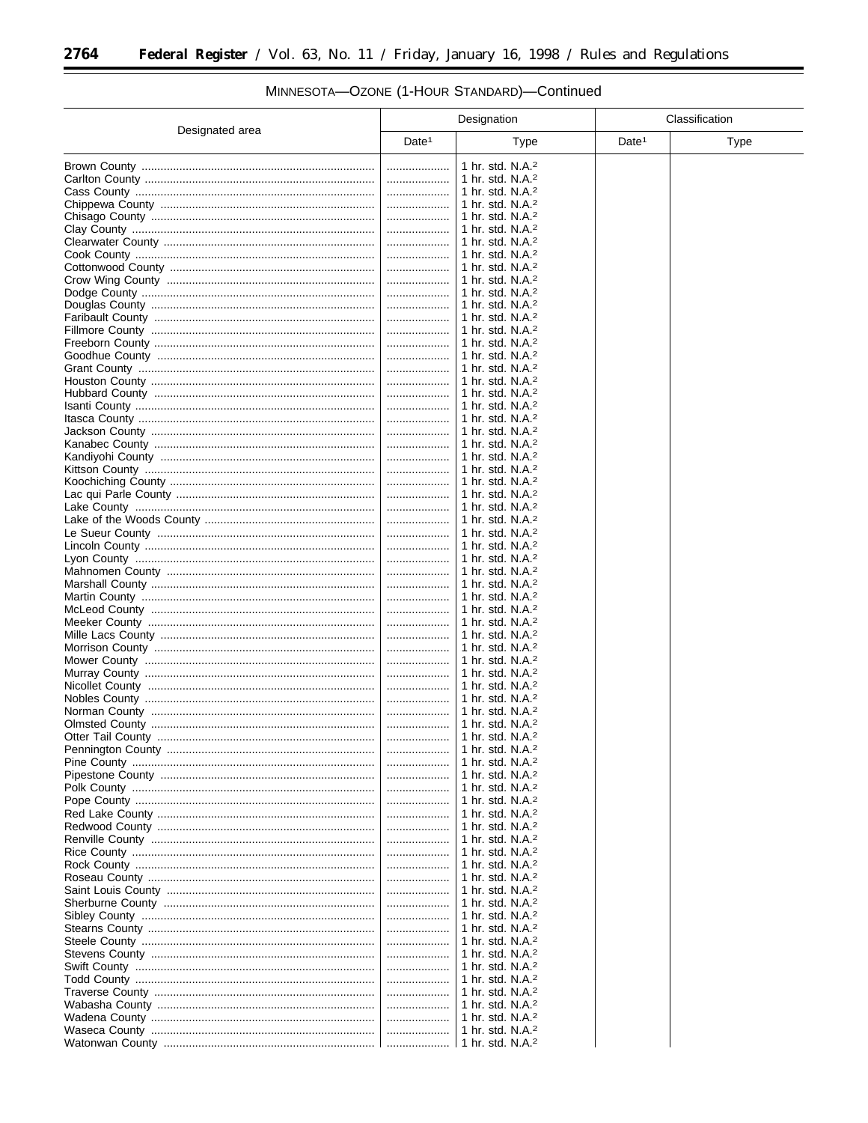۳

|                 |                   | Designation                                                  | Classification    |      |
|-----------------|-------------------|--------------------------------------------------------------|-------------------|------|
| Designated area | Date <sup>1</sup> | <b>Type</b>                                                  | Date <sup>1</sup> | Type |
|                 |                   | 1 hr. std. N.A. <sup>2</sup>                                 |                   |      |
|                 |                   | 1 hr. std. N.A. <sup>2</sup>                                 |                   |      |
|                 | .                 | 1 hr. std. $N.A.^2$                                          |                   |      |
|                 |                   | 1 hr. std. N.A. <sup>2</sup>                                 |                   |      |
|                 | .                 | 1 hr. std. N.A. <sup>2</sup>                                 |                   |      |
|                 |                   | 1 hr. std. N.A. <sup>2</sup><br>1 hr. std. N.A. <sup>2</sup> |                   |      |
|                 |                   | 1 hr. std. N.A. $2$                                          |                   |      |
|                 | .                 | 1 hr. std. N.A. <sup>2</sup>                                 |                   |      |
|                 |                   | 1 hr. std. N.A. <sup>2</sup>                                 |                   |      |
|                 |                   | 1 hr. std. N.A. <sup>2</sup>                                 |                   |      |
|                 | .                 | 1 hr. std. N.A. <sup>2</sup>                                 |                   |      |
|                 | .                 | 1 hr. std. N.A. <sup>2</sup>                                 |                   |      |
|                 |                   | 1 hr. std. N.A. <sup>2</sup>                                 |                   |      |
|                 | .                 | 1 hr. std. N.A. <sup>2</sup>                                 |                   |      |
|                 |                   | 1 hr. std. N.A. <sup>2</sup>                                 |                   |      |
|                 | .<br>.            | 1 hr. std. N.A. <sup>2</sup><br>1 hr. std. N.A. <sup>2</sup> |                   |      |
|                 |                   | 1 hr. std. N.A. $2$                                          |                   |      |
|                 |                   | 1 hr. std. N.A. <sup>2</sup>                                 |                   |      |
|                 | .                 | 1 hr. std. N.A. <sup>2</sup>                                 |                   |      |
|                 |                   | 1 hr. std. N.A. <sup>2</sup>                                 |                   |      |
|                 |                   | 1 hr. std. N.A. <sup>2</sup>                                 |                   |      |
|                 |                   | 1 hr. std. $N.A.^2$                                          |                   |      |
|                 | .                 | 1 hr. std. N.A. <sup>2</sup>                                 |                   |      |
|                 |                   | 1 hr. std. N.A. <sup>2</sup>                                 |                   |      |
|                 |                   | 1 hr. std. N.A. <sup>2</sup>                                 |                   |      |
|                 |                   | 1 hr. std. N.A. <sup>2</sup>                                 |                   |      |
|                 |                   | 1 hr. std. N.A. <sup>2</sup>                                 |                   |      |
|                 |                   | 1 hr. std. N.A. <sup>2</sup><br>1 hr. std. N.A. <sup>2</sup> |                   |      |
|                 |                   | 1 hr. std. N.A. <sup>2</sup>                                 |                   |      |
|                 | .                 | 1 hr. std. N.A. <sup>2</sup>                                 |                   |      |
|                 |                   | 1 hr. std. N.A. <sup>2</sup>                                 |                   |      |
|                 |                   | 1 hr. std. N.A. <sup>2</sup>                                 |                   |      |
|                 |                   | 1 hr. std. N.A. <sup>2</sup>                                 |                   |      |
|                 |                   | 1 hr. std. N.A. <sup>2</sup>                                 |                   |      |
|                 |                   | 1 hr. std. N.A. <sup>2</sup>                                 |                   |      |
|                 |                   | 1 hr. std. N.A. <sup>2</sup>                                 |                   |      |
|                 |                   | 1 hr. std. N.A. <sup>2</sup>                                 |                   |      |
|                 | .                 | 1 hr. std. N.A. <sup>2</sup><br>1 hr. std. N.A. <sup>2</sup> |                   |      |
|                 |                   | 1 hr. std. N.A. <sup>2</sup>                                 |                   |      |
|                 |                   | 1 hr. std. N.A. <sup>2</sup>                                 |                   |      |
|                 |                   | 1 hr. std. N.A. <sup>2</sup>                                 |                   |      |
|                 |                   | 1 hr. std. N.A. <sup>2</sup>                                 |                   |      |
|                 |                   | 1 hr. std. N.A. <sup>2</sup>                                 |                   |      |
|                 |                   | 1 hr. std. N.A. <sup>2</sup>                                 |                   |      |
|                 |                   | 1 hr. std. N.A. <sup>2</sup>                                 |                   |      |
|                 |                   | 1 hr. std. N.A. $2$                                          |                   |      |
|                 |                   | 1 hr. std. $N.A.^2$                                          |                   |      |
|                 |                   | 1 hr. std. N.A. $2$<br>1 hr. std. N.A. <sup>2</sup>          |                   |      |
|                 |                   | 1 hr. std. N.A. $2$                                          |                   |      |
|                 | .                 | 1 hr. std. N.A. <sup>2</sup>                                 |                   |      |
|                 |                   | 1 hr. std. N.A. $2$                                          |                   |      |
|                 |                   | 1 hr. std. $N.A.^2$                                          |                   |      |
|                 |                   | 1 hr. std. N.A. $2$                                          |                   |      |
|                 |                   | 1 hr. std. $N.A.^2$                                          |                   |      |
|                 |                   | 1 hr. std. N.A. $2$                                          |                   |      |
|                 |                   | 1 hr. std. N.A. <sup>2</sup>                                 |                   |      |
|                 |                   | 1 hr. std. N.A. $2$                                          |                   |      |
|                 |                   | 1 hr. std. $N.A.^2$                                          |                   |      |
|                 |                   | 1 hr. std. N.A. $2$                                          |                   |      |
|                 |                   | 1 hr. std. $N.A.^2$                                          |                   |      |
|                 |                   | 1 hr. std. N.A. $2$<br>1 hr. std. N.A. <sup>2</sup>          |                   |      |
|                 |                   | 1 hr. std. N.A. $2$                                          |                   |      |
|                 |                   | 1 hr. std. N.A. <sup>2</sup>                                 |                   |      |
|                 |                   |                                                              |                   |      |

# MINNESOTA-OZONE (1-HOUR STANDARD)-Continued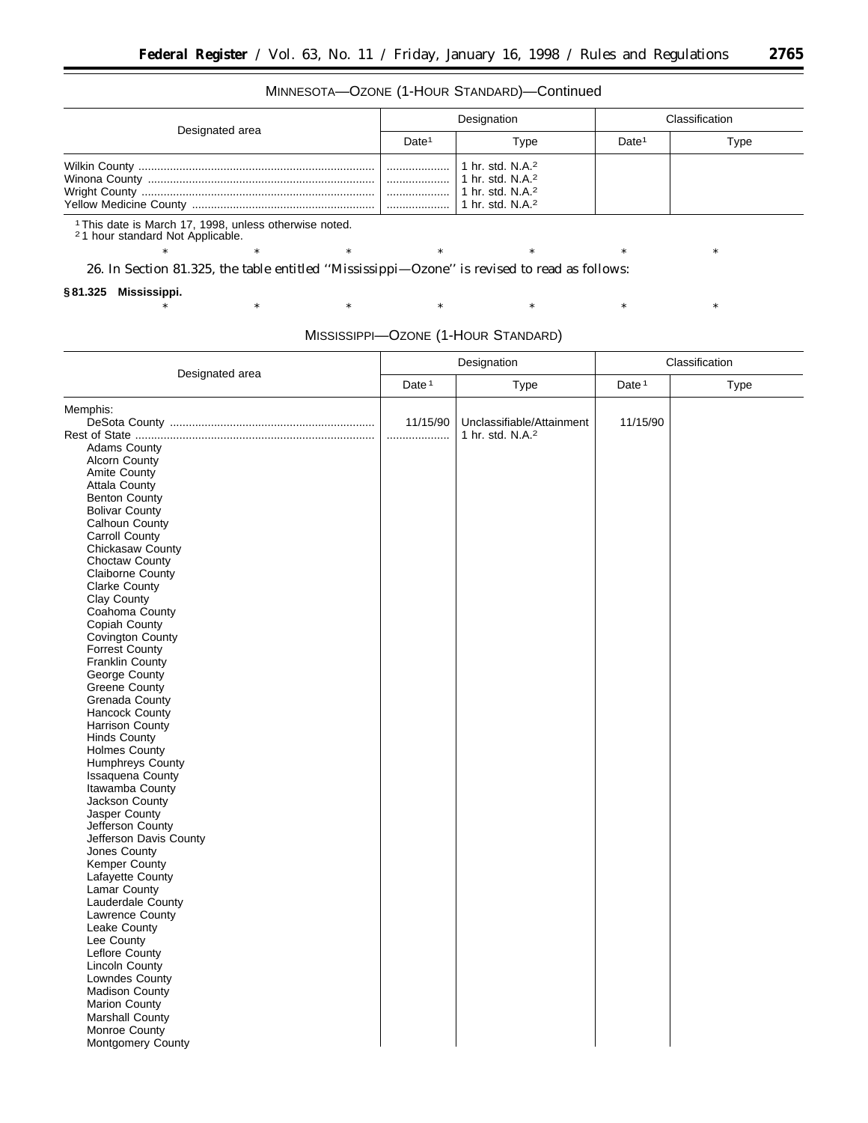٠

## MINNESOTA—OZONE (1-HOUR STANDARD)—Continued

| Designated area | Designation       |                                                                                                           | Classification    |      |
|-----------------|-------------------|-----------------------------------------------------------------------------------------------------------|-------------------|------|
|                 | Date <sup>1</sup> | Type                                                                                                      | Date <sup>1</sup> | Type |
|                 | .<br>.            | 1 hr. std. N.A. <sup>2</sup><br>1 hr. std. N.A. <sup>2</sup><br>1 hr. std. N.A. $2$<br>1 hr. std. $N.A.2$ |                   |      |

\* \* \* \* \* \* \* \* \* \* \*

\* \* \* \* \* \* \* \* \* \* \*

1This date is March 17, 1998, unless otherwise noted.

2 1 hour standard Not Applicable.

26. In Section 81.325, the table entitled ''Mississippi—Ozone'' is revised to read as follows:

#### **§ 81.325 Mississippi.**

|                                  | Designation       |                              | Classification    |      |
|----------------------------------|-------------------|------------------------------|-------------------|------|
| Designated area                  | Date <sup>1</sup> | Type                         | Date <sup>1</sup> | Type |
| Memphis:                         |                   |                              |                   |      |
|                                  | 11/15/90          | Unclassifiable/Attainment    | 11/15/90          |      |
|                                  | .                 | 1 hr. std. N.A. <sup>2</sup> |                   |      |
| <b>Adams County</b>              |                   |                              |                   |      |
| <b>Alcorn County</b>             |                   |                              |                   |      |
| Amite County                     |                   |                              |                   |      |
| <b>Attala County</b>             |                   |                              |                   |      |
| Benton County                    |                   |                              |                   |      |
| <b>Bolivar County</b>            |                   |                              |                   |      |
| Calhoun County                   |                   |                              |                   |      |
| Carroll County                   |                   |                              |                   |      |
| Chickasaw County                 |                   |                              |                   |      |
| Choctaw County                   |                   |                              |                   |      |
| Claiborne County                 |                   |                              |                   |      |
| <b>Clarke County</b>             |                   |                              |                   |      |
| Clay County                      |                   |                              |                   |      |
| Coahoma County                   |                   |                              |                   |      |
| Copiah County                    |                   |                              |                   |      |
| Covington County                 |                   |                              |                   |      |
| <b>Forrest County</b>            |                   |                              |                   |      |
| <b>Franklin County</b>           |                   |                              |                   |      |
| George County                    |                   |                              |                   |      |
| <b>Greene County</b>             |                   |                              |                   |      |
| Grenada County                   |                   |                              |                   |      |
| Hancock County                   |                   |                              |                   |      |
| Harrison County                  |                   |                              |                   |      |
| <b>Hinds County</b>              |                   |                              |                   |      |
| <b>Holmes County</b>             |                   |                              |                   |      |
| <b>Humphreys County</b>          |                   |                              |                   |      |
| Issaquena County                 |                   |                              |                   |      |
| Itawamba County                  |                   |                              |                   |      |
| Jackson County                   |                   |                              |                   |      |
| Jasper County                    |                   |                              |                   |      |
| Jefferson County                 |                   |                              |                   |      |
| Jefferson Davis County           |                   |                              |                   |      |
| Jones County                     |                   |                              |                   |      |
| Kemper County                    |                   |                              |                   |      |
| Lafayette County                 |                   |                              |                   |      |
| Lamar County                     |                   |                              |                   |      |
| Lauderdale County                |                   |                              |                   |      |
| Lawrence County                  |                   |                              |                   |      |
| Leake County                     |                   |                              |                   |      |
| Lee County                       |                   |                              |                   |      |
|                                  |                   |                              |                   |      |
| Leflore County<br>Lincoln County |                   |                              |                   |      |
|                                  |                   |                              |                   |      |
| Lowndes County                   |                   |                              |                   |      |
| <b>Madison County</b>            |                   |                              |                   |      |
| <b>Marion County</b>             |                   |                              |                   |      |
| Marshall County                  |                   |                              |                   |      |
| Monroe County                    |                   |                              |                   |      |
| Montgomery County                |                   |                              |                   |      |
|                                  |                   |                              |                   |      |

MISSISSIPPI—OZONE (1-HOUR STANDARD)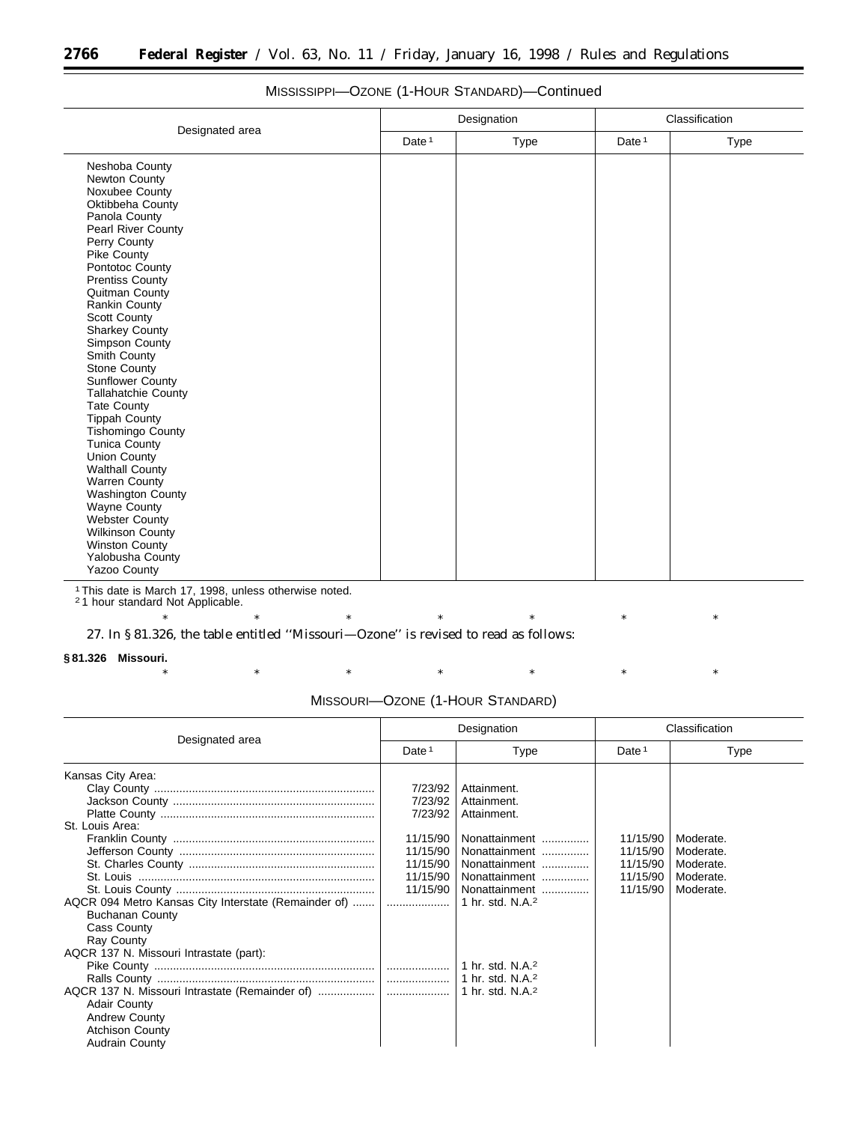|                                                                                                                                                                                                                                                                                                                                                                                                                                                                                                                                                                                                                                       |                   | Designation | Classification |             |  |
|---------------------------------------------------------------------------------------------------------------------------------------------------------------------------------------------------------------------------------------------------------------------------------------------------------------------------------------------------------------------------------------------------------------------------------------------------------------------------------------------------------------------------------------------------------------------------------------------------------------------------------------|-------------------|-------------|----------------|-------------|--|
| Designated area                                                                                                                                                                                                                                                                                                                                                                                                                                                                                                                                                                                                                       | Date <sup>1</sup> | Type        | Date $1$       | <b>Type</b> |  |
| Neshoba County<br>Newton County<br>Noxubee County<br>Oktibbeha County<br>Panola County<br>Pearl River County<br>Perry County<br>Pike County<br>Pontotoc County<br><b>Prentiss County</b><br>Quitman County<br>Rankin County<br>Scott County<br><b>Sharkey County</b><br>Simpson County<br>Smith County<br>Stone County<br><b>Sunflower County</b><br>Tallahatchie County<br><b>Tate County</b><br><b>Tippah County</b><br><b>Tishomingo County</b><br><b>Tunica County</b><br>Union County<br><b>Walthall County</b><br><b>Warren County</b><br><b>Washington County</b><br>Wayne County<br>Webster County<br><b>Wilkinson County</b> |                   |             |                |             |  |
| <b>Winston County</b><br><b>Yalobusha County</b><br><b>Yazoo County</b>                                                                                                                                                                                                                                                                                                                                                                                                                                                                                                                                                               |                   |             |                |             |  |

## MISSISSIPPI—OZONE (1-HOUR STANDARD)—Continued

1This date is March 17, 1998, unless otherwise noted. 2 1 hour standard Not Applicable.

\* \* \* \* \* \* \* \* \* \* \* 27. In § 81.326, the table entitled ''Missouri—Ozone'' is revised to read as follows:

**§ 81.326 Missouri.**

|  | MISSOURI-OZONE (1-HOUR STANDARD) |  |  |
|--|----------------------------------|--|--|
|  |                                  |  |  |

|                                                                                                                                                                                                                                                                                                         | Designation                                                                               |                                                                                                                                                                                                                                              | Classification                                           |                                                               |
|---------------------------------------------------------------------------------------------------------------------------------------------------------------------------------------------------------------------------------------------------------------------------------------------------------|-------------------------------------------------------------------------------------------|----------------------------------------------------------------------------------------------------------------------------------------------------------------------------------------------------------------------------------------------|----------------------------------------------------------|---------------------------------------------------------------|
| Designated area                                                                                                                                                                                                                                                                                         | Date <sup>1</sup>                                                                         | Type                                                                                                                                                                                                                                         | Date <sup>1</sup>                                        | Type                                                          |
| Kansas City Area:<br>St. Louis Area:<br>AQCR 094 Metro Kansas City Interstate (Remainder of)<br><b>Buchanan County</b><br>Cass County<br><b>Ray County</b><br>AQCR 137 N. Missouri Intrastate (part):<br><b>Adair County</b><br><b>Andrew County</b><br><b>Atchison County</b><br><b>Audrain County</b> | 7/23/92<br>7/23/92<br>7/23/92<br>11/15/90<br>11/15/90<br>11/15/90<br>11/15/90<br>11/15/90 | Attainment.<br>Attainment.<br>Attainment.<br>Nonattainment<br>Nonattainment<br>Nonattainment<br>Nonattainment<br>Nonattainment<br>1 hr. std. $N.A.^2$<br>1 hr. std. N.A. <sup>2</sup><br>1 hr. std. $N.A.^2$<br>1 hr. std. N.A. <sup>2</sup> | 11/15/90<br>11/15/90<br>11/15/90<br>11/15/90<br>11/15/90 | Moderate.<br>Moderate.<br>Moderate.<br>Moderate.<br>Moderate. |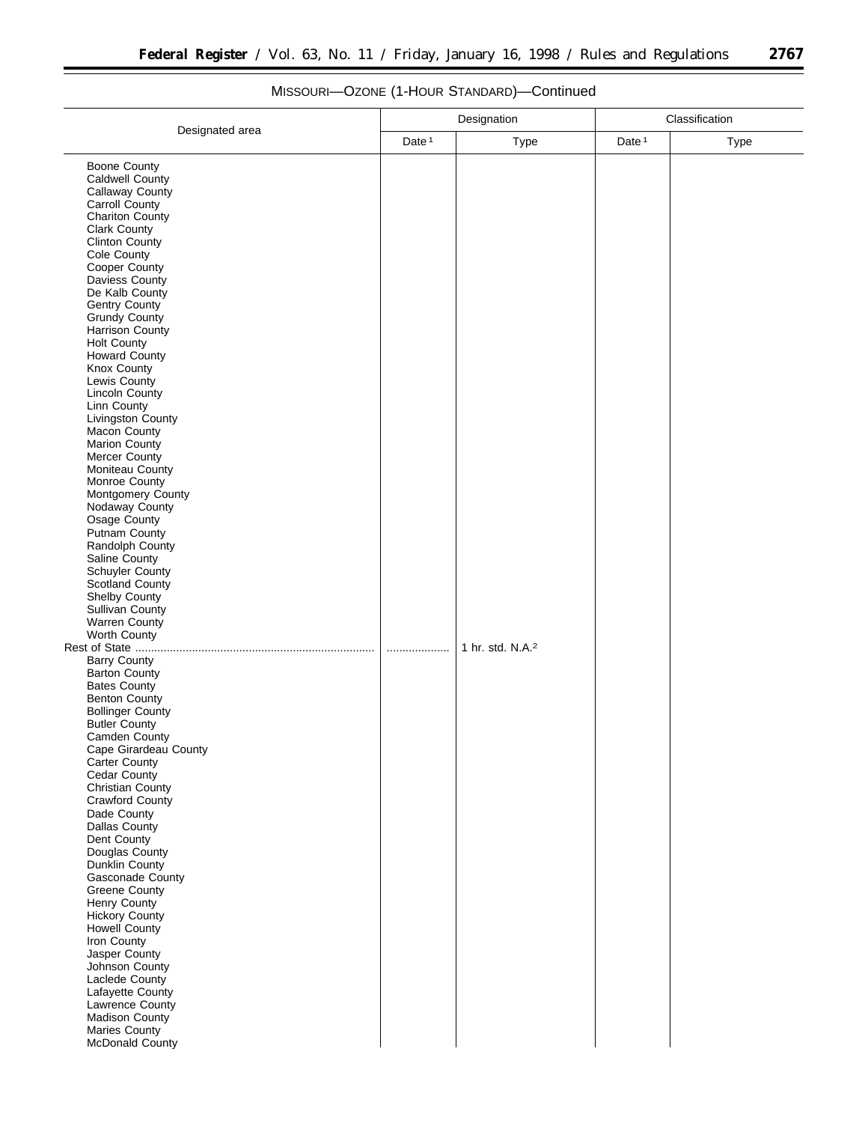Ξ

|                                                                                                                                                                                                                                                                                                                                                                                                                                                                                                                                                                                                                                                                                                                                                                                                                                                                                                                                                                                                                                                                                                                                                                          | Designation       |                              | Classification    |             |
|--------------------------------------------------------------------------------------------------------------------------------------------------------------------------------------------------------------------------------------------------------------------------------------------------------------------------------------------------------------------------------------------------------------------------------------------------------------------------------------------------------------------------------------------------------------------------------------------------------------------------------------------------------------------------------------------------------------------------------------------------------------------------------------------------------------------------------------------------------------------------------------------------------------------------------------------------------------------------------------------------------------------------------------------------------------------------------------------------------------------------------------------------------------------------|-------------------|------------------------------|-------------------|-------------|
|                                                                                                                                                                                                                                                                                                                                                                                                                                                                                                                                                                                                                                                                                                                                                                                                                                                                                                                                                                                                                                                                                                                                                                          | Date <sup>1</sup> | <b>Type</b>                  | Date <sup>1</sup> | <b>Type</b> |
| Designated area<br><b>Boone County</b><br>Caldwell County<br>Callaway County<br>Carroll County<br><b>Chariton County</b><br><b>Clark County</b><br><b>Clinton County</b><br>Cole County<br>Cooper County<br>Daviess County<br>De Kalb County<br>Gentry County<br><b>Grundy County</b><br>Harrison County<br><b>Holt County</b><br>Howard County<br>Knox County<br>Lewis County<br>Lincoln County<br>Linn County<br>Livingston County<br>Macon County<br>Marion County<br>Mercer County<br>Moniteau County<br>Monroe County<br>Montgomery County<br>Nodaway County<br>Osage County<br><b>Putnam County</b><br>Randolph County<br>Saline County<br>Schuyler County<br><b>Scotland County</b><br>Shelby County<br><b>Sullivan County</b><br><b>Warren County</b><br>Worth County<br>Rest of State<br><b>Barry County</b><br><b>Barton County</b><br><b>Bates County</b><br><b>Benton County</b><br><b>Bollinger County</b><br><b>Butler County</b><br>Camden County<br>Cape Girardeau County<br>Carter County<br>Cedar County<br>Christian County<br>Crawford County<br>Dade County<br>Dallas County<br>Dent County<br>Douglas County<br>Dunklin County<br>Gasconade County |                   | 1 hr. std. N.A. <sup>2</sup> |                   |             |
| <b>Greene County</b><br>Henry County<br>Hickory County<br>Howell County<br>Iron County<br>Jasper County<br>Johnson County<br>Laclede County<br>Lafayette County<br>Lawrence County<br>Madison County<br>Maries County<br>McDonald County                                                                                                                                                                                                                                                                                                                                                                                                                                                                                                                                                                                                                                                                                                                                                                                                                                                                                                                                 |                   |                              |                   |             |

# MISSOURI—OZONE (1-HOUR STANDARD)—Continued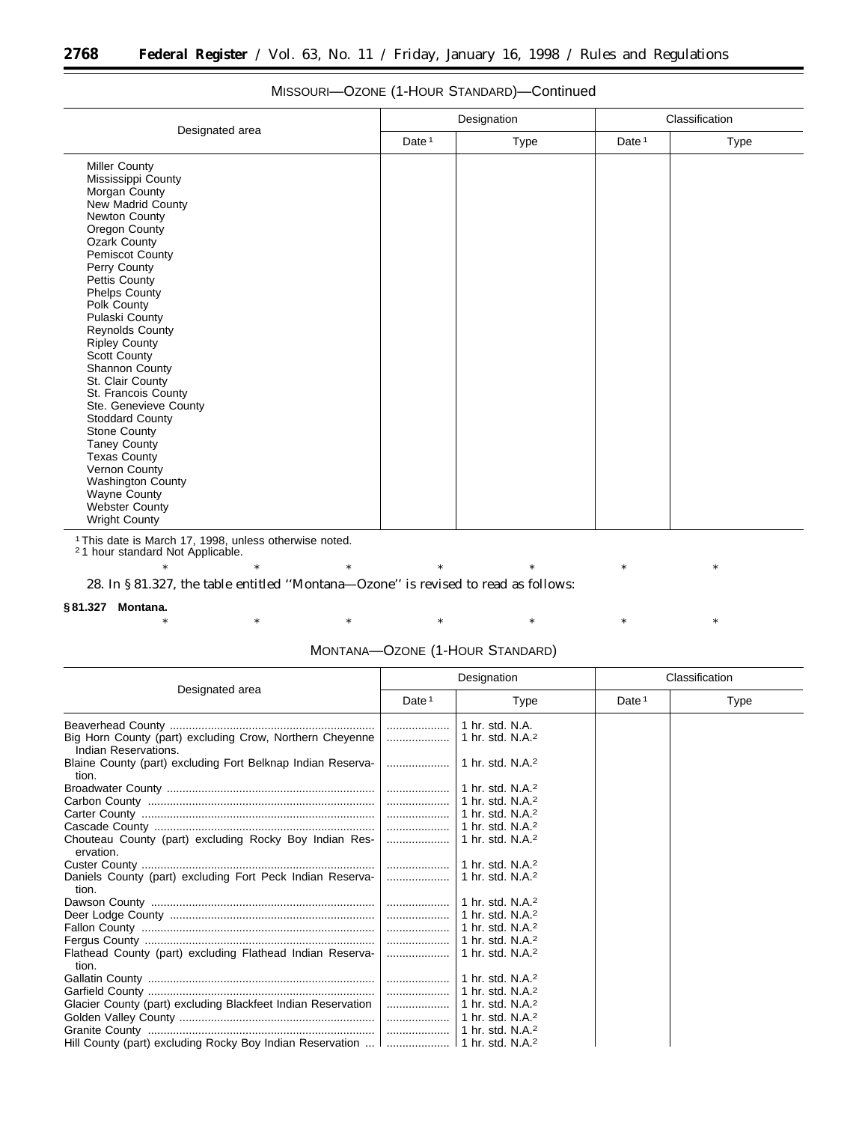|                                                                                                                                                                                                                                                                                                                          | Designation       |      | Classification |      |
|--------------------------------------------------------------------------------------------------------------------------------------------------------------------------------------------------------------------------------------------------------------------------------------------------------------------------|-------------------|------|----------------|------|
| Designated area                                                                                                                                                                                                                                                                                                          | Date <sup>1</sup> | Type | Date $1$       | Type |
| <b>Miller County</b><br>Mississippi County<br>Morgan County<br>New Madrid County<br>Newton County<br>Oregon County<br><b>Ozark County</b><br><b>Pemiscot County</b><br>Perry County<br>Pettis County<br><b>Phelps County</b><br>Polk County<br>Pulaski County<br>Reynolds County<br><b>Ripley County</b><br>Scott County |                   |      |                |      |
| Shannon County<br>St. Clair County<br>St. Francois County<br>Ste. Genevieve County<br><b>Stoddard County</b><br><b>Stone County</b><br><b>Taney County</b><br><b>Texas County</b><br>Vernon County<br>Washington County<br>Wayne County<br><b>Webster County</b><br><b>Wright County</b>                                 |                   |      |                |      |

## MISSOURI—OZONE (1-HOUR STANDARD)—Continued

1This date is March 17, 1998, unless otherwise noted. 2 1 hour standard Not Applicable.

\* \* \* \* \* \* \* \* \* \* \*

28. In § 81.327, the table entitled ''Montana—Ozone'' is revised to read as follows:

## **§ 81.327 Montana.**

|                                                                                              | Designation       |                                      |                   | Classification |  |
|----------------------------------------------------------------------------------------------|-------------------|--------------------------------------|-------------------|----------------|--|
| Designated area                                                                              | Date <sup>1</sup> | Type                                 | Date <sup>1</sup> | Type           |  |
|                                                                                              |                   | 1 hr. std. N.A.                      |                   |                |  |
| Big Horn County (part) excluding Crow, Northern Cheyenne<br>Indian Reservations.             |                   | 1 hr. std. $N.A.^2$                  |                   |                |  |
| Blaine County (part) excluding Fort Belknap Indian Reserva-<br>tion.                         |                   | 1 hr. std. N.A. <sup>2</sup>         |                   |                |  |
|                                                                                              |                   | 1 hr. std. N.A. $2$                  |                   |                |  |
|                                                                                              |                   | 1 hr. std. N.A. <sup>2</sup>         |                   |                |  |
|                                                                                              |                   | 1 hr. std. N.A. <sup>2</sup>         |                   |                |  |
|                                                                                              |                   | 1 hr. std. N.A. <sup>2</sup>         |                   |                |  |
| Chouteau County (part) excluding Rocky Boy Indian Res-<br>ervation.                          |                   | 1 hr. std. N.A. $2$                  |                   |                |  |
|                                                                                              |                   |                                      |                   |                |  |
| Daniels County (part) excluding Fort Peck Indian Reserva-<br>tion.                           |                   | 1 hr. std. N.A. <sup>2</sup>         |                   |                |  |
|                                                                                              |                   |                                      |                   |                |  |
|                                                                                              |                   |                                      |                   |                |  |
|                                                                                              |                   | $\perp$ 1 hr. std. N.A. <sup>2</sup> |                   |                |  |
|                                                                                              |                   | $\perp$ 1 hr. std. N.A. <sup>2</sup> |                   |                |  |
| Flathead County (part) excluding Flathead Indian Reserva-<br>tion.                           |                   | 1 hr. std. N.A. <sup>2</sup>         |                   |                |  |
|                                                                                              |                   | $\vert$ 1 hr. std. N.A. <sup>2</sup> |                   |                |  |
|                                                                                              |                   | $\perp$ 1 hr. std. N.A. <sup>2</sup> |                   |                |  |
| Glacier County (part) excluding Blackfeet Indian Reservation                                 |                   | 1 hr. std. N.A. <sup>2</sup>         |                   |                |  |
|                                                                                              |                   |                                      |                   |                |  |
|                                                                                              |                   |                                      |                   |                |  |
| Hill County (part) excluding Rocky Boy Indian Reservation       1 hr. std. N.A. <sup>2</sup> |                   |                                      |                   |                |  |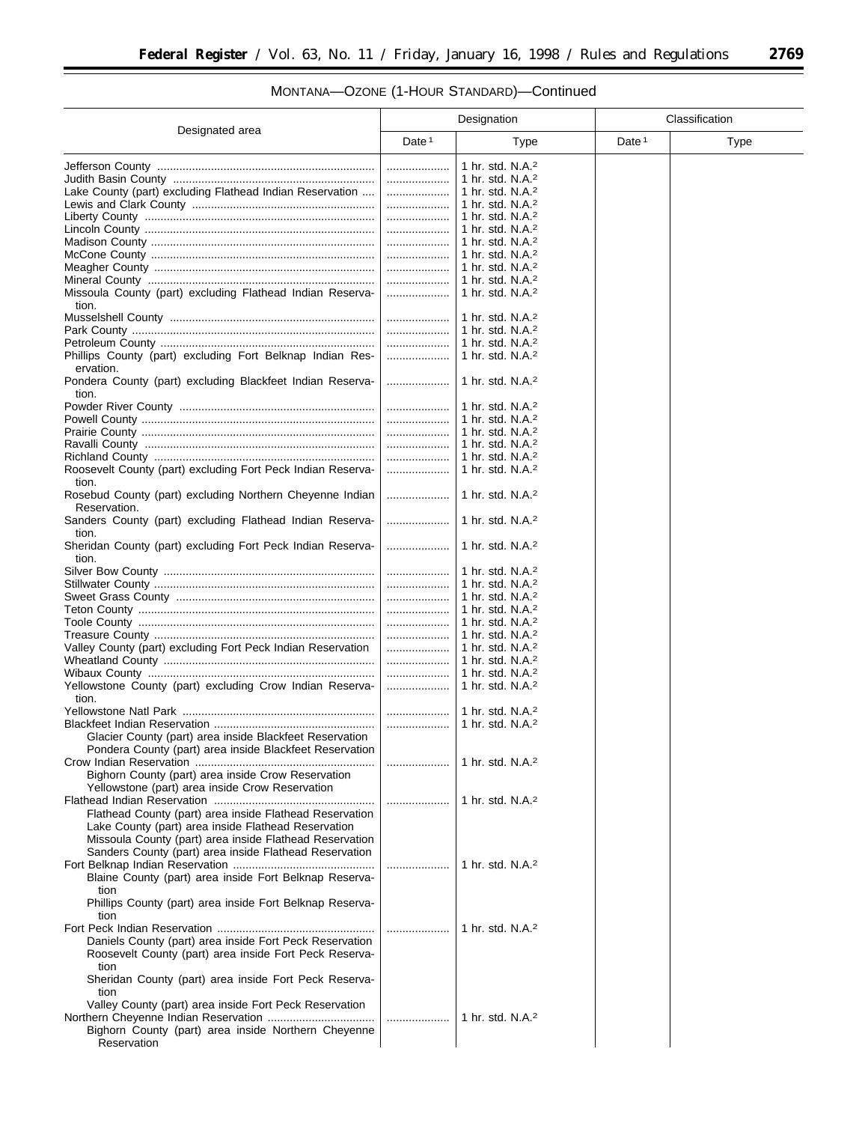# MONTANA—OZONE (1-HOUR STANDARD)—Continued

|                                                                          | Designation |                                                     | Classification |      |
|--------------------------------------------------------------------------|-------------|-----------------------------------------------------|----------------|------|
| Designated area                                                          | Date $1$    | <b>Type</b>                                         | Date $1$       | Type |
|                                                                          | .           | 1 hr. std. N.A. <sup>2</sup>                        |                |      |
|                                                                          |             | 1 hr. std. N.A. <sup>2</sup>                        |                |      |
| Lake County (part) excluding Flathead Indian Reservation                 |             | 1 hr. std. N.A. <sup>2</sup>                        |                |      |
|                                                                          | .           | 1 hr. std. N.A. <sup>2</sup>                        |                |      |
|                                                                          | .           | 1 hr. std. N.A. <sup>2</sup>                        |                |      |
|                                                                          | .           | 1 hr. std. N.A. <sup>2</sup>                        |                |      |
|                                                                          |             | 1 hr. std. N.A. <sup>2</sup>                        |                |      |
|                                                                          |             | 1 hr. std. N.A. <sup>2</sup>                        |                |      |
|                                                                          |             | 1 hr. std. N.A. <sup>2</sup>                        |                |      |
|                                                                          | .           | 1 hr. std. N.A. <sup>2</sup>                        |                |      |
| Missoula County (part) excluding Flathead Indian Reserva-<br>tion.       |             | 1 hr. std. N.A. <sup>2</sup>                        |                |      |
|                                                                          | .           | 1 hr. std. N.A. <sup>2</sup>                        |                |      |
|                                                                          | .           | 1 hr. std. N.A. <sup>2</sup>                        |                |      |
|                                                                          | .           | 1 hr. std. N.A. <sup>2</sup>                        |                |      |
| Phillips County (part) excluding Fort Belknap Indian Res-                | .           | 1 hr. std. $N.A.^2$                                 |                |      |
| ervation.<br>Pondera County (part) excluding Blackfeet Indian Reserva-   |             | 1 hr. std. N.A. <sup>2</sup>                        |                |      |
| tion.                                                                    |             |                                                     |                |      |
|                                                                          | .           | 1 hr. std. N.A. <sup>2</sup>                        |                |      |
|                                                                          |             | 1 hr. std. $N.A.^2$                                 |                |      |
|                                                                          |             | 1 hr. std. $N.A.^2$                                 |                |      |
|                                                                          | .           | 1 hr. std. N.A. <sup>2</sup>                        |                |      |
|                                                                          | .           | 1 hr. std. N.A. <sup>2</sup>                        |                |      |
| Roosevelt County (part) excluding Fort Peck Indian Reserva-<br>tion.     |             | 1 hr. std. N.A. <sup>2</sup>                        |                |      |
| Rosebud County (part) excluding Northern Cheyenne Indian<br>Reservation. | .           | 1 hr. std. N.A. <sup>2</sup>                        |                |      |
| Sanders County (part) excluding Flathead Indian Reserva-<br>tion.        | .           | 1 hr. std. N.A. <sup>2</sup>                        |                |      |
| Sheridan County (part) excluding Fort Peck Indian Reserva-<br>tion.      |             | 1 hr. std. $N.A.^2$                                 |                |      |
|                                                                          |             | 1 hr. std. $N.A.^2$                                 |                |      |
|                                                                          | .           | 1 hr. std. $N.A.^2$                                 |                |      |
|                                                                          |             | 1 hr. std. $N.A.^2$                                 |                |      |
|                                                                          | .           | 1 hr. std. N.A. <sup>2</sup>                        |                |      |
|                                                                          |             | 1 hr. std. N.A. <sup>2</sup>                        |                |      |
|                                                                          | .           | 1 hr. std. N.A. $2$                                 |                |      |
| Valley County (part) excluding Fort Peck Indian Reservation              | .           | 1 hr. std. N.A. <sup>2</sup>                        |                |      |
|                                                                          | .           | 1 hr. std. N.A. <sup>2</sup><br>1 hr. std. $N.A.^2$ |                |      |
| Yellowstone County (part) excluding Crow Indian Reserva-                 |             | 1 hr. std. $N.A.^2$                                 |                |      |
| tion.                                                                    |             |                                                     |                |      |
|                                                                          |             | 1 hr. std. N.A. <sup>2</sup>                        |                |      |
|                                                                          | .           | 1 hr. std. N.A. <sup>2</sup>                        |                |      |
| Glacier County (part) area inside Blackfeet Reservation                  |             |                                                     |                |      |
| Pondera County (part) area inside Blackfeet Reservation                  |             |                                                     |                |      |
|                                                                          |             | 1 hr. std. N.A. <sup>2</sup>                        |                |      |
| Bighorn County (part) area inside Crow Reservation                       |             |                                                     |                |      |
| Yellowstone (part) area inside Crow Reservation                          |             |                                                     |                |      |
|                                                                          |             | 1 hr. std. N.A. <sup>2</sup>                        |                |      |
| Flathead County (part) area inside Flathead Reservation                  |             |                                                     |                |      |
| Lake County (part) area inside Flathead Reservation                      |             |                                                     |                |      |
| Missoula County (part) area inside Flathead Reservation                  |             |                                                     |                |      |
| Sanders County (part) area inside Flathead Reservation                   |             |                                                     |                |      |
| Blaine County (part) area inside Fort Belknap Reserva-<br>tion           |             | 1 hr. std. N.A. <sup>2</sup>                        |                |      |
| Phillips County (part) area inside Fort Belknap Reserva-<br>tion         |             |                                                     |                |      |
|                                                                          |             | 1 hr. std. N.A. <sup>2</sup>                        |                |      |
| Daniels County (part) area inside Fort Peck Reservation                  |             |                                                     |                |      |
| Roosevelt County (part) area inside Fort Peck Reserva-<br>tion           |             |                                                     |                |      |
| Sheridan County (part) area inside Fort Peck Reserva-<br>tion            |             |                                                     |                |      |
| Valley County (part) area inside Fort Peck Reservation                   |             |                                                     |                |      |
|                                                                          |             | 1 hr. std. N.A. <sup>2</sup>                        |                |      |
| Bighorn County (part) area inside Northern Cheyenne<br>Reservation       |             |                                                     |                |      |

Ξ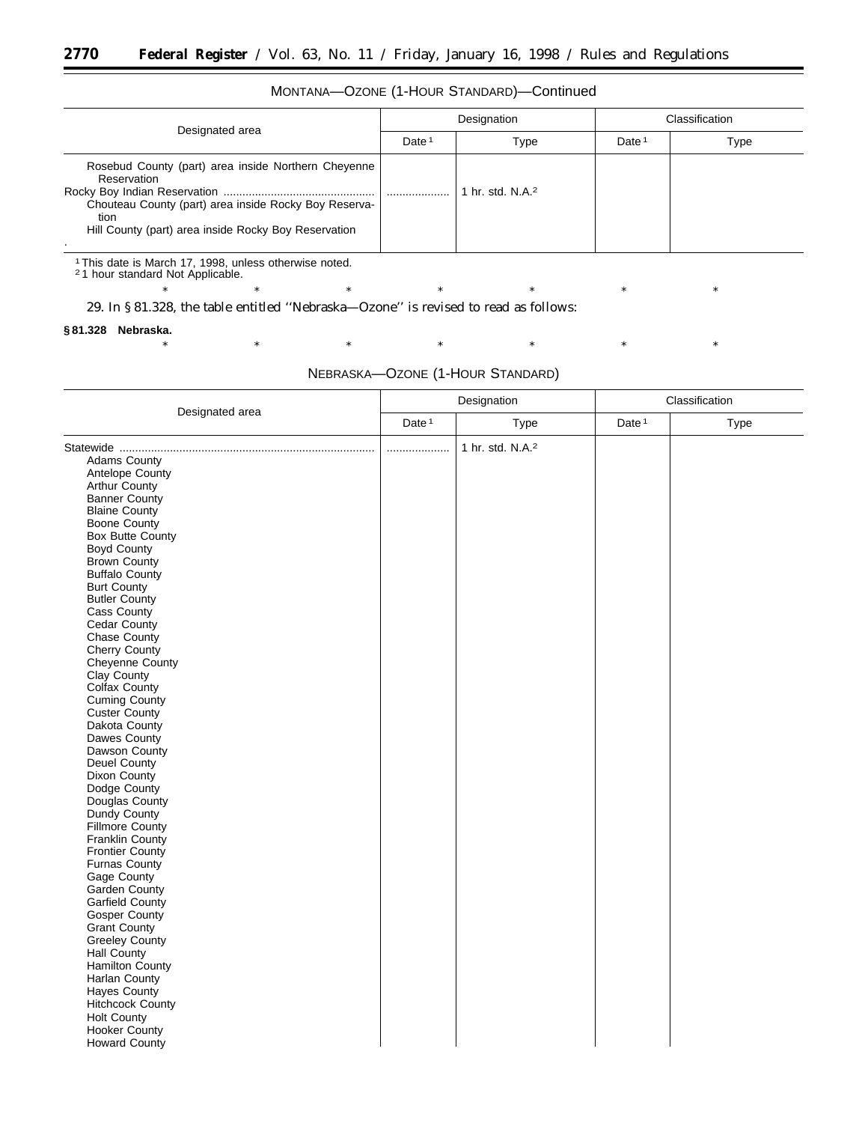## MONTANA—OZONE (1-HOUR STANDARD)—Continued

| Designated area                                                                                                                                                                             | Designation       |                  | Classification    |      |
|---------------------------------------------------------------------------------------------------------------------------------------------------------------------------------------------|-------------------|------------------|-------------------|------|
|                                                                                                                                                                                             | Date <sup>1</sup> | Type             | Date <sup>1</sup> | Type |
| Rosebud County (part) area inside Northern Cheyenne<br>Reservation<br>Chouteau County (part) area inside Rocky Boy Reserva-<br>tion<br>Hill County (part) area inside Rocky Boy Reservation | .                 | hr. std. $N.A.2$ |                   |      |
|                                                                                                                                                                                             |                   |                  |                   |      |

1This date is March 17, 1998, unless otherwise noted. 2 1 hour standard Not Applicable.

29. In § 81.328, the table entitled ''Nebraska—Ozone'' is revised to read as follows:

#### **§ 81.328 Nebraska.**

NEBRASKA—OZONE (1-HOUR STANDARD)

\* \* \* \* \* \* \* \* \* \* \*

|                         | Designation       |                              |                   | Classification |  |  |
|-------------------------|-------------------|------------------------------|-------------------|----------------|--|--|
| Designated area         | Date <sup>1</sup> | Type                         | Date <sup>1</sup> | <b>Type</b>    |  |  |
|                         |                   | 1 hr. std. N.A. <sup>2</sup> |                   |                |  |  |
| <b>Adams County</b>     |                   |                              |                   |                |  |  |
| Antelope County         |                   |                              |                   |                |  |  |
| <b>Arthur County</b>    |                   |                              |                   |                |  |  |
| <b>Banner County</b>    |                   |                              |                   |                |  |  |
| <b>Blaine County</b>    |                   |                              |                   |                |  |  |
| <b>Boone County</b>     |                   |                              |                   |                |  |  |
| <b>Box Butte County</b> |                   |                              |                   |                |  |  |
| <b>Boyd County</b>      |                   |                              |                   |                |  |  |
| <b>Brown County</b>     |                   |                              |                   |                |  |  |
| <b>Buffalo County</b>   |                   |                              |                   |                |  |  |
| <b>Burt County</b>      |                   |                              |                   |                |  |  |
| <b>Butler County</b>    |                   |                              |                   |                |  |  |
| <b>Cass County</b>      |                   |                              |                   |                |  |  |
| Cedar County            |                   |                              |                   |                |  |  |
| Chase County            |                   |                              |                   |                |  |  |
| Cherry County           |                   |                              |                   |                |  |  |
| Cheyenne County         |                   |                              |                   |                |  |  |
| Clay County             |                   |                              |                   |                |  |  |
| <b>Colfax County</b>    |                   |                              |                   |                |  |  |
| Cuming County           |                   |                              |                   |                |  |  |
| Custer County           |                   |                              |                   |                |  |  |
| Dakota County           |                   |                              |                   |                |  |  |
| Dawes County            |                   |                              |                   |                |  |  |
| Dawson County           |                   |                              |                   |                |  |  |
| Deuel County            |                   |                              |                   |                |  |  |
| Dixon County            |                   |                              |                   |                |  |  |
| Dodge County            |                   |                              |                   |                |  |  |
| Douglas County          |                   |                              |                   |                |  |  |
| Dundy County            |                   |                              |                   |                |  |  |
| <b>Fillmore County</b>  |                   |                              |                   |                |  |  |
| <b>Franklin County</b>  |                   |                              |                   |                |  |  |
| <b>Frontier County</b>  |                   |                              |                   |                |  |  |
| <b>Furnas County</b>    |                   |                              |                   |                |  |  |
| Gage County             |                   |                              |                   |                |  |  |
| Garden County           |                   |                              |                   |                |  |  |
| <b>Garfield County</b>  |                   |                              |                   |                |  |  |
| Gosper County           |                   |                              |                   |                |  |  |
| <b>Grant County</b>     |                   |                              |                   |                |  |  |
| Greeley County          |                   |                              |                   |                |  |  |
| <b>Hall County</b>      |                   |                              |                   |                |  |  |
| <b>Hamilton County</b>  |                   |                              |                   |                |  |  |
| Harlan County           |                   |                              |                   |                |  |  |
| <b>Hayes County</b>     |                   |                              |                   |                |  |  |
| <b>Hitchcock County</b> |                   |                              |                   |                |  |  |
| <b>Holt County</b>      |                   |                              |                   |                |  |  |
| Hooker County           |                   |                              |                   |                |  |  |
| <b>Howard County</b>    |                   |                              |                   |                |  |  |
|                         |                   |                              |                   |                |  |  |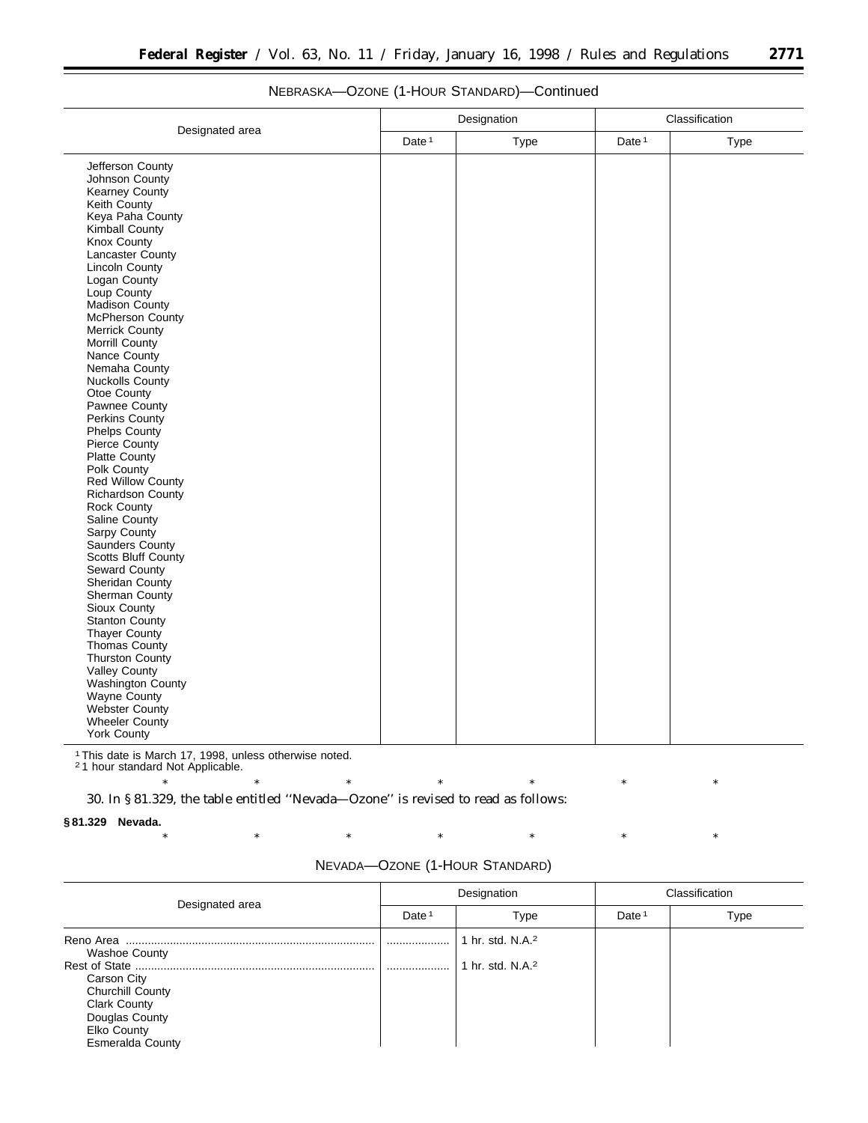÷.

|                                             | Designation       |      | Classification    |      |
|---------------------------------------------|-------------------|------|-------------------|------|
| Designated area                             | Date <sup>1</sup> | Type | Date <sup>1</sup> | Type |
| Jefferson County                            |                   |      |                   |      |
| Johnson County                              |                   |      |                   |      |
| Kearney County                              |                   |      |                   |      |
| Keith County                                |                   |      |                   |      |
| Keya Paha County                            |                   |      |                   |      |
| Kimball County                              |                   |      |                   |      |
| Knox County                                 |                   |      |                   |      |
| Lancaster County                            |                   |      |                   |      |
| <b>Lincoln County</b><br>Logan County       |                   |      |                   |      |
| Loup County                                 |                   |      |                   |      |
| Madison County                              |                   |      |                   |      |
| McPherson County                            |                   |      |                   |      |
| <b>Merrick County</b>                       |                   |      |                   |      |
| Morrill County                              |                   |      |                   |      |
| Nance County                                |                   |      |                   |      |
| Nemaha County                               |                   |      |                   |      |
| <b>Nuckolls County</b>                      |                   |      |                   |      |
| Otoe County                                 |                   |      |                   |      |
| Pawnee County                               |                   |      |                   |      |
| Perkins County                              |                   |      |                   |      |
| <b>Phelps County</b>                        |                   |      |                   |      |
| Pierce County                               |                   |      |                   |      |
| Platte County                               |                   |      |                   |      |
| Polk County                                 |                   |      |                   |      |
| Red Willow County                           |                   |      |                   |      |
| Richardson County                           |                   |      |                   |      |
| Rock County                                 |                   |      |                   |      |
| Saline County                               |                   |      |                   |      |
| Sarpy County                                |                   |      |                   |      |
| Saunders County                             |                   |      |                   |      |
| <b>Scotts Bluff County</b><br>Seward County |                   |      |                   |      |
| Sheridan County                             |                   |      |                   |      |
| Sherman County                              |                   |      |                   |      |
| Sioux County                                |                   |      |                   |      |
| Stanton County                              |                   |      |                   |      |
| Thayer County                               |                   |      |                   |      |
| Thomas County                               |                   |      |                   |      |
| <b>Thurston County</b>                      |                   |      |                   |      |
| Valley County                               |                   |      |                   |      |
| Washington County                           |                   |      |                   |      |
| Wayne County                                |                   |      |                   |      |
| Webster County                              |                   |      |                   |      |
| <b>Wheeler County</b>                       |                   |      |                   |      |
| <b>York County</b>                          |                   |      |                   |      |

## NEBRASKA—OZONE (1-HOUR STANDARD)—Continued

1This date is March 17, 1998, unless otherwise noted. 2 1 hour standard Not Applicable.

\* \* \* \* \* \* \* \* \* \* \* 30. In § 81.329, the table entitled ''Nevada—Ozone'' is revised to read as follows:

### **§ 81.329 Nevada.**

| Designated area                                                                                                                                         | Designation       |                                                              | Classification    |      |
|---------------------------------------------------------------------------------------------------------------------------------------------------------|-------------------|--------------------------------------------------------------|-------------------|------|
|                                                                                                                                                         | Date <sup>1</sup> | Type                                                         | Date <sup>1</sup> | Type |
| Reno Area<br><b>Washoe County</b><br>Carson City<br>Churchill County<br><b>Clark County</b><br>Douglas County<br>Elko County<br><b>Esmeralda County</b> | <br>              | 1 hr. std. N.A. <sup>2</sup><br>1 hr. std. N.A. <sup>2</sup> |                   |      |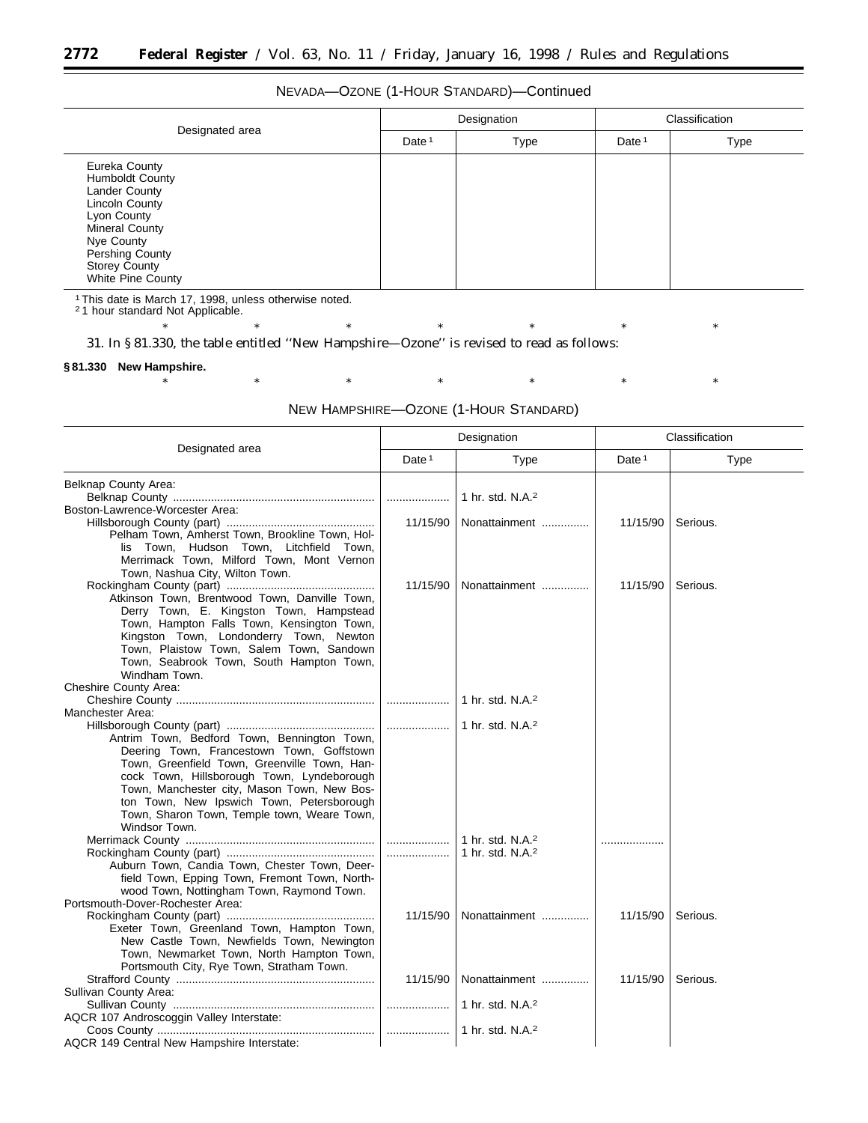## NEVADA—OZONE (1-HOUR STANDARD)—Continued

| Designated area                                                                                                                                                                                  | Designation       |             | Classification |      |
|--------------------------------------------------------------------------------------------------------------------------------------------------------------------------------------------------|-------------------|-------------|----------------|------|
|                                                                                                                                                                                                  | Date <sup>1</sup> | <b>Type</b> | Date $1$       | Type |
| Eureka County<br><b>Humboldt County</b><br>Lander County<br>Lincoln County<br>Lyon County<br>Mineral County<br>Nye County<br>Pershing County<br><b>Storey County</b><br><b>White Pine County</b> |                   |             |                |      |

1This date is March 17, 1998, unless otherwise noted. 2 1 hour standard Not Applicable.

\* \* \* \* \* \* \* \* \* \* \*

31. In § 81.330, the table entitled ''New Hampshire—Ozone'' is revised to read as follows:

### **§ 81.330 New Hampshire.**

|                                                                                           |          | Designation                  |                   | Classification |  |
|-------------------------------------------------------------------------------------------|----------|------------------------------|-------------------|----------------|--|
| Designated area                                                                           | Date $1$ | Type                         | Date <sup>1</sup> | Type           |  |
| Belknap County Area:                                                                      |          |                              |                   |                |  |
|                                                                                           | .        | 1 hr. std. N.A. <sup>2</sup> |                   |                |  |
| Boston-Lawrence-Worcester Area:                                                           |          |                              |                   |                |  |
| Pelham Town, Amherst Town, Brookline Town, Hol-                                           | 11/15/90 | Nonattainment                | 11/15/90          | Serious.       |  |
| lis Town, Hudson Town, Litchfield Town,                                                   |          |                              |                   |                |  |
| Merrimack Town, Milford Town, Mont Vernon                                                 |          |                              |                   |                |  |
| Town, Nashua City, Wilton Town.                                                           |          |                              |                   |                |  |
|                                                                                           | 11/15/90 | Nonattainment                | 11/15/90          | Serious.       |  |
| Atkinson Town, Brentwood Town, Danville Town,                                             |          |                              |                   |                |  |
| Derry Town, E. Kingston Town, Hampstead                                                   |          |                              |                   |                |  |
| Town, Hampton Falls Town, Kensington Town,                                                |          |                              |                   |                |  |
| Kingston Town, Londonderry Town, Newton                                                   |          |                              |                   |                |  |
| Town, Plaistow Town, Salem Town, Sandown                                                  |          |                              |                   |                |  |
| Town, Seabrook Town, South Hampton Town,                                                  |          |                              |                   |                |  |
| Windham Town.                                                                             |          |                              |                   |                |  |
| Cheshire County Area:                                                                     |          |                              |                   |                |  |
|                                                                                           |          | 1 hr. std. N.A. <sup>2</sup> |                   |                |  |
| Manchester Area:                                                                          |          |                              |                   |                |  |
|                                                                                           |          | 1 hr. std. N.A. <sup>2</sup> |                   |                |  |
| Antrim Town, Bedford Town, Bennington Town,                                               |          |                              |                   |                |  |
| Deering Town, Francestown Town, Goffstown<br>Town, Greenfield Town, Greenville Town, Han- |          |                              |                   |                |  |
| cock Town, Hillsborough Town, Lyndeborough                                                |          |                              |                   |                |  |
| Town, Manchester city, Mason Town, New Bos-                                               |          |                              |                   |                |  |
| ton Town, New Ipswich Town, Petersborough                                                 |          |                              |                   |                |  |
| Town, Sharon Town, Temple town, Weare Town,                                               |          |                              |                   |                |  |
| Windsor Town.                                                                             |          |                              |                   |                |  |
|                                                                                           |          | 1 hr. std. N.A. <sup>2</sup> | .                 |                |  |
|                                                                                           |          | 1 hr. std. $N.A.^2$          |                   |                |  |
| Auburn Town, Candia Town, Chester Town, Deer-                                             |          |                              |                   |                |  |
| field Town, Epping Town, Fremont Town, North-                                             |          |                              |                   |                |  |
| wood Town, Nottingham Town, Raymond Town.                                                 |          |                              |                   |                |  |
| Portsmouth-Dover-Rochester Area:                                                          |          |                              |                   |                |  |
|                                                                                           | 11/15/90 | Nonattainment                | 11/15/90          | Serious.       |  |
| Exeter Town, Greenland Town, Hampton Town,                                                |          |                              |                   |                |  |
| New Castle Town, Newfields Town, Newington<br>Town, Newmarket Town, North Hampton Town,   |          |                              |                   |                |  |
| Portsmouth City, Rye Town, Stratham Town.                                                 |          |                              |                   |                |  |
|                                                                                           | 11/15/90 | Nonattainment                | 11/15/90          | Serious.       |  |
| Sullivan County Area:                                                                     |          |                              |                   |                |  |
|                                                                                           |          | 1 hr. std. N.A. <sup>2</sup> |                   |                |  |
| AQCR 107 Androscoggin Valley Interstate:                                                  |          |                              |                   |                |  |
|                                                                                           |          | 1 hr. std. N.A. $2$          |                   |                |  |
| AQCR 149 Central New Hampshire Interstate:                                                |          |                              |                   |                |  |

### NEW HAMPSHIRE—OZONE (1-HOUR STANDARD)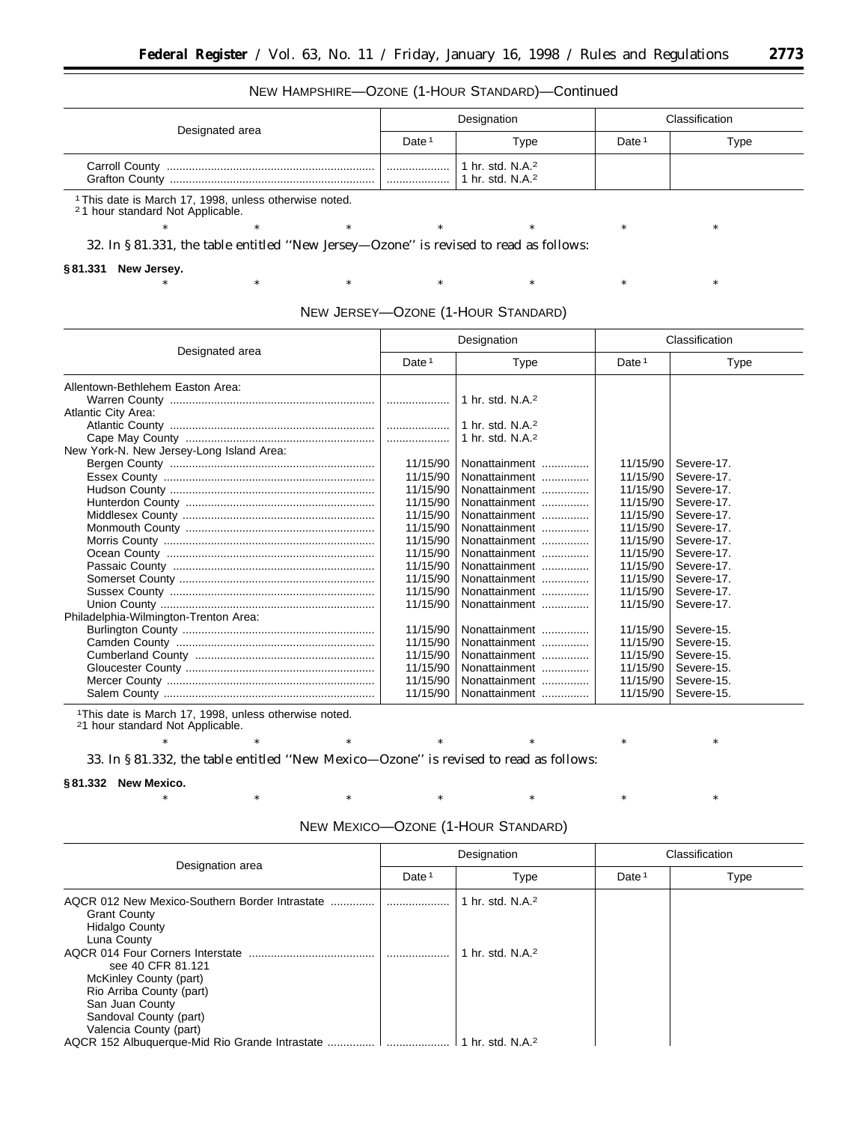## NEW HAMPSHIRE—OZONE (1-HOUR STANDARD)—Continued

| Designated area                                | Designation       |                                          | Classification    |      |
|------------------------------------------------|-------------------|------------------------------------------|-------------------|------|
|                                                | Date <sup>1</sup> | Type                                     | Date <sup>1</sup> | Type |
| <b>Carroll County</b><br><b>Grafton County</b> | <br>              | 1 hr. std. $N.A.^2$<br>hr. std. $N.A.^2$ |                   |      |

1This date is March 17, 1998, unless otherwise noted.

2 1 hour standard Not Applicable.

\* \* \* \* \* \* \* \* \* \* \*

32. In § 81.331, the table entitled ''New Jersey—Ozone'' is revised to read as follows:

**§ 81.331 New Jersey.**

| NEW JERSEY-OZONE (1-HOUR STANDARD) |  |
|------------------------------------|--|
|------------------------------------|--|

\* \* \* \* \* \* \* \* \* \* \*

| Designated area                          | Designation       |                              | Classification    |            |
|------------------------------------------|-------------------|------------------------------|-------------------|------------|
|                                          | Date <sup>1</sup> | Type                         | Date <sup>1</sup> | Type       |
| Allentown-Bethlehem Easton Area:         |                   |                              |                   |            |
|                                          |                   | 1 hr. std. N.A. <sup>2</sup> |                   |            |
| <b>Atlantic City Area:</b>               |                   |                              |                   |            |
|                                          |                   | 1 hr. std. N.A. <sup>2</sup> |                   |            |
|                                          |                   | 1 hr. std. N.A. <sup>2</sup> |                   |            |
| New York-N. New Jersey-Long Island Area: |                   |                              |                   |            |
|                                          | 11/15/90          | Nonattainment                | 11/15/90          | Severe-17. |
|                                          | 11/15/90          | Nonattainment                | 11/15/90          | Severe-17. |
|                                          | 11/15/90          | Nonattainment                | 11/15/90          | Severe-17. |
|                                          | 11/15/90          | Nonattainment                | 11/15/90          | Severe-17. |
|                                          | 11/15/90          | Nonattainment                | 11/15/90          | Severe-17. |
|                                          | 11/15/90          | Nonattainment                | 11/15/90          | Severe-17. |
|                                          | 11/15/90          | Nonattainment                | 11/15/90          | Severe-17. |
|                                          | 11/15/90          | Nonattainment                | 11/15/90          | Severe-17. |
|                                          | 11/15/90          | Nonattainment                | 11/15/90          | Severe-17. |
|                                          | 11/15/90          | Nonattainment                | 11/15/90          | Severe-17. |
|                                          | 11/15/90          | Nonattainment                | 11/15/90          | Severe-17. |
|                                          | 11/15/90          | Nonattainment                | 11/15/90          | Severe-17. |
| Philadelphia-Wilmington-Trenton Area:    |                   |                              |                   |            |
|                                          | 11/15/90          | Nonattainment                | 11/15/90          | Severe-15. |
|                                          | 11/15/90          | Nonattainment                | 11/15/90          | Severe-15. |
|                                          | 11/15/90          | Nonattainment                | 11/15/90          | Severe-15. |
|                                          | 11/15/90          | Nonattainment                | 11/15/90          | Severe-15. |
|                                          | 11/15/90          | Nonattainment                | 11/15/90          | Severe-15. |
|                                          | 11/15/90          | Nonattainment                | 11/15/90          | Severe-15. |

1This date is March 17, 1998, unless otherwise noted.

21 hour standard Not Applicable.

33. In § 81.332, the table entitled ''New Mexico—Ozone'' is revised to read as follows:

#### **§ 81.332 New Mexico.**

| Designation area                                                                                                                                                                   | Designation       |                                      |                   | Classification |
|------------------------------------------------------------------------------------------------------------------------------------------------------------------------------------|-------------------|--------------------------------------|-------------------|----------------|
|                                                                                                                                                                                    | Date <sup>1</sup> | Type                                 | Date <sup>1</sup> | Type           |
| AQCR 012 New Mexico-Southern Border Intrastate<br><b>Grant County</b><br><b>Hidalgo County</b><br>Luna County                                                                      |                   | 1 hr. std. N.A. <sup>2</sup>         |                   |                |
| AQCR 014 Four Corners Interstate<br>see 40 CFR 81.121<br>McKinley County (part)<br>Rio Arriba County (part)<br>San Juan County<br>Sandoval County (part)<br>Valencia County (part) |                   | 1 hr. std. N.A. <sup>2</sup>         |                   |                |
|                                                                                                                                                                                    |                   | $\vert$ 1 hr. std. N.A. <sup>2</sup> |                   |                |

NEW MEXICO—OZONE (1-HOUR STANDARD)

\* \* \* \* \* \* \* \* \* \* \*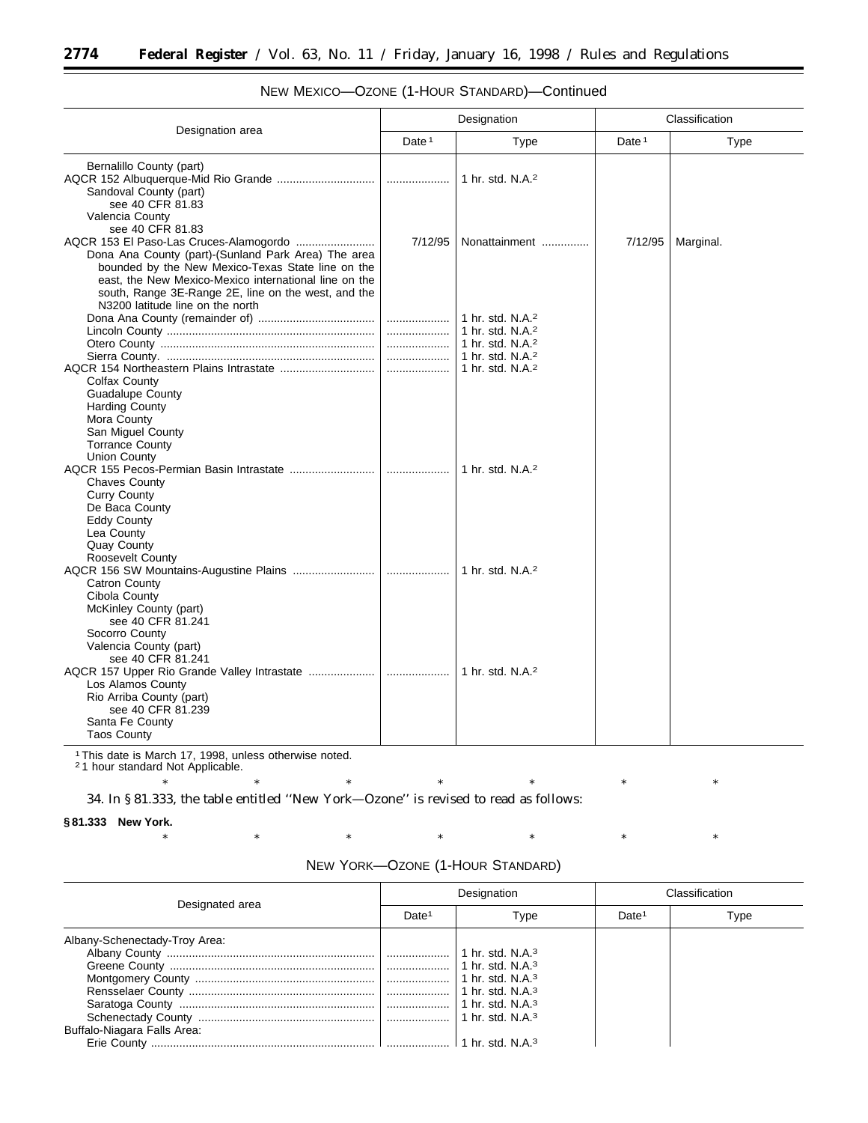|                                                                                                                                                                                                          | Designation |                                                                                                                                                              | Classification    |           |
|----------------------------------------------------------------------------------------------------------------------------------------------------------------------------------------------------------|-------------|--------------------------------------------------------------------------------------------------------------------------------------------------------------|-------------------|-----------|
| Designation area                                                                                                                                                                                         | Date $1$    | Type                                                                                                                                                         | Date <sup>1</sup> | Type      |
| Bernalillo County (part)<br>Sandoval County (part)<br>see 40 CFR 81.83                                                                                                                                   |             | 1 hr. std. N.A. <sup>2</sup>                                                                                                                                 |                   |           |
| Valencia County<br>see 40 CFR 81.83<br>Dona Ana County (part)-(Sunland Park Area) The area<br>bounded by the New Mexico-Texas State line on the<br>east, the New Mexico-Mexico international line on the | 7/12/95     | Nonattainment                                                                                                                                                | 7/12/95           | Marginal. |
| south, Range 3E-Range 2E, line on the west, and the<br>N3200 latitude line on the north<br>Colfax County<br><b>Guadalupe County</b><br><b>Harding County</b>                                             |             | 1 hr. std. N.A. <sup>2</sup><br>1 hr. std. N.A. <sup>2</sup><br>1 hr. std. N.A. <sup>2</sup><br>1 hr. std. N.A. <sup>2</sup><br>1 hr. std. N.A. <sup>2</sup> |                   |           |
| Mora County<br>San Miguel County<br><b>Torrance County</b><br><b>Union County</b><br><b>Chaves County</b><br><b>Curry County</b><br>De Baca County<br><b>Eddy County</b><br>Lea County                   |             | 1 hr. std. N.A. <sup>2</sup>                                                                                                                                 |                   |           |
| <b>Quay County</b><br>Roosevelt County<br>Catron County<br>Cibola County<br>McKinley County (part)<br>see 40 CFR 81.241                                                                                  |             | 1 hr. std. N.A. <sup>2</sup>                                                                                                                                 |                   |           |
| Socorro County<br>Valencia County (part)<br>see 40 CFR 81.241<br>Los Alamos County<br>Rio Arriba County (part)<br>see 40 CFR 81.239<br>Santa Fe County<br><b>Taos County</b>                             |             | 1 hr. std. N.A. <sup>2</sup>                                                                                                                                 |                   |           |

## NEW MEXICO—OZONE (1-HOUR STANDARD)—Continued

1This date is March 17, 1998, unless otherwise noted. 2 1 hour standard Not Applicable.

\* \* \* \* \* \* \* \* \* \* \* 34. In § 81.333, the table entitled ''New York—Ozone'' is revised to read as follows:

### **§ 81.333 New York.**

| NEW YORK-OZONE (1-HOUR STANDARD) |  |
|----------------------------------|--|
|----------------------------------|--|

| Designated area               | Designation       |      |                   | Classification |
|-------------------------------|-------------------|------|-------------------|----------------|
|                               | Date <sup>1</sup> | Type | Date <sup>1</sup> | Type           |
| Albany-Schenectady-Troy Area: |                   |      |                   |                |
|                               |                   |      |                   |                |
|                               |                   |      |                   |                |
|                               |                   |      |                   |                |
|                               |                   |      |                   |                |
|                               |                   |      |                   |                |
|                               |                   |      |                   |                |
| Buffalo-Niagara Falls Area:   |                   |      |                   |                |
|                               |                   |      |                   |                |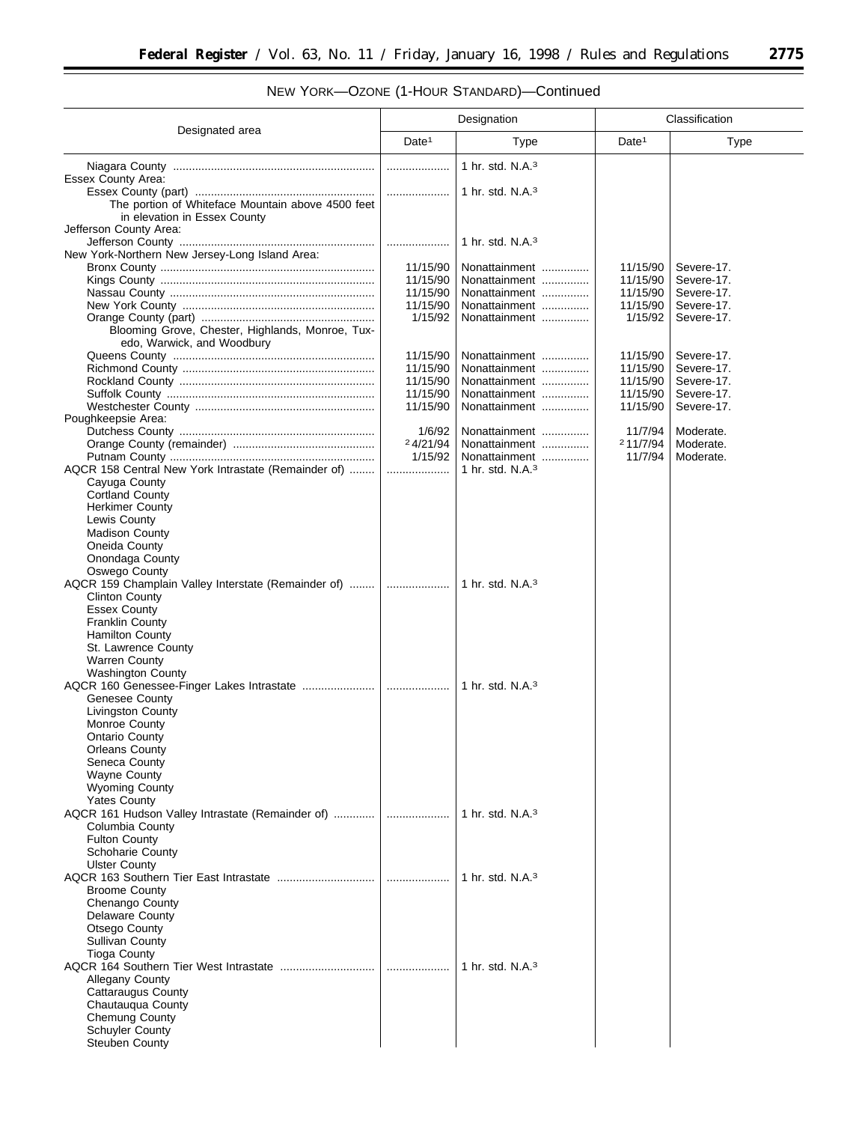| NEW YORK-OZONE (1-HOUR STANDARD)-Continued |  |
|--------------------------------------------|--|
|                                            |  |

|                                                     | Designation                          |                                |                      | Classification           |  |
|-----------------------------------------------------|--------------------------------------|--------------------------------|----------------------|--------------------------|--|
| Designated area                                     | Date <sup>1</sup>                    | Type                           | Date <sup>1</sup>    | Type                     |  |
|                                                     | .                                    | 1 hr. std. $N.A.3$             |                      |                          |  |
| Essex County Area:                                  |                                      |                                |                      |                          |  |
|                                                     | .                                    | 1 hr. std. $N.A.^3$            |                      |                          |  |
| The portion of Whiteface Mountain above 4500 feet   |                                      |                                |                      |                          |  |
| in elevation in Essex County                        |                                      |                                |                      |                          |  |
| Jefferson County Area:                              |                                      |                                |                      |                          |  |
|                                                     |                                      | 1 hr. std. $N.A.^3$            |                      |                          |  |
| New York-Northern New Jersey-Long Island Area:      |                                      |                                |                      |                          |  |
|                                                     | 11/15/90<br>11/15/90                 | Nonattainment<br>Nonattainment | 11/15/90<br>11/15/90 | Severe-17.<br>Severe-17. |  |
|                                                     | 11/15/90                             | Nonattainment                  | 11/15/90             | Severe-17.               |  |
|                                                     | 11/15/90                             | Nonattainment                  | 11/15/90             | Severe-17.               |  |
|                                                     | 1/15/92                              | Nonattainment                  | 1/15/92              | Severe-17.               |  |
| Blooming Grove, Chester, Highlands, Monroe, Tux-    |                                      |                                |                      |                          |  |
| edo, Warwick, and Woodbury                          |                                      |                                |                      |                          |  |
|                                                     | 11/15/90                             | Nonattainment                  | 11/15/90             | Severe-17.               |  |
|                                                     | 11/15/90                             | Nonattainment                  | 11/15/90             | Severe-17.               |  |
|                                                     | 11/15/90                             | Nonattainment                  | 11/15/90             | Severe-17.               |  |
|                                                     | 11/15/90                             | Nonattainment                  | 11/15/90             | Severe-17.               |  |
|                                                     | 11/15/90                             | Nonattainment                  | 11/15/90             | Severe-17.               |  |
| Poughkeepsie Area:                                  |                                      |                                |                      |                          |  |
|                                                     | 1/6/92                               | Nonattainment                  | 11/7/94              | Moderate.                |  |
|                                                     | 24/21/94                             | Nonattainment                  | 211/7/94             | Moderate.                |  |
|                                                     | 1/15/92                              | Nonattainment                  | 11/7/94              | Moderate.                |  |
| AQCR 158 Central New York Intrastate (Remainder of) | .                                    | 1 hr. std. $N.A.3$             |                      |                          |  |
| Cayuga County<br><b>Cortland County</b>             |                                      |                                |                      |                          |  |
| <b>Herkimer County</b>                              |                                      |                                |                      |                          |  |
| Lewis County                                        |                                      |                                |                      |                          |  |
| <b>Madison County</b>                               |                                      |                                |                      |                          |  |
| Oneida County                                       |                                      |                                |                      |                          |  |
| Onondaga County                                     |                                      |                                |                      |                          |  |
| Oswego County                                       |                                      |                                |                      |                          |  |
| AQCR 159 Champlain Valley Interstate (Remainder of) |                                      | 1 hr. std. $N.A.^3$            |                      |                          |  |
| <b>Clinton County</b>                               |                                      |                                |                      |                          |  |
| <b>Essex County</b>                                 |                                      |                                |                      |                          |  |
| <b>Franklin County</b>                              |                                      |                                |                      |                          |  |
| <b>Hamilton County</b>                              |                                      |                                |                      |                          |  |
| St. Lawrence County                                 |                                      |                                |                      |                          |  |
| <b>Warren County</b>                                |                                      |                                |                      |                          |  |
| <b>Washington County</b>                            |                                      | 1 hr. std. $N.A.^3$            |                      |                          |  |
| Genesee County                                      |                                      |                                |                      |                          |  |
| <b>Livingston County</b>                            |                                      |                                |                      |                          |  |
| <b>Monroe County</b>                                |                                      |                                |                      |                          |  |
| <b>Ontario County</b>                               |                                      |                                |                      |                          |  |
| Orleans County                                      |                                      |                                |                      |                          |  |
| Seneca County                                       |                                      |                                |                      |                          |  |
| <b>Wayne County</b>                                 |                                      |                                |                      |                          |  |
| <b>Wyoming County</b>                               |                                      |                                |                      |                          |  |
| <b>Yates County</b>                                 |                                      |                                |                      |                          |  |
| AQCR 161 Hudson Valley Intrastate (Remainder of)    | $\ldots \ldots \ldots \ldots \ldots$ | 1 hr. std. N.A. <sup>3</sup>   |                      |                          |  |
| Columbia County                                     |                                      |                                |                      |                          |  |
| <b>Fulton County</b>                                |                                      |                                |                      |                          |  |
| Schoharie County<br><b>Ulster County</b>            |                                      |                                |                      |                          |  |
|                                                     |                                      | 1 hr. std. $N.A.^3$            |                      |                          |  |
| <b>Broome County</b>                                |                                      |                                |                      |                          |  |
| Chenango County                                     |                                      |                                |                      |                          |  |
| <b>Delaware County</b>                              |                                      |                                |                      |                          |  |
| Otsego County                                       |                                      |                                |                      |                          |  |
| <b>Sullivan County</b>                              |                                      |                                |                      |                          |  |
| <b>Tioga County</b>                                 |                                      |                                |                      |                          |  |
|                                                     | .                                    | 1 hr. std. $N.A.^3$            |                      |                          |  |
| <b>Allegany County</b>                              |                                      |                                |                      |                          |  |
| <b>Cattaraugus County</b>                           |                                      |                                |                      |                          |  |
| Chautauqua County                                   |                                      |                                |                      |                          |  |
| <b>Chemung County</b>                               |                                      |                                |                      |                          |  |
| <b>Schuyler County</b>                              |                                      |                                |                      |                          |  |
| Steuben County                                      |                                      |                                |                      |                          |  |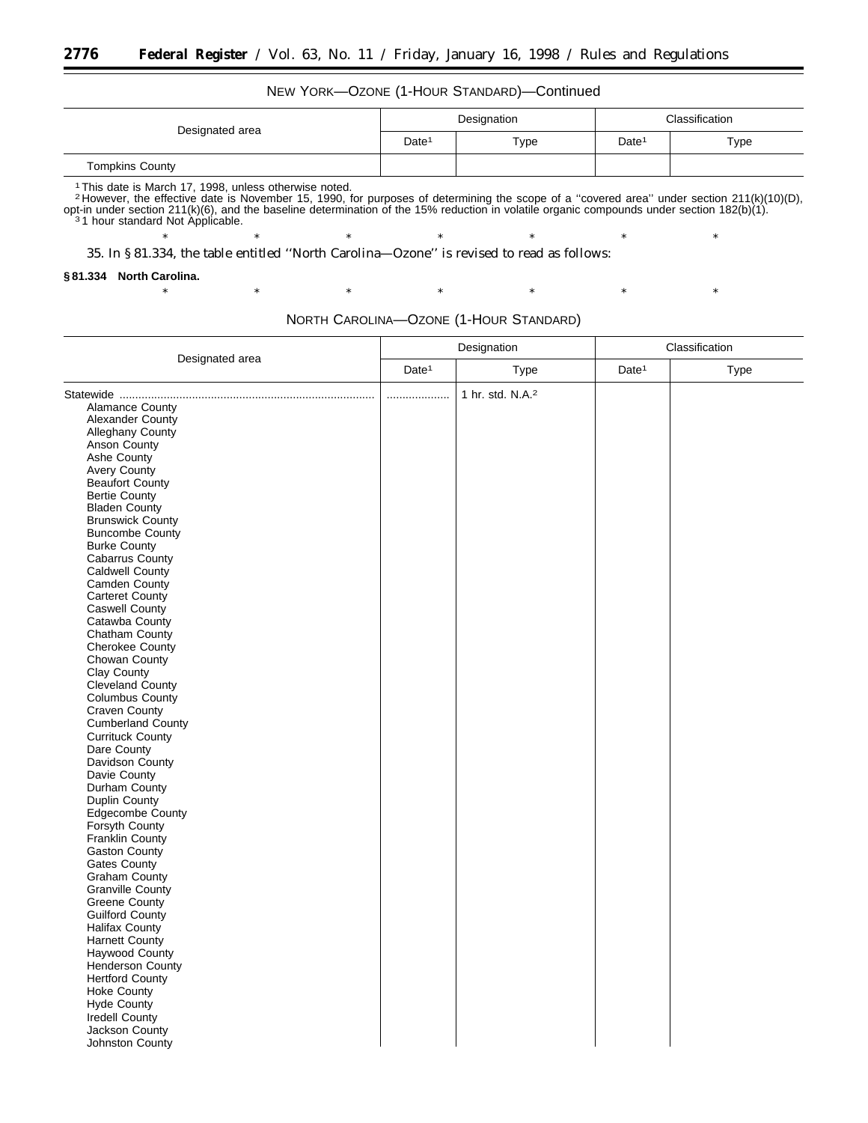## NEW YORK—OZONE (1-HOUR STANDARD)—Continued

|                        | Designation       |      | Classification    |      |
|------------------------|-------------------|------|-------------------|------|
| Designated area        | Date <sup>1</sup> | Type | Date <sup>1</sup> | Type |
| <b>Tompkins County</b> |                   |      |                   |      |

1 This date is March 17, 1998, unless otherwise noted.<br><sup>2</sup> However, the effective date is November 15, 1990, for purposes of determining the scope of a "covered area" under section 211(k)(10)(D), opt-in under section 211(k)(6), and the baseline determination of the 15% reduction in volatile organic compounds under section 182(b)(1).<br>31 hour standard Not Applicable.

\* \* \* \* \* \* \* \* \* \* \*

\* \* \* \* \* \* \* \* \* \* \*

35. In § 81.334, the table entitled ''North Carolina—Ozone'' is revised to read as follows:

#### **§ 81.334 North Carolina.**

Johnston County

|                         | Designation       |                              | Classification    |      |  |
|-------------------------|-------------------|------------------------------|-------------------|------|--|
| Designated area         | Date <sup>1</sup> | Type                         | Date <sup>1</sup> | Type |  |
|                         | .                 | 1 hr. std. N.A. <sup>2</sup> |                   |      |  |
| <b>Alamance County</b>  |                   |                              |                   |      |  |
| Alexander County        |                   |                              |                   |      |  |
| Alleghany County        |                   |                              |                   |      |  |
| Anson County            |                   |                              |                   |      |  |
| Ashe County             |                   |                              |                   |      |  |
| <b>Avery County</b>     |                   |                              |                   |      |  |
| <b>Beaufort County</b>  |                   |                              |                   |      |  |
| <b>Bertie County</b>    |                   |                              |                   |      |  |
| <b>Bladen County</b>    |                   |                              |                   |      |  |
| <b>Brunswick County</b> |                   |                              |                   |      |  |
| <b>Buncombe County</b>  |                   |                              |                   |      |  |
| <b>Burke County</b>     |                   |                              |                   |      |  |
| Cabarrus County         |                   |                              |                   |      |  |
| Caldwell County         |                   |                              |                   |      |  |
| Camden County           |                   |                              |                   |      |  |
| Carteret County         |                   |                              |                   |      |  |
| Caswell County          |                   |                              |                   |      |  |
| Catawba County          |                   |                              |                   |      |  |
| Chatham County          |                   |                              |                   |      |  |
| Cherokee County         |                   |                              |                   |      |  |
| Chowan County           |                   |                              |                   |      |  |
| Clay County             |                   |                              |                   |      |  |
| Cleveland County        |                   |                              |                   |      |  |
| <b>Columbus County</b>  |                   |                              |                   |      |  |
| <b>Craven County</b>    |                   |                              |                   |      |  |
| Cumberland County       |                   |                              |                   |      |  |
| <b>Currituck County</b> |                   |                              |                   |      |  |
| Dare County             |                   |                              |                   |      |  |
| Davidson County         |                   |                              |                   |      |  |
| Davie County            |                   |                              |                   |      |  |
| Durham County           |                   |                              |                   |      |  |
| Duplin County           |                   |                              |                   |      |  |
| Edgecombe County        |                   |                              |                   |      |  |
| Forsyth County          |                   |                              |                   |      |  |
| Franklin County         |                   |                              |                   |      |  |
| Gaston County           |                   |                              |                   |      |  |
| Gates County            |                   |                              |                   |      |  |
| Graham County           |                   |                              |                   |      |  |
| <b>Granville County</b> |                   |                              |                   |      |  |
| <b>Greene County</b>    |                   |                              |                   |      |  |
| Guilford County         |                   |                              |                   |      |  |
| <b>Halifax County</b>   |                   |                              |                   |      |  |
| <b>Harnett County</b>   |                   |                              |                   |      |  |
| Haywood County          |                   |                              |                   |      |  |
| <b>Henderson County</b> |                   |                              |                   |      |  |
| <b>Hertford County</b>  |                   |                              |                   |      |  |
| <b>Hoke County</b>      |                   |                              |                   |      |  |
| <b>Hyde County</b>      |                   |                              |                   |      |  |
| <b>Iredell County</b>   |                   |                              |                   |      |  |
| Jackson County          |                   |                              |                   |      |  |
|                         |                   |                              |                   |      |  |

 $\overline{1}$ 

NORTH CAROLINA—OZONE (1-HOUR STANDARD)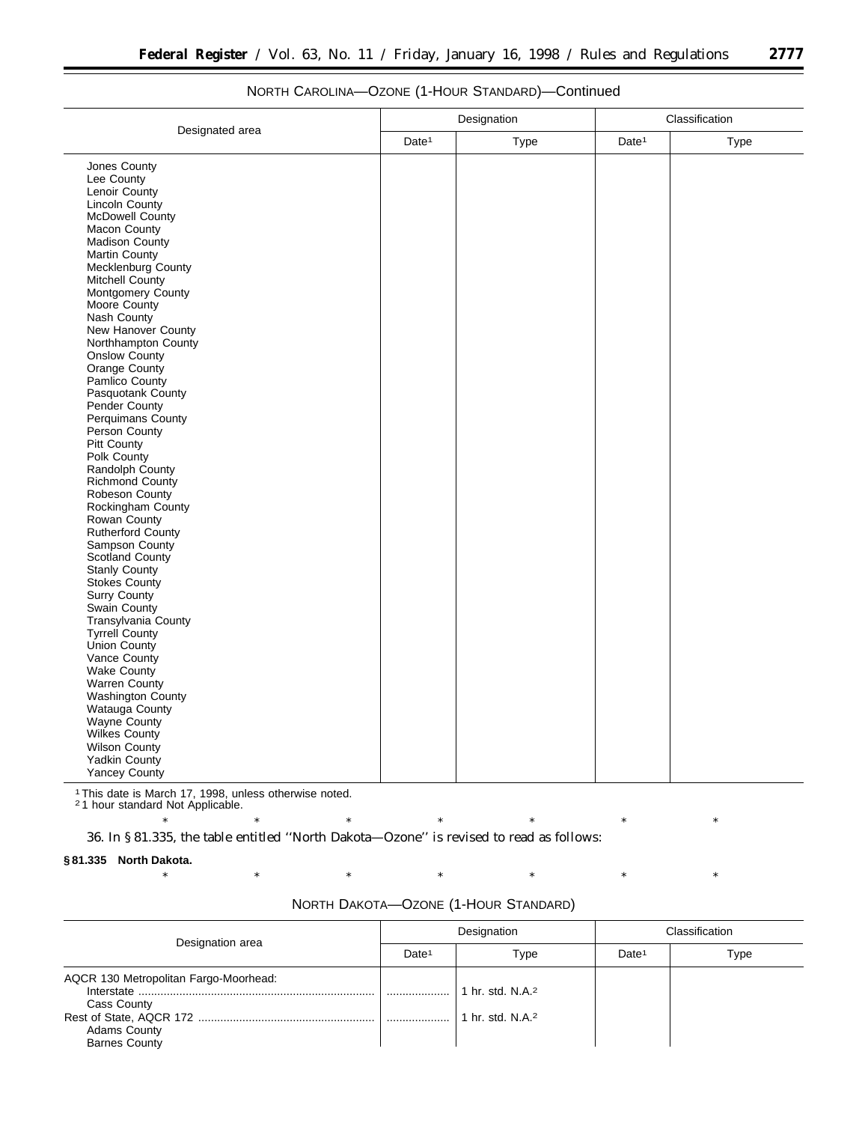|                                   | Designation       |      | Classification    |      |
|-----------------------------------|-------------------|------|-------------------|------|
| Designated area                   | Date <sup>1</sup> | Type | Date <sup>1</sup> | Type |
| Jones County                      |                   |      |                   |      |
| Lee County                        |                   |      |                   |      |
| Lenoir County                     |                   |      |                   |      |
| Lincoln County                    |                   |      |                   |      |
| <b>McDowell County</b>            |                   |      |                   |      |
| Macon County                      |                   |      |                   |      |
| Madison County                    |                   |      |                   |      |
| Martin County                     |                   |      |                   |      |
| Mecklenburg County                |                   |      |                   |      |
| Mitchell County                   |                   |      |                   |      |
| Montgomery County                 |                   |      |                   |      |
| Moore County                      |                   |      |                   |      |
| Nash County                       |                   |      |                   |      |
| New Hanover County                |                   |      |                   |      |
| Northhampton County               |                   |      |                   |      |
| Onslow County                     |                   |      |                   |      |
| Orange County                     |                   |      |                   |      |
| Pamlico County                    |                   |      |                   |      |
| Pasquotank County                 |                   |      |                   |      |
| Pender County                     |                   |      |                   |      |
| Perquimans County                 |                   |      |                   |      |
| Person County                     |                   |      |                   |      |
| Pitt County                       |                   |      |                   |      |
| Polk County                       |                   |      |                   |      |
| Randolph County                   |                   |      |                   |      |
| Richmond County<br>Robeson County |                   |      |                   |      |
| Rockingham County                 |                   |      |                   |      |
| Rowan County                      |                   |      |                   |      |
| Rutherford County                 |                   |      |                   |      |
| Sampson County                    |                   |      |                   |      |
| <b>Scotland County</b>            |                   |      |                   |      |
| <b>Stanly County</b>              |                   |      |                   |      |
| <b>Stokes County</b>              |                   |      |                   |      |
| <b>Surry County</b>               |                   |      |                   |      |
| Swain County                      |                   |      |                   |      |
| Transylvania County               |                   |      |                   |      |
| Tyrrell County                    |                   |      |                   |      |
| <b>Union County</b>               |                   |      |                   |      |
| Vance County                      |                   |      |                   |      |
| <b>Wake County</b>                |                   |      |                   |      |
| <b>Warren County</b>              |                   |      |                   |      |
| Washington County                 |                   |      |                   |      |
| Watauga County                    |                   |      |                   |      |
| Wayne County                      |                   |      |                   |      |
| Wilkes County                     |                   |      |                   |      |
| <b>Wilson County</b>              |                   |      |                   |      |
| Yadkin County                     |                   |      |                   |      |
| <b>Yancey County</b>              |                   |      |                   |      |

## NORTH CAROLINA—OZONE (1-HOUR STANDARD)—Continued

1This date is March 17, 1998, unless otherwise noted.

2 1 hour standard Not Applicable.

36. In § 81.335, the table entitled ''North Dakota—Ozone'' is revised to read as follows:

**§ 81.335 North Dakota.**

| NORTH DAKOTA-OZONE (1-HOUR STANDARD) |  |
|--------------------------------------|--|
|--------------------------------------|--|

\* \* \* \* \* \* \* \* \* \* \*

| Designation area                                                                                           | Designation       |                                            | Classification    |      |
|------------------------------------------------------------------------------------------------------------|-------------------|--------------------------------------------|-------------------|------|
|                                                                                                            | Date <sup>1</sup> | Type                                       | Date <sup>1</sup> | Type |
| AQCR 130 Metropolitan Fargo-Moorhead:<br><b>Cass County</b><br><b>Adams County</b><br><b>Barnes County</b> |                   | 1 hr. std. $N.A.^2$<br>1 hr. std. $N.A.^2$ |                   |      |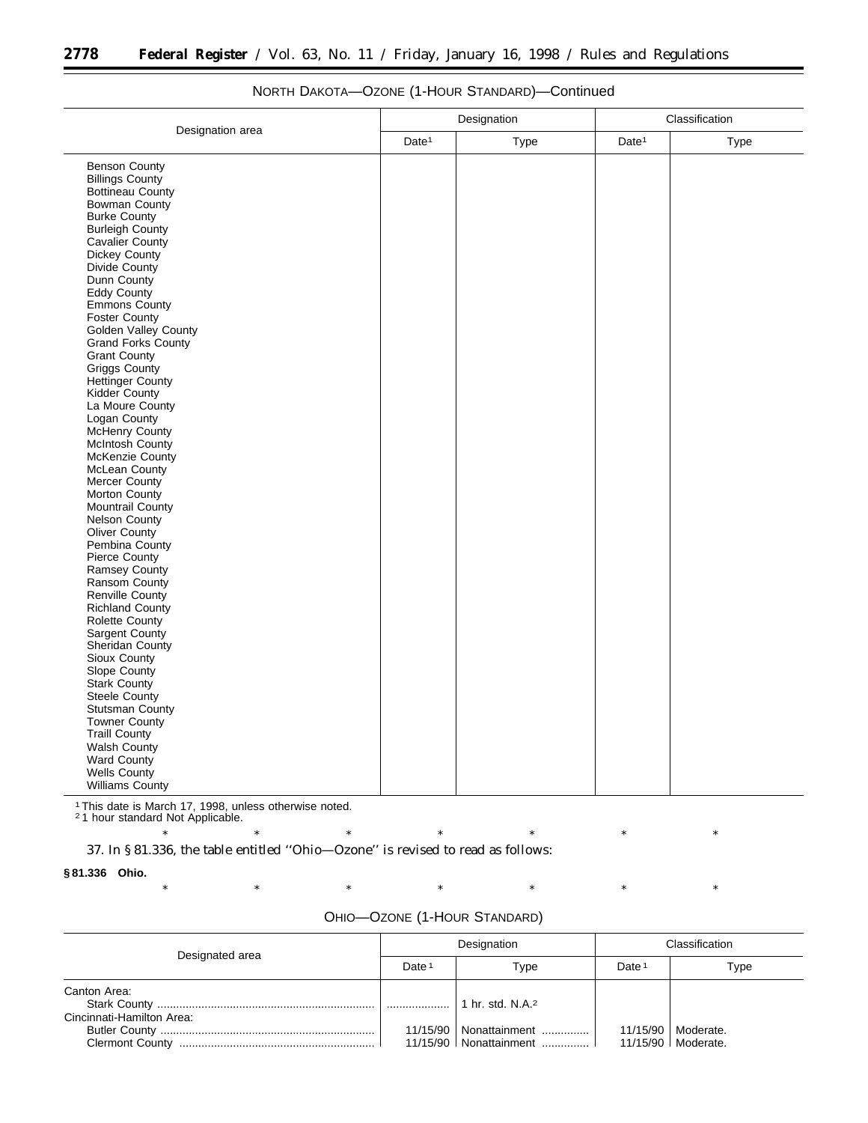|                                                                                                                                                                                                                                                                                                                                                                                                                                                                                                                                                                                                                                                                                                                                                     |                   | Designation | Classification    |      |
|-----------------------------------------------------------------------------------------------------------------------------------------------------------------------------------------------------------------------------------------------------------------------------------------------------------------------------------------------------------------------------------------------------------------------------------------------------------------------------------------------------------------------------------------------------------------------------------------------------------------------------------------------------------------------------------------------------------------------------------------------------|-------------------|-------------|-------------------|------|
|                                                                                                                                                                                                                                                                                                                                                                                                                                                                                                                                                                                                                                                                                                                                                     | Date <sup>1</sup> | Type        | Date <sup>1</sup> | Type |
| Designation area<br><b>Benson County</b><br><b>Billings County</b><br>Bottineau County<br><b>Bowman County</b><br><b>Burke County</b><br><b>Burleigh County</b><br>Cavalier County<br>Dickey County<br>Divide County<br>Dunn County<br>Eddy County<br>Emmons County<br><b>Foster County</b><br>Golden Valley County<br>Grand Forks County<br><b>Grant County</b><br>Griggs County<br>Hettinger County<br>Kidder County<br>La Moure County<br>Logan County<br>McHenry County<br><b>McIntosh County</b><br>McKenzie County<br>McLean County<br>Mercer County<br>Morton County<br>Mountrail County<br><b>Nelson County</b><br>Oliver County<br>Pembina County<br>Pierce County<br>Ramsey County<br>Ransom County<br>Renville County<br>Richland County |                   |             |                   |      |
| <b>Rolette County</b><br>Sargent County<br><b>Sheridan County</b><br>Sioux County<br>Slope County<br>Stark County<br><b>Steele County</b><br>Stutsman County<br><b>Towner County</b><br><b>Traill County</b><br>Walsh County<br>Ward County<br>Wells County<br><b>Williams County</b>                                                                                                                                                                                                                                                                                                                                                                                                                                                               |                   |             |                   |      |

## NORTH DAKOTA—OZONE (1-HOUR STANDARD)—Continued

1This date is March 17, 1998, unless otherwise noted.

2 1 hour standard Not Applicable.

\* \* \* \* \* \* \* \* \* \* \* 37. In § 81.336, the table entitled ''Ohio—Ozone'' is revised to read as follows:

**§ 81.336 Ohio.**

|  | OHIO-OZONE (1-HOUR STANDARD) |
|--|------------------------------|
|--|------------------------------|

| Designated area                           | Designation       |                                           | Classification    |                                              |
|-------------------------------------------|-------------------|-------------------------------------------|-------------------|----------------------------------------------|
|                                           | Date <sup>1</sup> | Type                                      | Date <sup>1</sup> | Type                                         |
| Canton Area:<br>Cincinnati-Hamilton Area: |                   | 1 hr. std. N.A. <sup>2</sup>              |                   |                                              |
|                                           | 11/15/90          | Nonattainment<br>11/15/90   Nonattainment |                   | 11/15/90   Moderate.<br>11/15/90   Moderate. |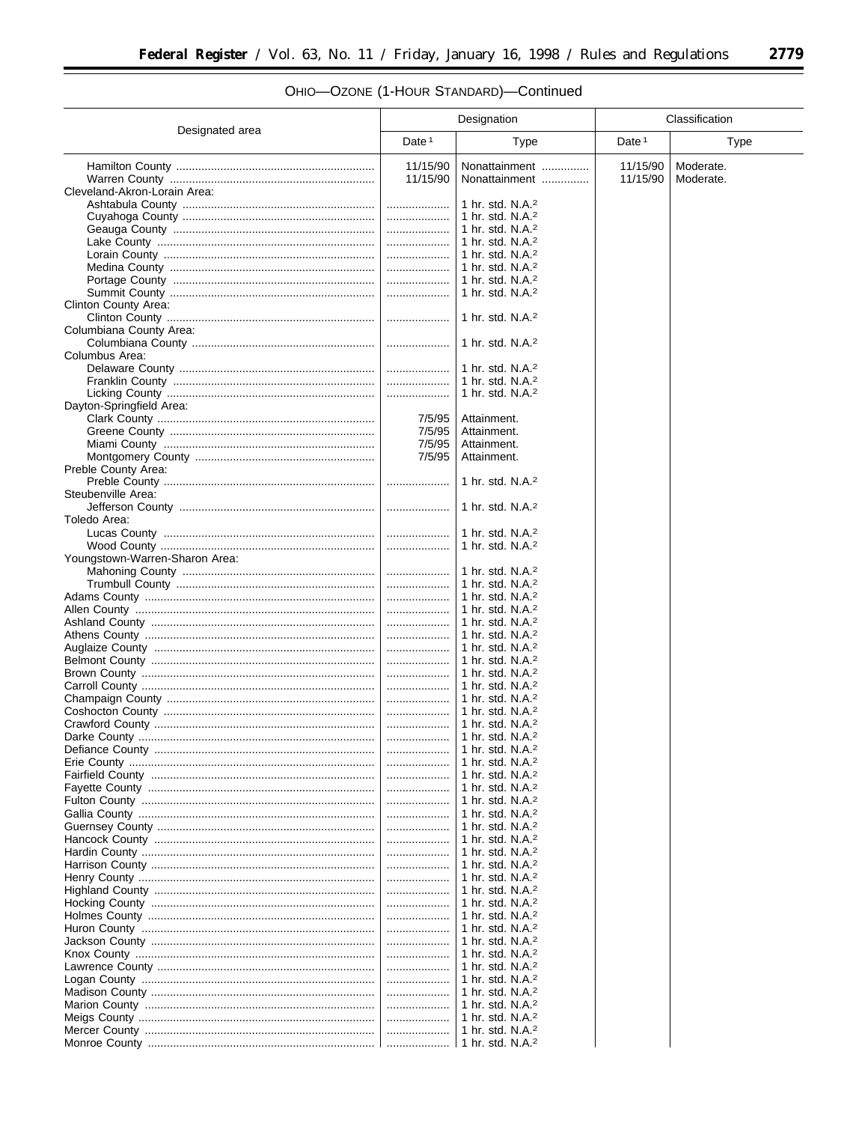$\equiv$ 

# OHIO-OZONE (1-HOUR STANDARD)-Continued

|                                | Designation       |                                                              | Classification    |           |
|--------------------------------|-------------------|--------------------------------------------------------------|-------------------|-----------|
| Designated area                | Date <sup>1</sup> | Type                                                         | Date <sup>1</sup> | Type      |
|                                | 11/15/90          | Nonattainment                                                | 11/15/90          | Moderate. |
|                                | 11/15/90          | Nonattainment                                                | 11/15/90          | Moderate. |
| Cleveland-Akron-Lorain Area:   |                   | 1 hr. std. $N.A.^2$                                          |                   |           |
|                                | <br>.             | 1 hr. std. $N.A.^2$                                          |                   |           |
|                                |                   | 1 hr. std. $N.A.^2$                                          |                   |           |
|                                |                   | 1 hr. std. $N.A.^2$                                          |                   |           |
|                                |                   | 1 hr. std. $N.A.^2$                                          |                   |           |
|                                | .                 | 1 hr. std. N.A. <sup>2</sup>                                 |                   |           |
|                                | .                 | 1 hr. std. N.A. <sup>2</sup><br>1 hr. std. $N.A.^2$          |                   |           |
| Clinton County Area:           |                   |                                                              |                   |           |
|                                |                   | 1 hr. std. N.A. <sup>2</sup>                                 |                   |           |
| Columbiana County Area:        |                   |                                                              |                   |           |
| Columbus Area:                 |                   | 1 hr. std. N.A. $2$                                          |                   |           |
|                                |                   | 1 hr. std. N.A. <sup>2</sup>                                 |                   |           |
|                                |                   | 1 hr. std. $N.A.^2$                                          |                   |           |
|                                |                   | 1 hr. std. N.A. <sup>2</sup>                                 |                   |           |
| Dayton-Springfield Area:       | 7/5/95            |                                                              |                   |           |
|                                | 7/5/95            | Attainment.<br>Attainment.                                   |                   |           |
|                                | 7/5/95            | Attainment.                                                  |                   |           |
|                                | 7/5/95            | Attainment.                                                  |                   |           |
| Preble County Area:            |                   |                                                              |                   |           |
| Steubenville Area:             |                   | 1 hr. std. N.A. <sup>2</sup>                                 |                   |           |
|                                |                   | 1 hr. std. $N.A.^2$                                          |                   |           |
| Toledo Area:                   |                   |                                                              |                   |           |
|                                |                   | 1 hr. std. N.A. <sup>2</sup>                                 |                   |           |
|                                |                   | 1 hr. std. N.A. <sup>2</sup>                                 |                   |           |
| Youngstown-Warren-Sharon Area: |                   | 1 hr. std. N.A. $2$                                          |                   |           |
|                                |                   | 1 hr. std. N.A. <sup>2</sup>                                 |                   |           |
|                                |                   | 1 hr. std. N.A. $2$                                          |                   |           |
|                                |                   | 1 hr. std. N.A. <sup>2</sup>                                 |                   |           |
|                                |                   | 1 hr. std. N.A. <sup>2</sup><br>1 hr. std. N.A. <sup>2</sup> |                   |           |
|                                |                   | 1 hr. std. N.A. <sup>2</sup>                                 |                   |           |
|                                |                   | 1 hr. std. N.A. <sup>2</sup>                                 |                   |           |
|                                |                   | 1 hr. std. N.A. <sup>2</sup>                                 |                   |           |
|                                |                   | 1 hr. std. N.A. <sup>2</sup>                                 |                   |           |
|                                |                   | 1 hr. std. N.A. <sup>2</sup><br>1 hr. std. N.A. <sup>2</sup> |                   |           |
|                                |                   | 1 hr. std. N.A. <sup>2</sup>                                 |                   |           |
|                                |                   |                                                              |                   |           |
|                                |                   | 1 hr. std. $N.A.^2$                                          |                   |           |
|                                |                   | 1 hr. std. $N.A.^2$<br>1 hr. std. N.A. $2$                   |                   |           |
|                                |                   | 1 hr. std. N.A. <sup>2</sup>                                 |                   |           |
|                                |                   | 1 hr. std. N.A. $2$                                          |                   |           |
|                                |                   | 1 hr. std. $N.A.^2$                                          |                   |           |
|                                |                   | 1 hr. std. N.A. <sup>2</sup><br>1 hr. std. $N.A.^2$          |                   |           |
|                                |                   | 1 hr. std. N.A. $2$                                          |                   |           |
|                                |                   | 1 hr. std. N.A. <sup>2</sup>                                 |                   |           |
|                                |                   | 1 hr. std. N.A. $2$                                          |                   |           |
|                                |                   | 1 hr. std. N.A. <sup>2</sup>                                 |                   |           |
|                                |                   | 1 hr. std. N.A. $2$<br>1 hr. std. N.A. $2$                   |                   |           |
|                                |                   | 1 hr. std. N.A. <sup>2</sup>                                 |                   |           |
|                                |                   | 1 hr. std. N.A. <sup>2</sup>                                 |                   |           |
|                                |                   | 1 hr. std. N.A. $2$                                          |                   |           |
|                                |                   | 1 hr. std. N.A. <sup>2</sup><br>1 hr. std. N.A. $2$          |                   |           |
|                                |                   | 1 hr. std. N.A. <sup>2</sup>                                 |                   |           |
|                                |                   | 1 hr. std. N.A. <sup>2</sup>                                 |                   |           |
|                                |                   | 1 hr. std. N.A. <sup>2</sup>                                 |                   |           |
|                                |                   | 1 hr. std. N.A. <sup>2</sup>                                 |                   |           |
|                                |                   | 1 hr. std. N.A. <sup>2</sup>                                 |                   |           |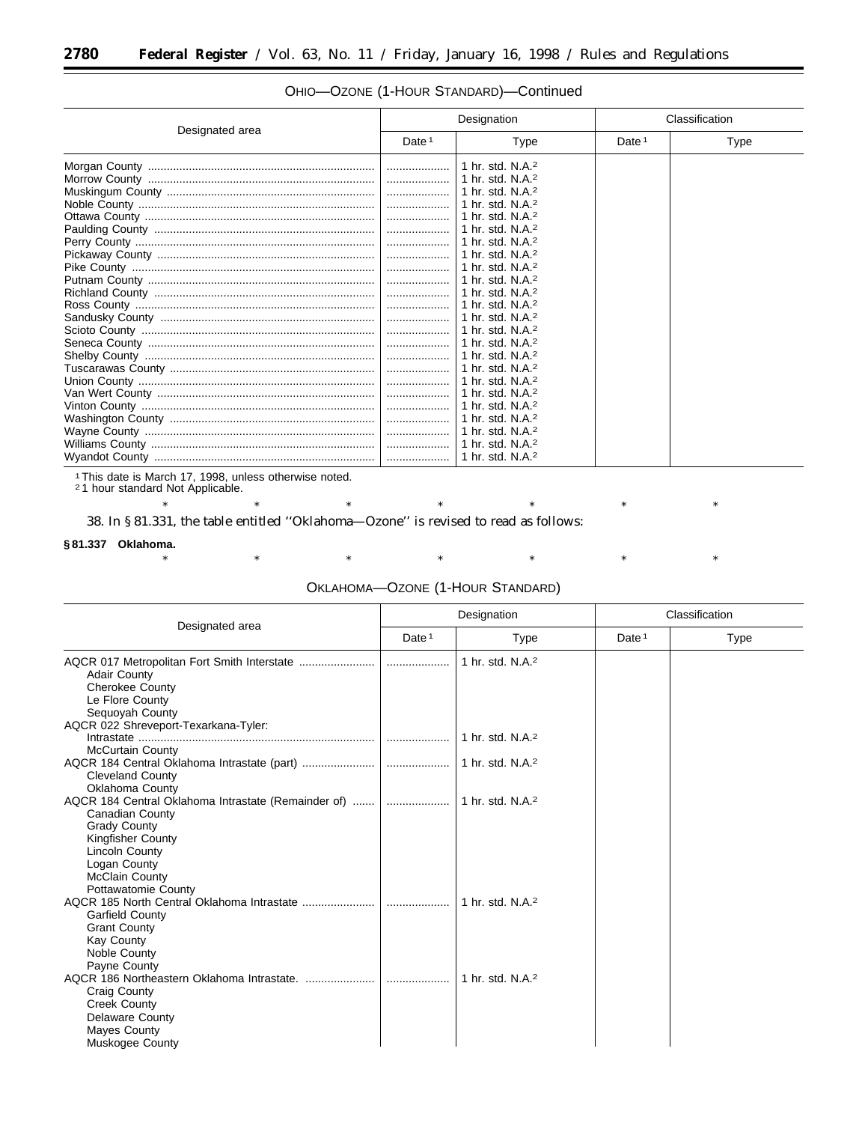| Designated area |                   | Designation                          |                   | Classification |  |
|-----------------|-------------------|--------------------------------------|-------------------|----------------|--|
|                 | Date <sup>1</sup> | Type                                 | Date <sup>1</sup> | <b>Type</b>    |  |
|                 | .                 | 1 hr. std. N.A. <sup>2</sup>         |                   |                |  |
|                 |                   | 1 hr. std. N.A. <sup>2</sup>         |                   |                |  |
|                 |                   | 1 hr. std. N.A. $2$                  |                   |                |  |
|                 |                   | 1 hr. std. N.A. <sup>2</sup>         |                   |                |  |
|                 |                   | ∣ 1 hr. std. N.A. <sup>2</sup>       |                   |                |  |
|                 |                   | 1 hr. std. N.A. <sup>2</sup>         |                   |                |  |
|                 |                   | 1 hr. std. N.A. <sup>2</sup>         |                   |                |  |
|                 |                   | 1 hr. std. N.A. <sup>2</sup>         |                   |                |  |
|                 |                   | $\vert$ 1 hr. std. N.A. <sup>2</sup> |                   |                |  |
|                 |                   |                                      |                   |                |  |
|                 |                   | 1 hr. std. N.A. <sup>2</sup>         |                   |                |  |
|                 | .                 | 1 hr. std. N.A. <sup>2</sup>         |                   |                |  |
|                 |                   | 1 hr. std. N.A. <sup>2</sup>         |                   |                |  |
|                 |                   | 1 hr. std. N.A. <sup>2</sup>         |                   |                |  |
|                 |                   | $\vert$ 1 hr. std. N.A. <sup>2</sup> |                   |                |  |
|                 |                   | 1 hr. std. N.A. <sup>2</sup>         |                   |                |  |
|                 |                   | 1 hr. std. N.A. <sup>2</sup>         |                   |                |  |
|                 |                   |                                      |                   |                |  |
|                 |                   | $\perp$ 1 hr. std. N.A. <sup>2</sup> |                   |                |  |
|                 |                   | 1 hr. std. N.A. <sup>2</sup>         |                   |                |  |
|                 |                   | $\vert$ 1 hr. std. N.A. <sup>2</sup> |                   |                |  |
|                 |                   | 1 hr. std. N.A. <sup>2</sup>         |                   |                |  |
|                 |                   |                                      |                   |                |  |
|                 |                   |                                      |                   |                |  |

## OHIO—OZONE (1-HOUR STANDARD)—Continued

1This date is March 17, 1998, unless otherwise noted. 2 1 hour standard Not Applicable.

\* \* \* \* \* \* \* \* \* \* \* 38. In § 81.331, the table entitled ''Oklahoma—Ozone'' is revised to read as follows:

### **§ 81.337 Oklahoma.**

\* \* \* \* \* \* \* \* \* \* \*

## OKLAHOMA—OZONE (1-HOUR STANDARD)

| Designated area                                                                                                                                                                                                                                                                                                                                                                                                                                                                                  | Designation       |                              | Classification    |             |
|--------------------------------------------------------------------------------------------------------------------------------------------------------------------------------------------------------------------------------------------------------------------------------------------------------------------------------------------------------------------------------------------------------------------------------------------------------------------------------------------------|-------------------|------------------------------|-------------------|-------------|
|                                                                                                                                                                                                                                                                                                                                                                                                                                                                                                  | Date <sup>1</sup> | <b>Type</b>                  | Date <sup>1</sup> | <b>Type</b> |
| <b>Adair County</b><br><b>Cherokee County</b><br>Le Flore County<br>Sequoyah County                                                                                                                                                                                                                                                                                                                                                                                                              |                   | 1 hr. std. N.A. <sup>2</sup> |                   |             |
| AQCR 022 Shreveport-Texarkana-Tyler:<br>$Intractate  \  \, \ldots \  \, \ldots \  \, \ldots \  \, \ldots \  \, \ldots \  \, \ldots \  \, \ldots \  \, \ldots \  \, \ldots \  \, \ldots \  \, \ldots \  \, \ldots \  \, \ldots \  \, \ldots \  \, \ldots \  \, \ldots \  \, \ldots \  \, \ldots \  \, \ldots \  \, \ldots \  \, \ldots \  \, \ldots \  \, \ldots \  \, \ldots \  \, \ldots \  \, \ldots \  \, \ldots \  \, \ldots \  \, \ldots \  \, \ldots \  \, \ld$<br><b>McCurtain County</b> |                   | 1 hr. std. N.A. <sup>2</sup> |                   |             |
| <b>Cleveland County</b><br>Oklahoma County                                                                                                                                                                                                                                                                                                                                                                                                                                                       |                   | 1 hr. std. N.A. <sup>2</sup> |                   |             |
| AQCR 184 Central Oklahoma Intrastate (Remainder of)   <br>Canadian County<br><b>Grady County</b><br><b>Kingfisher County</b><br>Lincoln County<br>Logan County<br><b>McClain County</b>                                                                                                                                                                                                                                                                                                          |                   | 1 hr. std. N.A. <sup>2</sup> |                   |             |
| Pottawatomie County<br><b>Garfield County</b><br><b>Grant County</b><br><b>Kay County</b><br>Noble County<br>Payne County                                                                                                                                                                                                                                                                                                                                                                        |                   | 1 hr. std. $N.A.^2$          |                   |             |
| <b>Craig County</b><br><b>Creek County</b><br><b>Delaware County</b><br>Mayes County<br>Muskogee County                                                                                                                                                                                                                                                                                                                                                                                          |                   | 1 hr. std. $N.A.2$           |                   |             |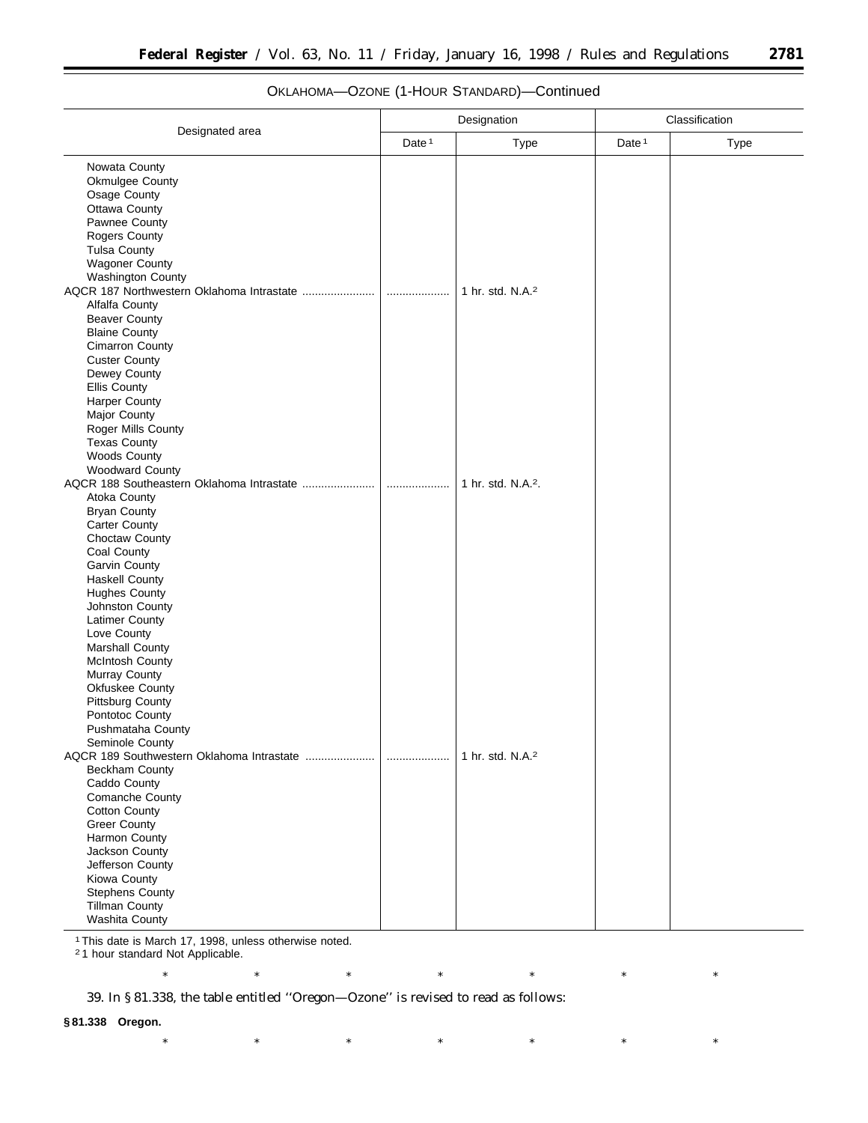|                                                                                                                                                                                                                                                                                                                                                                                                                     | Designation       |                              | Classification    |      |
|---------------------------------------------------------------------------------------------------------------------------------------------------------------------------------------------------------------------------------------------------------------------------------------------------------------------------------------------------------------------------------------------------------------------|-------------------|------------------------------|-------------------|------|
| Designated area                                                                                                                                                                                                                                                                                                                                                                                                     | Date <sup>1</sup> | Type                         | Date <sup>1</sup> | Type |
| Nowata County<br>Okmulgee County<br>Osage County<br>Ottawa County<br>Pawnee County<br><b>Rogers County</b><br><b>Tulsa County</b><br><b>Wagoner County</b><br><b>Washington County</b>                                                                                                                                                                                                                              | .                 | 1 hr. std. N.A. <sup>2</sup> |                   |      |
| Alfalfa County<br><b>Beaver County</b><br><b>Blaine County</b><br><b>Cimarron County</b><br><b>Custer County</b><br>Dewey County<br><b>Ellis County</b><br><b>Harper County</b><br><b>Major County</b><br>Roger Mills County<br><b>Texas County</b><br><b>Woods County</b><br><b>Woodward County</b>                                                                                                                |                   |                              |                   |      |
| AQCR 188 Southeastern Oklahoma Intrastate<br>Atoka County<br><b>Bryan County</b><br><b>Carter County</b><br>Choctaw County<br>Coal County<br>Garvin County<br><b>Haskell County</b><br><b>Hughes County</b><br>Johnston County<br>Latimer County<br>Love County<br>Marshall County<br><b>McIntosh County</b><br>Murray County<br>Okfuskee County<br><b>Pittsburg County</b><br>Pontotoc County<br>Pushmataha County | .                 | 1 hr. std. N.A.2.            |                   |      |
| Seminole County<br>Beckham County<br>Caddo County<br>Comanche County<br><b>Cotton County</b><br><b>Greer County</b><br>Harmon County<br>Jackson County<br>Jefferson County<br>Kiowa County<br><b>Stephens County</b><br><b>Tillman County</b><br>Washita County                                                                                                                                                     |                   | 1 hr. std. N.A. <sup>2</sup> |                   |      |

\* \* \* \* \* \* \* \* \* \* \*

## OKLAHOMA—OZONE (1-HOUR STANDARD)—Continued

1This date is March 17, 1998, unless otherwise noted.

2 1 hour standard Not Applicable.

39. In § 81.338, the table entitled ''Oregon—Ozone'' is revised to read as follows:

### **§ 81.338 Oregon.**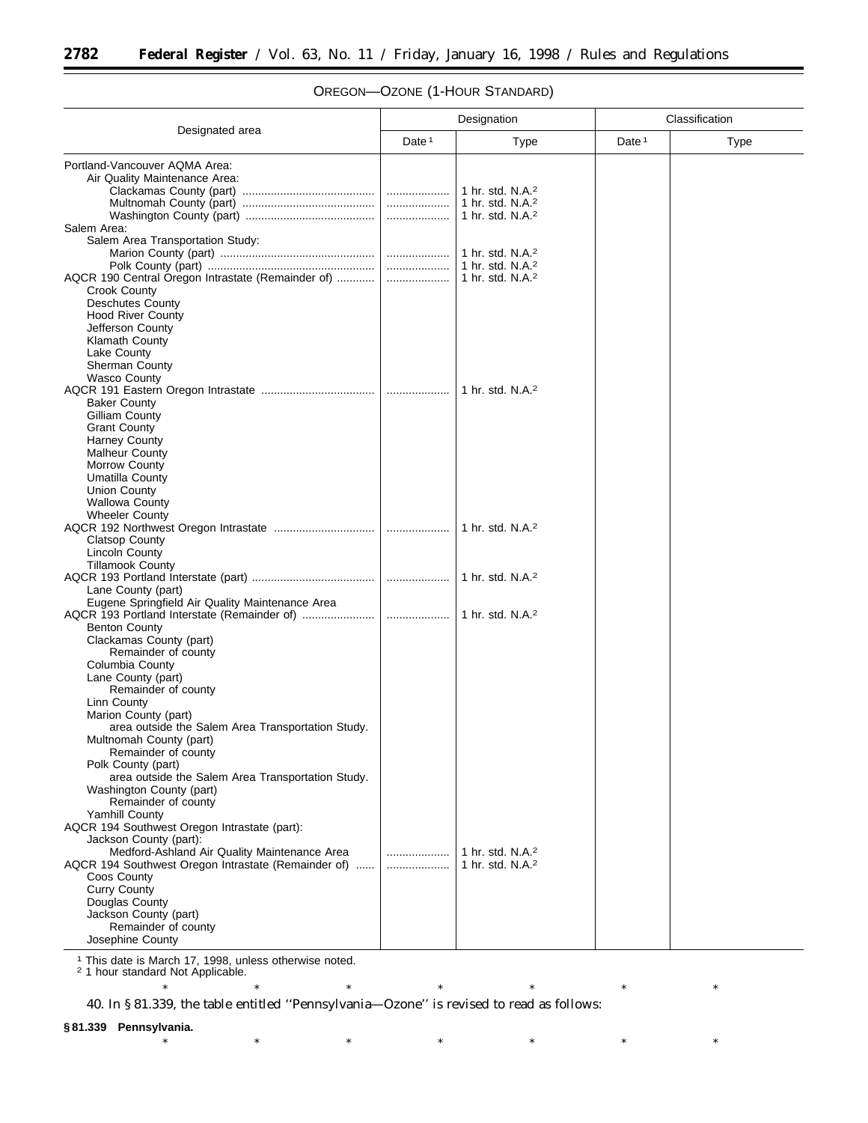۳

|                                                                           | Designation |                              | Classification    |      |  |
|---------------------------------------------------------------------------|-------------|------------------------------|-------------------|------|--|
| Designated area                                                           | Date $1$    | <b>Type</b>                  | Date <sup>1</sup> | Type |  |
| Portland-Vancouver AQMA Area:                                             |             |                              |                   |      |  |
| Air Quality Maintenance Area:                                             |             |                              |                   |      |  |
|                                                                           |             | 1 hr. std. N.A. <sup>2</sup> |                   |      |  |
|                                                                           |             | 1 hr. std. N.A. <sup>2</sup> |                   |      |  |
|                                                                           |             | 1 hr. std. N.A. <sup>2</sup> |                   |      |  |
| Salem Area:                                                               |             |                              |                   |      |  |
| Salem Area Transportation Study:                                          |             |                              |                   |      |  |
|                                                                           |             | 1 hr. std. $N.A.^2$          |                   |      |  |
|                                                                           |             | 1 hr. std. N.A. <sup>2</sup> |                   |      |  |
|                                                                           |             | 1 hr. std. N.A. <sup>2</sup> |                   |      |  |
| Crook County                                                              |             |                              |                   |      |  |
| <b>Deschutes County</b>                                                   |             |                              |                   |      |  |
| <b>Hood River County</b>                                                  |             |                              |                   |      |  |
| Jefferson County                                                          |             |                              |                   |      |  |
| <b>Klamath County</b>                                                     |             |                              |                   |      |  |
| Lake County                                                               |             |                              |                   |      |  |
| Sherman County                                                            |             |                              |                   |      |  |
| <b>Wasco County</b>                                                       |             | 1 hr. std. N.A. <sup>2</sup> |                   |      |  |
| <b>Baker County</b>                                                       |             |                              |                   |      |  |
| Gilliam County                                                            |             |                              |                   |      |  |
| <b>Grant County</b>                                                       |             |                              |                   |      |  |
| <b>Harney County</b>                                                      |             |                              |                   |      |  |
| <b>Malheur County</b>                                                     |             |                              |                   |      |  |
| Morrow County                                                             |             |                              |                   |      |  |
| Umatilla County                                                           |             |                              |                   |      |  |
| <b>Union County</b>                                                       |             |                              |                   |      |  |
| <b>Wallowa County</b>                                                     |             |                              |                   |      |  |
| <b>Wheeler County</b>                                                     |             |                              |                   |      |  |
|                                                                           |             | 1 hr. std. N.A. <sup>2</sup> |                   |      |  |
| <b>Clatsop County</b>                                                     |             |                              |                   |      |  |
| <b>Lincoln County</b>                                                     |             |                              |                   |      |  |
| <b>Tillamook County</b>                                                   |             |                              |                   |      |  |
|                                                                           |             | 1 hr. std. $N.A.^2$          |                   |      |  |
| Lane County (part)                                                        |             |                              |                   |      |  |
| Eugene Springfield Air Quality Maintenance Area                           |             |                              |                   |      |  |
|                                                                           |             | 1 hr. std. N.A. <sup>2</sup> |                   |      |  |
| <b>Benton County</b>                                                      |             |                              |                   |      |  |
| Clackamas County (part)                                                   |             |                              |                   |      |  |
| Remainder of county                                                       |             |                              |                   |      |  |
| Columbia County                                                           |             |                              |                   |      |  |
| Lane County (part)                                                        |             |                              |                   |      |  |
| Remainder of county                                                       |             |                              |                   |      |  |
| Linn County                                                               |             |                              |                   |      |  |
| Marion County (part)<br>area outside the Salem Area Transportation Study. |             |                              |                   |      |  |
| Multnomah County (part)                                                   |             |                              |                   |      |  |
| Remainder of county                                                       |             |                              |                   |      |  |
| Polk County (part)                                                        |             |                              |                   |      |  |
| area outside the Salem Area Transportation Study.                         |             |                              |                   |      |  |
| Washington County (part)                                                  |             |                              |                   |      |  |
| Remainder of county                                                       |             |                              |                   |      |  |
| Yamhill County                                                            |             |                              |                   |      |  |
| AQCR 194 Southwest Oregon Intrastate (part):                              |             |                              |                   |      |  |
| Jackson County (part):                                                    |             |                              |                   |      |  |
| Medford-Ashland Air Quality Maintenance Area                              |             | 1 hr. std. N.A. <sup>2</sup> |                   |      |  |
| AQCR 194 Southwest Oregon Intrastate (Remainder of)                       |             | 1 hr. std. N.A. <sup>2</sup> |                   |      |  |
| Coos County                                                               |             |                              |                   |      |  |
| <b>Curry County</b>                                                       |             |                              |                   |      |  |
| Douglas County                                                            |             |                              |                   |      |  |
| Jackson County (part)                                                     |             |                              |                   |      |  |
| Remainder of county                                                       |             |                              |                   |      |  |
| Josephine County                                                          |             |                              |                   |      |  |

## OREGON—OZONE (1-HOUR STANDARD)

<sup>1</sup> This date is March 17, 1998, unless otherwise noted. <sup>2</sup> 1 hour standard Not Applicable.

40. In § 81.339, the table entitled ''Pennsylvania—Ozone'' is revised to read as follows:

**§ 81.339 Pennsylvania.**

\* \* \* \* \* \* \* \* \* \* \*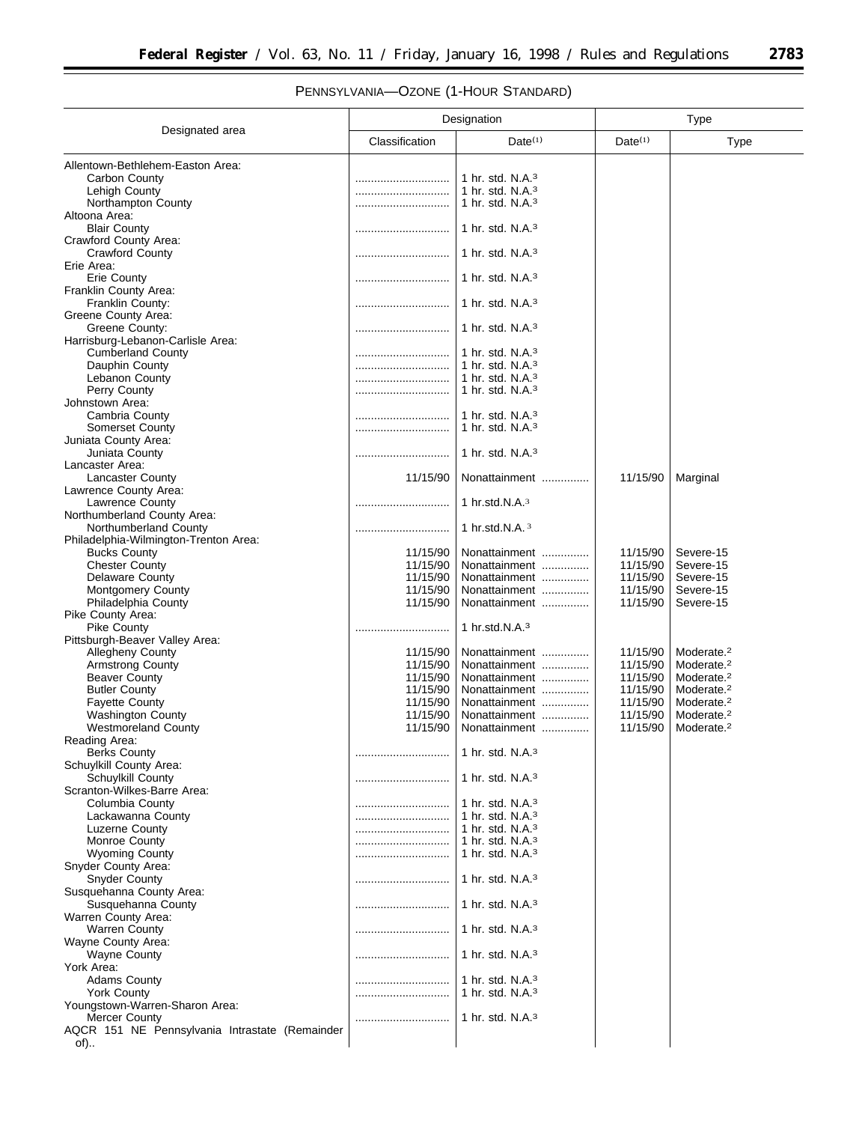# PENNSYLVANIA—OZONE (1-HOUR STANDARD)

|                                                | Designation          |                                | Type                 |                                                  |
|------------------------------------------------|----------------------|--------------------------------|----------------------|--------------------------------------------------|
| Designated area                                | Classification       | $Date^{(1)}$                   | $Date^{(1)}$         | <b>Type</b>                                      |
| Allentown-Bethlehem-Easton Area:               |                      |                                |                      |                                                  |
| Carbon County                                  |                      | 1 hr. std. $N.A.^3$            |                      |                                                  |
| Lehigh County                                  |                      | 1 hr. std. $N.A.3$             |                      |                                                  |
| Northampton County                             |                      | 1 hr. std. $N.A.^3$            |                      |                                                  |
| Altoona Area:                                  |                      |                                |                      |                                                  |
| <b>Blair County</b>                            |                      | 1 hr. std. $N.A.^3$            |                      |                                                  |
| Crawford County Area:                          |                      |                                |                      |                                                  |
| <b>Crawford County</b>                         |                      | 1 hr. std. $N.A.^3$            |                      |                                                  |
| Erie Area:                                     |                      |                                |                      |                                                  |
| Erie County                                    |                      | 1 hr. std. $N.A.^3$            |                      |                                                  |
| Franklin County Area:                          |                      |                                |                      |                                                  |
| Franklin County:<br>Greene County Area:        |                      | 1 hr. std. $N.A.^3$            |                      |                                                  |
| Greene County:                                 |                      | 1 hr. std. $N.A.^3$            |                      |                                                  |
| Harrisburg-Lebanon-Carlisle Area:              |                      |                                |                      |                                                  |
| <b>Cumberland County</b>                       |                      | 1 hr. std. $N.A.3$             |                      |                                                  |
| Dauphin County                                 |                      | 1 hr. std. $N.A.^3$            |                      |                                                  |
| Lebanon County                                 |                      | 1 hr. std. $N.A.3$             |                      |                                                  |
| Perry County                                   |                      | 1 hr. std. $N.A.^3$            |                      |                                                  |
| Johnstown Area:                                |                      |                                |                      |                                                  |
| Cambria County                                 |                      | 1 hr. std. N.A. <sup>3</sup>   |                      |                                                  |
| <b>Somerset County</b>                         |                      | 1 hr. std. $N.A.^3$            |                      |                                                  |
| Juniata County Area:                           |                      |                                |                      |                                                  |
| Juniata County                                 |                      | 1 hr. std. $N.A.3$             |                      |                                                  |
| Lancaster Area:                                |                      |                                |                      |                                                  |
| <b>Lancaster County</b>                        | 11/15/90             | Nonattainment                  | 11/15/90             | Marginal                                         |
| Lawrence County Area:                          |                      |                                |                      |                                                  |
| Lawrence County<br>Northumberland County Area: |                      | 1 hr.std.N.A. $3$              |                      |                                                  |
| Northumberland County                          |                      | 1 hr.std.N.A. $3$              |                      |                                                  |
| Philadelphia-Wilmington-Trenton Area:          |                      |                                |                      |                                                  |
| <b>Bucks County</b>                            | 11/15/90             | Nonattainment                  | 11/15/90             | Severe-15                                        |
| <b>Chester County</b>                          | 11/15/90             | Nonattainment                  | 11/15/90             | Severe-15                                        |
| <b>Delaware County</b>                         | 11/15/90             | Nonattainment                  | 11/15/90             | Severe-15                                        |
| <b>Montgomery County</b>                       | 11/15/90             | Nonattainment                  | 11/15/90             | Severe-15                                        |
| Philadelphia County                            | 11/15/90             | Nonattainment                  | 11/15/90             | Severe-15                                        |
| Pike County Area:                              |                      |                                |                      |                                                  |
| Pike County                                    |                      | 1 hr.std.N. $A$ . $3$          |                      |                                                  |
| Pittsburgh-Beaver Valley Area:                 |                      |                                |                      |                                                  |
| <b>Allegheny County</b>                        | 11/15/90             | Nonattainment                  | 11/15/90             | Moderate. <sup>2</sup>                           |
| <b>Armstrong County</b>                        | 11/15/90             | Nonattainment                  | 11/15/90             | Moderate. <sup>2</sup>                           |
| <b>Beaver County</b><br><b>Butler County</b>   | 11/15/90<br>11/15/90 | Nonattainment<br>Nonattainment | 11/15/90<br>11/15/90 | Moderate. <sup>2</sup><br>Moderate. <sup>2</sup> |
| <b>Fayette County</b>                          | 11/15/90             | Nonattainment                  | 11/15/90             | Moderate. <sup>2</sup>                           |
| <b>Washington County</b>                       | 11/15/90             | Nonattainment                  | 11/15/90             | Moderate. <sup>2</sup>                           |
| <b>Westmoreland County</b>                     | 11/15/90             | Nonattainment                  | 11/15/90             | Moderate. <sup>2</sup>                           |
| Reading Area:                                  |                      |                                |                      |                                                  |
| <b>Berks County</b>                            |                      | 1 hr. std. $N.A.3$             |                      |                                                  |
| Schuylkill County Area:                        |                      |                                |                      |                                                  |
| Schuylkill County                              |                      | 1 hr. std. $N.A.^3$            |                      |                                                  |
| Scranton-Wilkes-Barre Area:                    |                      |                                |                      |                                                  |
| Columbia County                                |                      | 1 hr. std. $N.A.3$             |                      |                                                  |
| Lackawanna County                              |                      | 1 hr. std. $N.A.3$             |                      |                                                  |
| Luzerne County                                 |                      | 1 hr. std. $N.A.^3$            |                      |                                                  |
| Monroe County<br><b>Wyoming County</b>         |                      | 1 hr. std. $N.A.^3$            |                      |                                                  |
| Snyder County Area:                            |                      | 1 hr. std. $N.A.3$             |                      |                                                  |
| <b>Snyder County</b>                           |                      | 1 hr. std. $N.A.^3$            |                      |                                                  |
| Susquehanna County Area:                       |                      |                                |                      |                                                  |
| Susquehanna County                             |                      | 1 hr. std. $N.A.3$             |                      |                                                  |
| Warren County Area:                            |                      |                                |                      |                                                  |
| Warren County                                  |                      | 1 hr. std. N.A. <sup>3</sup>   |                      |                                                  |
| Wayne County Area:                             |                      |                                |                      |                                                  |
| <b>Wayne County</b>                            |                      | 1 hr. std. $N.A.3$             |                      |                                                  |
| York Area:                                     |                      |                                |                      |                                                  |
| <b>Adams County</b>                            |                      | 1 hr. std. $N.A.^3$            |                      |                                                  |
| <b>York County</b>                             |                      | 1 hr. std. $N.A.3$             |                      |                                                  |
| Youngstown-Warren-Sharon Area:                 |                      |                                |                      |                                                  |
| Mercer County                                  |                      | 1 hr. std. $N.A.^3$            |                      |                                                  |
| AQCR 151 NE Pennsylvania Intrastate (Remainder |                      |                                |                      |                                                  |
| of)                                            |                      |                                |                      |                                                  |

▀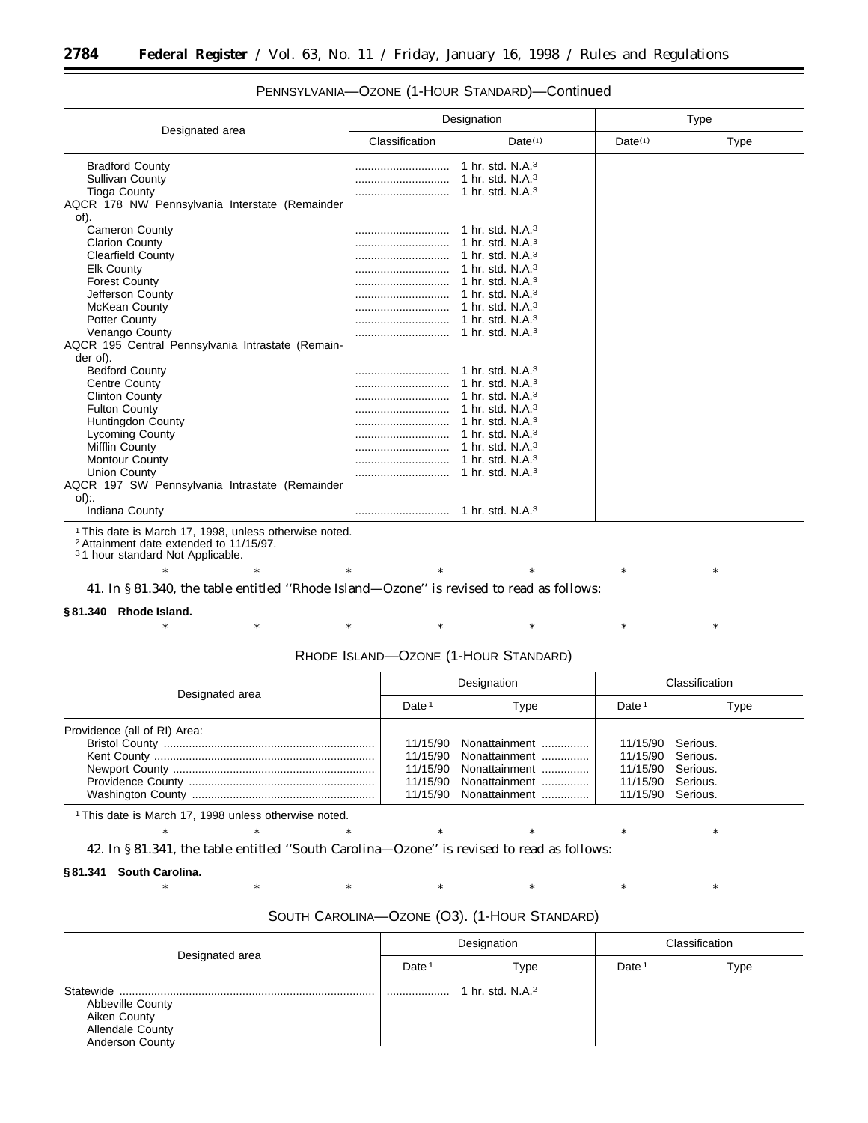|                                                   |                | Designation                  | <b>Type</b>         |             |
|---------------------------------------------------|----------------|------------------------------|---------------------|-------------|
| Designated area                                   | Classification | Date(1)                      | Date <sup>(1)</sup> | <b>Type</b> |
| <b>Bradford County</b>                            |                | 1 hr. std. $N.A.^3$          |                     |             |
| <b>Sullivan County</b>                            |                | 1 hr. std. $N.A.^3$          |                     |             |
| <b>Tioga County</b>                               |                | 1 hr. std. $N.A.^3$          |                     |             |
| AQCR 178 NW Pennsylvania Interstate (Remainder    |                |                              |                     |             |
| of).                                              |                |                              |                     |             |
| <b>Cameron County</b>                             |                | 1 hr. std. $N.A.3$           |                     |             |
| <b>Clarion County</b>                             |                | 1 hr. std. $N.A.^3$          |                     |             |
| <b>Clearfield County</b>                          |                | 1 hr. std. N.A. <sup>3</sup> |                     |             |
| <b>Elk County</b>                                 |                | 1 hr. std. N.A. <sup>3</sup> |                     |             |
| <b>Forest County</b>                              |                | 1 hr. std. N.A. <sup>3</sup> |                     |             |
| Jefferson County                                  |                | 1 hr. std. $N.A.^3$          |                     |             |
| McKean County                                     |                | 1 hr. std. $N.A.^3$          |                     |             |
| Potter County                                     |                | 1 hr. std. N.A. <sup>3</sup> |                     |             |
| Venango County                                    |                | 1 hr. std. N.A. <sup>3</sup> |                     |             |
| AQCR 195 Central Pennsylvania Intrastate (Remain- |                |                              |                     |             |
| der of).                                          |                |                              |                     |             |
| <b>Bedford County</b>                             |                | 1 hr. std. $N.A.^3$          |                     |             |
| Centre County                                     |                | 1 hr. std. $N.A.^3$          |                     |             |
| <b>Clinton County</b>                             |                | 1 hr. std. $N.A.^3$          |                     |             |
| <b>Fulton County</b>                              |                | 1 hr. std. N.A. <sup>3</sup> |                     |             |
| Huntingdon County                                 |                | 1 hr. std. $N.A.^3$          |                     |             |
| <b>Lycoming County</b>                            |                | 1 hr. std. $N.A.^3$          |                     |             |
| Mifflin County                                    |                | 1 hr. std. $N.A.^3$          |                     |             |
| <b>Montour County</b>                             |                | 1 hr. std. $N.A.^3$          |                     |             |
| Union County                                      |                | 1 hr. std. $N.A.^3$          |                     |             |
| AQCR 197 SW Pennsylvania Intrastate (Remainder    |                |                              |                     |             |
| of):                                              |                |                              |                     |             |
| Indiana County                                    |                | 1 hr. std. $N.A.^3$          |                     |             |

## PENNSYLVANIA—OZONE (1-HOUR STANDARD)—Continued

1This date is March 17, 1998, unless otherwise noted.

2Attainment date extended to 11/15/97.

<sup>3</sup>1 hour standard Not Applicable.

\* \* \* \* \* \* \* \* \* \* \*

### 41. In § 81.340, the table entitled ''Rhode Island—Ozone'' is revised to read as follows:

### **§ 81.340 Rhode Island.**

# \* \* \* \* \* \* \* \* \* \* \* RHODE ISLAND—OZONE (1-HOUR STANDARD)

|                              | Designation       |                                                                                                                                          | Classification                                                                                                  |      |
|------------------------------|-------------------|------------------------------------------------------------------------------------------------------------------------------------------|-----------------------------------------------------------------------------------------------------------------|------|
| Designated area              | Date <sup>1</sup> | Type                                                                                                                                     | Date <sup>1</sup>                                                                                               | Type |
| Providence (all of RI) Area: |                   | 11/15/90   Nonattainment<br>11/15/90   Nonattainment<br>11/15/90   Nonattainment<br>11/15/90   Nonattainment<br>11/15/90   Nonattainment | 11/15/90   Serious.<br>11/15/90   Serious.<br>11/15/90   Serious.<br>11/15/90   Serious.<br>11/15/90   Serious. |      |

1This date is March 17, 1998 unless otherwise noted.

42. In § 81.341, the table entitled ''South Carolina—Ozone'' is revised to read as follows:

#### **§ 81.341 South Carolina.**

\* \* \* \* \* \* \* \* \* \* \*

SOUTH CAROLINA—OZONE (O3). (1-HOUR STANDARD)

| Designated area                                                                      | Designation       |                              | Classification    |      |
|--------------------------------------------------------------------------------------|-------------------|------------------------------|-------------------|------|
|                                                                                      | Date <sup>1</sup> | Type                         | Date <sup>1</sup> | Type |
| Statewide<br>Abbeville County<br>Aiken County<br>Allendale County<br>Anderson County |                   | 1 hr. std. N.A. <sup>2</sup> |                   |      |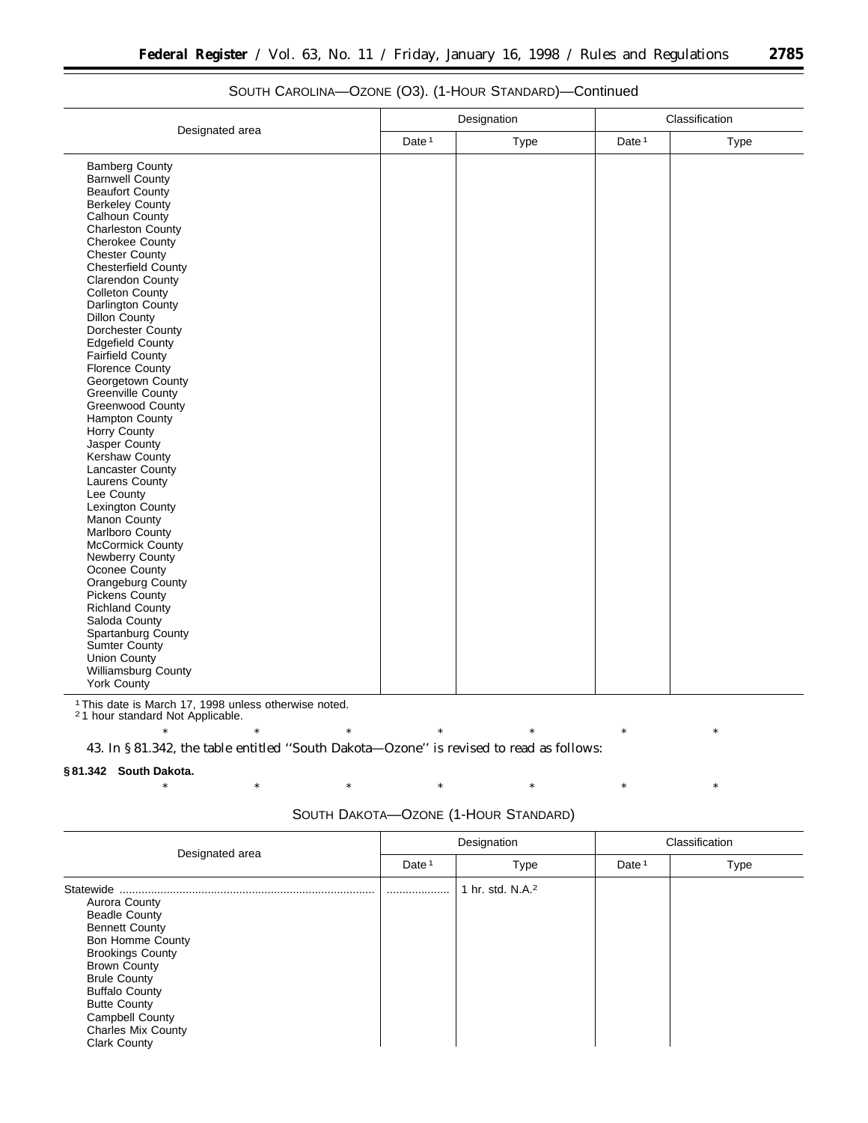|                                |                   | Designation | Classification |      |  |
|--------------------------------|-------------------|-------------|----------------|------|--|
| Designated area                | Date <sup>1</sup> | Type        | Date $1$       | Type |  |
| <b>Bamberg County</b>          |                   |             |                |      |  |
| <b>Barnwell County</b>         |                   |             |                |      |  |
| <b>Beaufort County</b>         |                   |             |                |      |  |
| <b>Berkeley County</b>         |                   |             |                |      |  |
| Calhoun County                 |                   |             |                |      |  |
| <b>Charleston County</b>       |                   |             |                |      |  |
| <b>Cherokee County</b>         |                   |             |                |      |  |
| <b>Chester County</b>          |                   |             |                |      |  |
| Chesterfield County            |                   |             |                |      |  |
| Clarendon County               |                   |             |                |      |  |
| Colleton County                |                   |             |                |      |  |
| Darlington County              |                   |             |                |      |  |
| <b>Dillon County</b>           |                   |             |                |      |  |
| Dorchester County              |                   |             |                |      |  |
| <b>Edgefield County</b>        |                   |             |                |      |  |
| Fairfield County               |                   |             |                |      |  |
| <b>Florence County</b>         |                   |             |                |      |  |
| Georgetown County              |                   |             |                |      |  |
| Greenville County              |                   |             |                |      |  |
| Greenwood County               |                   |             |                |      |  |
| Hampton County<br>Horry County |                   |             |                |      |  |
| Jasper County                  |                   |             |                |      |  |
| Kershaw County                 |                   |             |                |      |  |
| Lancaster County               |                   |             |                |      |  |
| Laurens County                 |                   |             |                |      |  |
| Lee County                     |                   |             |                |      |  |
| Lexington County               |                   |             |                |      |  |
| Manon County                   |                   |             |                |      |  |
| Marlboro County                |                   |             |                |      |  |
| McCormick County               |                   |             |                |      |  |
| Newberry County                |                   |             |                |      |  |
| Oconee County                  |                   |             |                |      |  |
| Orangeburg County              |                   |             |                |      |  |
| <b>Pickens County</b>          |                   |             |                |      |  |
| Richland County                |                   |             |                |      |  |
| Saloda County                  |                   |             |                |      |  |
| Spartanburg County             |                   |             |                |      |  |
| <b>Sumter County</b>           |                   |             |                |      |  |
| <b>Union County</b>            |                   |             |                |      |  |
| Williamsburg County            |                   |             |                |      |  |
| <b>York County</b>             |                   |             |                |      |  |

## SOUTH CAROLINA—OZONE (O3). (1-HOUR STANDARD)—Continued

1This date is March 17, 1998 unless otherwise noted.

2 1 hour standard Not Applicable.

\* \* \* \* \* \* \* \* \* \* \* 43. In § 81.342, the table entitled ''South Dakota—Ozone'' is revised to read as follows:

### **§ 81.342 South Dakota.**

\* \* \* \* \* \* \* \* \* \* \*

| Designated area                                                                                                                                                                                                                                                                                               | Designation       |                              | Classification    |      |
|---------------------------------------------------------------------------------------------------------------------------------------------------------------------------------------------------------------------------------------------------------------------------------------------------------------|-------------------|------------------------------|-------------------|------|
|                                                                                                                                                                                                                                                                                                               | Date <sup>1</sup> | Type                         | Date <sup>1</sup> | Type |
| Statewide<br>Aurora County<br><b>Beadle County</b><br><b>Bennett County</b><br><b>Bon Homme County</b><br><b>Brookings County</b><br><b>Brown County</b><br><b>Brule County</b><br><b>Buffalo County</b><br><b>Butte County</b><br><b>Campbell County</b><br><b>Charles Mix County</b><br><b>Clark County</b> |                   | 1 hr. std. N.A. <sup>2</sup> |                   |      |

## SOUTH DAKOTA—OZONE (1-HOUR STANDARD)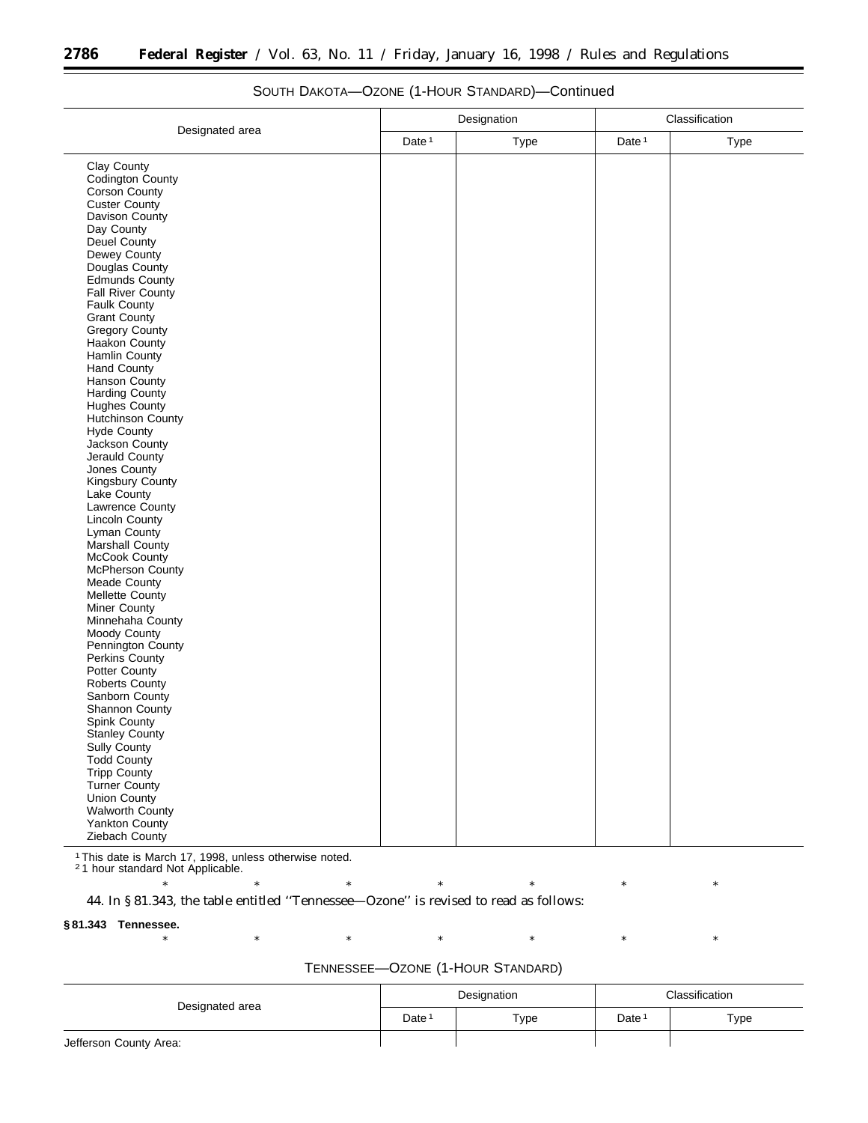| Designated area          |                   | Designation |                   | Classification |
|--------------------------|-------------------|-------------|-------------------|----------------|
|                          | Date <sup>1</sup> | Type        | Date <sup>1</sup> | <b>Type</b>    |
| Clay County              |                   |             |                   |                |
| Codington County         |                   |             |                   |                |
| Corson County            |                   |             |                   |                |
| <b>Custer County</b>     |                   |             |                   |                |
| Davison County           |                   |             |                   |                |
| Day County               |                   |             |                   |                |
| Deuel County             |                   |             |                   |                |
| Dewey County             |                   |             |                   |                |
| Douglas County           |                   |             |                   |                |
| Edmunds County           |                   |             |                   |                |
| <b>Fall River County</b> |                   |             |                   |                |
| Faulk County             |                   |             |                   |                |
| <b>Grant County</b>      |                   |             |                   |                |
| <b>Gregory County</b>    |                   |             |                   |                |
| Haakon County            |                   |             |                   |                |
| Hamlin County            |                   |             |                   |                |
| <b>Hand County</b>       |                   |             |                   |                |
| Hanson County            |                   |             |                   |                |
| <b>Harding County</b>    |                   |             |                   |                |
| Hughes County            |                   |             |                   |                |
| Hutchinson County        |                   |             |                   |                |
| <b>Hyde County</b>       |                   |             |                   |                |
| Jackson County           |                   |             |                   |                |
| Jerauld County           |                   |             |                   |                |
| Jones County             |                   |             |                   |                |
| Kingsbury County         |                   |             |                   |                |
| Lake County              |                   |             |                   |                |
| Lawrence County          |                   |             |                   |                |
| <b>Lincoln County</b>    |                   |             |                   |                |
| Lyman County             |                   |             |                   |                |
| Marshall County          |                   |             |                   |                |
| McCook County            |                   |             |                   |                |
| McPherson County         |                   |             |                   |                |
| Meade County             |                   |             |                   |                |
| Mellette County          |                   |             |                   |                |
| Miner County             |                   |             |                   |                |
| Minnehaha County         |                   |             |                   |                |
| Moody County             |                   |             |                   |                |
| Pennington County        |                   |             |                   |                |
| Perkins County           |                   |             |                   |                |
| Potter County            |                   |             |                   |                |
| <b>Roberts County</b>    |                   |             |                   |                |
| Sanborn County           |                   |             |                   |                |
| Shannon County           |                   |             |                   |                |
| Spink County             |                   |             |                   |                |
| Stanley County           |                   |             |                   |                |
| Sully County             |                   |             |                   |                |
| <b>Todd County</b>       |                   |             |                   |                |
| Tripp County             |                   |             |                   |                |
| Turner County            |                   |             |                   |                |
| Union County             |                   |             |                   |                |
| Walworth County          |                   |             |                   |                |
| Yankton County           |                   |             |                   |                |
| Ziebach County           |                   |             |                   |                |

## SOUTH DAKOTA—OZONE (1-HOUR STANDARD)—Continued

1This date is March 17, 1998, unless otherwise noted.

2 1 hour standard Not Applicable.

\* \* \* \* \* \* \* \* \* \* \* 44. In § 81.343, the table entitled ''Tennessee—Ozone'' is revised to read as follows:

### **§ 81.343 Tennessee.**

\* \* \* \* \* \* \* \* \* \* \*

÷.

| Designated area        |                   | Designation | Classification    |      |
|------------------------|-------------------|-------------|-------------------|------|
|                        | Date <sup>1</sup> | Type        | Date <sup>1</sup> | Type |
| Jefferson County Area: |                   |             |                   |      |

## TENNESSEE—OZONE (1-HOUR STANDARD)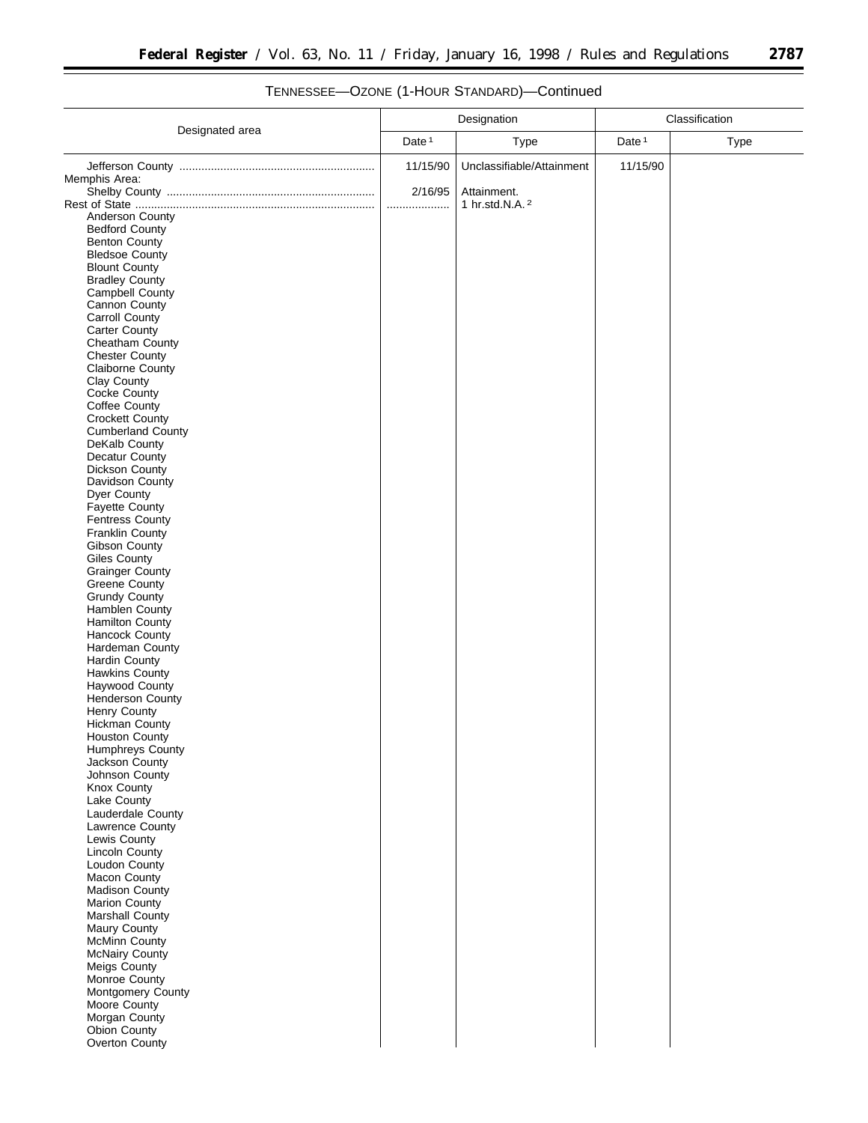▀

|                                                  | Designation       |                           | Classification    |      |
|--------------------------------------------------|-------------------|---------------------------|-------------------|------|
| Designated area                                  | Date <sup>1</sup> | <b>Type</b>               | Date <sup>1</sup> | Type |
|                                                  | 11/15/90          | Unclassifiable/Attainment | 11/15/90          |      |
| Memphis Area:                                    |                   |                           |                   |      |
|                                                  | 2/16/95           | Attainment.               |                   |      |
| Anderson County                                  | .                 | 1 hr.std.N.A. 2           |                   |      |
| <b>Bedford County</b>                            |                   |                           |                   |      |
| <b>Benton County</b>                             |                   |                           |                   |      |
| <b>Bledsoe County</b>                            |                   |                           |                   |      |
| <b>Blount County</b>                             |                   |                           |                   |      |
| <b>Bradley County</b>                            |                   |                           |                   |      |
| <b>Campbell County</b>                           |                   |                           |                   |      |
| Cannon County<br><b>Carroll County</b>           |                   |                           |                   |      |
| <b>Carter County</b>                             |                   |                           |                   |      |
| Cheatham County                                  |                   |                           |                   |      |
| <b>Chester County</b>                            |                   |                           |                   |      |
| <b>Claiborne County</b>                          |                   |                           |                   |      |
| Clay County                                      |                   |                           |                   |      |
| Cocke County                                     |                   |                           |                   |      |
| Coffee County<br><b>Crockett County</b>          |                   |                           |                   |      |
| <b>Cumberland County</b>                         |                   |                           |                   |      |
| DeKalb County                                    |                   |                           |                   |      |
| Decatur County                                   |                   |                           |                   |      |
| <b>Dickson County</b>                            |                   |                           |                   |      |
| Davidson County                                  |                   |                           |                   |      |
| Dyer County                                      |                   |                           |                   |      |
| <b>Fayette County</b>                            |                   |                           |                   |      |
| <b>Fentress County</b><br><b>Franklin County</b> |                   |                           |                   |      |
| Gibson County                                    |                   |                           |                   |      |
| <b>Giles County</b>                              |                   |                           |                   |      |
| <b>Grainger County</b>                           |                   |                           |                   |      |
| <b>Greene County</b>                             |                   |                           |                   |      |
| <b>Grundy County</b>                             |                   |                           |                   |      |
| Hamblen County                                   |                   |                           |                   |      |
| <b>Hamilton County</b>                           |                   |                           |                   |      |
| <b>Hancock County</b><br>Hardeman County         |                   |                           |                   |      |
| <b>Hardin County</b>                             |                   |                           |                   |      |
| <b>Hawkins County</b>                            |                   |                           |                   |      |
| Haywood County                                   |                   |                           |                   |      |
| Henderson County                                 |                   |                           |                   |      |
| <b>Henry County</b>                              |                   |                           |                   |      |
| <b>Hickman County</b>                            |                   |                           |                   |      |
| <b>Houston County</b><br>Humphreys County        |                   |                           |                   |      |
| Jackson County                                   |                   |                           |                   |      |
| Johnson County                                   |                   |                           |                   |      |
| Knox County                                      |                   |                           |                   |      |
| Lake County                                      |                   |                           |                   |      |
| Lauderdale County                                |                   |                           |                   |      |
| Lawrence County                                  |                   |                           |                   |      |
| Lewis County<br>Lincoln County                   |                   |                           |                   |      |
| Loudon County                                    |                   |                           |                   |      |
| Macon County                                     |                   |                           |                   |      |
| Madison County                                   |                   |                           |                   |      |
| Marion County                                    |                   |                           |                   |      |
| Marshall County                                  |                   |                           |                   |      |
| Maury County                                     |                   |                           |                   |      |
| <b>McMinn County</b><br><b>McNairy County</b>    |                   |                           |                   |      |
| Meigs County                                     |                   |                           |                   |      |
| Monroe County                                    |                   |                           |                   |      |
| Montgomery County                                |                   |                           |                   |      |
| Moore County                                     |                   |                           |                   |      |
| Morgan County                                    |                   |                           |                   |      |
| Obion County                                     |                   |                           |                   |      |
| Overton County                                   |                   |                           |                   |      |
|                                                  |                   |                           |                   |      |

# TENNESSEE—OZONE (1-HOUR STANDARD)—Continued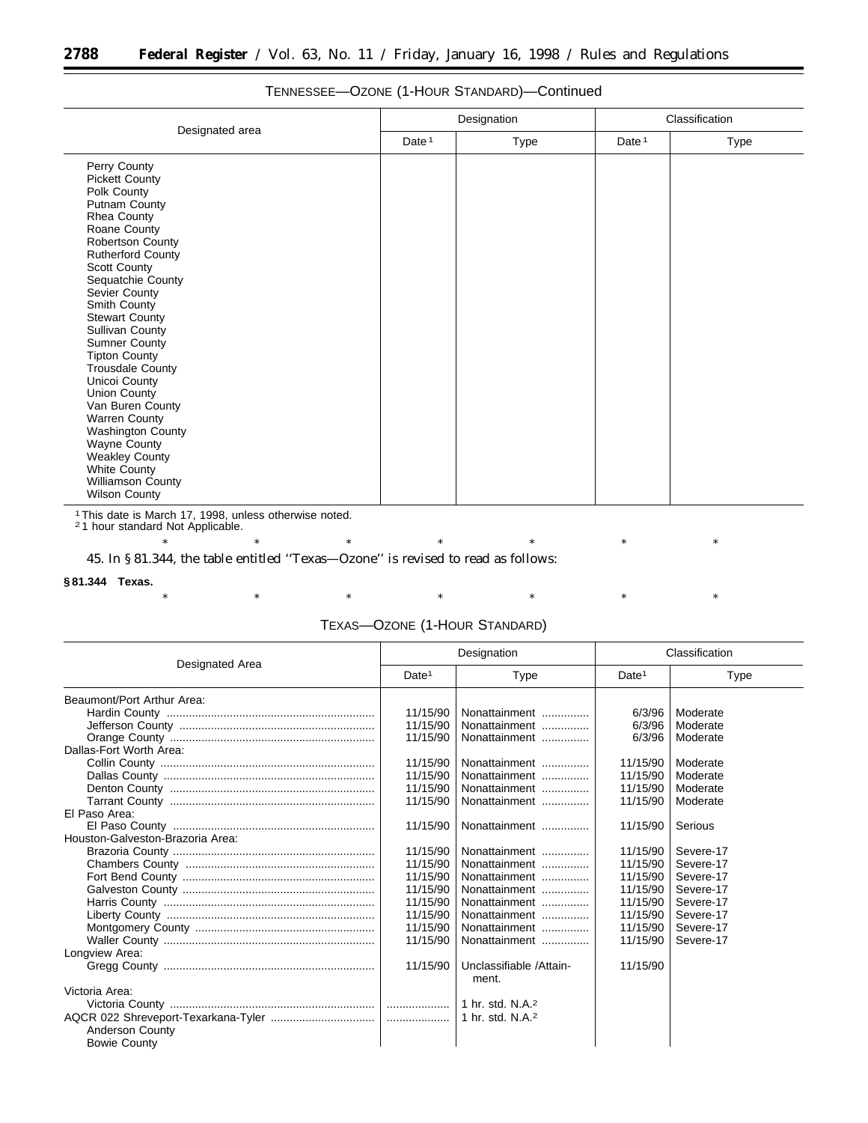|                                                                                                                                                                                                                                                                                                                                                                                                                                                                                                                                                                                              |          | Designation | Classification |      |
|----------------------------------------------------------------------------------------------------------------------------------------------------------------------------------------------------------------------------------------------------------------------------------------------------------------------------------------------------------------------------------------------------------------------------------------------------------------------------------------------------------------------------------------------------------------------------------------------|----------|-------------|----------------|------|
| Designated area                                                                                                                                                                                                                                                                                                                                                                                                                                                                                                                                                                              | Date $1$ | Type        | Date $1$       | Type |
| Perry County<br><b>Pickett County</b><br>Polk County<br>Putnam County<br>Rhea County<br>Roane County<br><b>Robertson County</b><br><b>Rutherford County</b><br><b>Scott County</b><br>Sequatchie County<br>Sevier County<br>Smith County<br><b>Stewart County</b><br><b>Sullivan County</b><br><b>Sumner County</b><br><b>Tipton County</b><br><b>Trousdale County</b><br>Unicoi County<br><b>Union County</b><br>Van Buren County<br>Warren County<br><b>Washington County</b><br>Wayne County<br>Weakley County<br><b>White County</b><br><b>Williamson County</b><br><b>Wilson County</b> |          |             |                |      |

## TENNESSEE—OZONE (1-HOUR STANDARD)—Continued

1This date is March 17, 1998, unless otherwise noted. 2 1 hour standard Not Applicable.

\* \* \* \* \* \* \* \* \* \* \* 45. In § 81.344, the table entitled ''Texas—Ozone'' is revised to read as follows:

## **§ 81.344 Texas.**

\* \* \* \* \* \* \* \* \* \* \*

## TEXAS—OZONE (1-HOUR STANDARD)

|                                  | Designation       |                                  | Classification    |           |
|----------------------------------|-------------------|----------------------------------|-------------------|-----------|
| Designated Area                  | Date <sup>1</sup> | Type                             | Date <sup>1</sup> | Type      |
| Beaumont/Port Arthur Area:       |                   |                                  |                   |           |
|                                  | 11/15/90          | Nonattainment                    | 6/3/96            | Moderate  |
|                                  | 11/15/90          | Nonattainment                    | 6/3/96            | Moderate  |
|                                  | 11/15/90          | Nonattainment                    | 6/3/96            | Moderate  |
| Dallas-Fort Worth Area:          |                   |                                  |                   |           |
|                                  | 11/15/90          | Nonattainment                    | 11/15/90          | Moderate  |
|                                  | 11/15/90          | Nonattainment                    | 11/15/90          | Moderate  |
|                                  | 11/15/90          | Nonattainment                    | 11/15/90          | Moderate  |
|                                  | 11/15/90          | Nonattainment                    | 11/15/90          | Moderate  |
| El Paso Area:                    |                   |                                  |                   |           |
|                                  | 11/15/90          | Nonattainment                    | 11/15/90          | Serious   |
| Houston-Galveston-Brazoria Area: |                   |                                  |                   |           |
|                                  | 11/15/90          | Nonattainment                    | 11/15/90          | Severe-17 |
|                                  | 11/15/90          | Nonattainment                    | 11/15/90          | Severe-17 |
|                                  | 11/15/90          | Nonattainment                    | 11/15/90          | Severe-17 |
|                                  | 11/15/90          | Nonattainment                    | 11/15/90          | Severe-17 |
|                                  | 11/15/90          | Nonattainment                    | 11/15/90          | Severe-17 |
|                                  | 11/15/90          | Nonattainment                    | 11/15/90          | Severe-17 |
|                                  | 11/15/90          | Nonattainment                    | 11/15/90          | Severe-17 |
|                                  | 11/15/90          | Nonattainment                    | 11/15/90          | Severe-17 |
| Longview Area:                   |                   |                                  |                   |           |
|                                  | 11/15/90          | Unclassifiable /Attain-<br>ment. | 11/15/90          |           |
| Victoria Area:                   |                   |                                  |                   |           |
|                                  |                   | 1 hr. std. N.A. $2$              |                   |           |
|                                  |                   | 1 hr. std. N.A. <sup>2</sup>     |                   |           |
| <b>Anderson County</b>           |                   |                                  |                   |           |
| <b>Bowie County</b>              |                   |                                  |                   |           |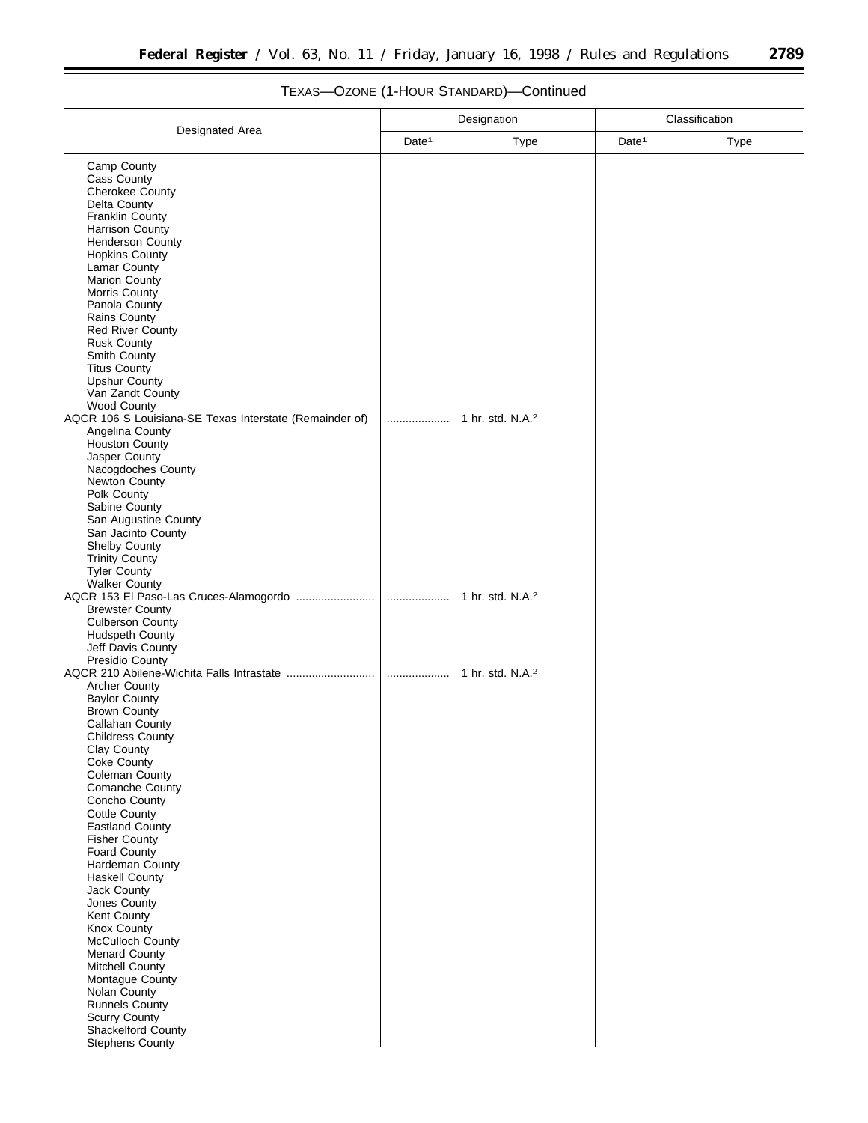Ξ

|                                                                  | Designation       |                              | Classification    |      |
|------------------------------------------------------------------|-------------------|------------------------------|-------------------|------|
| Designated Area                                                  | Date <sup>1</sup> | Type                         | Date <sup>1</sup> | Type |
| Camp County                                                      |                   |                              |                   |      |
| Cass County                                                      |                   |                              |                   |      |
| Cherokee County<br>Delta County                                  |                   |                              |                   |      |
| Franklin County                                                  |                   |                              |                   |      |
| Harrison County                                                  |                   |                              |                   |      |
| <b>Henderson County</b>                                          |                   |                              |                   |      |
| <b>Hopkins County</b>                                            |                   |                              |                   |      |
| Lamar County<br>Marion County                                    |                   |                              |                   |      |
| Morris County                                                    |                   |                              |                   |      |
| Panola County                                                    |                   |                              |                   |      |
| Rains County                                                     |                   |                              |                   |      |
| <b>Red River County</b><br><b>Rusk County</b>                    |                   |                              |                   |      |
| Smith County                                                     |                   |                              |                   |      |
| <b>Titus County</b>                                              |                   |                              |                   |      |
| <b>Upshur County</b>                                             |                   |                              |                   |      |
| Van Zandt County<br>Wood County                                  |                   |                              |                   |      |
| AQCR 106 S Louisiana-SE Texas Interstate (Remainder of)          |                   | 1 hr. std. N.A. <sup>2</sup> |                   |      |
| Angelina County                                                  |                   |                              |                   |      |
| <b>Houston County</b>                                            |                   |                              |                   |      |
| Jasper County<br>Nacogdoches County                              |                   |                              |                   |      |
| Newton County                                                    |                   |                              |                   |      |
| Polk County                                                      |                   |                              |                   |      |
| Sabine County                                                    |                   |                              |                   |      |
| San Augustine County                                             |                   |                              |                   |      |
| San Jacinto County<br>Shelby County                              |                   |                              |                   |      |
| <b>Trinity County</b>                                            |                   |                              |                   |      |
| Tyler County                                                     |                   |                              |                   |      |
| <b>Walker County</b>                                             |                   |                              |                   |      |
| AQCR 153 El Paso-Las Cruces-Alamogordo<br><b>Brewster County</b> | .                 | 1 hr. std. N.A. <sup>2</sup> |                   |      |
| <b>Culberson County</b>                                          |                   |                              |                   |      |
| <b>Hudspeth County</b>                                           |                   |                              |                   |      |
| Jeff Davis County                                                |                   |                              |                   |      |
| Presidio County<br>AQCR 210 Abilene-Wichita Falls Intrastate     | .                 | 1 hr. std. N.A. <sup>2</sup> |                   |      |
| <b>Archer County</b>                                             |                   |                              |                   |      |
| <b>Baylor County</b>                                             |                   |                              |                   |      |
| <b>Brown County</b>                                              |                   |                              |                   |      |
| Callahan County<br><b>Childress County</b>                       |                   |                              |                   |      |
| Clay County                                                      |                   |                              |                   |      |
| <b>Coke County</b>                                               |                   |                              |                   |      |
| Coleman County                                                   |                   |                              |                   |      |
| <b>Comanche County</b><br>Concho County                          |                   |                              |                   |      |
| <b>Cottle County</b>                                             |                   |                              |                   |      |
| <b>Eastland County</b>                                           |                   |                              |                   |      |
| <b>Fisher County</b>                                             |                   |                              |                   |      |
| Foard County<br>Hardeman County                                  |                   |                              |                   |      |
| <b>Haskell County</b>                                            |                   |                              |                   |      |
| Jack County                                                      |                   |                              |                   |      |
| Jones County                                                     |                   |                              |                   |      |
| Kent County<br>Knox County                                       |                   |                              |                   |      |
| McCulloch County                                                 |                   |                              |                   |      |
| <b>Menard County</b>                                             |                   |                              |                   |      |
| <b>Mitchell County</b>                                           |                   |                              |                   |      |
| Montague County<br>Nolan County                                  |                   |                              |                   |      |
| <b>Runnels County</b>                                            |                   |                              |                   |      |
| <b>Scurry County</b>                                             |                   |                              |                   |      |
| Shackelford County                                               |                   |                              |                   |      |
| <b>Stephens County</b>                                           |                   |                              |                   |      |

# TEXAS—OZONE (1-HOUR STANDARD)—Continued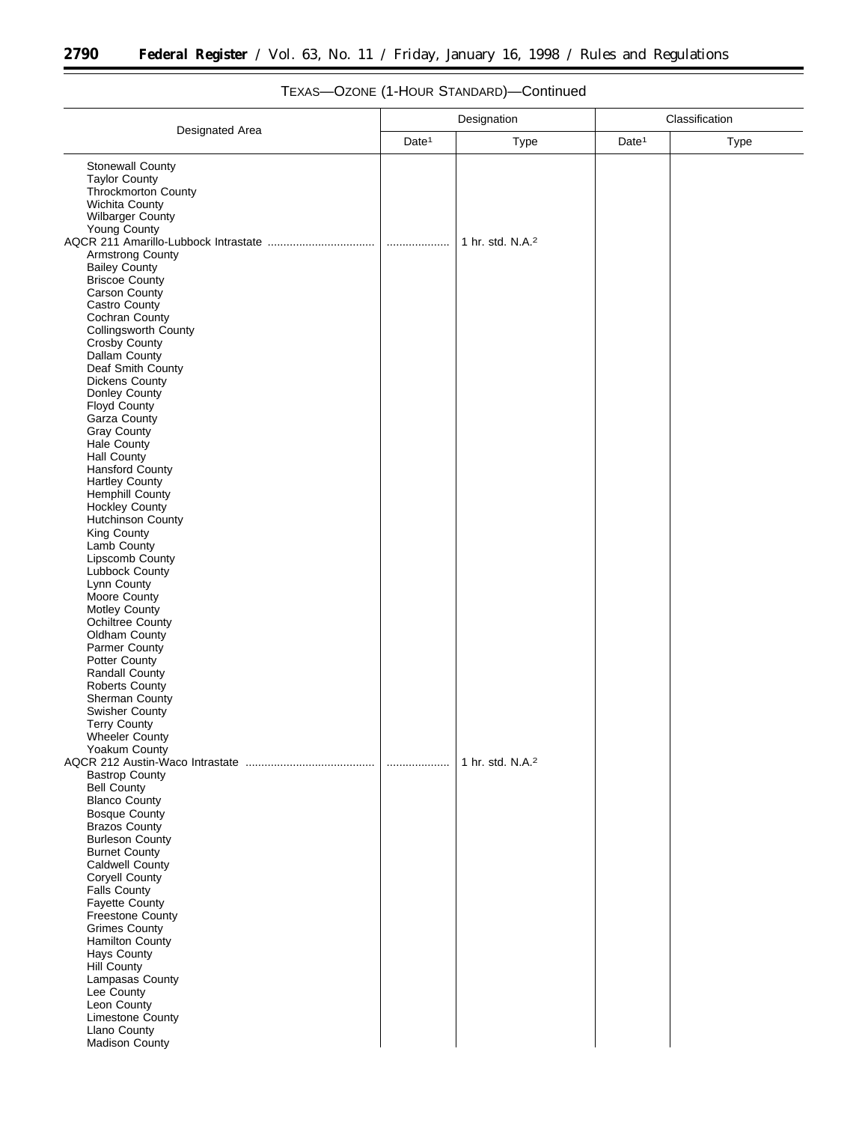$\equiv$ 

|                                                                                                                                                                                                                  | Designation       |                              | Classification    |             |
|------------------------------------------------------------------------------------------------------------------------------------------------------------------------------------------------------------------|-------------------|------------------------------|-------------------|-------------|
| Designated Area                                                                                                                                                                                                  | Date <sup>1</sup> | <b>Type</b>                  | Date <sup>1</sup> | <b>Type</b> |
| Stonewall County<br><b>Taylor County</b><br>Throckmorton County<br>Wichita County<br>Wilbarger County                                                                                                            |                   |                              |                   |             |
| Young County<br><b>Armstrong County</b><br><b>Bailey County</b><br><b>Briscoe County</b><br>Carson County<br>Castro County<br>Cochran County                                                                     | .                 | 1 hr. std. N.A. <sup>2</sup> |                   |             |
| Collingsworth County<br>Crosby County<br>Dallam County<br>Deaf Smith County<br><b>Dickens County</b><br>Donley County<br>Floyd County<br>Garza County<br><b>Gray County</b><br>Hale County                       |                   |                              |                   |             |
| <b>Hall County</b><br>Hansford County<br><b>Hartley County</b><br><b>Hemphill County</b><br><b>Hockley County</b><br><b>Hutchinson County</b><br>King County<br>Lamb County<br>Lipscomb County<br>Lubbock County |                   |                              |                   |             |
| Lynn County<br>Moore County<br>Motley County<br><b>Ochiltree County</b><br>Oldham County<br>Parmer County<br>Potter County<br><b>Randall County</b><br><b>Roberts County</b><br>Sherman County                   |                   |                              |                   |             |
| <b>Swisher County</b><br><b>Terry County</b><br><b>Wheeler County</b><br>Yoakum County<br><b>Bastrop County</b><br><b>Bell County</b>                                                                            | .                 | 1 hr. std. N.A. <sup>2</sup> |                   |             |
| <b>Blanco County</b><br><b>Bosque County</b><br><b>Brazos County</b><br><b>Burleson County</b><br><b>Burnet County</b><br>Caldwell County<br><b>Coryell County</b><br>Falls County                               |                   |                              |                   |             |
| <b>Fayette County</b><br>Freestone County<br><b>Grimes County</b><br><b>Hamilton County</b><br>Hays County<br>Hill County<br>Lampasas County<br>Lee County<br>Leon County                                        |                   |                              |                   |             |
| Limestone County<br>Llano County<br>Madison County                                                                                                                                                               |                   |                              |                   |             |

# TEXAS—OZONE (1-HOUR STANDARD)—Continued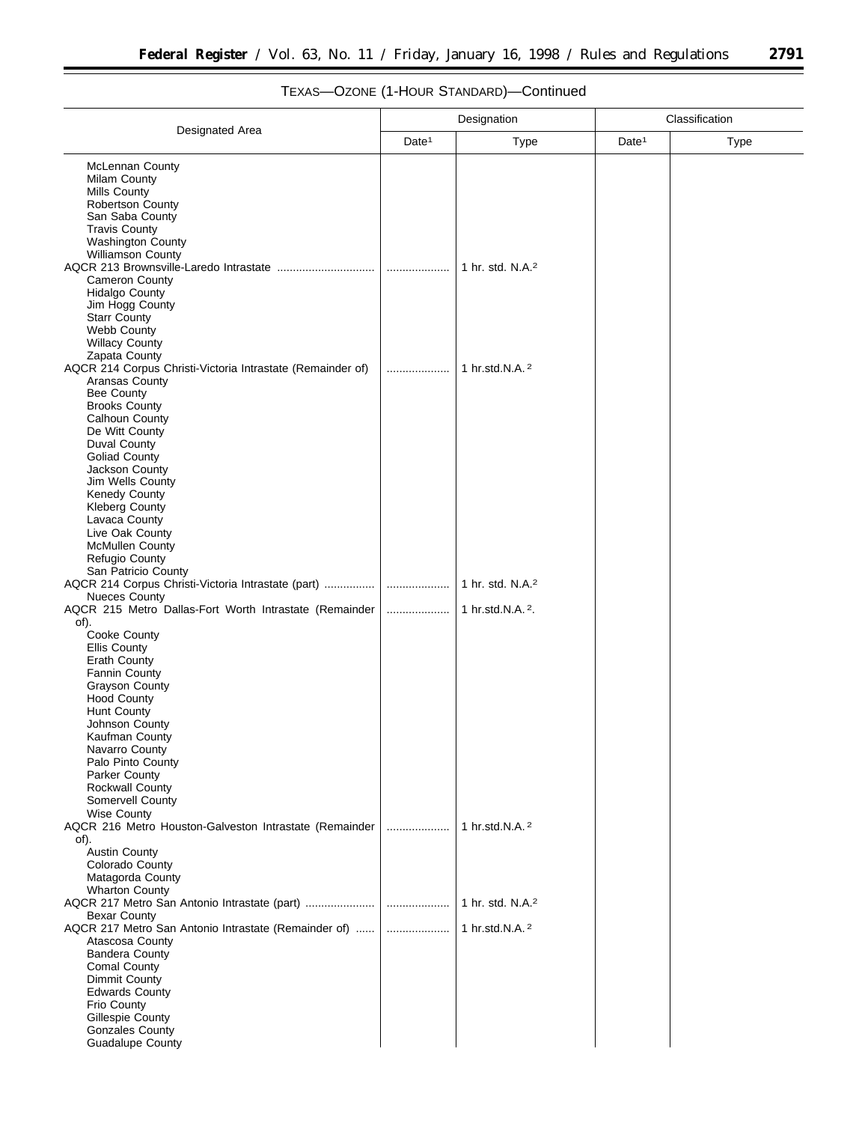$\equiv$ 

| Designated Area                                                                |                   | Designation                  | Classification    |             |
|--------------------------------------------------------------------------------|-------------------|------------------------------|-------------------|-------------|
|                                                                                | Date <sup>1</sup> | <b>Type</b>                  | Date <sup>1</sup> | <b>Type</b> |
| <b>McLennan County</b>                                                         |                   |                              |                   |             |
| Milam County                                                                   |                   |                              |                   |             |
| <b>Mills County</b>                                                            |                   |                              |                   |             |
| <b>Robertson County</b>                                                        |                   |                              |                   |             |
| San Saba County                                                                |                   |                              |                   |             |
| <b>Travis County</b>                                                           |                   |                              |                   |             |
| <b>Washington County</b><br>Williamson County                                  |                   |                              |                   |             |
| AQCR 213 Brownsville-Laredo Intrastate                                         | .                 | 1 hr. std. N.A. <sup>2</sup> |                   |             |
| <b>Cameron County</b>                                                          |                   |                              |                   |             |
| <b>Hidalgo County</b>                                                          |                   |                              |                   |             |
| Jim Hogg County                                                                |                   |                              |                   |             |
| <b>Starr County</b>                                                            |                   |                              |                   |             |
| Webb County<br><b>Willacy County</b>                                           |                   |                              |                   |             |
| Zapata County                                                                  |                   |                              |                   |             |
| AQCR 214 Corpus Christi-Victoria Intrastate (Remainder of)                     |                   | 1 hr.std.N.A. 2              |                   |             |
| Aransas County                                                                 |                   |                              |                   |             |
| <b>Bee County</b>                                                              |                   |                              |                   |             |
| <b>Brooks County</b>                                                           |                   |                              |                   |             |
| Calhoun County<br>De Witt County                                               |                   |                              |                   |             |
| Duval County                                                                   |                   |                              |                   |             |
| <b>Goliad County</b>                                                           |                   |                              |                   |             |
| Jackson County                                                                 |                   |                              |                   |             |
| Jim Wells County                                                               |                   |                              |                   |             |
| Kenedy County                                                                  |                   |                              |                   |             |
| <b>Kleberg County</b><br>Lavaca County                                         |                   |                              |                   |             |
| Live Oak County                                                                |                   |                              |                   |             |
| <b>McMullen County</b>                                                         |                   |                              |                   |             |
| Refugio County                                                                 |                   |                              |                   |             |
| San Patricio County                                                            |                   |                              |                   |             |
| AQCR 214 Corpus Christi-Victoria Intrastate (part)                             | .                 | 1 hr. std. N.A. <sup>2</sup> |                   |             |
| <b>Nueces County</b><br>AQCR 215 Metro Dallas-Fort Worth Intrastate (Remainder |                   | 1 hr.std.N.A. <sup>2</sup> . |                   |             |
| of).                                                                           |                   |                              |                   |             |
| Cooke County                                                                   |                   |                              |                   |             |
| <b>Ellis County</b>                                                            |                   |                              |                   |             |
| <b>Erath County</b>                                                            |                   |                              |                   |             |
| Fannin County                                                                  |                   |                              |                   |             |
| <b>Grayson County</b>                                                          |                   |                              |                   |             |
| <b>Hood County</b><br>Hunt County                                              |                   |                              |                   |             |
| Johnson County                                                                 |                   |                              |                   |             |
| Kaufman County                                                                 |                   |                              |                   |             |
| Navarro County                                                                 |                   |                              |                   |             |
| Palo Pinto County                                                              |                   |                              |                   |             |
| Parker County                                                                  |                   |                              |                   |             |
| <b>Rockwall County</b><br>Somervell County                                     |                   |                              |                   |             |
| <b>Wise County</b>                                                             |                   |                              |                   |             |
| AQCR 216 Metro Houston-Galveston Intrastate (Remainder                         | .                 | 1 hr.std.N.A. <sup>2</sup>   |                   |             |
| of).                                                                           |                   |                              |                   |             |
| <b>Austin County</b><br>Colorado County                                        |                   |                              |                   |             |
| Matagorda County                                                               |                   |                              |                   |             |
| <b>Wharton County</b>                                                          |                   |                              |                   |             |
|                                                                                |                   | 1 hr. std. N.A. <sup>2</sup> |                   |             |
| <b>Bexar County</b>                                                            |                   |                              |                   |             |
| AQCR 217 Metro San Antonio Intrastate (Remainder of)                           |                   | 1 hr.std.N.A. <sup>2</sup>   |                   |             |
| Atascosa County                                                                |                   |                              |                   |             |
| <b>Bandera County</b><br>Comal County                                          |                   |                              |                   |             |
| Dimmit County                                                                  |                   |                              |                   |             |
| <b>Edwards County</b>                                                          |                   |                              |                   |             |
| Frio County                                                                    |                   |                              |                   |             |
| Gillespie County                                                               |                   |                              |                   |             |
| <b>Gonzales County</b>                                                         |                   |                              |                   |             |
| <b>Guadalupe County</b>                                                        |                   |                              |                   |             |

# TEXAS—OZONE (1-HOUR STANDARD)—Continued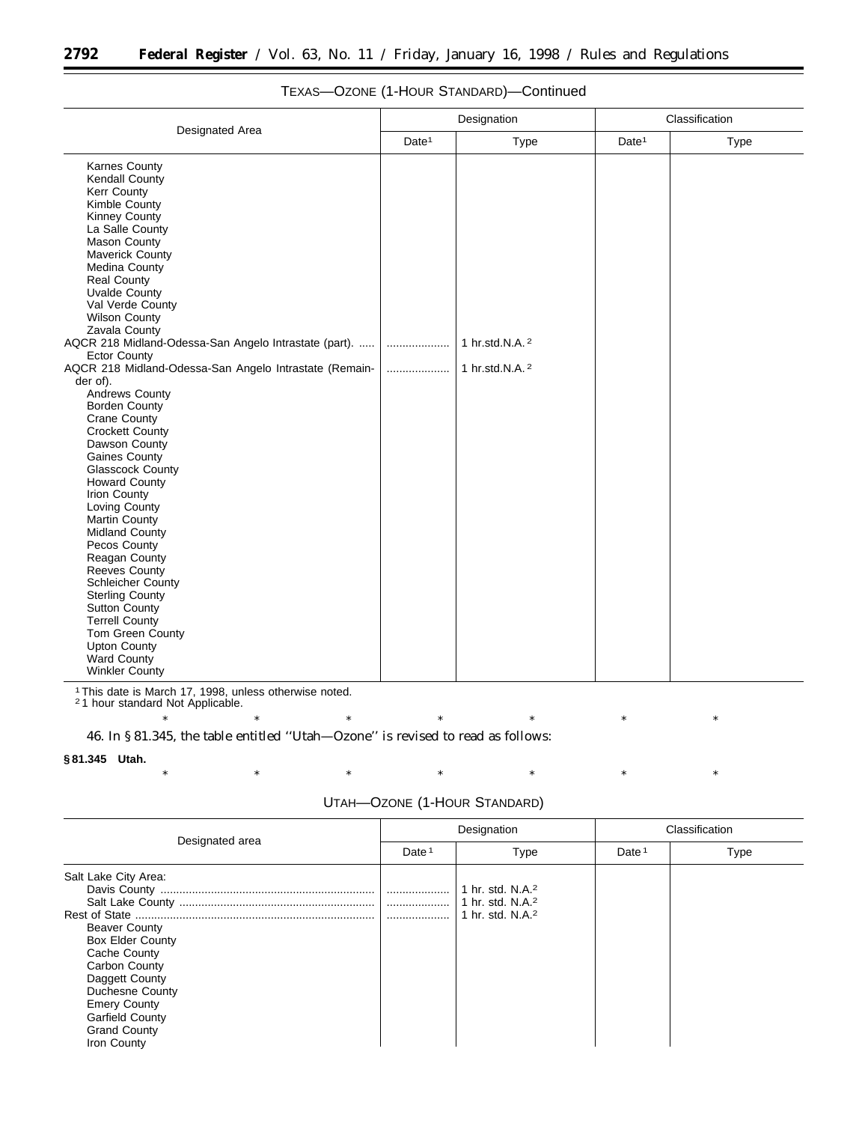|                   | Designation                                   | Classification    |             |  |
|-------------------|-----------------------------------------------|-------------------|-------------|--|
| Date <sup>1</sup> | <b>Type</b>                                   | Date <sup>1</sup> | <b>Type</b> |  |
| .<br>             | 1 hr.std.N.A. <sup>2</sup><br>1 hr.std.N.A. 2 |                   |             |  |
|                   |                                               |                   |             |  |

## TEXAS—OZONE (1-HOUR STANDARD)—Continued

1This date is March 17, 1998, unless otherwise noted. 2 1 hour standard Not Applicable.

\* \* \* \* \* \* \* \* \* \* \* 46. In § 81.345, the table entitled ''Utah—Ozone'' is revised to read as follows:

#### **§ 81.345 Utah.**

\* \* \* \* \* \* \* \* \* \* \* UTAH—OZONE (1-HOUR STANDARD)

| Designated area                                                                                                                                                                                                                      |                   | Designation                                                                                  |                   | Classification |  |
|--------------------------------------------------------------------------------------------------------------------------------------------------------------------------------------------------------------------------------------|-------------------|----------------------------------------------------------------------------------------------|-------------------|----------------|--|
|                                                                                                                                                                                                                                      | Date <sup>1</sup> | Type                                                                                         | Date <sup>1</sup> | <b>Type</b>    |  |
| Salt Lake City Area:<br><b>Beaver County</b><br><b>Box Elder County</b><br>Cache County<br>Carbon County<br>Daggett County<br>Duchesne County<br><b>Emery County</b><br><b>Garfield County</b><br><b>Grand County</b><br>Iron County |                   | 1 hr. std. N.A. <sup>2</sup><br>1 hr. std. N.A. <sup>2</sup><br>1 hr. std. N.A. <sup>2</sup> |                   |                |  |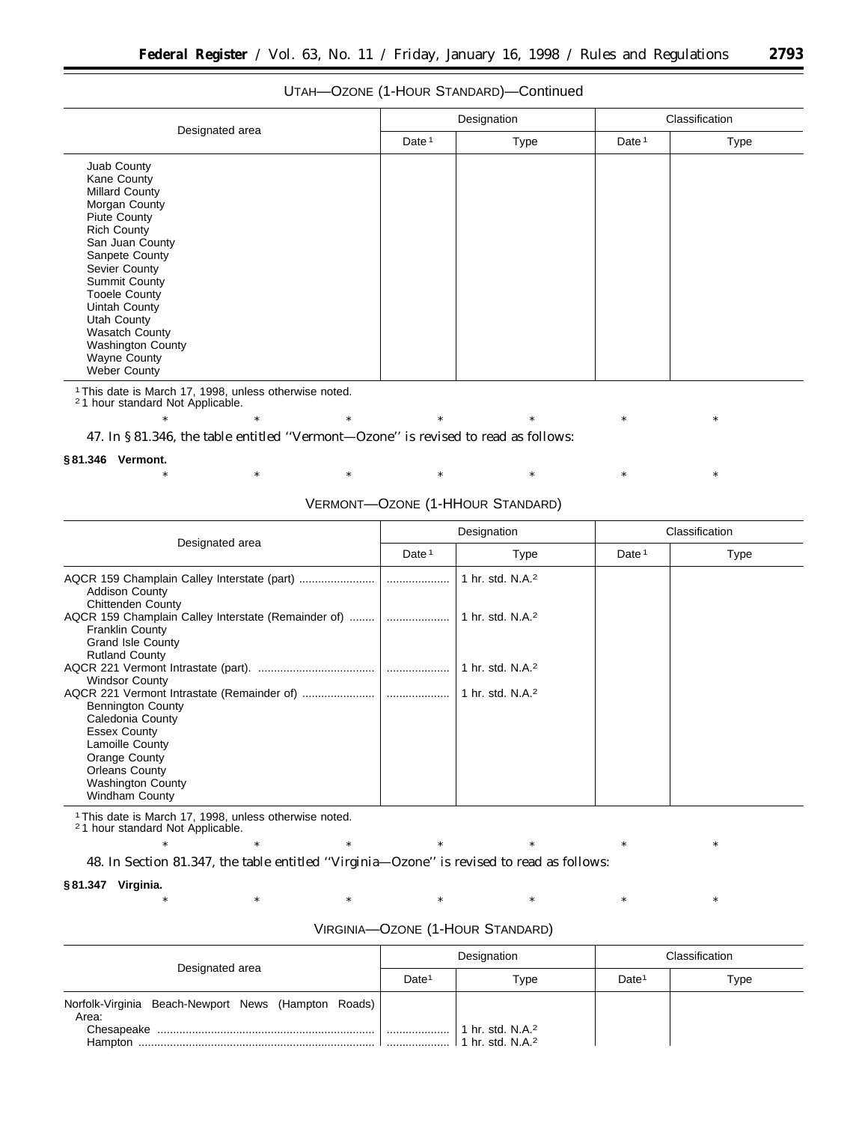## UTAH—OZONE (1-HOUR STANDARD)—Continued

| Designated area                                                                                                                                                                                                                          |                   | Designation | Classification    |      |
|------------------------------------------------------------------------------------------------------------------------------------------------------------------------------------------------------------------------------------------|-------------------|-------------|-------------------|------|
|                                                                                                                                                                                                                                          | Date <sup>1</sup> | <b>Type</b> | Date <sup>1</sup> | Type |
| Juab County<br>Kane County<br><b>Millard County</b><br>Morgan County<br><b>Piute County</b><br><b>Rich County</b><br>San Juan County<br>Sanpete County<br>Sevier County<br><b>Summit County</b><br><b>Tooele County</b><br>Uintah County |                   |             |                   |      |
| Utah County<br><b>Wasatch County</b><br><b>Washington County</b><br><b>Wayne County</b><br><b>Weber County</b>                                                                                                                           |                   |             |                   |      |

1This date is March 17, 1998, unless otherwise noted. 2 1 hour standard Not Applicable.

\* \* \* \* \* \* \* \* \* \* \*

47. In § 81.346, the table entitled ''Vermont—Ozone'' is revised to read as follows:

#### **§ 81.346 Vermont.**

\* \* \* \* \* \* \* \* \* \* \*

## VERMONT—OZONE (1-HHOUR STANDARD)

| Designated area                                                                                                                                                                       | Designation       |                                | Classification    |      |
|---------------------------------------------------------------------------------------------------------------------------------------------------------------------------------------|-------------------|--------------------------------|-------------------|------|
|                                                                                                                                                                                       | Date <sup>1</sup> | Type                           | Date <sup>1</sup> | Type |
| <b>Addison County</b><br><b>Chittenden County</b>                                                                                                                                     |                   | 1 hr. std. N.A. <sup>2</sup>   |                   |      |
| AQCR 159 Champlain Calley Interstate (Remainder of)   <br><b>Franklin County</b><br><b>Grand Isle County</b><br><b>Rutland County</b>                                                 |                   | ∣ 1 hr. std. N.A. <sup>2</sup> |                   |      |
| <b>Windsor County</b>                                                                                                                                                                 |                   | 1 hr. std. N.A. <sup>2</sup>   |                   |      |
| <b>Bennington County</b><br>Caledonia County<br><b>Essex County</b><br>Lamoille County<br>Orange County<br><b>Orleans County</b><br><b>Washington County</b><br><b>Windham County</b> |                   | 1 hr. std. N.A. <sup>2</sup>   |                   |      |

1This date is March 17, 1998, unless otherwise noted.

2 1 hour standard Not Applicable.

48. In Section 81.347, the table entitled ''Virginia—Ozone'' is revised to read as follows:

### **§ 81.347 Virginia.**

| VIRGINIA-OZONE (1-HOUR STANDARD) |  |  |  |
|----------------------------------|--|--|--|
|----------------------------------|--|--|--|

\* \* \* \* \* \* \* \* \* \* \*

| Designated area                                              | Designation       |                              | Classification    |      |
|--------------------------------------------------------------|-------------------|------------------------------|-------------------|------|
|                                                              | Date <sup>1</sup> | Type                         | Date <sup>1</sup> | Type |
| Norfolk-Virginia Beach-Newport News (Hampton Roads)<br>Area: |                   | 1 hr. std. N.A. <sup>2</sup> |                   |      |
| Hampton                                                      |                   | 1 hr. std. N.A. <sup>2</sup> |                   |      |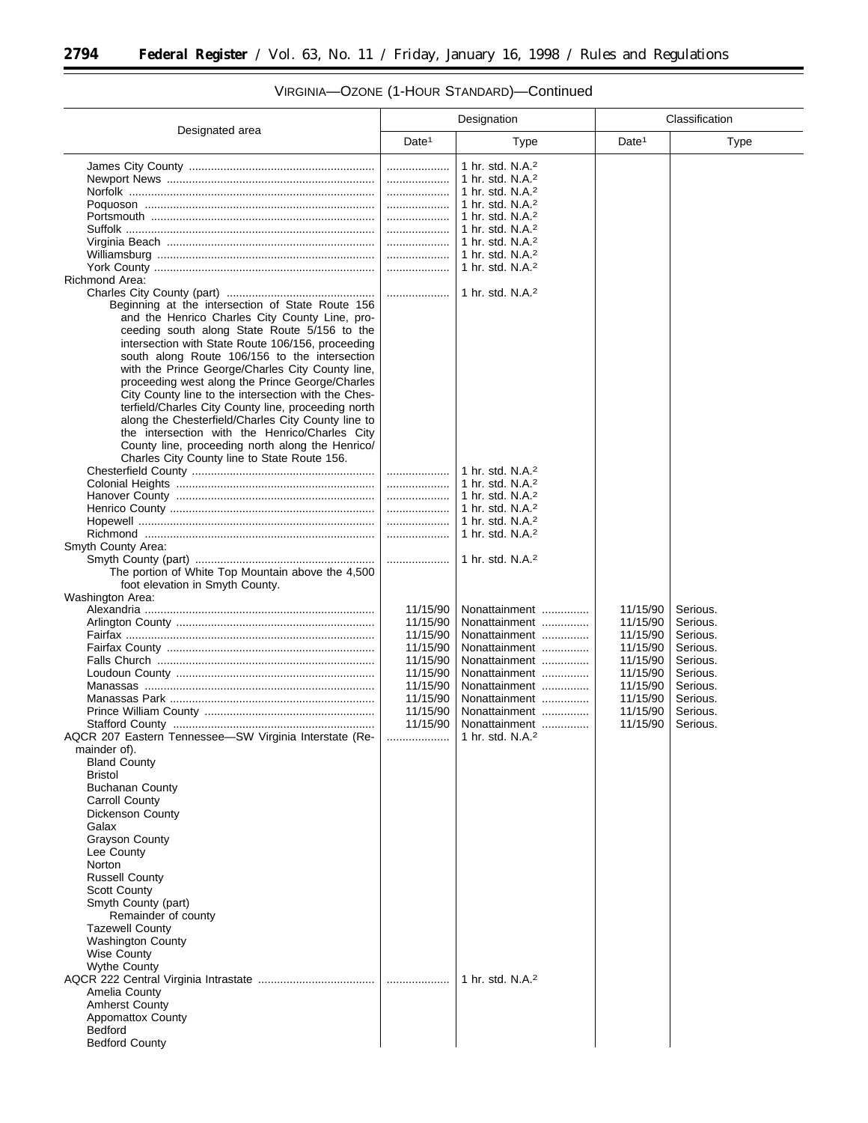$\equiv$ 

|                                                        | Designation       |                                      | Classification    |             |
|--------------------------------------------------------|-------------------|--------------------------------------|-------------------|-------------|
| Designated area                                        | Date <sup>1</sup> | Type                                 | Date <sup>1</sup> | <b>Type</b> |
|                                                        |                   | 1 hr. std. N.A. <sup>2</sup>         |                   |             |
|                                                        |                   | 1 hr. std. N.A. <sup>2</sup>         |                   |             |
|                                                        |                   | 1 hr. std. N.A. $2$                  |                   |             |
|                                                        |                   | 1 hr. std. N.A. <sup>2</sup>         |                   |             |
|                                                        |                   | 1 hr. std. N.A. <sup>2</sup>         |                   |             |
|                                                        |                   | 1 hr. std. N.A. <sup>2</sup>         |                   |             |
|                                                        |                   | $\vert$ 1 hr. std. N.A. <sup>2</sup> |                   |             |
|                                                        |                   | 1 hr. std. N.A. <sup>2</sup>         |                   |             |
| Richmond Area:                                         |                   | 1 hr. std. N.A. <sup>2</sup>         |                   |             |
|                                                        |                   | 1 hr. std. N.A. <sup>2</sup>         |                   |             |
| Beginning at the intersection of State Route 156       |                   |                                      |                   |             |
| and the Henrico Charles City County Line, pro-         |                   |                                      |                   |             |
| ceeding south along State Route 5/156 to the           |                   |                                      |                   |             |
| intersection with State Route 106/156, proceeding      |                   |                                      |                   |             |
| south along Route 106/156 to the intersection          |                   |                                      |                   |             |
| with the Prince George/Charles City County line,       |                   |                                      |                   |             |
| proceeding west along the Prince George/Charles        |                   |                                      |                   |             |
| City County line to the intersection with the Ches-    |                   |                                      |                   |             |
| terfield/Charles City County line, proceeding north    |                   |                                      |                   |             |
| along the Chesterfield/Charles City County line to     |                   |                                      |                   |             |
| the intersection with the Henrico/Charles City         |                   |                                      |                   |             |
| County line, proceeding north along the Henrico/       |                   |                                      |                   |             |
| Charles City County line to State Route 156.           |                   |                                      |                   |             |
|                                                        |                   | 1 hr. std. N.A. <sup>2</sup>         |                   |             |
|                                                        | .                 | 1 hr. std. N.A. <sup>2</sup>         |                   |             |
|                                                        |                   | 1 hr. std. N.A. <sup>2</sup>         |                   |             |
|                                                        |                   | 1 hr. std. N.A. <sup>2</sup>         |                   |             |
|                                                        | .                 | 1 hr. std. N.A. <sup>2</sup>         |                   |             |
|                                                        |                   | 1 hr. std. N.A. <sup>2</sup>         |                   |             |
| Smyth County Area:                                     | .                 | 1 hr. std. N.A. <sup>2</sup>         |                   |             |
| The portion of White Top Mountain above the 4,500      |                   |                                      |                   |             |
| foot elevation in Smyth County.                        |                   |                                      |                   |             |
| Washington Area:                                       |                   |                                      |                   |             |
|                                                        | 11/15/90          | Nonattainment                        | 11/15/90          | Serious.    |
|                                                        | 11/15/90          | Nonattainment                        | 11/15/90          | Serious.    |
|                                                        | 11/15/90          | Nonattainment                        | 11/15/90          | Serious.    |
|                                                        | 11/15/90          | Nonattainment                        | 11/15/90          | Serious.    |
|                                                        | 11/15/90          | Nonattainment                        | 11/15/90          | Serious.    |
|                                                        | 11/15/90          | Nonattainment                        | 11/15/90          | Serious.    |
|                                                        | 11/15/90          | Nonattainment                        | 11/15/90          | Serious.    |
|                                                        | 11/15/90          | Nonattainment                        | 11/15/90          | Serious.    |
|                                                        | 11/15/90          | Nonattainment                        | 11/15/90          | Serious.    |
|                                                        | 11/15/90          | Nonattainment                        | 11/15/90          | Serious.    |
| AQCR 207 Eastern Tennessee-SW Virginia Interstate (Re- |                   | 1 hr. std. N.A. <sup>2</sup>         |                   |             |
| mainder of).                                           |                   |                                      |                   |             |
| <b>Bland County</b>                                    |                   |                                      |                   |             |
| <b>Bristol</b>                                         |                   |                                      |                   |             |
| <b>Buchanan County</b>                                 |                   |                                      |                   |             |
| Carroll County<br><b>Dickenson County</b>              |                   |                                      |                   |             |
| Galax                                                  |                   |                                      |                   |             |
| <b>Grayson County</b>                                  |                   |                                      |                   |             |
| Lee County                                             |                   |                                      |                   |             |
| Norton                                                 |                   |                                      |                   |             |
| <b>Russell County</b>                                  |                   |                                      |                   |             |
| <b>Scott County</b>                                    |                   |                                      |                   |             |
| Smyth County (part)                                    |                   |                                      |                   |             |
| Remainder of county                                    |                   |                                      |                   |             |
| <b>Tazewell County</b>                                 |                   |                                      |                   |             |
| <b>Washington County</b>                               |                   |                                      |                   |             |
| <b>Wise County</b>                                     |                   |                                      |                   |             |
| <b>Wythe County</b>                                    |                   |                                      |                   |             |
|                                                        |                   | 1 hr. std. N.A. <sup>2</sup>         |                   |             |
| Amelia County                                          |                   |                                      |                   |             |
| <b>Amherst County</b>                                  |                   |                                      |                   |             |
| <b>Appomattox County</b>                               |                   |                                      |                   |             |
| <b>Bedford</b>                                         |                   |                                      |                   |             |
| <b>Bedford County</b>                                  |                   |                                      |                   |             |

# VIRGINIA—OZONE (1-HOUR STANDARD)—Continued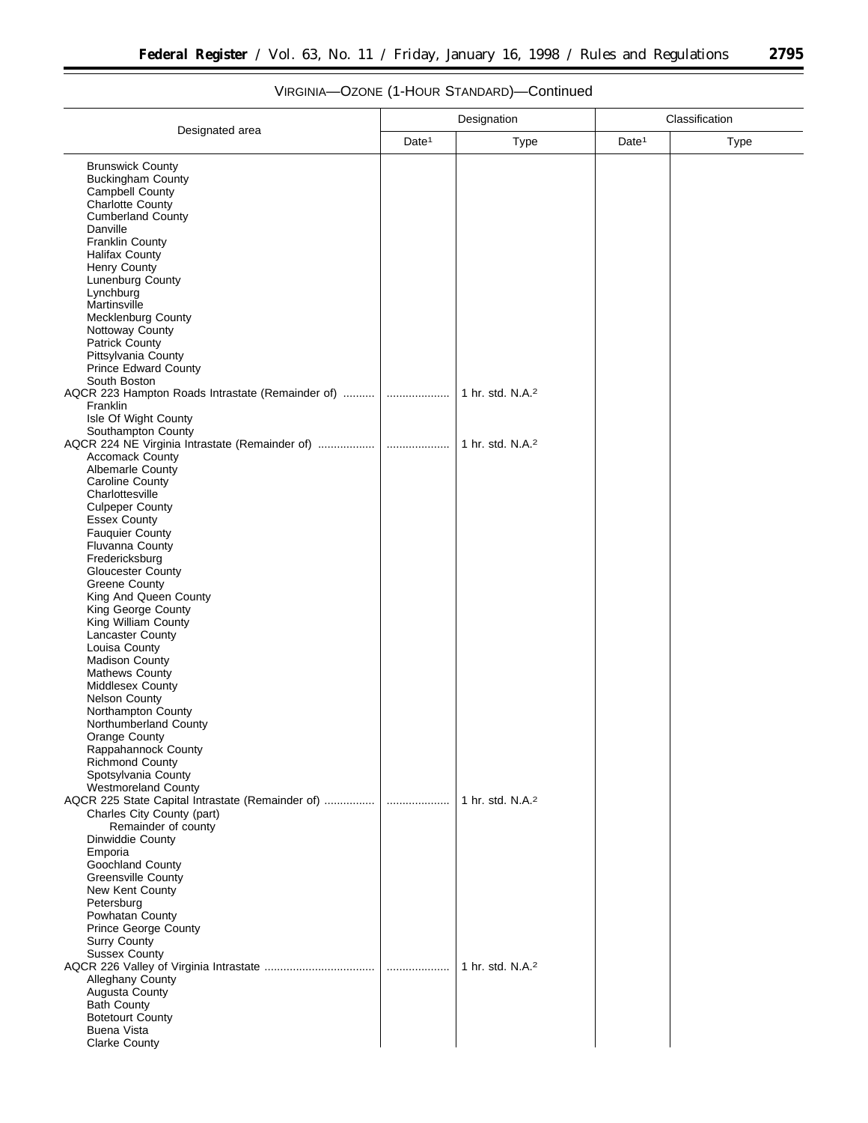▀

|                                                                                | Designation       |                              | Classification    |      |
|--------------------------------------------------------------------------------|-------------------|------------------------------|-------------------|------|
| Designated area                                                                | Date <sup>1</sup> | Type                         | Date <sup>1</sup> | Type |
| <b>Brunswick County</b>                                                        |                   |                              |                   |      |
| <b>Buckingham County</b>                                                       |                   |                              |                   |      |
| <b>Campbell County</b><br><b>Charlotte County</b>                              |                   |                              |                   |      |
| <b>Cumberland County</b>                                                       |                   |                              |                   |      |
| Danville                                                                       |                   |                              |                   |      |
| <b>Franklin County</b><br>Halifax County                                       |                   |                              |                   |      |
| <b>Henry County</b>                                                            |                   |                              |                   |      |
| Lunenburg County                                                               |                   |                              |                   |      |
| Lynchburg<br>Martinsville                                                      |                   |                              |                   |      |
| <b>Mecklenburg County</b>                                                      |                   |                              |                   |      |
| Nottoway County                                                                |                   |                              |                   |      |
| <b>Patrick County</b>                                                          |                   |                              |                   |      |
| Pittsylvania County<br><b>Prince Edward County</b>                             |                   |                              |                   |      |
| South Boston                                                                   |                   |                              |                   |      |
| AQCR 223 Hampton Roads Intrastate (Remainder of)                               |                   | 1 hr. std. N.A. <sup>2</sup> |                   |      |
| Franklin<br>Isle Of Wight County                                               |                   |                              |                   |      |
| Southampton County                                                             |                   |                              |                   |      |
| AQCR 224 NE Virginia Intrastate (Remainder of)                                 |                   | 1 hr. std. N.A. <sup>2</sup> |                   |      |
| <b>Accomack County</b><br><b>Albemarle County</b>                              |                   |                              |                   |      |
| <b>Caroline County</b>                                                         |                   |                              |                   |      |
| Charlottesville                                                                |                   |                              |                   |      |
| <b>Culpeper County</b>                                                         |                   |                              |                   |      |
| <b>Essex County</b><br><b>Fauguier County</b>                                  |                   |                              |                   |      |
| Fluvanna County                                                                |                   |                              |                   |      |
| Fredericksburg                                                                 |                   |                              |                   |      |
| <b>Gloucester County</b><br><b>Greene County</b>                               |                   |                              |                   |      |
| King And Queen County                                                          |                   |                              |                   |      |
| King George County                                                             |                   |                              |                   |      |
| King William County<br><b>Lancaster County</b>                                 |                   |                              |                   |      |
| Louisa County                                                                  |                   |                              |                   |      |
| <b>Madison County</b>                                                          |                   |                              |                   |      |
| Mathews County                                                                 |                   |                              |                   |      |
| <b>Middlesex County</b><br><b>Nelson County</b>                                |                   |                              |                   |      |
| Northampton County                                                             |                   |                              |                   |      |
| Northumberland County                                                          |                   |                              |                   |      |
| Orange County<br>Rappahannock County                                           |                   |                              |                   |      |
| <b>Richmond County</b>                                                         |                   |                              |                   |      |
| Spotsylvania County                                                            |                   |                              |                   |      |
| <b>Westmoreland County</b><br>AQCR 225 State Capital Intrastate (Remainder of) |                   | 1 hr. std. N.A. <sup>2</sup> |                   |      |
| Charles City County (part)                                                     |                   |                              |                   |      |
| Remainder of county                                                            |                   |                              |                   |      |
| Dinwiddie County<br>Emporia                                                    |                   |                              |                   |      |
| Goochland County                                                               |                   |                              |                   |      |
| <b>Greensville County</b>                                                      |                   |                              |                   |      |
| New Kent County<br>Petersburg                                                  |                   |                              |                   |      |
| Powhatan County                                                                |                   |                              |                   |      |
| <b>Prince George County</b>                                                    |                   |                              |                   |      |
| Surry County<br><b>Sussex County</b>                                           |                   |                              |                   |      |
|                                                                                |                   | 1 hr. std. N.A. <sup>2</sup> |                   |      |
| Alleghany County                                                               |                   |                              |                   |      |
| Augusta County                                                                 |                   |                              |                   |      |
| <b>Bath County</b><br><b>Botetourt County</b>                                  |                   |                              |                   |      |
| Buena Vista                                                                    |                   |                              |                   |      |
| <b>Clarke County</b>                                                           |                   |                              |                   |      |

# VIRGINIA—OZONE (1-HOUR STANDARD)—Continued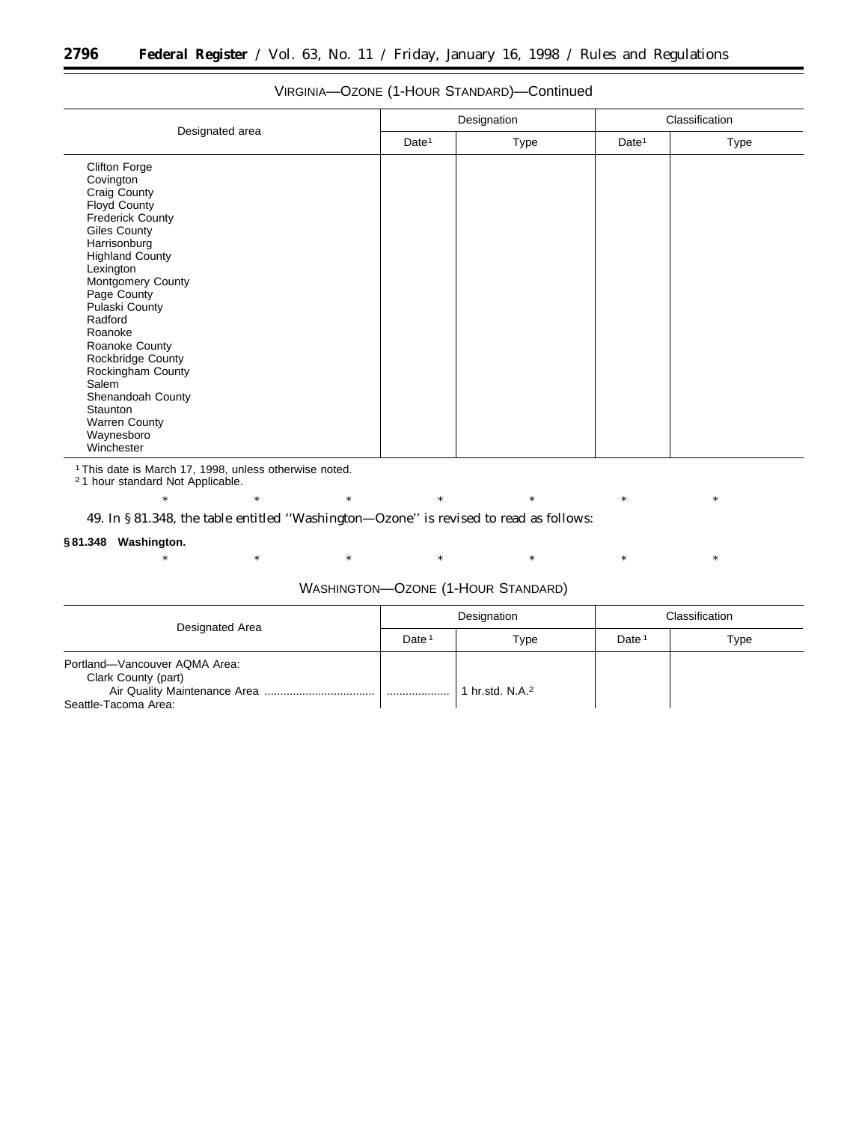| Designated area                                                                                                                                                                                                                                                                                                                                                                                                  |                   | Designation | Classification    |      |
|------------------------------------------------------------------------------------------------------------------------------------------------------------------------------------------------------------------------------------------------------------------------------------------------------------------------------------------------------------------------------------------------------------------|-------------------|-------------|-------------------|------|
|                                                                                                                                                                                                                                                                                                                                                                                                                  | Date <sup>1</sup> | Type        | Date <sup>1</sup> | Type |
| <b>Clifton Forge</b><br>Covington<br>Craig County<br>Floyd County<br><b>Frederick County</b><br><b>Giles County</b><br>Harrisonburg<br><b>Highland County</b><br>Lexington<br>Montgomery County<br>Page County<br>Pulaski County<br>Radford<br>Roanoke<br>Roanoke County<br>Rockbridge County<br>Rockingham County<br>Salem<br>Shenandoah County<br>Staunton<br><b>Warren County</b><br>Waynesboro<br>Winchester |                   |             |                   |      |

## VIRGINIA—OZONE (1-HOUR STANDARD)—Continued

1This date is March 17, 1998, unless otherwise noted.

<sup>2</sup>1 hour standard Not Applicable.

\* \* \* \* \* \* \* \* \* \* \*

# 49. In § 81.348, the table entitled ''Washington—Ozone'' is revised to read as follows:

## **§ 81.348 Washington.**

\* \* \* \* \* \* \* \* \* \* \*

## WASHINGTON—OZONE (1-HOUR STANDARD)

| Designated Area                                      | Designation       |                           | Classification    |      |
|------------------------------------------------------|-------------------|---------------------------|-------------------|------|
|                                                      | Date <sup>1</sup> | Type                      | Date <sup>1</sup> | Type |
| Portland-Vancouver AQMA Area:<br>Clark County (part) |                   |                           |                   |      |
| Seattle-Tacoma Area:                                 | .                 | hr.std. N.A. <sup>2</sup> |                   |      |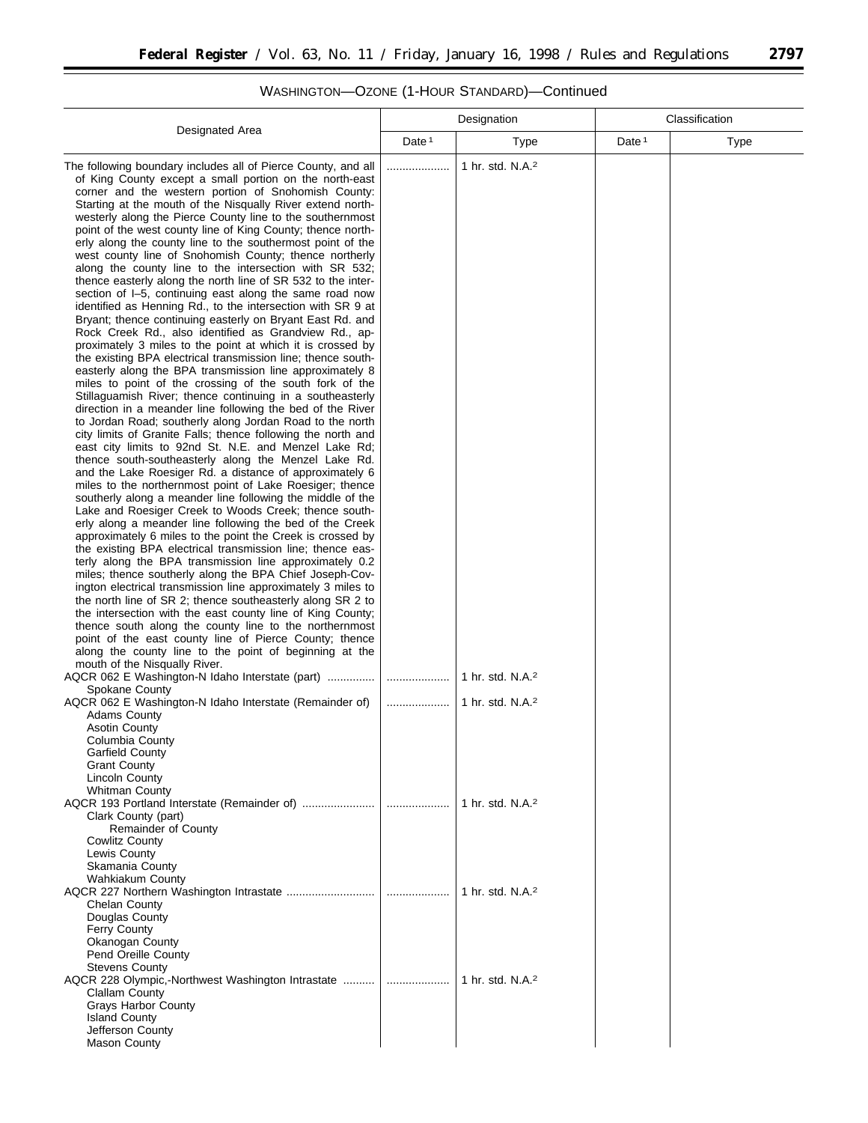#### Designated Area Designation **Classification** Date<sup>1</sup> | Type | Date<sup>1</sup> | Type The following boundary includes all of Pierce County, and all of King County except a small portion on the north-east corner and the western portion of Snohomish County: Starting at the mouth of the Nisqually River extend northwesterly along the Pierce County line to the southernmost point of the west county line of King County; thence northerly along the county line to the southermost point of the west county line of Snohomish County; thence northerly along the county line to the intersection with SR 532; thence easterly along the north line of SR 532 to the intersection of I-5, continuing east along the same road now identified as Henning Rd., to the intersection with SR 9 at Bryant; thence continuing easterly on Bryant East Rd. and Rock Creek Rd., also identified as Grandview Rd., approximately 3 miles to the point at which it is crossed by the existing BPA electrical transmission line; thence southeasterly along the BPA transmission line approximately 8 miles to point of the crossing of the south fork of the Stillaguamish River; thence continuing in a southeasterly direction in a meander line following the bed of the River to Jordan Road; southerly along Jordan Road to the north city limits of Granite Falls; thence following the north and east city limits to 92nd St. N.E. and Menzel Lake Rd; thence south-southeasterly along the Menzel Lake Rd. and the Lake Roesiger Rd. a distance of approximately 6 miles to the northernmost point of Lake Roesiger; thence southerly along a meander line following the middle of the Lake and Roesiger Creek to Woods Creek; thence southerly along a meander line following the bed of the Creek approximately 6 miles to the point the Creek is crossed by the existing BPA electrical transmission line; thence easterly along the BPA transmission line approximately 0.2 miles; thence southerly along the BPA Chief Joseph-Covington electrical transmission line approximately 3 miles to the north line of SR 2; thence southeasterly along SR 2 to the intersection with the east county line of King County; thence south along the county line to the northernmost point of the east county line of Pierce County; thence along the county line to the point of beginning at the mouth of the Nisqually River. .................... 1 hr. std. N.A.2 AQCR 062 E Washington-N Idaho Interstate (part) ............... .................... 1 hr. std. N.A.2 Spokane County AQCR 062 E Washington-N Idaho Interstate (Remainder of) | .....................| 1 hr. std. N.A.<sup>2</sup> Adams County Asotin County Columbia County Garfield County Grant County Lincoln County Whitman County AQCR 193 Portland Interstate (Remainder of) ....................... .................... 1 hr. std. N.A.2 Clark County (part) Remainder of County Cowlitz County Lewis County Skamania County Wahkiakum County AQCR 227 Northern Washington Intrastate ............................ .................... 1 hr. std. N.A.2 Chelan County Douglas County Ferry County Okanogan County Pend Oreille County Stevens County AQCR 228 Olympic,-Northwest Washington Intrastate .......... .................... 1 hr. std. N.A.2 Clallam County Grays Harbor County Island County Jefferson County Mason County

## WASHINGTON—OZONE (1-HOUR STANDARD)—Continued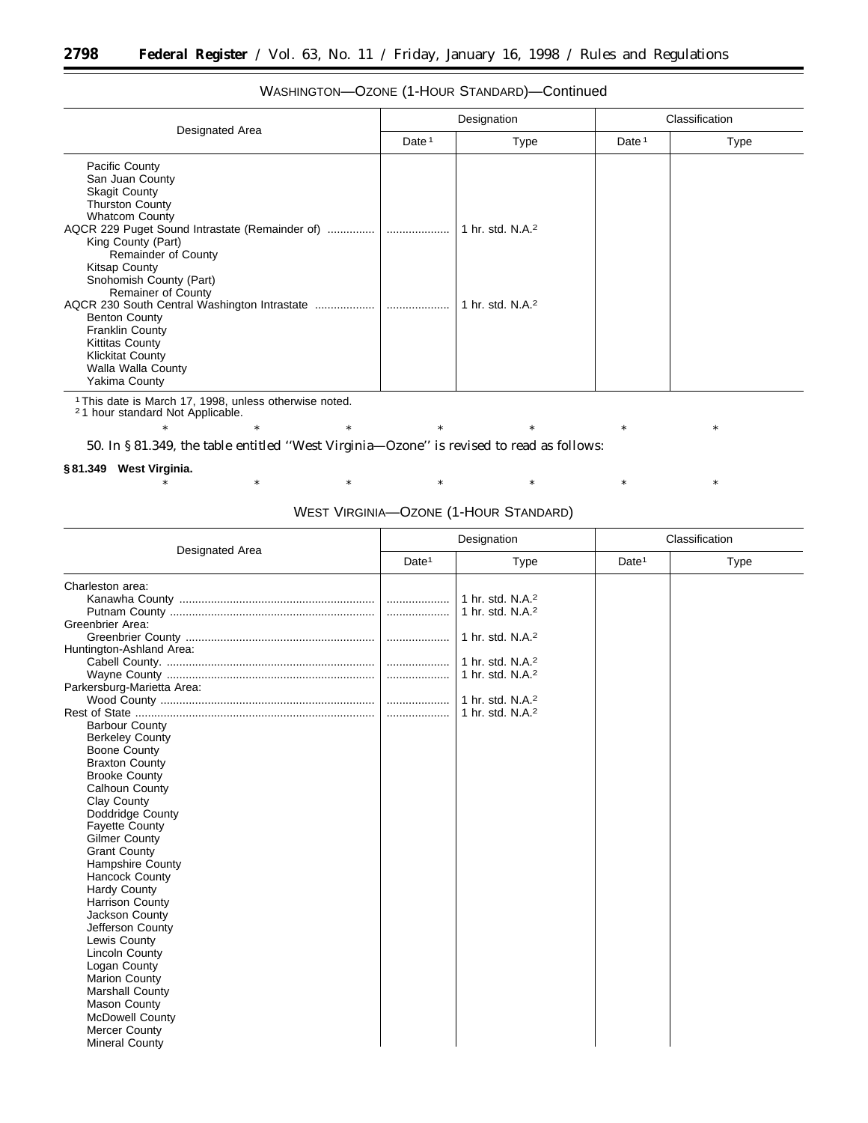| Designated Area                                                                                                                                                                                                                                         |          | Designation                  |          | Classification |
|---------------------------------------------------------------------------------------------------------------------------------------------------------------------------------------------------------------------------------------------------------|----------|------------------------------|----------|----------------|
|                                                                                                                                                                                                                                                         | Date $1$ | Type                         | Date $1$ | <b>Type</b>    |
| <b>Pacific County</b><br>San Juan County<br><b>Skagit County</b><br><b>Thurston County</b><br><b>Whatcom County</b><br>King County (Part)<br><b>Remainder of County</b><br><b>Kitsap County</b><br>Snohomish County (Part)<br><b>Remainer of County</b> |          | 1 hr. std. N.A. <sup>2</sup> |          |                |
| <b>Benton County</b><br><b>Franklin County</b><br><b>Kittitas County</b><br><b>Klickitat County</b><br>Walla Walla County<br>Yakima County                                                                                                              |          | 1 hr. std. N.A. <sup>2</sup> |          |                |

## WASHINGTON—OZONE (1-HOUR STANDARD)—Continued

1This date is March 17, 1998, unless otherwise noted. 2 1 hour standard Not Applicable.

50. In § 81.349, the table entitled ''West Virginia—Ozone'' is revised to read as follows:

### **§ 81.349 West Virginia.**

# \* \* \* \* \* \* \* \* \* \* \* WEST VIRGINIA—OZONE (1-HOUR STANDARD)

\* \* \* \* \* \* \* \* \* \* \*

| Designated Area                                                                                                                                                                                                                                                                                          | Designation       |                                                              | Classification    |             |
|----------------------------------------------------------------------------------------------------------------------------------------------------------------------------------------------------------------------------------------------------------------------------------------------------------|-------------------|--------------------------------------------------------------|-------------------|-------------|
|                                                                                                                                                                                                                                                                                                          | Date <sup>1</sup> | <b>Type</b>                                                  | Date <sup>1</sup> | <b>Type</b> |
| Charleston area:                                                                                                                                                                                                                                                                                         | .<br>.            | 1 hr. std. N.A. <sup>2</sup><br>1 hr. std. N.A. <sup>2</sup> |                   |             |
| Greenbrier Area:<br>Huntington-Ashland Area:                                                                                                                                                                                                                                                             |                   | 1 hr. std. N.A. <sup>2</sup>                                 |                   |             |
|                                                                                                                                                                                                                                                                                                          | .                 | 1 hr. std. N.A. <sup>2</sup><br>1 hr. std. N.A. <sup>2</sup> |                   |             |
| Parkersburg-Marietta Area:                                                                                                                                                                                                                                                                               |                   | 1 hr. std. N.A. <sup>2</sup>                                 |                   |             |
| <b>Barbour County</b><br><b>Berkeley County</b><br>Boone County<br><b>Braxton County</b><br><b>Brooke County</b><br>Calhoun County<br><b>Clay County</b><br>Doddridge County<br><b>Fayette County</b><br><b>Gilmer County</b><br><b>Grant County</b><br><b>Hampshire County</b><br><b>Hancock County</b> |                   | 1 hr. std. $N.A.^2$                                          |                   |             |
| <b>Hardy County</b><br><b>Harrison County</b><br>Jackson County<br>Jefferson County<br>Lewis County<br><b>Lincoln County</b><br>Logan County<br>Marion County<br><b>Marshall County</b><br><b>Mason County</b><br><b>McDowell County</b><br><b>Mercer County</b><br><b>Mineral County</b>                |                   |                                                              |                   |             |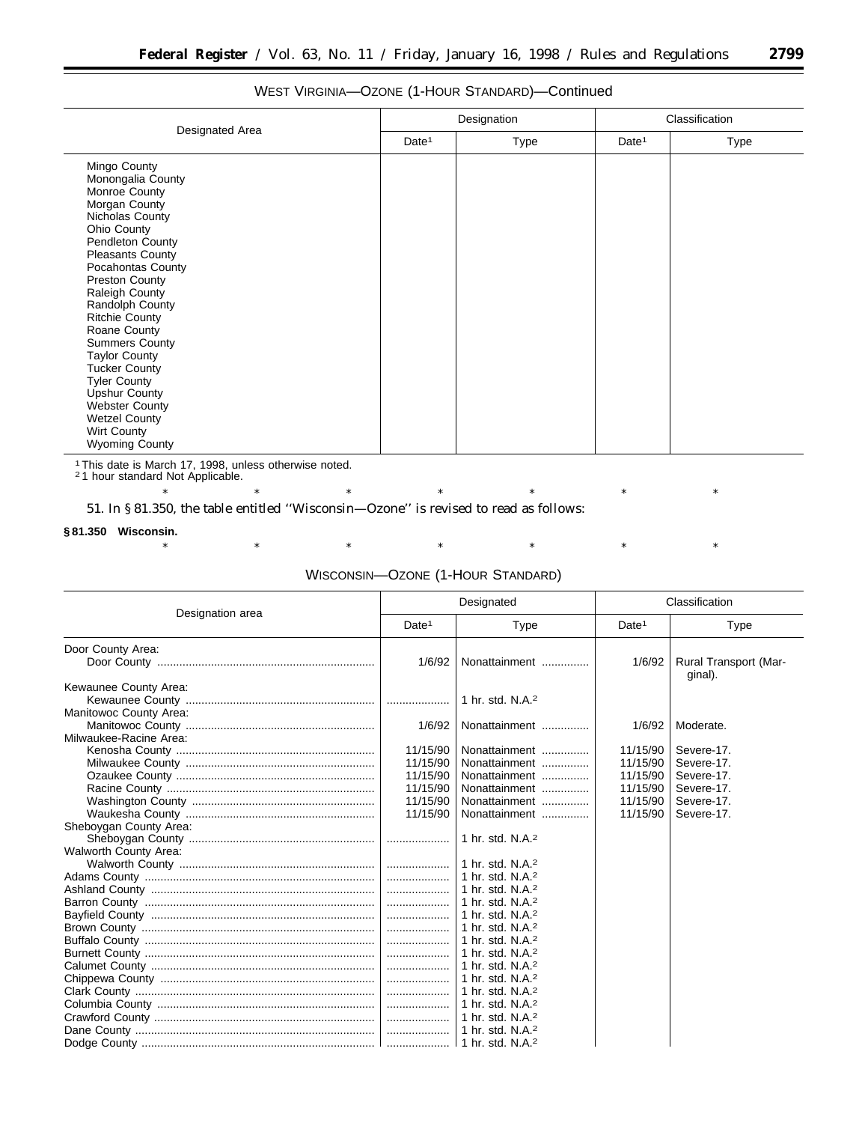# WEST VIRGINIA—OZONE (1-HOUR STANDARD)—Continued

|                                                                                                                                                                                                                                                                                                                                                                                                                                                                                            | Designation       |      | Classification    |      |
|--------------------------------------------------------------------------------------------------------------------------------------------------------------------------------------------------------------------------------------------------------------------------------------------------------------------------------------------------------------------------------------------------------------------------------------------------------------------------------------------|-------------------|------|-------------------|------|
| Designated Area                                                                                                                                                                                                                                                                                                                                                                                                                                                                            | Date <sup>1</sup> | Type | Date <sup>1</sup> | Type |
| Mingo County<br>Monongalia County<br>Monroe County<br>Morgan County<br>Nicholas County<br>Ohio County<br>Pendleton County<br><b>Pleasants County</b><br>Pocahontas County<br>Preston County<br>Raleigh County<br>Randolph County<br><b>Ritchie County</b><br>Roane County<br><b>Summers County</b><br><b>Taylor County</b><br><b>Tucker County</b><br><b>Tyler County</b><br>Upshur County<br><b>Webster County</b><br><b>Wetzel County</b><br><b>Wirt County</b><br><b>Wyoming County</b> |                   |      |                   |      |

<sup>1</sup> This date is March 17, 1998, unless otherwise noted.<br><sup>2</sup> 1 hour standard Not Applicable.

\* \* \* \* \* \* \* \* \* \* \*

51. In § 81.350, the table entitled ''Wisconsin—Ozone'' is revised to read as follows:

### **§ 81.350 Wisconsin.**

\* \* \* \* \* \* \* \* \* \* \*

# WISCONSIN—OZONE (1-HOUR STANDARD)

|                                                 | Designated                       |                                                                                                  | Classification                   |                                        |
|-------------------------------------------------|----------------------------------|--------------------------------------------------------------------------------------------------|----------------------------------|----------------------------------------|
| Designation area                                | Date <sup>1</sup>                | Type                                                                                             | Date <sup>1</sup>                | <b>Type</b>                            |
| Door County Area:                               | 1/6/92                           | Nonattainment                                                                                    | 1/6/92                           | Rural Transport (Mar-<br>ginal).       |
| Kewaunee County Area:<br>Manitowoc County Area: |                                  | 1 hr. std. N.A. <sup>2</sup>                                                                     |                                  |                                        |
| Milwaukee-Racine Area:                          | 1/6/92                           | Nonattainment                                                                                    | 1/6/92                           | Moderate.                              |
|                                                 | 11/15/90<br>11/15/90             | Nonattainment<br>Nonattainment                                                                   | 11/15/90<br>11/15/90             | Severe-17.<br>Severe-17.               |
|                                                 | 11/15/90<br>11/15/90<br>11/15/90 | Nonattainment<br>Nonattainment<br>Nonattainment                                                  | 11/15/90<br>11/15/90<br>11/15/90 | Severe-17.<br>Severe-17.<br>Severe-17. |
| Sheboygan County Area:                          | 11/15/90                         | Nonattainment                                                                                    | 11/15/90                         | Severe-17.                             |
| <b>Walworth County Area:</b>                    |                                  | 1 hr. std. N.A. <sup>2</sup>                                                                     |                                  |                                        |
|                                                 | .                                | 1 hr. std. N.A. <sup>2</sup><br>  1 hr. std. N.A. <sup>2</sup><br>  1 hr. std. N.A. <sup>2</sup> |                                  |                                        |
|                                                 | .                                | 1 hr. std. N.A. <sup>2</sup><br>1 hr. std. N.A. <sup>2</sup>                                     |                                  |                                        |
|                                                 | .                                | 1 hr. std. N.A. $2$<br>1 hr. std. N.A. <sup>2</sup>                                              |                                  |                                        |
|                                                 |                                  | 1 hr. std. N.A. <sup>2</sup><br>  1 hr. std. N.A. $2$                                            |                                  |                                        |
|                                                 |                                  | 1 hr. std. N.A. $2$<br>  1 hr. std. N.A. <sup>2</sup>                                            |                                  |                                        |
|                                                 |                                  | 1 hr. std. N.A. <sup>2</sup>                                                                     |                                  |                                        |
|                                                 |                                  |                                                                                                  |                                  |                                        |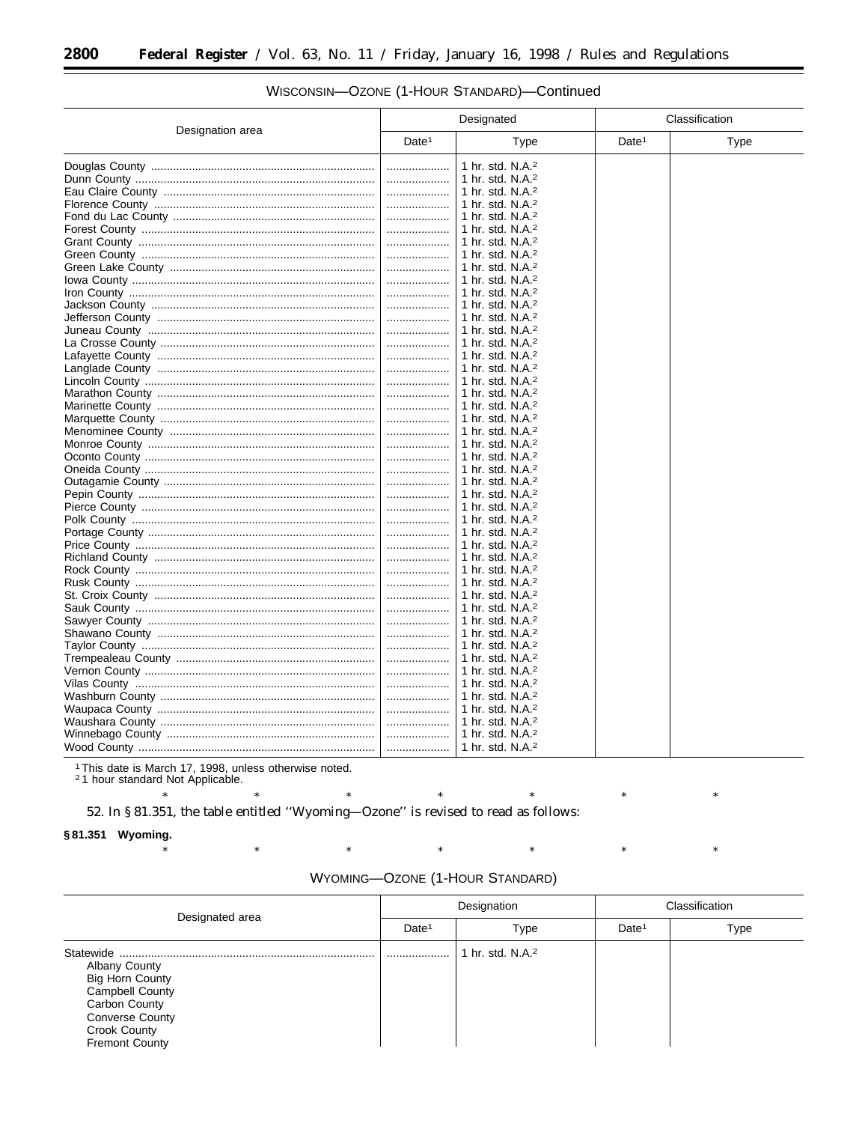| Designation area |                   | Designated                                                                          |                   | Classification |  |
|------------------|-------------------|-------------------------------------------------------------------------------------|-------------------|----------------|--|
|                  | Date <sup>1</sup> | Type                                                                                | Date <sup>1</sup> | <b>Type</b>    |  |
|                  | .<br>.            | 1 hr. std. N.A. <sup>2</sup><br>1 hr. std. N.A. <sup>2</sup><br>1 hr. std. N.A. $2$ |                   |                |  |
|                  | .                 | 1 hr. std. N.A. <sup>2</sup>                                                        |                   |                |  |
|                  |                   | 1 hr. std. N.A. <sup>2</sup>                                                        |                   |                |  |
|                  | .                 | 1 hr. std. N.A. <sup>2</sup><br>1 hr. std. N.A. $2$                                 |                   |                |  |
|                  | .                 | 1 hr. std. $N.A.^2$                                                                 |                   |                |  |
|                  |                   | 1 hr. std. N.A. $2$                                                                 |                   |                |  |
|                  |                   | 1 hr. std. N.A. $2$                                                                 |                   |                |  |
|                  |                   | 1 hr. std. N.A. <sup>2</sup>                                                        |                   |                |  |
|                  |                   | 1 hr. std. $N.A.^2$                                                                 |                   |                |  |
|                  |                   | 1 hr. std. N.A. $2$                                                                 |                   |                |  |
|                  |                   | 1 hr. std. N.A. $2$                                                                 |                   |                |  |
|                  |                   | 1 hr. std. N.A. <sup>2</sup>                                                        |                   |                |  |
|                  |                   | 1 hr. std. N.A. $2$                                                                 |                   |                |  |
|                  | .                 | 1 hr. std. N.A. <sup>2</sup><br>1 hr. std. N.A. $2$                                 |                   |                |  |
|                  | .<br>.            | 1 hr. std. N.A. <sup>2</sup>                                                        |                   |                |  |
|                  |                   | 1 hr. std. N.A. $2$                                                                 |                   |                |  |
|                  |                   | 1 hr. std. N.A. <sup>2</sup>                                                        |                   |                |  |
|                  |                   | 1 hr. std. N.A. <sup>2</sup>                                                        |                   |                |  |
|                  | .                 | 1 hr. std. N.A. <sup>2</sup>                                                        |                   |                |  |
|                  |                   | 1 hr. std. N.A. $2$                                                                 |                   |                |  |
|                  | .                 | 1 hr. std. N.A. <sup>2</sup>                                                        |                   |                |  |
|                  | .                 | 1 hr. std. N.A. $2$                                                                 |                   |                |  |
|                  |                   | 1 hr. std. N.A. <sup>2</sup>                                                        |                   |                |  |
|                  |                   | 1 hr. std. N.A. $2$                                                                 |                   |                |  |
|                  | .                 | 1 hr. std. N.A. <sup>2</sup>                                                        |                   |                |  |
|                  | .                 | 1 hr. std. N.A. $2$                                                                 |                   |                |  |
|                  |                   | 1 hr. std. N.A. <sup>2</sup><br>1 hr. std. $N.A.^2$                                 |                   |                |  |
|                  |                   | 1 hr. std. N.A. <sup>2</sup>                                                        |                   |                |  |
|                  | .                 | 1 hr. std. N.A. $2$                                                                 |                   |                |  |
|                  | .                 | 1 hr. std. N.A. <sup>2</sup>                                                        |                   |                |  |
|                  | .                 | 1 hr. std. N.A. <sup>2</sup>                                                        |                   |                |  |
|                  |                   | 1 hr. std. N.A. $2$                                                                 |                   |                |  |
|                  |                   | 1 hr. std. N.A. <sup>2</sup>                                                        |                   |                |  |
|                  |                   | 1 hr. std. N.A. $2$                                                                 |                   |                |  |
|                  |                   | 1 hr. std. N.A. $2$                                                                 |                   |                |  |
|                  |                   | 1 hr. std. N.A. $2$                                                                 |                   |                |  |
|                  |                   | 1 hr. std. N.A. $2$                                                                 |                   |                |  |
|                  |                   | 1 hr. std. $N.A.^2$                                                                 |                   |                |  |
|                  |                   | 1 hr. std. N.A. <sup>2</sup>                                                        |                   |                |  |
|                  |                   | 1 hr. std. N.A. $2$<br>1 hr. std. N.A. $2$                                          |                   |                |  |
|                  | .                 | 1 hr. std. N.A. <sup>2</sup>                                                        |                   |                |  |
|                  |                   |                                                                                     |                   |                |  |

## WISCONSIN-OZONE (1-HOUR STANDARD)-Continued

<sup>1</sup> This date is March 17, 1998, unless otherwise noted.<br>
<sup>2</sup> 1 hour standard Not Applicable.

 $\ast$ 

 $\ast$ 

 $\ast$ 

52. In §81.351, the table entitled "Wyoming-Ozone" is revised to read as follows:

 $\ast$ 

 $\ast$ 

### §81.351 Wyoming.

| WYOMING-OZONE (1-HOUR STANDARD) |  |
|---------------------------------|--|
|---------------------------------|--|

 $\ast$ 

 $\ast$ 

 $\ast$ 

 $\ast$ 

 $\ast$ 

 $\ast$ 

 $\ast$ 

 $\ast$ 

| Designated area                                                                                                                                                     | Designation       |                              | Classification    |      |
|---------------------------------------------------------------------------------------------------------------------------------------------------------------------|-------------------|------------------------------|-------------------|------|
|                                                                                                                                                                     | Date <sup>1</sup> | Type                         | Date <sup>1</sup> | Type |
| <b>Albany County</b><br><b>Big Horn County</b><br><b>Campbell County</b><br>Carbon County<br><b>Converse County</b><br><b>Crook County</b><br><b>Fremont County</b> |                   | 1 hr. std. N.A. <sup>2</sup> |                   |      |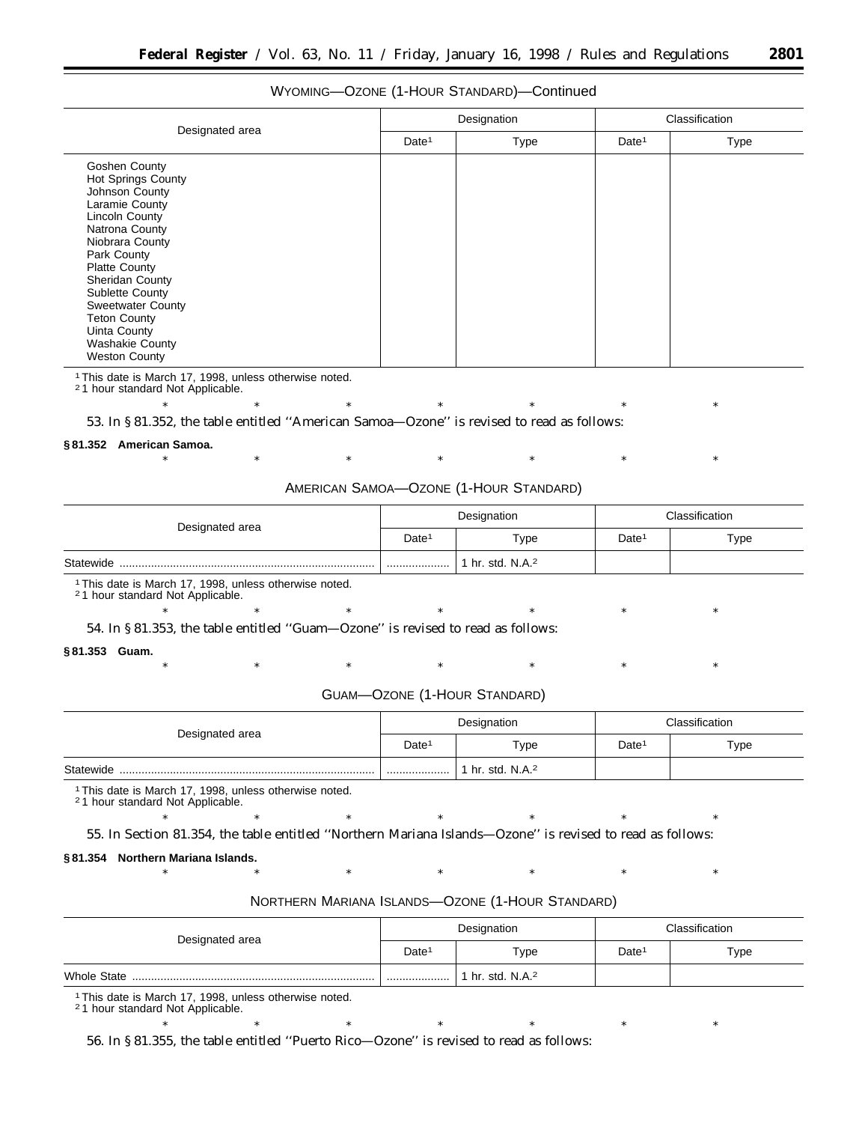# WYOMING—OZONE (1-HOUR STANDARD)—Continued

|                                                                                                                                                                                                                                                                                                                                         | Designation       |      | Classification    |      |
|-----------------------------------------------------------------------------------------------------------------------------------------------------------------------------------------------------------------------------------------------------------------------------------------------------------------------------------------|-------------------|------|-------------------|------|
| Designated area                                                                                                                                                                                                                                                                                                                         | Date <sup>1</sup> | Type | Date <sup>1</sup> | Type |
| Goshen County<br>Hot Springs County<br>Johnson County<br>Laramie County<br>Lincoln County<br>Natrona County<br>Niobrara County<br>Park County<br><b>Platte County</b><br>Sheridan County<br>Sublette County<br><b>Sweetwater County</b><br><b>Teton County</b><br><b>Uinta County</b><br><b>Washakie County</b><br><b>Weston County</b> |                   |      |                   |      |

1This date is March 17, 1998, unless otherwise noted.

2 1 hour standard Not Applicable.

\* \* \* \* \* \* \* \* \* \* \* 53. In § 81.352, the table entitled ''American Samoa—Ozone'' is revised to read as follows:

#### **§ 81.352 American Samoa.**

#### AMERICAN SAMOA—OZONE (1-HOUR STANDARD)

\* \* \* \* \* \* \* \* \* \* \*

|                                                      | Designation       |                     | Classification    |      |
|------------------------------------------------------|-------------------|---------------------|-------------------|------|
| Designated area                                      | Date <sup>1</sup> | Type                | Date <sup>1</sup> | Type |
| Statewide                                            |                   | 1 hr. std. $N.A.^2$ |                   |      |
| This date is March 17, 1998, unless otherwise noted. |                   |                     |                   |      |

2 1 hour standard Not Applicable.

\* \* \* \* \* \* \* \* \* \* \* 54. In § 81.353, the table entitled ''Guam—Ozone'' is revised to read as follows:

#### **§ 81.353 Guam.**

\* \* \* \* \* \* \* \* \* \* \*  $G(u,v) = G(u,1)$  (1-Hour  $G(u,1) = (1,1)$ 

| Designated area | Designation       |                   | Classification    |      |
|-----------------|-------------------|-------------------|-------------------|------|
|                 | Date <sup>1</sup> | Type              | Date <sup>1</sup> | Type |
| Statewide       |                   | hr. std. $N.A.^2$ |                   |      |

1This date is March 17, 1998, unless otherwise noted.

<sup>2</sup>1 hour standard Not Applicable.

\* \* \* \* \* \* \* \* \* \* \* 55. In Section 81.354, the table entitled ''Northern Mariana Islands—Ozone'' is revised to read as follows:

#### **§ 81.354 Northern Mariana Islands.**

#### NORTHERN MARIANA ISLANDS—OZONE (1-HOUR STANDARD)

\* \* \* \* \* \* \* \* \* \* \*

| Designated area | Designation       |                            | Classification    |      |
|-----------------|-------------------|----------------------------|-------------------|------|
|                 | Date <sup>1</sup> | Type                       | Date <sup>1</sup> | Type |
| Whole State     |                   | hr. std. N.A. <sup>2</sup> |                   |      |

1This date is March 17, 1998, unless otherwise noted.

21 hour standard Not Applicable.

\* \* \* \* \* \* \* \* \* \* \* 56. In § 81.355, the table entitled ''Puerto Rico—Ozone'' is revised to read as follows: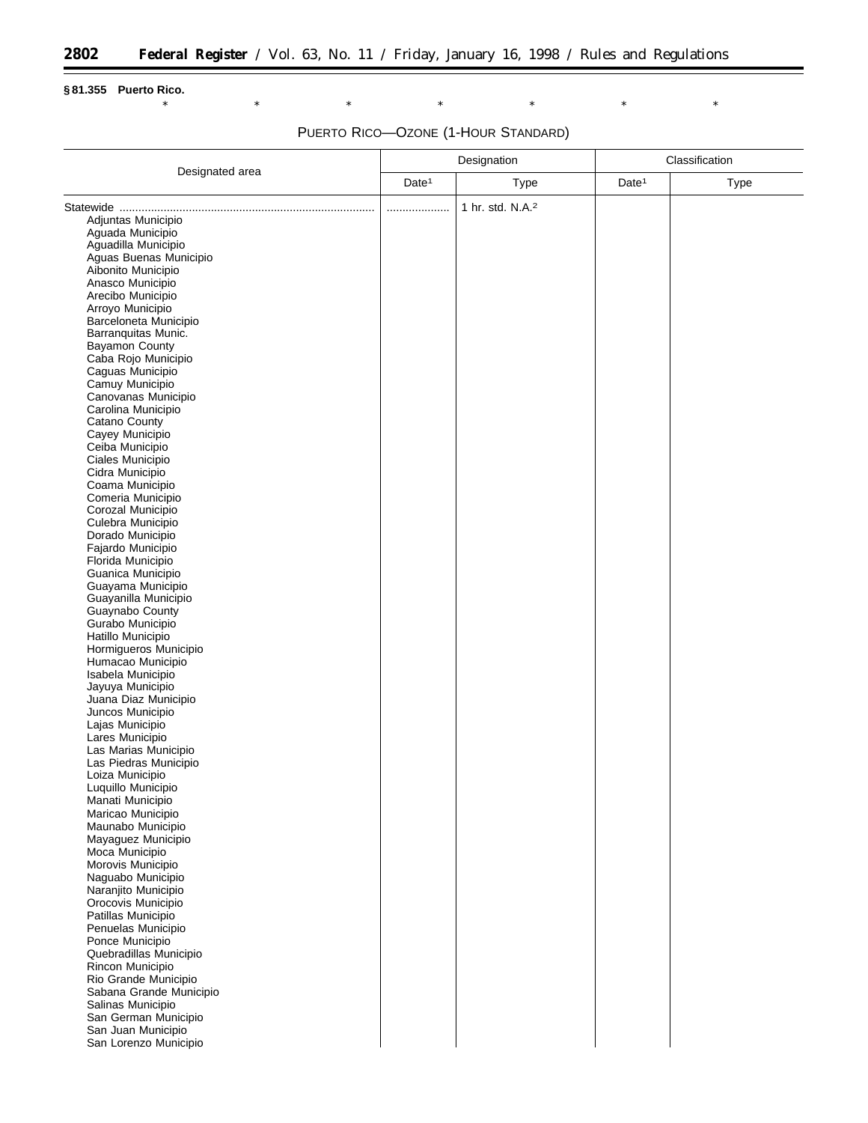$\equiv$ 

### **§ 81.355 Puerto Rico.**

### \* \* \* \* \* \* \* \* \* \* \*

# PUERTO RICO—OZONE (1-HOUR STANDARD)

| Designated area                             | Designation       |                              | Classification    |             |
|---------------------------------------------|-------------------|------------------------------|-------------------|-------------|
|                                             | Date <sup>1</sup> | <b>Type</b>                  | Date <sup>1</sup> | <b>Type</b> |
|                                             | .                 | 1 hr. std. N.A. <sup>2</sup> |                   |             |
| Adjuntas Municipio                          |                   |                              |                   |             |
| Aguada Municipio                            |                   |                              |                   |             |
| Aguadilla Municipio                         |                   |                              |                   |             |
| Aguas Buenas Municipio                      |                   |                              |                   |             |
| Aibonito Municipio<br>Anasco Municipio      |                   |                              |                   |             |
| Arecibo Municipio                           |                   |                              |                   |             |
| Arroyo Municipio                            |                   |                              |                   |             |
| Barceloneta Municipio                       |                   |                              |                   |             |
| Barranquitas Munic.                         |                   |                              |                   |             |
| Bayamon County                              |                   |                              |                   |             |
| Caba Rojo Municipio<br>Caguas Municipio     |                   |                              |                   |             |
| Camuy Municipio                             |                   |                              |                   |             |
| Canovanas Municipio                         |                   |                              |                   |             |
| Carolina Municipio                          |                   |                              |                   |             |
| Catano County                               |                   |                              |                   |             |
| Cayey Municipio<br>Ceiba Municipio          |                   |                              |                   |             |
| Ciales Municipio                            |                   |                              |                   |             |
| Cidra Municipio                             |                   |                              |                   |             |
| Coama Municipio                             |                   |                              |                   |             |
| Comeria Municipio                           |                   |                              |                   |             |
| Corozal Municipio                           |                   |                              |                   |             |
| Culebra Municipio<br>Dorado Municipio       |                   |                              |                   |             |
| Fajardo Municipio                           |                   |                              |                   |             |
| Florida Municipio                           |                   |                              |                   |             |
| Guanica Municipio                           |                   |                              |                   |             |
| Guayama Municipio                           |                   |                              |                   |             |
| Guayanilla Municipio                        |                   |                              |                   |             |
| Guaynabo County<br>Gurabo Municipio         |                   |                              |                   |             |
| Hatillo Municipio                           |                   |                              |                   |             |
| Hormigueros Municipio                       |                   |                              |                   |             |
| Humacao Municipio                           |                   |                              |                   |             |
| Isabela Municipio                           |                   |                              |                   |             |
| Jayuya Municipio<br>Juana Diaz Municipio    |                   |                              |                   |             |
| Juncos Municipio                            |                   |                              |                   |             |
| Lajas Municipio                             |                   |                              |                   |             |
| Lares Municipio                             |                   |                              |                   |             |
| Las Marias Municipio                        |                   |                              |                   |             |
| Las Piedras Municipio                       |                   |                              |                   |             |
| Loiza Municipio<br>Luquillo Municipio       |                   |                              |                   |             |
| Manati Municipio                            |                   |                              |                   |             |
| Maricao Municipio                           |                   |                              |                   |             |
| Maunabo Municipio                           |                   |                              |                   |             |
| Mayaguez Municipio                          |                   |                              |                   |             |
| Moca Municipio<br>Morovis Municipio         |                   |                              |                   |             |
| Naguabo Municipio                           |                   |                              |                   |             |
| Naranjito Municipio                         |                   |                              |                   |             |
| Orocovis Municipio                          |                   |                              |                   |             |
| Patillas Municipio                          |                   |                              |                   |             |
| Penuelas Municipio<br>Ponce Municipio       |                   |                              |                   |             |
| Quebradillas Municipio                      |                   |                              |                   |             |
| Rincon Municipio                            |                   |                              |                   |             |
| Rio Grande Municipio                        |                   |                              |                   |             |
| Sabana Grande Municipio                     |                   |                              |                   |             |
| Salinas Municipio                           |                   |                              |                   |             |
| San German Municipio                        |                   |                              |                   |             |
| San Juan Municipio<br>San Lorenzo Municipio |                   |                              |                   |             |
|                                             |                   |                              |                   |             |